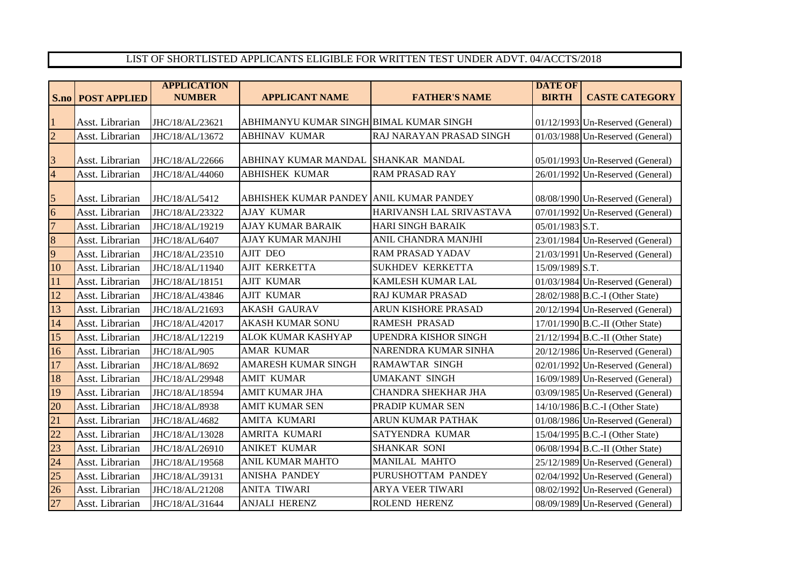## LIST OF SHORTLISTED APPLICANTS ELIGIBLE FOR WRITTEN TEST UNDER ADVT. 04/ACCTS/2018

|                         |                     | <b>APPLICATION</b> |                                         |                             | <b>DATE OF</b>  |                                    |
|-------------------------|---------------------|--------------------|-----------------------------------------|-----------------------------|-----------------|------------------------------------|
| S.no                    | <b>POST APPLIED</b> | <b>NUMBER</b>      | <b>APPLICANT NAME</b>                   | <b>FATHER'S NAME</b>        | <b>BIRTH</b>    | <b>CASTE CATEGORY</b>              |
|                         |                     |                    |                                         |                             |                 |                                    |
| 1                       | Asst. Librarian     | JHC/18/AL/23621    | ABHIMANYU KUMAR SINGH BIMAL KUMAR SINGH |                             |                 | $01/12/1993$ Un-Reserved (General) |
| $\overline{2}$          | Asst. Librarian     | JHC/18/AL/13672    | <b>ABHINAV KUMAR</b>                    | RAJ NARAYAN PRASAD SINGH    |                 | 01/03/1988 Un-Reserved (General)   |
| 3                       | Asst. Librarian     | JHC/18/AL/22666    | ABHINAY KUMAR MANDAL                    | <b>SHANKAR MANDAL</b>       |                 | $05/01/1993$ Un-Reserved (General) |
| $\overline{\mathbf{4}}$ | Asst. Librarian     | JHC/18/AL/44060    | <b>ABHISHEK KUMAR</b>                   | <b>RAM PRASAD RAY</b>       |                 | 26/01/1992 Un-Reserved (General)   |
| $\overline{5}$          | Asst. Librarian     | JHC/18/AL/5412     | ABHISHEK KUMAR PANDEY ANIL KUMAR PANDEY |                             |                 | 08/08/1990 Un-Reserved (General)   |
| $\overline{6}$          | Asst. Librarian     | JHC/18/AL/23322    | <b>AJAY KUMAR</b>                       | HARIVANSH LAL SRIVASTAVA    |                 | 07/01/1992 Un-Reserved (General)   |
| $\overline{7}$          | Asst. Librarian     | JHC/18/AL/19219    | <b>AJAY KUMAR BARAIK</b>                | <b>HARI SINGH BARAIK</b>    | 05/01/1983 S.T. |                                    |
| $\overline{8}$          | Asst. Librarian     | JHC/18/AL/6407     | <b>AJAY KUMAR MANJHI</b>                | ANIL CHANDRA MANJHI         |                 | 23/01/1984 Un-Reserved (General)   |
| 9                       | Asst. Librarian     | JHC/18/AL/23510    | <b>AJIT DEO</b>                         | <b>RAM PRASAD YADAV</b>     |                 | $21/03/1991$ Un-Reserved (General) |
| 10                      | Asst. Librarian     | JHC/18/AL/11940    | AJIT KERKETTA                           | <b>SUKHDEV KERKETTA</b>     | 15/09/1989 S.T. |                                    |
| 11                      | Asst. Librarian     | JHC/18/AL/18151    | <b>AJIT KUMAR</b>                       | KAMLESH KUMAR LAL           |                 | $01/03/1984$ Un-Reserved (General) |
| 12                      | Asst. Librarian     | JHC/18/AL/43846    | <b>AJIT KUMAR</b>                       | <b>RAJ KUMAR PRASAD</b>     |                 | 28/02/1988 B.C.-I (Other State)    |
| 13                      | Asst. Librarian     | JHC/18/AL/21693    | <b>AKASH GAURAV</b>                     | ARUN KISHORE PRASAD         |                 | 20/12/1994 Un-Reserved (General)   |
| 14                      | Asst. Librarian     | JHC/18/AL/42017    | <b>AKASH KUMAR SONU</b>                 | <b>RAMESH PRASAD</b>        |                 | $17/01/1990$ B.C.-II (Other State) |
| 15                      | Asst. Librarian     | JHC/18/AL/12219    | ALOK KUMAR KASHYAP                      | <b>UPENDRA KISHOR SINGH</b> |                 | $21/12/1994$ B.C.-II (Other State) |
| 16                      | Asst. Librarian     | JHC/18/AL/905      | <b>AMAR KUMAR</b>                       | NARENDRA KUMAR SINHA        |                 | 20/12/1986 Un-Reserved (General)   |
| 17                      | Asst. Librarian     | JHC/18/AL/8692     | <b>AMARESH KUMAR SINGH</b>              | <b>RAMAWTAR SINGH</b>       |                 | 02/01/1992 Un-Reserved (General)   |
| 18                      | Asst. Librarian     | JHC/18/AL/29948    | <b>AMIT KUMAR</b>                       | <b>UMAKANT SINGH</b>        |                 | 16/09/1989 Un-Reserved (General)   |
| 19                      | Asst. Librarian     | JHC/18/AL/18594    | <b>AMIT KUMAR JHA</b>                   | CHANDRA SHEKHAR JHA         |                 | $03/09/1985$ Un-Reserved (General) |
| 20                      | Asst. Librarian     | JHC/18/AL/8938     | <b>AMIT KUMAR SEN</b>                   | PRADIP KUMAR SEN            |                 | 14/10/1986 B.C.-I (Other State)    |
| 21                      | Asst. Librarian     | JHC/18/AL/4682     | AMITA KUMARI                            | ARUN KUMAR PATHAK           |                 | 01/08/1986 Un-Reserved (General)   |
| 22                      | Asst. Librarian     | JHC/18/AL/13028    | AMRITA KUMARI                           | SATYENDRA KUMAR             |                 | 15/04/1995 B.C.-I (Other State)    |
| 23                      | Asst. Librarian     | JHC/18/AL/26910    | <b>ANIKET KUMAR</b>                     | <b>SHANKAR SONI</b>         |                 | 06/08/1994 B.C.-II (Other State)   |
| 24                      | Asst. Librarian     | JHC/18/AL/19568    | <b>ANIL KUMAR MAHTO</b>                 | <b>MANILAL MAHTO</b>        |                 | $25/12/1989$ Un-Reserved (General) |
| 25                      | Asst. Librarian     | JHC/18/AL/39131    | <b>ANISHA PANDEY</b>                    | PURUSHOTTAM PANDEY          |                 | 02/04/1992 Un-Reserved (General)   |
| 26                      | Asst. Librarian     | JHC/18/AL/21208    | <b>ANITA TIWARI</b>                     | <b>ARYA VEER TIWARI</b>     |                 | 08/02/1992 Un-Reserved (General)   |
| 27                      | Asst. Librarian     | JHC/18/AL/31644    | <b>ANJALI HERENZ</b>                    | ROLEND HERENZ               |                 | 08/09/1989 Un-Reserved (General)   |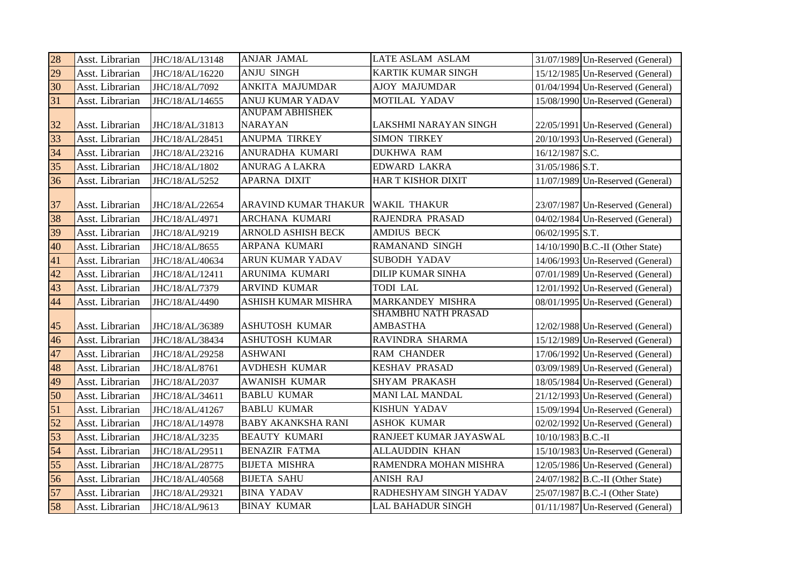| 28 | Asst. Librarian | JHC/18/AL/13148 | ANJAR JAMAL               | LATE ASLAM ASLAM           |                    | 31/07/1989 Un-Reserved (General)   |
|----|-----------------|-----------------|---------------------------|----------------------------|--------------------|------------------------------------|
| 29 | Asst. Librarian | JHC/18/AL/16220 | <b>ANJU SINGH</b>         | <b>KARTIK KUMAR SINGH</b>  |                    | 15/12/1985 Un-Reserved (General)   |
| 30 | Asst. Librarian | JHC/18/AL/7092  | ANKITA MAJUMDAR           | <b>AJOY MAJUMDAR</b>       |                    | 01/04/1994 Un-Reserved (General)   |
| 31 | Asst. Librarian | JHC/18/AL/14655 | <b>ANUJ KUMAR YADAV</b>   | MOTILAL YADAV              |                    | 15/08/1990 Un-Reserved (General)   |
|    |                 |                 | <b>ANUPAM ABHISHEK</b>    |                            |                    |                                    |
| 32 | Asst. Librarian | JHC/18/AL/31813 | <b>NARAYAN</b>            | LAKSHMI NARAYAN SINGH      |                    | 22/05/1991 Un-Reserved (General)   |
| 33 | Asst. Librarian | JHC/18/AL/28451 | ANUPMA TIRKEY             | <b>SIMON TIRKEY</b>        |                    | 20/10/1993 Un-Reserved (General)   |
| 34 | Asst. Librarian | JHC/18/AL/23216 | ANURADHA KUMARI           | <b>DUKHWA RAM</b>          | 16/12/1987 S.C.    |                                    |
| 35 | Asst. Librarian | JHC/18/AL/1802  | <b>ANURAG A LAKRA</b>     | <b>EDWARD LAKRA</b>        | 31/05/1986 S.T.    |                                    |
| 36 | Asst. Librarian | JHC/18/AL/5252  | APARNA DIXIT              | HAR T KISHOR DIXIT         |                    | 11/07/1989 Un-Reserved (General)   |
|    |                 |                 |                           |                            |                    |                                    |
| 37 | Asst. Librarian | JHC/18/AL/22654 | ARAVIND KUMAR THAKUR      | <b>WAKIL THAKUR</b>        |                    | 23/07/1987 Un-Reserved (General)   |
| 38 | Asst. Librarian | JHC/18/AL/4971  | <b>ARCHANA KUMARI</b>     | RAJENDRA PRASAD            |                    | 04/02/1984 Un-Reserved (General)   |
| 39 | Asst. Librarian | JHC/18/AL/9219  | <b>ARNOLD ASHISH BECK</b> | <b>AMDIUS BECK</b>         | 06/02/1995 S.T.    |                                    |
| 40 | Asst. Librarian | JHC/18/AL/8655  | ARPANA KUMARI             | RAMANAND SINGH             |                    | $14/10/1990$ B.C.-II (Other State) |
| 41 | Asst. Librarian | JHC/18/AL/40634 | ARUN KUMAR YADAV          | SUBODH YADAV               |                    | 14/06/1993 Un-Reserved (General)   |
| 42 | Asst. Librarian | JHC/18/AL/12411 | ARUNIMA KUMARI            | <b>DILIP KUMAR SINHA</b>   |                    | 07/01/1989 Un-Reserved (General)   |
| 43 | Asst. Librarian | JHC/18/AL/7379  | <b>ARVIND KUMAR</b>       | <b>TODI LAL</b>            |                    | $12/01/1992$ Un-Reserved (General) |
| 44 | Asst. Librarian | JHC/18/AL/4490  | ASHISH KUMAR MISHRA       | MARKANDEY MISHRA           |                    | $08/01/1995$ Un-Reserved (General) |
|    |                 |                 |                           | <b>SHAMBHU NATH PRASAD</b> |                    |                                    |
| 45 | Asst. Librarian | JHC/18/AL/36389 | ASHUTOSH KUMAR            | <b>AMBASTHA</b>            |                    | 12/02/1988 Un-Reserved (General)   |
| 46 | Asst. Librarian | JHC/18/AL/38434 | ASHUTOSH KUMAR            | RAVINDRA SHARMA            |                    | 15/12/1989 Un-Reserved (General)   |
| 47 | Asst. Librarian | JHC/18/AL/29258 | <b>ASHWANI</b>            | <b>RAM CHANDER</b>         |                    | $17/06/1992$ Un-Reserved (General) |
| 48 | Asst. Librarian | JHC/18/AL/8761  | <b>AVDHESH KUMAR</b>      | <b>KESHAV PRASAD</b>       |                    | 03/09/1989 Un-Reserved (General)   |
| 49 | Asst. Librarian | JHC/18/AL/2037  | <b>AWANISH KUMAR</b>      | <b>SHYAM PRAKASH</b>       |                    | 18/05/1984 Un-Reserved (General)   |
| 50 | Asst. Librarian | JHC/18/AL/34611 | <b>BABLU KUMAR</b>        | MANI LAL MANDAL            |                    | 21/12/1993 Un-Reserved (General)   |
| 51 | Asst. Librarian | JHC/18/AL/41267 | <b>BABLU KUMAR</b>        | <b>KISHUN YADAV</b>        |                    | $15/09/1994$ Un-Reserved (General) |
| 52 | Asst. Librarian | JHC/18/AL/14978 | <b>BABY AKANKSHA RANI</b> | <b>ASHOK KUMAR</b>         |                    | 02/02/1992 Un-Reserved (General)   |
| 53 | Asst. Librarian | JHC/18/AL/3235  | <b>BEAUTY KUMARI</b>      | RANJEET KUMAR JAYASWAL     | 10/10/1983 B.C.-II |                                    |
| 54 | Asst. Librarian | JHC/18/AL/29511 | <b>BENAZIR FATMA</b>      | ALLAUDDIN KHAN             |                    | 15/10/1983 Un-Reserved (General)   |
| 55 | Asst. Librarian | JHC/18/AL/28775 | <b>BIJETA MISHRA</b>      | RAMENDRA MOHAN MISHRA      |                    | 12/05/1986 Un-Reserved (General)   |
| 56 | Asst. Librarian | JHC/18/AL/40568 | <b>BIJETA SAHU</b>        | <b>ANISH RAJ</b>           |                    | 24/07/1982 B.C.-II (Other State)   |
| 57 | Asst. Librarian | JHC/18/AL/29321 | <b>BINA YADAV</b>         | RADHESHYAM SINGH YADAV     |                    | 25/07/1987 B.C.-I (Other State)    |
| 58 | Asst. Librarian | JHC/18/AL/9613  | <b>BINAY KUMAR</b>        | LAL BAHADUR SINGH          |                    | $01/11/1987$ Un-Reserved (General) |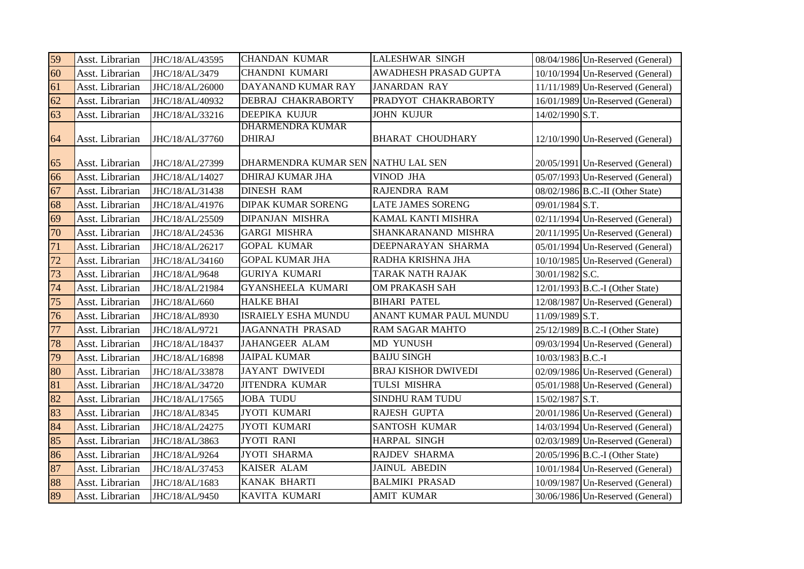| 59 | Asst. Librarian | JHC/18/AL/43595 | <b>CHANDAN KUMAR</b>                     | <b>LALESHWAR SINGH</b>     |                   | 08/04/1986 Un-Reserved (General)   |
|----|-----------------|-----------------|------------------------------------------|----------------------------|-------------------|------------------------------------|
| 60 | Asst. Librarian | JHC/18/AL/3479  | CHANDNI KUMARI                           | AWADHESH PRASAD GUPTA      |                   | 10/10/1994 Un-Reserved (General)   |
| 61 | Asst. Librarian | JHC/18/AL/26000 | DAYANAND KUMAR RAY                       | <b>JANARDAN RAY</b>        |                   | 11/11/1989 Un-Reserved (General)   |
| 62 | Asst. Librarian | JHC/18/AL/40932 | DEBRAJ CHAKRABORTY                       | PRADYOT CHAKRABORTY        |                   | 16/01/1989 Un-Reserved (General)   |
| 63 | Asst. Librarian | JHC/18/AL/33216 | DEEPIKA KUJUR                            | <b>JOHN KUJUR</b>          | 14/02/1990 S.T.   |                                    |
| 64 | Asst. Librarian | JHC/18/AL/37760 | <b>DHARMENDRA KUMAR</b><br><b>DHIRAJ</b> | <b>BHARAT CHOUDHARY</b>    |                   | $12/10/1990$ Un-Reserved (General) |
| 65 | Asst. Librarian | JHC/18/AL/27399 | DHARMENDRA KUMAR SEN NATHU LAL SEN       |                            |                   | 20/05/1991 Un-Reserved (General)   |
| 66 | Asst. Librarian | JHC/18/AL/14027 | DHIRAJ KUMAR JHA                         | VINOD JHA                  |                   | 05/07/1993 Un-Reserved (General)   |
| 67 | Asst. Librarian | JHC/18/AL/31438 | <b>DINESH RAM</b>                        | RAJENDRA RAM               |                   | $08/02/1986$ B.C.-II (Other State) |
| 68 | Asst. Librarian | JHC/18/AL/41976 | <b>DIPAK KUMAR SORENG</b>                | <b>LATE JAMES SORENG</b>   | 09/01/1984 S.T.   |                                    |
| 69 | Asst. Librarian | JHC/18/AL/25509 | DIPANJAN MISHRA                          | KAMAL KANTI MISHRA         |                   | 02/11/1994 Un-Reserved (General)   |
| 70 | Asst. Librarian | JHC/18/AL/24536 | <b>GARGI MISHRA</b>                      | SHANKARANAND MISHRA        |                   | 20/11/1995 Un-Reserved (General)   |
| 71 | Asst. Librarian | JHC/18/AL/26217 | <b>GOPAL KUMAR</b>                       | DEEPNARAYAN SHARMA         |                   | 05/01/1994 Un-Reserved (General)   |
| 72 | Asst. Librarian | JHC/18/AL/34160 | <b>GOPAL KUMAR JHA</b>                   | RADHA KRISHNA JHA          |                   | 10/10/1985 Un-Reserved (General)   |
| 73 | Asst. Librarian | JHC/18/AL/9648  | <b>GURIYA KUMARI</b>                     | TARAK NATH RAJAK           | 30/01/1982 S.C.   |                                    |
| 74 | Asst. Librarian | JHC/18/AL/21984 | <b>GYANSHEELA KUMARI</b>                 | <b>OM PRAKASH SAH</b>      |                   | $12/01/1993$ B.C.-I (Other State)  |
| 75 | Asst. Librarian | JHC/18/AL/660   | <b>HALKE BHAI</b>                        | <b>BIHARI PATEL</b>        |                   | 12/08/1987 Un-Reserved (General)   |
| 76 | Asst. Librarian | JHC/18/AL/8930  | ISRAIELY ESHA MUNDU                      | ANANT KUMAR PAUL MUNDU     | 11/09/1989 S.T.   |                                    |
| 77 | Asst. Librarian | JHC/18/AL/9721  | JAGANNATH PRASAD                         | <b>RAM SAGAR MAHTO</b>     |                   | 25/12/1989 B.C.-I (Other State)    |
| 78 | Asst. Librarian | JHC/18/AL/18437 | <b>JAHANGEER ALAM</b>                    | <b>MD YUNUSH</b>           |                   | $09/03/1994$ Un-Reserved (General) |
| 79 | Asst. Librarian | JHC/18/AL/16898 | <b>JAIPAL KUMAR</b>                      | <b>BAIJU SINGH</b>         | 10/03/1983 B.C.-I |                                    |
| 80 | Asst. Librarian | JHC/18/AL/33878 | <b>JAYANT DWIVEDI</b>                    | <b>BRAJ KISHOR DWIVEDI</b> |                   | 02/09/1986 Un-Reserved (General)   |
| 81 | Asst. Librarian | JHC/18/AL/34720 | <b>JITENDRA KUMAR</b>                    | TULSI MISHRA               |                   | 05/01/1988 Un-Reserved (General)   |
| 82 | Asst. Librarian | JHC/18/AL/17565 | <b>JOBA TUDU</b>                         | <b>SINDHU RAM TUDU</b>     | 15/02/1987 S.T.   |                                    |
| 83 | Asst. Librarian | JHC/18/AL/8345  | <b>JYOTI KUMARI</b>                      | <b>RAJESH GUPTA</b>        |                   | 20/01/1986 Un-Reserved (General)   |
| 84 | Asst. Librarian | JHC/18/AL/24275 | JYOTI KUMARI                             | <b>SANTOSH KUMAR</b>       |                   | 14/03/1994 Un-Reserved (General)   |
| 85 | Asst. Librarian | JHC/18/AL/3863  | <b>JYOTI RANI</b>                        | <b>HARPAL SINGH</b>        |                   | 02/03/1989 Un-Reserved (General)   |
| 86 | Asst. Librarian | JHC/18/AL/9264  | <b>JYOTI SHARMA</b>                      | <b>RAJDEV SHARMA</b>       |                   | 20/05/1996 B.C.-I (Other State)    |
| 87 | Asst. Librarian | JHC/18/AL/37453 | KAISER ALAM                              | <b>JAINUL ABEDIN</b>       |                   | 10/01/1984 Un-Reserved (General)   |
| 88 | Asst. Librarian | JHC/18/AL/1683  | KANAK BHARTI                             | <b>BALMIKI PRASAD</b>      |                   | 10/09/1987 Un-Reserved (General)   |
| 89 | Asst. Librarian | JHC/18/AL/9450  | KAVITA KUMARI                            | <b>AMIT KUMAR</b>          |                   | 30/06/1986 Un-Reserved (General)   |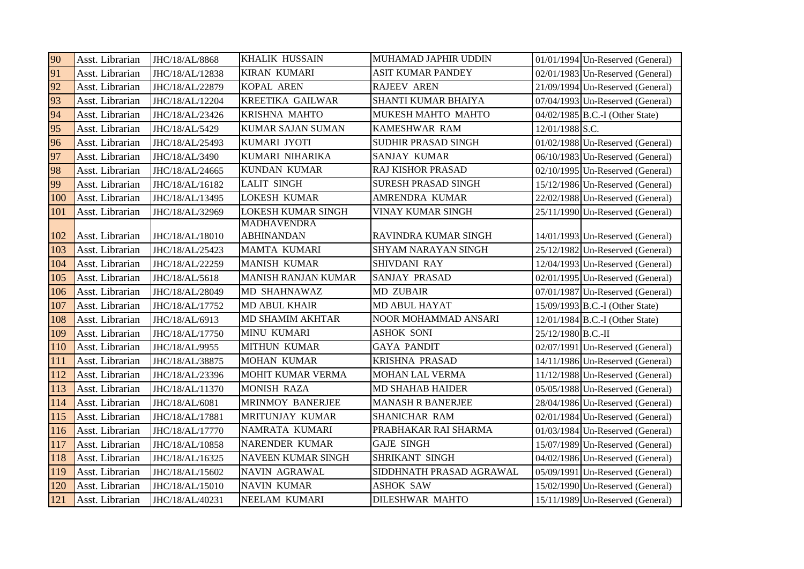| 90  | Asst. Librarian | JHC/18/AL/8868  | <b>KHALIK HUSSAIN</b>                   | MUHAMAD JAPHIR UDDIN        | $01/01/1994$ Un-Reserved (General) |
|-----|-----------------|-----------------|-----------------------------------------|-----------------------------|------------------------------------|
| 91  | Asst. Librarian | JHC/18/AL/12838 | <b>KIRAN KUMARI</b>                     | <b>ASIT KUMAR PANDEY</b>    | $02/01/1983$ Un-Reserved (General) |
| 92  | Asst. Librarian | JHC/18/AL/22879 | KOPAL AREN                              | <b>RAJEEV AREN</b>          | 21/09/1994 Un-Reserved (General)   |
| 93  | Asst. Librarian | JHC/18/AL/12204 | <b>KREETIKA GAILWAR</b>                 | SHANTI KUMAR BHAIYA         | 07/04/1993 Un-Reserved (General)   |
| 94  | Asst. Librarian | JHC/18/AL/23426 | KRISHNA MAHTO                           | MUKESH MAHTO MAHTO          | 04/02/1985 B.C.-I (Other State)    |
| 95  | Asst. Librarian | JHC/18/AL/5429  | <b>KUMAR SAJAN SUMAN</b>                | <b>KAMESHWAR RAM</b>        | 12/01/1988 S.C.                    |
| 96  | Asst. Librarian | JHC/18/AL/25493 | KUMARI JYOTI                            | <b>SUDHIR PRASAD SINGH</b>  | 01/02/1988 Un-Reserved (General)   |
| 97  | Asst. Librarian | JHC/18/AL/3490  | KUMARI NIHARIKA                         | <b>SANJAY KUMAR</b>         | 06/10/1983 Un-Reserved (General)   |
| 98  | Asst. Librarian | JHC/18/AL/24665 | <b>KUNDAN KUMAR</b>                     | <b>RAJ KISHOR PRASAD</b>    | 02/10/1995 Un-Reserved (General)   |
| 99  | Asst. Librarian | JHC/18/AL/16182 | <b>LALIT SINGH</b>                      | <b>SURESH PRASAD SINGH</b>  | $15/12/1986$ Un-Reserved (General) |
| 100 | Asst. Librarian | JHC/18/AL/13495 | <b>LOKESH KUMAR</b>                     | AMRENDRA KUMAR              | 22/02/1988 Un-Reserved (General)   |
| 101 | Asst. Librarian | JHC/18/AL/32969 | <b>LOKESH KUMAR SINGH</b>               | VINAY KUMAR SINGH           | 25/11/1990 Un-Reserved (General)   |
| 102 | Asst. Librarian | JHC/18/AL/18010 | <b>MADHAVENDRA</b><br><b>ABHINANDAN</b> | RAVINDRA KUMAR SINGH        | 14/01/1993 Un-Reserved (General)   |
| 103 | Asst. Librarian | JHC/18/AL/25423 | <b>MAMTA KUMARI</b>                     | <b>SHYAM NARAYAN SINGH</b>  | 25/12/1982 Un-Reserved (General)   |
| 104 | Asst. Librarian | JHC/18/AL/22259 | <b>MANISH KUMAR</b>                     | SHIVDANI RAY                | 12/04/1993 Un-Reserved (General)   |
| 105 | Asst. Librarian | JHC/18/AL/5618  | <b>MANISH RANJAN KUMAR</b>              | <b>SANJAY PRASAD</b>        | $02/01/1995$ Un-Reserved (General) |
| 106 | Asst. Librarian | JHC/18/AL/28049 | MD SHAHNAWAZ                            | <b>MD ZUBAIR</b>            | $07/01/1987$ Un-Reserved (General) |
| 107 | Asst. Librarian | JHC/18/AL/17752 | <b>MD ABUL KHAIR</b>                    | <b>MD ABUL HAYAT</b>        | 15/09/1993 B.C.-I (Other State)    |
| 108 | Asst. Librarian | JHC/18/AL/6913  | <b>MD SHAMIM AKHTAR</b>                 | <b>NOOR MOHAMMAD ANSARI</b> | 12/01/1984 B.C.-I (Other State)    |
| 109 | Asst. Librarian | JHC/18/AL/17750 | <b>MINU KUMARI</b>                      | <b>ASHOK SONI</b>           | 25/12/1980 B.C.-II                 |
| 110 | Asst. Librarian | JHC/18/AL/9955  | MITHUN KUMAR                            | <b>GAYA PANDIT</b>          | 02/07/1991 Un-Reserved (General)   |
| 111 | Asst. Librarian | JHC/18/AL/38875 | <b>MOHAN KUMAR</b>                      | <b>KRISHNA PRASAD</b>       | 14/11/1986 Un-Reserved (General)   |
| 112 | Asst. Librarian | JHC/18/AL/23396 | MOHIT KUMAR VERMA                       | <b>MOHAN LAL VERMA</b>      | 11/12/1988 Un-Reserved (General)   |
| 113 | Asst. Librarian | JHC/18/AL/11370 | <b>MONISH RAZA</b>                      | <b>MD SHAHAB HAIDER</b>     | 05/05/1988 Un-Reserved (General)   |
| 114 | Asst. Librarian | JHC/18/AL/6081  | <b>MRINMOY BANERJEE</b>                 | <b>MANASH R BANERJEE</b>    | 28/04/1986 Un-Reserved (General)   |
| 115 | Asst. Librarian | JHC/18/AL/17881 | MRITUNJAY KUMAR                         | <b>SHANICHAR RAM</b>        | 02/01/1984 Un-Reserved (General)   |
| 116 | Asst. Librarian | JHC/18/AL/17770 | NAMRATA KUMARI                          | PRABHAKAR RAI SHARMA        | 01/03/1984 Un-Reserved (General)   |
| 117 | Asst. Librarian | JHC/18/AL/10858 | <b>NARENDER KUMAR</b>                   | <b>GAJE SINGH</b>           | 15/07/1989 Un-Reserved (General)   |
| 118 | Asst. Librarian | JHC/18/AL/16325 | NAVEEN KUMAR SINGH                      | SHRIKANT SINGH              | 04/02/1986 Un-Reserved (General)   |
| 119 | Asst. Librarian | JHC/18/AL/15602 | NAVIN AGRAWAL                           | SIDDHNATH PRASAD AGRAWAL    | 05/09/1991 Un-Reserved (General)   |
| 120 | Asst. Librarian | JHC/18/AL/15010 | <b>NAVIN KUMAR</b>                      | <b>ASHOK SAW</b>            | 15/02/1990 Un-Reserved (General)   |
| 121 | Asst. Librarian | JHC/18/AL/40231 | <b>NEELAM KUMARI</b>                    | <b>DILESHWAR MAHTO</b>      | 15/11/1989 Un-Reserved (General)   |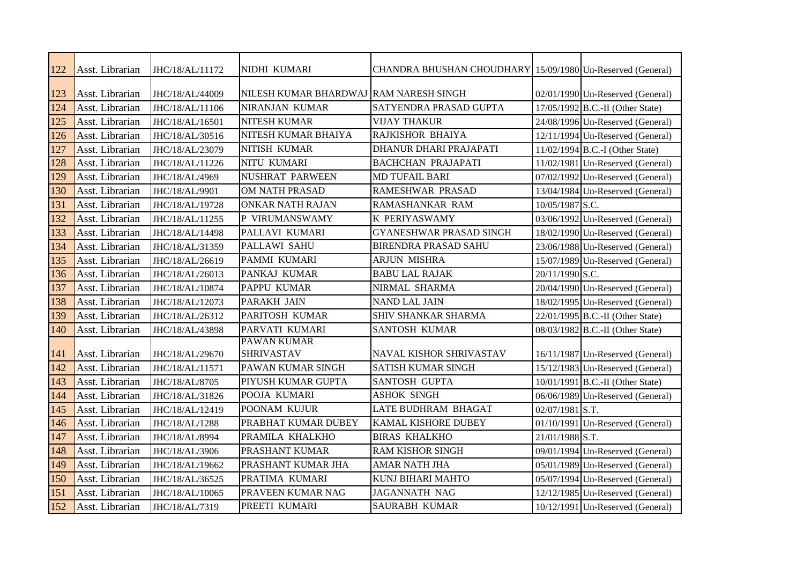| 122 | Asst. Librarian | JHC/18/AL/11172 | NIDHI KUMARI                           | CHANDRA BHUSHAN CHOUDHARY 15/09/1980 Un-Reserved (General) |                   |                                    |
|-----|-----------------|-----------------|----------------------------------------|------------------------------------------------------------|-------------------|------------------------------------|
| 123 | Asst. Librarian | JHC/18/AL/44009 | NILESH KUMAR BHARDWAJ RAM NARESH SINGH |                                                            |                   | 02/01/1990 Un-Reserved (General)   |
| 124 | Asst. Librarian | JHC/18/AL/11106 | NIRANJAN KUMAR                         | SATYENDRA PRASAD GUPTA                                     |                   | 17/05/1992 B.C.-II (Other State)   |
| 125 | Asst. Librarian | JHC/18/AL/16501 | NITESH KUMAR                           | <b>VIJAY THAKUR</b>                                        |                   | 24/08/1996 Un-Reserved (General)   |
| 126 | Asst. Librarian | JHC/18/AL/30516 | NITESH KUMAR BHAIYA                    | <b>RAJKISHOR BHAIYA</b>                                    |                   | 12/11/1994 Un-Reserved (General)   |
| 127 | Asst. Librarian | JHC/18/AL/23079 | NITISH KUMAR                           | DHANUR DHARI PRAJAPATI                                     |                   | $11/02/1994$ B.C.-I (Other State)  |
| 128 | Asst. Librarian | JHC/18/AL/11226 | NITU KUMARI                            | <b>BACHCHAN PRAJAPATI</b>                                  |                   | $11/02/1981$ Un-Reserved (General) |
| 129 | Asst. Librarian | JHC/18/AL/4969  | <b>NUSHRAT PARWEEN</b>                 | <b>MD TUFAIL BARI</b>                                      |                   | 07/02/1992 Un-Reserved (General)   |
| 130 | Asst. Librarian | JHC/18/AL/9901  | OM NATH PRASAD                         | <b>RAMESHWAR PRASAD</b>                                    |                   | 13/04/1984 Un-Reserved (General)   |
| 131 | Asst. Librarian | JHC/18/AL/19728 | <b>ONKAR NATH RAJAN</b>                | RAMASHANKAR RAM                                            | 10/05/1987 S.C.   |                                    |
| 132 | Asst. Librarian | JHC/18/AL/11255 | P VIRUMANSWAMY                         | K PERIYASWAMY                                              |                   | 03/06/1992 Un-Reserved (General)   |
| 133 | Asst. Librarian | JHC/18/AL/14498 | PALLAVI KUMARI                         | GYANESHWAR PRASAD SINGH                                    |                   | 18/02/1990 Un-Reserved (General)   |
| 134 | Asst. Librarian | JHC/18/AL/31359 | PALLAWI SAHU                           | <b>BIRENDRA PRASAD SAHU</b>                                |                   | 23/06/1988 Un-Reserved (General)   |
| 135 | Asst. Librarian | JHC/18/AL/26619 | PAMMI KUMARI                           | <b>ARJUN MISHRA</b>                                        |                   | 15/07/1989 Un-Reserved (General)   |
| 136 | Asst. Librarian | JHC/18/AL/26013 | PANKAJ KUMAR                           | <b>BABU LAL RAJAK</b>                                      | 20/11/1990 S.C.   |                                    |
| 137 | Asst. Librarian | JHC/18/AL/10874 | PAPPU KUMAR                            | NIRMAL SHARMA                                              |                   | $20/04/1990$ Un-Reserved (General) |
| 138 | Asst. Librarian | JHC/18/AL/12073 | PARAKH JAIN                            | <b>NAND LAL JAIN</b>                                       |                   | 18/02/1995 Un-Reserved (General)   |
| 139 | Asst. Librarian | JHC/18/AL/26312 | PARITOSH KUMAR                         | SHIV SHANKAR SHARMA                                        |                   | 22/01/1995 B.C.-II (Other State)   |
| 140 | Asst. Librarian | JHC/18/AL/43898 | PARVATI KUMARI                         | <b>SANTOSH KUMAR</b>                                       |                   | 08/03/1982 B.C.-II (Other State)   |
|     |                 |                 | <b>PAWAN KUMAR</b>                     |                                                            |                   |                                    |
| 141 | Asst. Librarian | JHC/18/AL/29670 | <b>SHRIVASTAV</b>                      | <b>NAVAL KISHOR SHRIVASTAV</b>                             |                   | 16/11/1987 Un-Reserved (General)   |
| 142 | Asst. Librarian | JHC/18/AL/11571 | PAWAN KUMAR SINGH                      | <b>SATISH KUMAR SINGH</b>                                  |                   | 15/12/1983 Un-Reserved (General)   |
| 143 | Asst. Librarian | JHC/18/AL/8705  | PIYUSH KUMAR GUPTA                     | <b>SANTOSH GUPTA</b>                                       |                   | 10/01/1991 B.C.-II (Other State)   |
| 144 | Asst. Librarian | JHC/18/AL/31826 | POOJA KUMARI                           | <b>ASHOK SINGH</b>                                         |                   | 06/06/1989 Un-Reserved (General)   |
| 145 | Asst. Librarian | JHC/18/AL/12419 | POONAM KUJUR                           | <b>LATE BUDHRAM BHAGAT</b>                                 | $02/07/1981$ S.T. |                                    |
| 146 | Asst. Librarian | JHC/18/AL/1288  | PRABHAT KUMAR DUBEY                    | KAMAL KISHORE DUBEY                                        |                   | 01/10/1991 Un-Reserved (General)   |
| 147 | Asst. Librarian | JHC/18/AL/8994  | PRAMILA KHALKHO                        | <b>BIRAS KHALKHO</b>                                       | 21/01/1988 S.T.   |                                    |
| 148 | Asst. Librarian | JHC/18/AL/3906  | PRASHANT KUMAR                         | <b>RAM KISHOR SINGH</b>                                    |                   | 09/01/1994 Un-Reserved (General)   |
| 149 | Asst. Librarian | JHC/18/AL/19662 | PRASHANT KUMAR JHA                     | <b>AMAR NATH JHA</b>                                       |                   | 05/01/1989 Un-Reserved (General)   |
| 150 | Asst. Librarian | JHC/18/AL/36525 | PRATIMA KUMARI                         | KUNJ BIHARI MAHTO                                          |                   | 05/07/1994 Un-Reserved (General)   |
| 151 | Asst. Librarian | JHC/18/AL/10065 | PRAVEEN KUMAR NAG                      | <b>JAGANNATH NAG</b>                                       |                   | 12/12/1985 Un-Reserved (General)   |
| 152 | Asst. Librarian | JHC/18/AL/7319  | PREETI KUMARI                          | <b>SAURABH KUMAR</b>                                       |                   | 10/12/1991 Un-Reserved (General)   |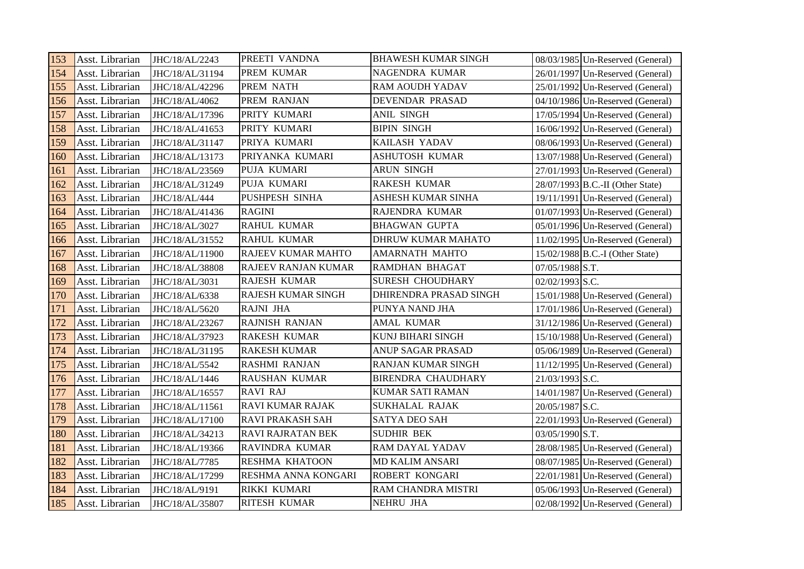| 153 | Asst. Librarian | JHC/18/AL/2243  | PREETI VANDNA         | <b>BHAWESH KUMAR SINGH</b> |                 | 08/03/1985 Un-Reserved (General)   |
|-----|-----------------|-----------------|-----------------------|----------------------------|-----------------|------------------------------------|
| 154 | Asst. Librarian | JHC/18/AL/31194 | PREM KUMAR            | NAGENDRA KUMAR             |                 | 26/01/1997 Un-Reserved (General)   |
| 155 | Asst. Librarian | JHC/18/AL/42296 | PREM NATH             | <b>RAM AOUDH YADAV</b>     |                 | 25/01/1992 Un-Reserved (General)   |
| 156 | Asst. Librarian | JHC/18/AL/4062  | PREM RANJAN           | DEVENDAR PRASAD            |                 | 04/10/1986 Un-Reserved (General)   |
| 157 | Asst. Librarian | JHC/18/AL/17396 | PRITY KUMARI          | ANIL SINGH                 |                 | 17/05/1994 Un-Reserved (General)   |
| 158 | Asst. Librarian | JHC/18/AL/41653 | PRITY KUMARI          | <b>BIPIN SINGH</b>         |                 | 16/06/1992 Un-Reserved (General)   |
| 159 | Asst. Librarian | JHC/18/AL/31147 | PRIYA KUMARI          | KAILASH YADAV              |                 | 08/06/1993 Un-Reserved (General)   |
| 160 | Asst. Librarian | JHC/18/AL/13173 | PRIYANKA KUMARI       | <b>ASHUTOSH KUMAR</b>      |                 | 13/07/1988 Un-Reserved (General)   |
| 161 | Asst. Librarian | JHC/18/AL/23569 | PUJA KUMARI           | <b>ARUN SINGH</b>          |                 | $27/01/1993$ Un-Reserved (General) |
| 162 | Asst. Librarian | JHC/18/AL/31249 | PUJA KUMARI           | <b>RAKESH KUMAR</b>        |                 | 28/07/1993 B.C.-II (Other State)   |
| 163 | Asst. Librarian | JHC/18/AL/444   | PUSHPESH SINHA        | ASHESH KUMAR SINHA         |                 | 19/11/1991 Un-Reserved (General)   |
| 164 | Asst. Librarian | JHC/18/AL/41436 | <b>RAGINI</b>         | RAJENDRA KUMAR             |                 | $01/07/1993$ Un-Reserved (General) |
| 165 | Asst. Librarian | JHC/18/AL/3027  | <b>RAHUL KUMAR</b>    | <b>BHAGWAN GUPTA</b>       |                 | 05/01/1996 Un-Reserved (General)   |
| 166 | Asst. Librarian | JHC/18/AL/31552 | RAHUL KUMAR           | DHRUW KUMAR MAHATO         |                 | 11/02/1995 Un-Reserved (General)   |
| 167 | Asst. Librarian | JHC/18/AL/11900 | RAJEEV KUMAR MAHTO    | <b>AMARNATH MAHTO</b>      |                 | 15/02/1988 B.C.-I (Other State)    |
| 168 | Asst. Librarian | JHC/18/AL/38808 | RAJEEV RANJAN KUMAR   | <b>RAMDHAN BHAGAT</b>      | 07/05/1988 S.T. |                                    |
| 169 | Asst. Librarian | JHC/18/AL/3031  | RAJESH KUMAR          | <b>SURESH CHOUDHARY</b>    | 02/02/1993 S.C. |                                    |
| 170 | Asst. Librarian | JHC/18/AL/6338  | RAJESH KUMAR SINGH    | DHIRENDRA PRASAD SINGH     |                 | 15/01/1988 Un-Reserved (General)   |
| 171 | Asst. Librarian | JHC/18/AL/5620  | <b>RAJNI JHA</b>      | PUNYA NAND JHA             |                 | $17/01/1986$ Un-Reserved (General) |
| 172 | Asst. Librarian | JHC/18/AL/23267 | <b>RAJNISH RANJAN</b> | <b>AMAL KUMAR</b>          |                 | 31/12/1986 Un-Reserved (General)   |
| 173 | Asst. Librarian | JHC/18/AL/37923 | <b>RAKESH KUMAR</b>   | KUNJ BIHARI SINGH          |                 | 15/10/1988 Un-Reserved (General)   |
| 174 | Asst. Librarian | JHC/18/AL/31195 | <b>RAKESH KUMAR</b>   | ANUP SAGAR PRASAD          |                 | 05/06/1989 Un-Reserved (General)   |
| 175 | Asst. Librarian | JHC/18/AL/5542  | RASHMI RANJAN         | RANJAN KUMAR SINGH         |                 | $11/12/1995$ Un-Reserved (General) |
| 176 | Asst. Librarian | JHC/18/AL/1446  | RAUSHAN KUMAR         | <b>BIRENDRA CHAUDHARY</b>  | 21/03/1993 S.C. |                                    |
| 177 | Asst. Librarian | JHC/18/AL/16557 | <b>RAVI RAJ</b>       | <b>KUMAR SATI RAMAN</b>    |                 | $14/01/1987$ Un-Reserved (General) |
| 178 | Asst. Librarian | JHC/18/AL/11561 | RAVI KUMAR RAJAK      | SUKHALAL RAJAK             | 20/05/1987 S.C. |                                    |
| 179 | Asst. Librarian | JHC/18/AL/17100 | RAVI PRAKASH SAH      | <b>SATYA DEO SAH</b>       |                 | 22/01/1993 Un-Reserved (General)   |
| 180 | Asst. Librarian | JHC/18/AL/34213 | RAVI RAJRATAN BEK     | <b>SUDHIR BEK</b>          | 03/05/1990 S.T. |                                    |
| 181 | Asst. Librarian | JHC/18/AL/19366 | RAVINDRA KUMAR        | <b>RAM DAYAL YADAV</b>     |                 | 28/08/1985 Un-Reserved (General)   |
| 182 | Asst. Librarian | JHC/18/AL/7785  | RESHMA KHATOON        | <b>MD KALIM ANSARI</b>     |                 | 08/07/1985 Un-Reserved (General)   |
| 183 | Asst. Librarian | JHC/18/AL/17299 | RESHMA ANNA KONGARI   | <b>ROBERT KONGARI</b>      |                 | 22/01/1981 Un-Reserved (General)   |
| 184 | Asst. Librarian | JHC/18/AL/9191  | RIKKI KUMARI          | RAM CHANDRA MISTRI         |                 | 05/06/1993 Un-Reserved (General)   |
| 185 | Asst. Librarian | JHC/18/AL/35807 | RITESH KUMAR          | NEHRU JHA                  |                 | $02/08/1992$ Un-Reserved (General) |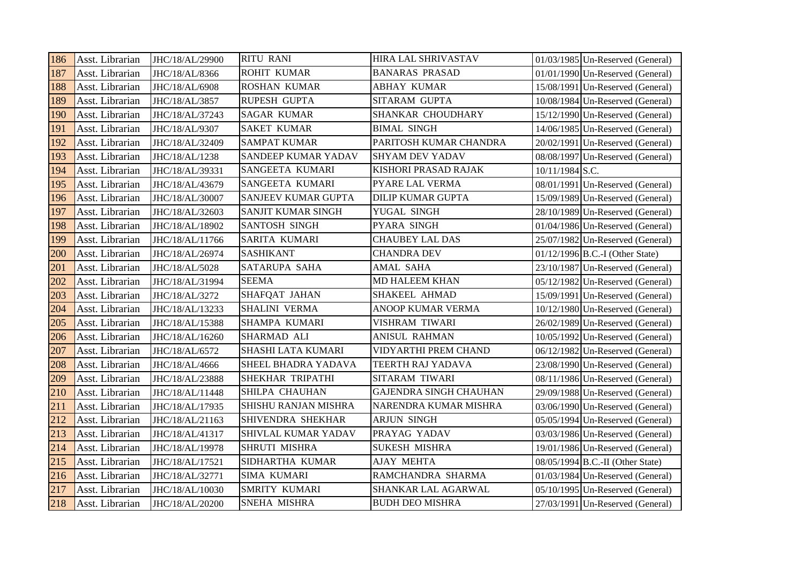| 186        | Asst. Librarian | JHC/18/AL/29900 | <b>RITU RANI</b>     | <b>HIRA LAL SHRIVASTAV</b>    |                   | $01/03/1985$ Un-Reserved (General) |
|------------|-----------------|-----------------|----------------------|-------------------------------|-------------------|------------------------------------|
| 187        | Asst. Librarian | JHC/18/AL/8366  | ROHIT KUMAR          | <b>BANARAS PRASAD</b>         |                   | $01/01/1990$ Un-Reserved (General) |
| 188        | Asst. Librarian | JHC/18/AL/6908  | <b>ROSHAN KUMAR</b>  | <b>ABHAY KUMAR</b>            |                   | 15/08/1991 Un-Reserved (General)   |
| 189        | Asst. Librarian | JHC/18/AL/3857  | RUPESH GUPTA         | <b>SITARAM GUPTA</b>          |                   | 10/08/1984 Un-Reserved (General)   |
| 190        | Asst. Librarian | JHC/18/AL/37243 | <b>SAGAR KUMAR</b>   | SHANKAR CHOUDHARY             |                   | 15/12/1990 Un-Reserved (General)   |
| 191        | Asst. Librarian | JHC/18/AL/9307  | <b>SAKET KUMAR</b>   | <b>BIMAL SINGH</b>            |                   | 14/06/1985 Un-Reserved (General)   |
| 192        | Asst. Librarian | JHC/18/AL/32409 | <b>SAMPAT KUMAR</b>  | PARITOSH KUMAR CHANDRA        |                   | 20/02/1991 Un-Reserved (General)   |
| 193        | Asst. Librarian | JHC/18/AL/1238  | SANDEEP KUMAR YADAV  | <b>SHYAM DEV YADAV</b>        |                   | 08/08/1997 Un-Reserved (General)   |
| 194        | Asst. Librarian | JHC/18/AL/39331 | SANGEETA KUMARI      | <b>KISHORI PRASAD RAJAK</b>   | $10/11/1984$ S.C. |                                    |
| 195        | Asst. Librarian | JHC/18/AL/43679 | SANGEETA KUMARI      | PYARE LAL VERMA               |                   | 08/01/1991 Un-Reserved (General)   |
| 196        | Asst. Librarian | JHC/18/AL/30007 | SANJEEV KUMAR GUPTA  | <b>DILIP KUMAR GUPTA</b>      |                   | 15/09/1989 Un-Reserved (General)   |
| 197        | Asst. Librarian | JHC/18/AL/32603 | SANJIT KUMAR SINGH   | YUGAL SINGH                   |                   | 28/10/1989 Un-Reserved (General)   |
| 198        | Asst. Librarian | JHC/18/AL/18902 | SANTOSH SINGH        | PYARA SINGH                   |                   | 01/04/1986 Un-Reserved (General)   |
| 199        | Asst. Librarian | JHC/18/AL/11766 | SARITA KUMARI        | <b>CHAUBEY LAL DAS</b>        |                   | 25/07/1982 Un-Reserved (General)   |
| <b>200</b> | Asst. Librarian | JHC/18/AL/26974 | <b>SASHIKANT</b>     | <b>CHANDRA DEV</b>            |                   | 01/12/1996 B.C.-I (Other State)    |
| 201        | Asst. Librarian | JHC/18/AL/5028  | SATARUPA SAHA        | AMAL SAHA                     |                   | 23/10/1987 Un-Reserved (General)   |
| 202        | Asst. Librarian | JHC/18/AL/31994 | <b>SEEMA</b>         | <b>MD HALEEM KHAN</b>         |                   | 05/12/1982 Un-Reserved (General)   |
| 203        | Asst. Librarian | JHC/18/AL/3272  | SHAFQAT JAHAN        | <b>SHAKEEL AHMAD</b>          |                   | 15/09/1991 Un-Reserved (General)   |
| 204        | Asst. Librarian | JHC/18/AL/13233 | SHALINI VERMA        | ANOOP KUMAR VERMA             |                   | 10/12/1980 Un-Reserved (General)   |
| 205        | Asst. Librarian | JHC/18/AL/15388 | SHAMPA KUMARI        | VISHRAM TIWARI                |                   | 26/02/1989 Un-Reserved (General)   |
| 206        | Asst. Librarian | JHC/18/AL/16260 | SHARMAD ALI          | ANISUL RAHMAN                 |                   | $10/05/1992$ Un-Reserved (General) |
| 207        | Asst. Librarian | JHC/18/AL/6572  | SHASHI LATA KUMARI   | VIDYARTHI PREM CHAND          |                   | 06/12/1982 Un-Reserved (General)   |
| 208        | Asst. Librarian | JHC/18/AL/4666  | SHEEL BHADRA YADAVA  | TEERTH RAJ YADAVA             |                   | 23/08/1990 Un-Reserved (General)   |
| 209        | Asst. Librarian | JHC/18/AL/23888 | SHEKHAR TRIPATHI     | SITARAM TIWARI                |                   | 08/11/1986 Un-Reserved (General)   |
| 210        | Asst. Librarian | JHC/18/AL/11448 | SHILPA CHAUHAN       | <b>GAJENDRA SINGH CHAUHAN</b> |                   | 29/09/1988 Un-Reserved (General)   |
| 211        | Asst. Librarian | JHC/18/AL/17935 | SHISHU RANJAN MISHRA | NARENDRA KUMAR MISHRA         |                   | 03/06/1990 Un-Reserved (General)   |
| 212        | Asst. Librarian | JHC/18/AL/21163 | SHIVENDRA SHEKHAR    | <b>ARJUN SINGH</b>            |                   | 05/05/1994 Un-Reserved (General)   |
| 213        | Asst. Librarian | JHC/18/AL/41317 | SHIVLAL KUMAR YADAV  | PRAYAG YADAV                  |                   | 03/03/1986 Un-Reserved (General)   |
| 214        | Asst. Librarian | JHC/18/AL/19978 | SHRUTI MISHRA        | <b>SUKESH MISHRA</b>          |                   | 19/01/1986 Un-Reserved (General)   |
| 215        | Asst. Librarian | JHC/18/AL/17521 | SIDHARTHA KUMAR      | <b>AJAY MEHTA</b>             |                   | 08/05/1994 B.C.-II (Other State)   |
| 216        | Asst. Librarian | JHC/18/AL/32771 | SIMA KUMARI          | RAMCHANDRA SHARMA             |                   | $01/03/1984$ Un-Reserved (General) |
| 217        | Asst. Librarian | JHC/18/AL/10030 | SMRITY KUMARI        | SHANKAR LAL AGARWAL           |                   | 05/10/1995 Un-Reserved (General)   |
| 218        | Asst. Librarian | JHC/18/AL/20200 | SNEHA MISHRA         | <b>BUDH DEO MISHRA</b>        |                   | 27/03/1991 Un-Reserved (General)   |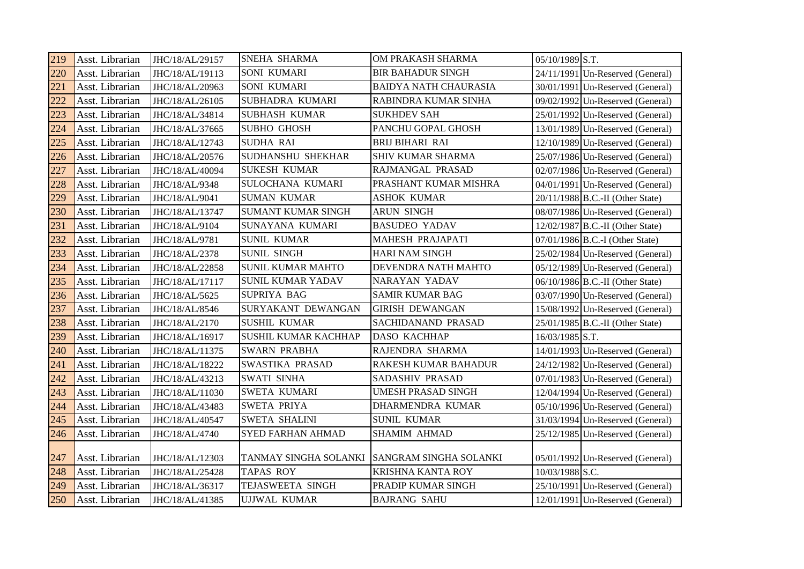| 219 | Asst. Librarian | JHC/18/AL/29157 | <b>SNEHA SHARMA</b>         | OM PRAKASH SHARMA             | 05/10/1989 S.T.                    |
|-----|-----------------|-----------------|-----------------------------|-------------------------------|------------------------------------|
| 220 | Asst. Librarian | JHC/18/AL/19113 | <b>SONI KUMARI</b>          | <b>BIR BAHADUR SINGH</b>      | $24/11/1991$ Un-Reserved (General) |
| 221 | Asst. Librarian | JHC/18/AL/20963 | <b>SONI KUMARI</b>          | <b>BAIDYA NATH CHAURASIA</b>  | 30/01/1991 Un-Reserved (General)   |
| 222 | Asst. Librarian | JHC/18/AL/26105 | <b>SUBHADRA KUMARI</b>      | RABINDRA KUMAR SINHA          | 09/02/1992 Un-Reserved (General)   |
| 223 | Asst. Librarian | JHC/18/AL/34814 | <b>SUBHASH KUMAR</b>        | <b>SUKHDEV SAH</b>            | 25/01/1992 Un-Reserved (General)   |
| 224 | Asst. Librarian | JHC/18/AL/37665 | <b>SUBHO GHOSH</b>          | PANCHU GOPAL GHOSH            | 13/01/1989 Un-Reserved (General)   |
| 225 | Asst. Librarian | JHC/18/AL/12743 | <b>SUDHA RAI</b>            | <b>BRIJ BIHARI RAI</b>        | 12/10/1989 Un-Reserved (General)   |
| 226 | Asst. Librarian | JHC/18/AL/20576 | <b>SUDHANSHU SHEKHAR</b>    | <b>SHIV KUMAR SHARMA</b>      | 25/07/1986 Un-Reserved (General)   |
| 227 | Asst. Librarian | JHC/18/AL/40094 | <b>SUKESH KUMAR</b>         | RAJMANGAL PRASAD              | 02/07/1986 Un-Reserved (General)   |
| 228 | Asst. Librarian | JHC/18/AL/9348  | SULOCHANA KUMARI            | PRASHANT KUMAR MISHRA         | $04/01/1991$ Un-Reserved (General) |
| 229 | Asst. Librarian | JHC/18/AL/9041  | <b>SUMAN KUMAR</b>          | <b>ASHOK KUMAR</b>            | $20/11/1988$ B.C.-II (Other State) |
| 230 | Asst. Librarian | JHC/18/AL/13747 | <b>SUMANT KUMAR SINGH</b>   | ARUN SINGH                    | 08/07/1986 Un-Reserved (General)   |
| 231 | Asst. Librarian | JHC/18/AL/9104  | SUNAYANA KUMARI             | <b>BASUDEO YADAV</b>          | $12/02/1987$ B.C.-II (Other State) |
| 232 | Asst. Librarian | JHC/18/AL/9781  | <b>SUNIL KUMAR</b>          | <b>MAHESH PRAJAPATI</b>       | 07/01/1986 B.C.-I (Other State)    |
| 233 | Asst. Librarian | JHC/18/AL/2378  | <b>SUNIL SINGH</b>          | <b>HARI NAM SINGH</b>         | 25/02/1984 Un-Reserved (General)   |
| 234 | Asst. Librarian | JHC/18/AL/22858 | <b>SUNIL KUMAR MAHTO</b>    | DEVENDRA NATH MAHTO           | 05/12/1989 Un-Reserved (General)   |
| 235 | Asst. Librarian | JHC/18/AL/17117 | <b>SUNIL KUMAR YADAV</b>    | NARAYAN YADAV                 | 06/10/1986 B.C.-II (Other State)   |
| 236 | Asst. Librarian | JHC/18/AL/5625  | <b>SUPRIYA BAG</b>          | <b>SAMIR KUMAR BAG</b>        | 03/07/1990 Un-Reserved (General)   |
| 237 | Asst. Librarian | JHC/18/AL/8546  | SURYAKANT DEWANGAN          | <b>GIRISH DEWANGAN</b>        | 15/08/1992 Un-Reserved (General)   |
| 238 | Asst. Librarian | JHC/18/AL/2170  | <b>SUSHIL KUMAR</b>         | SACHIDANAND PRASAD            | 25/01/1985 B.C.-II (Other State)   |
| 239 | Asst. Librarian | JHC/18/AL/16917 | <b>SUSHIL KUMAR KACHHAP</b> | <b>DASO KACHHAP</b>           | 16/03/1985 S.T.                    |
| 240 | Asst. Librarian | JHC/18/AL/11375 | <b>SWARN PRABHA</b>         | RAJENDRA SHARMA               | 14/01/1993 Un-Reserved (General)   |
| 241 | Asst. Librarian | JHC/18/AL/18222 | SWASTIKA PRASAD             | RAKESH KUMAR BAHADUR          | 24/12/1982 Un-Reserved (General)   |
| 242 | Asst. Librarian | JHC/18/AL/43213 | <b>SWATI SINHA</b>          | <b>SADASHIV PRASAD</b>        | 07/01/1983 Un-Reserved (General)   |
| 243 | Asst. Librarian | JHC/18/AL/11030 | <b>SWETA KUMARI</b>         | <b>UMESH PRASAD SINGH</b>     | 12/04/1994 Un-Reserved (General)   |
| 244 | Asst. Librarian | JHC/18/AL/43483 | <b>SWETA PRIYA</b>          | DHARMENDRA KUMAR              | 05/10/1996 Un-Reserved (General)   |
| 245 | Asst. Librarian | JHC/18/AL/40547 | <b>SWETA SHALINI</b>        | <b>SUNIL KUMAR</b>            | $31/03/1994$ Un-Reserved (General) |
| 246 | Asst. Librarian | JHC/18/AL/4740  | <b>SYED FARHAN AHMAD</b>    | <b>SHAMIM AHMAD</b>           | 25/12/1985 Un-Reserved (General)   |
| 247 | Asst. Librarian | JHC/18/AL/12303 | TANMAY SINGHA SOLANKI       | <b>SANGRAM SINGHA SOLANKI</b> | 05/01/1992 Un-Reserved (General)   |
| 248 | Asst. Librarian | JHC/18/AL/25428 | <b>TAPAS ROY</b>            | <b>KRISHNA KANTA ROY</b>      | 10/03/1988 S.C.                    |
| 249 | Asst. Librarian | JHC/18/AL/36317 | TEJASWEETA SINGH            | PRADIP KUMAR SINGH            | 25/10/1991 Un-Reserved (General)   |
| 250 | Asst. Librarian | JHC/18/AL/41385 | <b>UJJWAL KUMAR</b>         | <b>BAJRANG SAHU</b>           | $12/01/1991$ Un-Reserved (General) |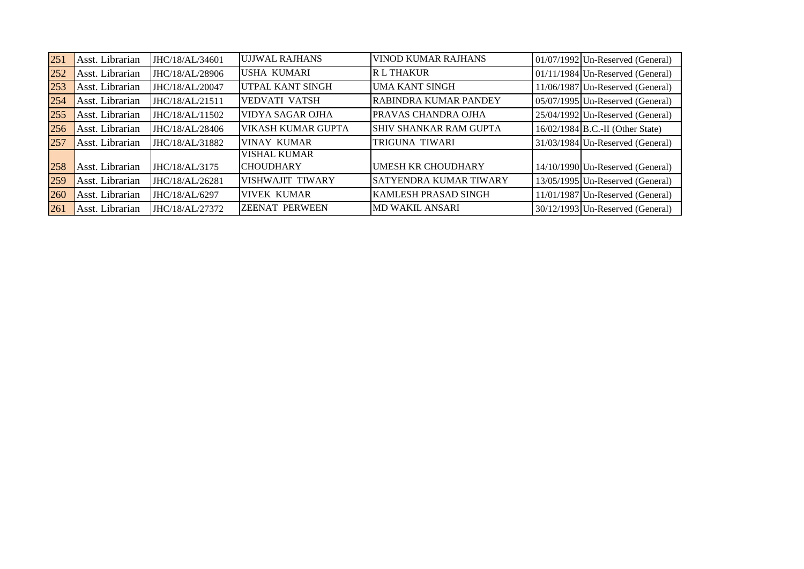| 251 | Asst. Librarian | JHC/18/AL/34601 | <b>UJJWAL RAJHANS</b>     | VINOD KUMAR RAJHANS           | 01/07/1992 Un-Reserved (General)   |
|-----|-----------------|-----------------|---------------------------|-------------------------------|------------------------------------|
| 252 | Asst. Librarian | JHC/18/AL/28906 | USHA KUMARI               | <b>RL THAKUR</b>              | 01/11/1984 Un-Reserved (General)   |
| 253 | Asst. Librarian | JHC/18/AL/20047 | UTPAL KANT SINGH          | <b>UMA KANT SINGH</b>         | 11/06/1987 Un-Reserved (General)   |
| 254 | Asst. Librarian | JHC/18/AL/21511 | <b>VEDVATI VATSH</b>      | <b>RABINDRA KUMAR PANDEY</b>  | 05/07/1995 Un-Reserved (General)   |
| 255 | Asst. Librarian | JHC/18/AL/11502 | VIDYA SAGAR OJHA          | PRAVAS CHANDRA OJHA           | 25/04/1992 Un-Reserved (General)   |
| 256 | Asst. Librarian | JHC/18/AL/28406 | <b>VIKASH KUMAR GUPTA</b> | <b>SHIV SHANKAR RAM GUPTA</b> | $16/02/1984$ B.C.-II (Other State) |
| 257 | Asst. Librarian | JHC/18/AL/31882 | <b>VINAY KUMAR</b>        | TRIGUNA TIWARI                | 31/03/1984 Un-Reserved (General)   |
|     |                 |                 | <b>VISHAL KUMAR</b>       |                               |                                    |
| 258 | Asst. Librarian | JHC/18/AL/3175  | <b>CHOUDHARY</b>          | <b>UMESH KR CHOUDHARY</b>     | 14/10/1990 Un-Reserved (General)   |
| 259 | Asst. Librarian | JHC/18/AL/26281 | VISHWAJIT TIWARY          | <b>SATYENDRA KUMAR TIWARY</b> | 13/05/1995 Un-Reserved (General)   |
| 260 | Asst. Librarian | JHC/18/AL/6297  | <b>VIVEK KUMAR</b>        | <b>KAMLESH PRASAD SINGH</b>   | 11/01/1987 Un-Reserved (General)   |
| 261 | Asst. Librarian | JHC/18/AL/27372 | <b>ZEENAT PERWEEN</b>     | <b>MD WAKIL ANSARI</b>        | $30/12/1993$ Un-Reserved (General) |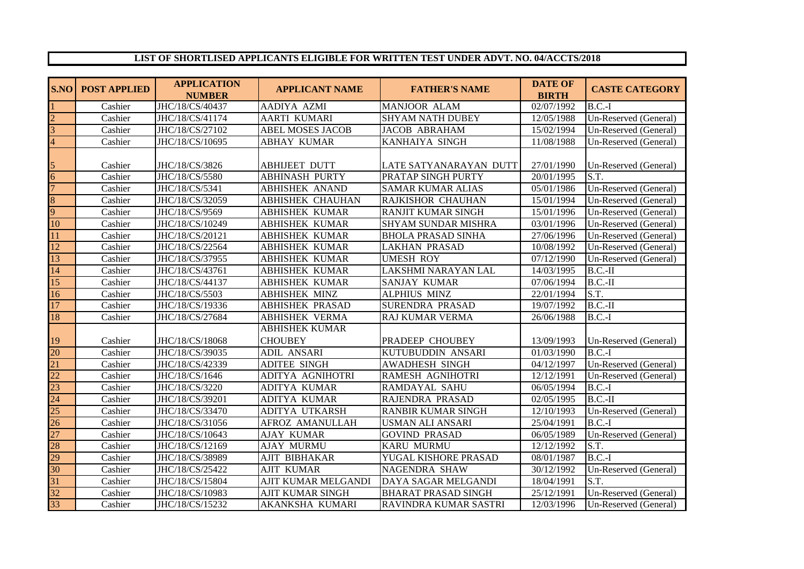## **LIST OF SHORTLISED APPLICANTS ELIGIBLE FOR WRITTEN TEST UNDER ADVT. NO. 04/ACCTS/2018**

| <b>S.NO</b>     | <b>POST APPLIED</b> | <b>APPLICATION</b><br><b>NUMBER</b> | <b>APPLICANT NAME</b>   | <b>FATHER'S NAME</b>       | <b>DATE OF</b><br><b>BIRTH</b> | <b>CASTE CATEGORY</b>         |
|-----------------|---------------------|-------------------------------------|-------------------------|----------------------------|--------------------------------|-------------------------------|
|                 | Cashier             | JHC/18/CS/40437                     | AADIYA AZMI             | <b>MANJOOR ALAM</b>        | 02/07/1992                     | $B.C.-I$                      |
| $\mathcal{D}$   | Cashier             | JHC/18/CS/41174                     | <b>AARTI KUMARI</b>     | <b>SHYAM NATH DUBEY</b>    | 12/05/1988                     | Un-Reserved (General)         |
| 3               | Cashier             | JHC/18/CS/27102                     | <b>ABEL MOSES JACOB</b> | <b>JACOB ABRAHAM</b>       | 15/02/1994                     | Un-Reserved (General)         |
| 4               | Cashier             | JHC/18/CS/10695                     | <b>ABHAY KUMAR</b>      | KANHAIYA SINGH             | 11/08/1988                     | Un-Reserved (General)         |
|                 | Cashier             | JHC/18/CS/3826                      | <b>ABHIJEET DUTT</b>    | LATE SATYANARAYAN DUTT     | 27/01/1990                     | Un-Reserved (General)         |
| 6               | Cashier             | JHC/18/CS/5580                      | <b>ABHINASH PURTY</b>   | PRATAP SINGH PURTY         | 20/01/1995                     | S.T.                          |
| $\overline{7}$  | Cashier             | JHC/18/CS/5341                      | <b>ABHISHEK ANAND</b>   | <b>SAMAR KUMAR ALIAS</b>   | 05/01/1986                     | Un-Reserved (General)         |
| 8               | Cashier             | JHC/18/CS/32059                     | <b>ABHISHEK CHAUHAN</b> | RAJKISHOR CHAUHAN          | 15/01/1994                     | Un-Reserved (General)         |
| 9               | Cashier             | JHC/18/CS/9569                      | <b>ABHISHEK KUMAR</b>   | <b>RANJIT KUMAR SINGH</b>  | 15/01/1996                     | Un-Reserved (General)         |
| 10              | Cashier             | JHC/18/CS/10249                     | <b>ABHISHEK KUMAR</b>   | <b>SHYAM SUNDAR MISHRA</b> | 03/01/1996                     | Un-Reserved (General)         |
| 11              | Cashier             | JHC/18/CS/20121                     | <b>ABHISHEK KUMAR</b>   | <b>BHOLA PRASAD SINHA</b>  | 27/06/1996                     | Un-Reserved (General)         |
| 12              | Cashier             | JHC/18/CS/22564                     | <b>ABHISHEK KUMAR</b>   | <b>LAKHAN PRASAD</b>       | 10/08/1992                     | Un-Reserved (General)         |
| 13              | Cashier             | JHC/18/CS/37955                     | <b>ABHISHEK KUMAR</b>   | <b>UMESH ROY</b>           | 07/12/1990                     | Un-Reserved (General)         |
| 14              | Cashier             | JHC/18/CS/43761                     | <b>ABHISHEK KUMAR</b>   | LAKSHMI NARAYAN LAL        | 14/03/1995                     | $B.C.-II$                     |
| 15              | Cashier             | JHC/18/CS/44137                     | <b>ABHISHEK KUMAR</b>   | <b>SANJAY KUMAR</b>        | 07/06/1994                     | $B.C.-II$                     |
| 16              | Cashier             | JHC/18/CS/5503                      | <b>ABHISHEK MINZ</b>    | <b>ALPHIUS MINZ</b>        | 22/01/1994                     | S.T.                          |
| 17              | Cashier             | JHC/18/CS/19336                     | <b>ABHISHEK PRASAD</b>  | <b>SURENDRA PRASAD</b>     | 19/07/1992                     | $B.C.-II$                     |
| 18              | Cashier             | JHC/18/CS/27684                     | <b>ABHISHEK VERMA</b>   | RAJ KUMAR VERMA            | 26/06/1988                     | $B.C.-I$                      |
|                 |                     |                                     | <b>ABHISHEK KUMAR</b>   |                            |                                |                               |
| 19              | Cashier             | JHC/18/CS/18068                     | <b>CHOUBEY</b>          | PRADEEP CHOUBEY            | 13/09/1993                     | Un-Reserved (General)         |
| 20              | Cashier             | JHC/18/CS/39035                     | <b>ADIL ANSARI</b>      | KUTUBUDDIN ANSARI          | 01/03/1990                     | $\overline{\mathbf{B}}$ .C.-I |
| 21              | Cashier             | JHC/18/CS/42339                     | ADITEE SINGH            | <b>AWADHESH SINGH</b>      | 04/12/1997                     | Un-Reserved (General)         |
| 22              | Cashier             | JHC/18/CS/1646                      | ADITYA AGNIHOTRI        | <b>RAMESH AGNIHOTRI</b>    | 12/12/1991                     | Un-Reserved (General)         |
| $\overline{23}$ | Cashier             | JHC/18/CS/3220                      | ADITYA KUMAR            | <b>RAMDAYAL SAHU</b>       | 06/05/1994                     | $B.C.-I$                      |
| 24              | Cashier             | JHC/18/CS/39201                     | <b>ADITYA KUMAR</b>     | RAJENDRA PRASAD            | 02/05/1995                     | $B.C.-II$                     |
| 25              | Cashier             | JHC/18/CS/33470                     | ADITYA UTKARSH          | <b>RANBIR KUMAR SINGH</b>  | 12/10/1993                     | Un-Reserved (General)         |
| 26              | Cashier             | JHC/18/CS/31056                     | AFROZ AMANULLAH         | <b>USMAN ALI ANSARI</b>    | 25/04/1991                     | $B.C.-I$                      |
| 27              | Cashier             | JHC/18/CS/10643                     | <b>AJAY KUMAR</b>       | <b>GOVIND PRASAD</b>       | 06/05/1989                     | Un-Reserved (General)         |
| 28              | Cashier             | JHC/18/CS/12169                     | <b>AJAY MURMU</b>       | <b>KARU MURMU</b>          | 12/12/1992                     | S.T.                          |
| 29              | Cashier             | JHC/18/CS/38989                     | <b>AJIT BIBHAKAR</b>    | YUGAL KISHORE PRASAD       | 08/01/1987                     | $B.C.-I$                      |
| 30              | Cashier             | JHC/18/CS/25422                     | <b>AJIT KUMAR</b>       | <b>NAGENDRA SHAW</b>       | 30/12/1992                     | Un-Reserved (General)         |
| $\overline{31}$ | Cashier             | JHC/18/CS/15804                     | AJIT KUMAR MELGANDI     | DAYA SAGAR MELGANDI        | 18/04/1991                     | S.T.                          |
| 32              | Cashier             | JHC/18/CS/10983                     | <b>AJIT KUMAR SINGH</b> | <b>BHARAT PRASAD SINGH</b> | 25/12/1991                     | Un-Reserved (General)         |
| $\overline{33}$ | Cashier             | JHC/18/CS/15232                     | AKANKSHA KUMARI         | RAVINDRA KUMAR SASTRI      | 12/03/1996                     | Un-Reserved (General)         |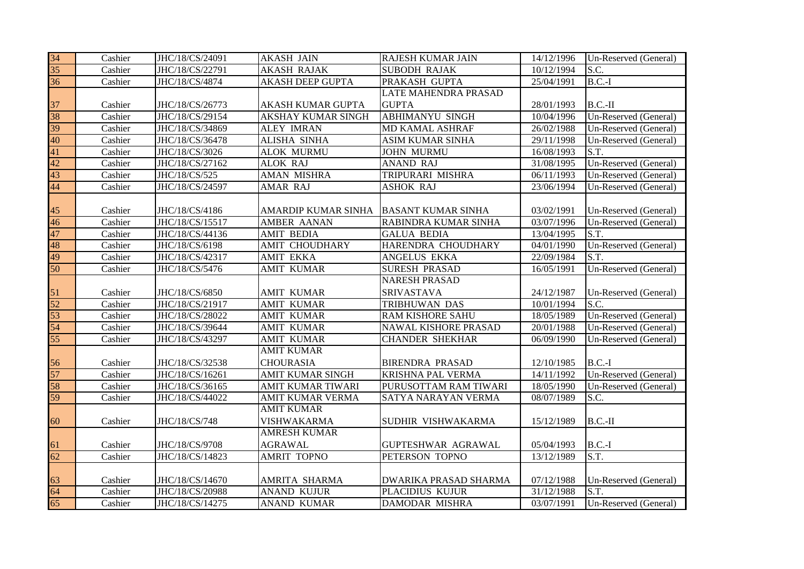| 34              | Cashier | JHC/18/CS/24091 | <b>AKASH JAIN</b>         | <b>RAJESH KUMAR JAIN</b>    | 14/12/1996 | Un-Reserved (General) |
|-----------------|---------|-----------------|---------------------------|-----------------------------|------------|-----------------------|
| $\overline{35}$ | Cashier | JHC/18/CS/22791 | <b>AKASH RAJAK</b>        | <b>SUBODH RAJAK</b>         | 10/12/1994 | S.C.                  |
| 36              | Cashier | JHC/18/CS/4874  | <b>AKASH DEEP GUPTA</b>   | PRAKASH GUPTA               | 25/04/1991 | $B.C.-I$              |
|                 |         |                 |                           | <b>LATE MAHENDRA PRASAD</b> |            |                       |
| 37              | Cashier | JHC/18/CS/26773 | AKASH KUMAR GUPTA         | <b>GUPTA</b>                | 28/01/1993 | $B.C.-II$             |
| 38              | Cashier | JHC/18/CS/29154 | <b>AKSHAY KUMAR SINGH</b> | <b>ABHIMANYU SINGH</b>      | 10/04/1996 | Un-Reserved (General) |
| 39              | Cashier | JHC/18/CS/34869 | <b>ALEY IMRAN</b>         | MD KAMAL ASHRAF             | 26/02/1988 | Un-Reserved (General) |
| 40              | Cashier | JHC/18/CS/36478 | <b>ALISHA SINHA</b>       | <b>ASIM KUMAR SINHA</b>     | 29/11/1998 | Un-Reserved (General) |
| 41              | Cashier | JHC/18/CS/3026  | <b>ALOK MURMU</b>         | <b>JOHN MURMU</b>           | 16/08/1993 | S.T.                  |
| 42              | Cashier | JHC/18/CS/27162 | <b>ALOK RAJ</b>           | ANAND RAJ                   | 31/08/1995 | Un-Reserved (General) |
| 43              | Cashier | JHC/18/CS/525   | AMAN MISHRA               | TRIPURARI MISHRA            | 06/11/1993 | Un-Reserved (General) |
| 44              | Cashier | JHC/18/CS/24597 | AMAR RAJ                  | <b>ASHOK RAJ</b>            | 23/06/1994 | Un-Reserved (General) |
|                 |         |                 |                           |                             |            |                       |
| 45              | Cashier | JHC/18/CS/4186  | AMARDIP KUMAR SINHA       | <b>BASANT KUMAR SINHA</b>   | 03/02/1991 | Un-Reserved (General) |
| 46              | Cashier | JHC/18/CS/15517 | AMBER AANAN               | RABINDRA KUMAR SINHA        | 03/07/1996 | Un-Reserved (General) |
| 47              | Cashier | JHC/18/CS/44136 | <b>AMIT BEDIA</b>         | <b>GALUA BEDIA</b>          | 13/04/1995 | S.T.                  |
| 48              | Cashier | JHC/18/CS/6198  | <b>AMIT CHOUDHARY</b>     | HARENDRA CHOUDHARY          | 04/01/1990 | Un-Reserved (General) |
| 49              | Cashier | JHC/18/CS/42317 | <b>AMIT EKKA</b>          | ANGELUS EKKA                | 22/09/1984 | S.T.                  |
| 50              | Cashier | JHC/18/CS/5476  | <b>AMIT KUMAR</b>         | <b>SURESH PRASAD</b>        | 16/05/1991 | Un-Reserved (General) |
|                 |         |                 |                           | <b>NARESH PRASAD</b>        |            |                       |
| 51              | Cashier | JHC/18/CS/6850  | <b>AMIT KUMAR</b>         | <b>SRIVASTAVA</b>           | 24/12/1987 | Un-Reserved (General) |
| 52              | Cashier | JHC/18/CS/21917 | <b>AMIT KUMAR</b>         | TRIBHUWAN DAS               | 10/01/1994 | S.C.                  |
| 53              | Cashier | JHC/18/CS/28022 | <b>AMIT KUMAR</b>         | RAM KISHORE SAHU            | 18/05/1989 | Un-Reserved (General) |
| 54              | Cashier | JHC/18/CS/39644 | <b>AMIT KUMAR</b>         | NAWAL KISHORE PRASAD        | 20/01/1988 | Un-Reserved (General) |
| 55              | Cashier | JHC/18/CS/43297 | <b>AMIT KUMAR</b>         | <b>CHANDER SHEKHAR</b>      | 06/09/1990 | Un-Reserved (General) |
|                 |         |                 | <b>AMIT KUMAR</b>         |                             |            |                       |
| 56              | Cashier | JHC/18/CS/32538 | <b>CHOURASIA</b>          | <b>BIRENDRA PRASAD</b>      | 12/10/1985 | $B.C.-I$              |
| 57              | Cashier | JHC/18/CS/16261 | <b>AMIT KUMAR SINGH</b>   | <b>KRISHNA PAL VERMA</b>    | 14/11/1992 | Un-Reserved (General) |
| 58              | Cashier | JHC/18/CS/36165 | AMIT KUMAR TIWARI         | PURUSOTTAM RAM TIWARI       | 18/05/1990 | Un-Reserved (General) |
| 59              | Cashier | JHC/18/CS/44022 | AMIT KUMAR VERMA          | SATYA NARAYAN VERMA         | 08/07/1989 | S.C.                  |
|                 |         |                 | <b>AMIT KUMAR</b>         |                             |            |                       |
| 60              | Cashier | JHC/18/CS/748   | <b>VISHWAKARMA</b>        | SUDHIR VISHWAKARMA          | 15/12/1989 | $B.C.-II$             |
|                 |         |                 | <b>AMRESH KUMAR</b>       |                             |            |                       |
| 61              | Cashier | JHC/18/CS/9708  | <b>AGRAWAL</b>            | GUPTESHWAR AGRAWAL          | 05/04/1993 | $B.C.-I$              |
| 62              | Cashier | JHC/18/CS/14823 | <b>AMRIT TOPNO</b>        | PETERSON TOPNO              | 13/12/1989 | S.T.                  |
|                 |         |                 |                           |                             |            |                       |
| 63              | Cashier | JHC/18/CS/14670 | AMRITA SHARMA             | DWARIKA PRASAD SHARMA       | 07/12/1988 | Un-Reserved (General) |
| 64              | Cashier | JHC/18/CS/20988 | <b>ANAND KUJUR</b>        | PLACIDIUS KUJUR             | 31/12/1988 | S.T.                  |
| 65              | Cashier | JHC/18/CS/14275 | <b>ANAND KUMAR</b>        | <b>DAMODAR MISHRA</b>       | 03/07/1991 | Un-Reserved (General) |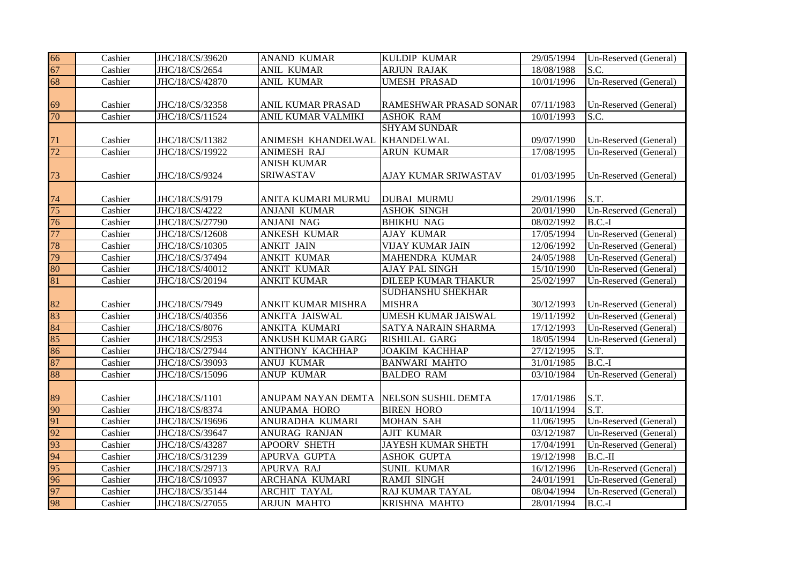| 66 | Cashier | JHC/18/CS/39620 | <b>ANAND KUMAR</b>       | KULDIP KUMAR               | 29/05/1994 | Un-Reserved (General) |
|----|---------|-----------------|--------------------------|----------------------------|------------|-----------------------|
| 67 | Cashier | JHC/18/CS/2654  | <b>ANIL KUMAR</b>        | <b>ARJUN RAJAK</b>         | 18/08/1988 | S.C.                  |
| 68 | Cashier | JHC/18/CS/42870 | <b>ANIL KUMAR</b>        | <b>UMESH PRASAD</b>        | 10/01/1996 | Un-Reserved (General) |
|    |         |                 |                          |                            |            |                       |
| 69 | Cashier | JHC/18/CS/32358 | ANIL KUMAR PRASAD        | RAMESHWAR PRASAD SONAR     | 07/11/1983 | Un-Reserved (General) |
| 70 | Cashier | JHC/18/CS/11524 | ANIL KUMAR VALMIKI       | <b>ASHOK RAM</b>           | 10/01/1993 | S.C.                  |
|    |         |                 |                          | <b>SHYAM SUNDAR</b>        |            |                       |
| 71 | Cashier | JHC/18/CS/11382 | ANIMESH KHANDELWAL       | <b>KHANDELWAL</b>          | 09/07/1990 | Un-Reserved (General) |
| 72 | Cashier | JHC/18/CS/19922 | <b>ANIMESH RAJ</b>       | <b>ARUN KUMAR</b>          | 17/08/1995 | Un-Reserved (General) |
|    |         |                 | <b>ANISH KUMAR</b>       |                            |            |                       |
| 73 | Cashier | JHC/18/CS/9324  | SRIWASTAV                | AJAY KUMAR SRIWASTAV       | 01/03/1995 | Un-Reserved (General) |
|    |         |                 |                          |                            |            |                       |
| 74 | Cashier | JHC/18/CS/9179  | ANITA KUMARI MURMU       | <b>DUBAI MURMU</b>         | 29/01/1996 | S.T.                  |
| 75 | Cashier | JHC/18/CS/4222  | <b>ANJANI KUMAR</b>      | <b>ASHOK SINGH</b>         | 20/01/1990 | Un-Reserved (General) |
| 76 | Cashier | JHC/18/CS/27790 | <b>ANJANI NAG</b>        | <b>BHIKHU NAG</b>          | 08/02/1992 | $B.C.-I$              |
| 77 | Cashier | JHC/18/CS/12608 | <b>ANKESH KUMAR</b>      | <b>AJAY KUMAR</b>          | 17/05/1994 | Un-Reserved (General) |
| 78 | Cashier | JHC/18/CS/10305 | <b>ANKIT JAIN</b>        | <b>VIJAY KUMAR JAIN</b>    | 12/06/1992 | Un-Reserved (General) |
| 79 | Cashier | JHC/18/CS/37494 | <b>ANKIT KUMAR</b>       | MAHENDRA KUMAR             | 24/05/1988 | Un-Reserved (General) |
| 80 | Cashier | JHC/18/CS/40012 | <b>ANKIT KUMAR</b>       | AJAY PAL SINGH             | 15/10/1990 | Un-Reserved (General) |
| 81 | Cashier | JHC/18/CS/20194 | <b>ANKIT KUMAR</b>       | <b>DILEEP KUMAR THAKUR</b> | 25/02/1997 | Un-Reserved (General) |
|    |         |                 |                          | <b>SUDHANSHU SHEKHAR</b>   |            |                       |
| 82 | Cashier | JHC/18/CS/7949  | ANKIT KUMAR MISHRA       | <b>MISHRA</b>              | 30/12/1993 | Un-Reserved (General) |
| 83 | Cashier | JHC/18/CS/40356 | ANKITA JAISWAL           | UMESH KUMAR JAISWAL        | 19/11/1992 | Un-Reserved (General) |
| 84 | Cashier | JHC/18/CS/8076  | ANKITA KUMARI            | SATYA NARAIN SHARMA        | 17/12/1993 | Un-Reserved (General) |
| 85 | Cashier | JHC/18/CS/2953  | <b>ANKUSH KUMAR GARG</b> | RISHILAL GARG              | 18/05/1994 | Un-Reserved (General) |
| 86 | Cashier | JHC/18/CS/27944 | <b>ANTHONY KACHHAP</b>   | <b>JOAKIM KACHHAP</b>      | 27/12/1995 | S.T.                  |
| 87 | Cashier | JHC/18/CS/39093 | <b>ANUJ KUMAR</b>        | <b>BANWARI MAHTO</b>       | 31/01/1985 | $B.C.-I$              |
| 88 | Cashier | JHC/18/CS/15096 | <b>ANUP KUMAR</b>        | <b>BALDEO RAM</b>          | 03/10/1984 | Un-Reserved (General) |
|    |         |                 |                          |                            |            |                       |
| 89 | Cashier | JHC/18/CS/1101  | ANUPAM NAYAN DEMTA       | NELSON SUSHIL DEMTA        | 17/01/1986 | S.T.                  |
| 90 | Cashier | JHC/18/CS/8374  | <b>ANUPAMA HORO</b>      | <b>BIREN HORO</b>          | 10/11/1994 | S.T.                  |
| 91 | Cashier | JHC/18/CS/19696 | ANURADHA KUMARI          | <b>MOHAN SAH</b>           | 11/06/1995 | Un-Reserved (General) |
| 92 | Cashier | JHC/18/CS/39647 | ANURAG RANJAN            | <b>AJIT KUMAR</b>          | 03/12/1987 | Un-Reserved (General) |
| 93 | Cashier | JHC/18/CS/43287 | APOORV SHETH             | JAYESH KUMAR SHETH         | 17/04/1991 | Un-Reserved (General) |
| 94 | Cashier | JHC/18/CS/31239 | APURVA GUPTA             | <b>ASHOK GUPTA</b>         | 19/12/1998 | $B.C.-II$             |
| 95 | Cashier | JHC/18/CS/29713 | APURVA RAJ               | <b>SUNIL KUMAR</b>         | 16/12/1996 | Un-Reserved (General) |
| 96 | Cashier | JHC/18/CS/10937 | <b>ARCHANA KUMARI</b>    | RAMJI SINGH                | 24/01/1991 | Un-Reserved (General) |
| 97 | Cashier | JHC/18/CS/35144 | <b>ARCHIT TAYAL</b>      | RAJ KUMAR TAYAL            | 08/04/1994 | Un-Reserved (General) |
| 98 | Cashier | JHC/18/CS/27055 | <b>ARJUN MAHTO</b>       | <b>KRISHNA MAHTO</b>       | 28/01/1994 | $B.C.-I$              |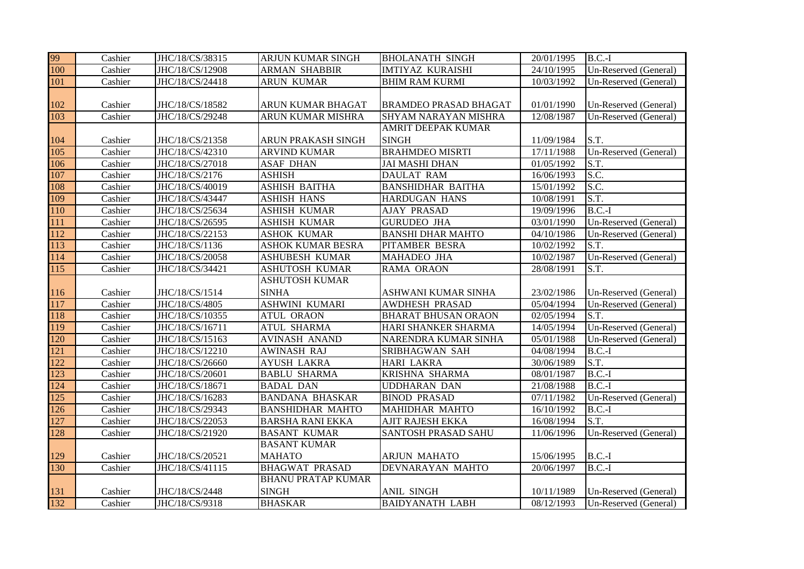| 99         | Cashier | JHC/18/CS/38315                  | ARJUN KUMAR SINGH         | <b>BHOLANATH SINGH</b>       | 20/01/1995              | $B.C.-I$              |
|------------|---------|----------------------------------|---------------------------|------------------------------|-------------------------|-----------------------|
| 100        | Cashier | JHC/18/CS/12908                  | <b>ARMAN SHABBIR</b>      | <b>IMTIYAZ KURAISHI</b>      | 24/10/1995              | Un-Reserved (General) |
| 101        | Cashier | JHC/18/CS/24418                  | <b>ARUN KUMAR</b>         | <b>BHIM RAM KURMI</b>        | 10/03/1992              | Un-Reserved (General) |
|            |         |                                  |                           |                              |                         |                       |
| 102        | Cashier | JHC/18/CS/18582                  | ARUN KUMAR BHAGAT         | <b>BRAMDEO PRASAD BHAGAT</b> | 01/01/1990              | Un-Reserved (General) |
| 103        | Cashier | JHC/18/CS/29248                  | ARUN KUMAR MISHRA         | <b>SHYAM NARAYAN MISHRA</b>  | 12/08/1987              | Un-Reserved (General) |
|            |         |                                  |                           | <b>AMRIT DEEPAK KUMAR</b>    |                         |                       |
| 104        | Cashier | JHC/18/CS/21358                  | ARUN PRAKASH SINGH        | <b>SINGH</b>                 | 11/09/1984              | S.T.                  |
| 105        | Cashier | JHC/18/CS/42310                  | <b>ARVIND KUMAR</b>       | <b>BRAHMDEO MISRTI</b>       | 17/11/1988              | Un-Reserved (General) |
| 106        | Cashier | JHC/18/CS/27018                  | <b>ASAF DHAN</b>          | <b>JAI MASHI DHAN</b>        | 01/05/1992              | S.T.                  |
| 107        | Cashier | JHC/18/CS/2176                   | <b>ASHISH</b>             | <b>DAULAT RAM</b>            | 16/06/1993              | S.C.                  |
| 108        | Cashier | JHC/18/CS/40019                  | <b>ASHISH BAITHA</b>      | <b>BANSHIDHAR BAITHA</b>     | 15/01/1992              | S.C.                  |
| 109        | Cashier | JHC/18/CS/43447                  | <b>ASHISH HANS</b>        | <b>HARDUGAN HANS</b>         | 10/08/1991              | S.T.                  |
| 110        | Cashier | JHC/18/CS/25634                  | <b>ASHISH KUMAR</b>       | <b>AJAY PRASAD</b>           | 19/09/1996              | $B.C.-I$              |
| 111        | Cashier | JHC/18/CS/26595                  | <b>ASHISH KUMAR</b>       | <b>GURUDEO JHA</b>           | $\overline{03}/01/1990$ | Un-Reserved (General) |
| 112        | Cashier | JHC/18/CS/22153                  | <b>ASHOK KUMAR</b>        | <b>BANSHI DHAR MAHTO</b>     | 04/10/1986              | Un-Reserved (General) |
| 113        | Cashier | JHC/18/CS/1136                   | <b>ASHOK KUMAR BESRA</b>  | PITAMBER BESRA               | 10/02/1992              | S.T.                  |
| 114        | Cashier | JHC/18/CS/20058                  | <b>ASHUBESH KUMAR</b>     | <b>MAHADEO JHA</b>           | 10/02/1987              | Un-Reserved (General) |
| 115        | Cashier | JHC/18/CS/34421                  | ASHUTOSH KUMAR            | RAMA ORAON                   | 28/08/1991              | S.T.                  |
|            |         |                                  | <b>ASHUTOSH KUMAR</b>     |                              |                         |                       |
| 116        | Cashier | JHC/18/CS/1514                   | <b>SINHA</b>              | ASHWANI KUMAR SINHA          | 23/02/1986              | Un-Reserved (General) |
| 117        | Cashier | JHC/18/CS/4805                   | <b>ASHWINI KUMARI</b>     | <b>AWDHESH PRASAD</b>        | 05/04/1994              | Un-Reserved (General) |
| 118        | Cashier | JHC/18/CS/10355                  | <b>ATUL ORAON</b>         | <b>BHARAT BHUSAN ORAON</b>   | 02/05/1994              | S.T.                  |
| 119        | Cashier | JHC/18/CS/16711                  | <b>ATUL SHARMA</b>        | HARI SHANKER SHARMA          | 14/05/1994              | Un-Reserved (General) |
| 120        | Cashier | JHC/18/CS/15163                  | <b>AVINASH ANAND</b>      | NARENDRA KUMAR SINHA         | 05/01/1988              | Un-Reserved (General) |
| 121        | Cashier | JHC/18/CS/12210                  | <b>AWINASH RAJ</b>        | SRIBHAGWAN SAH               | 04/08/1994              | $B.C.-I$              |
| 122        | Cashier | JHC/18/CS/26660                  | <b>AYUSH LAKRA</b>        | <b>HARI LAKRA</b>            | 30/06/1989              | S.T.                  |
| 123        | Cashier | JHC/18/CS/20601                  | <b>BABLU SHARMA</b>       | KRISHNA SHARMA               | 08/01/1987              | $B.C.-I$              |
| 124        | Cashier | JHC/18/CS/18671                  | <b>BADAL DAN</b>          | <b>UDDHARAN DAN</b>          | 21/08/1988              | $B.C.-I$              |
| 125        | Cashier | JHC/18/CS/16283                  | <b>BANDANA BHASKAR</b>    | <b>BINOD PRASAD</b>          | 07/11/1982              | Un-Reserved (General) |
| 126        | Cashier | JHC/18/CS/29343                  | <b>BANSHIDHAR MAHTO</b>   | <b>MAHIDHAR MAHTO</b>        | 16/10/1992              | $B.C.-I$              |
| 127        | Cashier | JHC/18/CS/22053                  | <b>BARSHA RANI EKKA</b>   | <b>AJIT RAJESH EKKA</b>      | 16/08/1994              | S.T.                  |
| 128        | Cashier | JHC/18/CS/21920                  | <b>BASANT KUMAR</b>       | <b>SANTOSH PRASAD SAHU</b>   | 11/06/1996              | Un-Reserved (General) |
|            |         |                                  | <b>BASANT KUMAR</b>       |                              |                         |                       |
| 129        | Cashier | JHC/18/CS/20521                  | <b>MAHATO</b>             | <b>ARJUN MAHATO</b>          | 15/06/1995              | $B.C.-I$              |
|            |         |                                  |                           |                              |                         |                       |
| 130        | Cashier | JHC/18/CS/41115                  | <b>BHAGWAT PRASAD</b>     | DEVNARAYAN MAHTO             | 20/06/1997              | $B.C.-I$              |
|            |         |                                  | <b>BHANU PRATAP KUMAR</b> |                              |                         |                       |
| 131<br>132 | Cashier | JHC/18/CS/2448<br>JHC/18/CS/9318 | <b>SINGH</b>              | ANIL SINGH                   | 10/11/1989              | Un-Reserved (General) |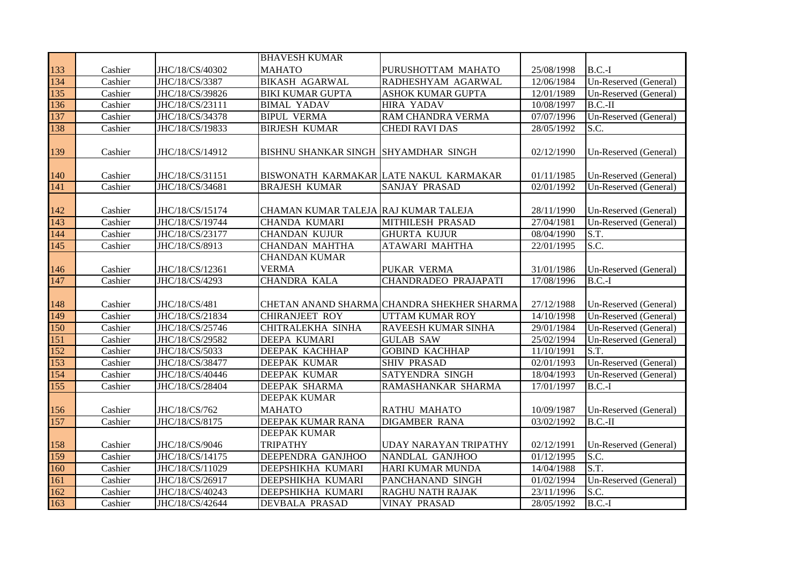|     |         |                 | <b>BHAVESH KUMAR</b>                 |                                            |            |                       |
|-----|---------|-----------------|--------------------------------------|--------------------------------------------|------------|-----------------------|
| 133 | Cashier | JHC/18/CS/40302 | <b>MAHATO</b>                        | PURUSHOTTAM MAHATO                         | 25/08/1998 | $B.C.-I$              |
| 134 | Cashier | JHC/18/CS/3387  | <b>BIKASH AGARWAL</b>                | RADHESHYAM AGARWAL                         | 12/06/1984 | Un-Reserved (General) |
| 135 | Cashier | JHC/18/CS/39826 | <b>BIKI KUMAR GUPTA</b>              | <b>ASHOK KUMAR GUPTA</b>                   | 12/01/1989 | Un-Reserved (General) |
| 136 | Cashier | JHC/18/CS/23111 | <b>BIMAL YADAV</b>                   | <b>HIRA YADAV</b>                          | 10/08/1997 | $B.C.-II$             |
| 137 | Cashier | JHC/18/CS/34378 | <b>BIPUL VERMA</b>                   | RAM CHANDRA VERMA                          | 07/07/1996 | Un-Reserved (General) |
| 138 | Cashier | JHC/18/CS/19833 | <b>BIRJESH KUMAR</b>                 | <b>CHEDI RAVI DAS</b>                      | 28/05/1992 | S.C.                  |
|     |         |                 |                                      |                                            |            |                       |
| 139 | Cashier | JHC/18/CS/14912 | BISHNU SHANKAR SINGH SHYAMDHAR SINGH |                                            | 02/12/1990 | Un-Reserved (General) |
| 140 | Cashier | JHC/18/CS/31151 |                                      | BISWONATH KARMAKAR LATE NAKUL KARMAKAR     | 01/11/1985 | Un-Reserved (General) |
| 141 | Cashier | JHC/18/CS/34681 | <b>BRAJESH KUMAR</b>                 | SANJAY PRASAD                              | 02/01/1992 | Un-Reserved (General) |
|     |         |                 |                                      |                                            |            |                       |
| 142 | Cashier | JHC/18/CS/15174 | CHAMAN KUMAR TALEJA RAJ KUMAR TALEJA |                                            | 28/11/1990 | Un-Reserved (General) |
| 143 | Cashier | JHC/18/CS/19744 | <b>CHANDA KUMARI</b>                 | <b>MITHILESH PRASAD</b>                    | 27/04/1981 | Un-Reserved (General) |
| 144 | Cashier | JHC/18/CS/23177 | <b>CHANDAN KUJUR</b>                 | <b>GHURTA KUJUR</b>                        | 08/04/1990 | S.T.                  |
| 145 | Cashier | JHC/18/CS/8913  | <b>CHANDAN MAHTHA</b>                | <b>ATAWARI MAHTHA</b>                      | 22/01/1995 | S.C.                  |
|     |         |                 | <b>CHANDAN KUMAR</b>                 |                                            |            |                       |
| 146 | Cashier | JHC/18/CS/12361 | <b>VERMA</b>                         | PUKAR VERMA                                | 31/01/1986 | Un-Reserved (General) |
| 147 | Cashier | JHC/18/CS/4293  | <b>CHANDRA KALA</b>                  | <b>CHANDRADEO PRAJAPATI</b>                | 17/08/1996 | $B.C.-I$              |
|     |         |                 |                                      |                                            |            |                       |
| 148 | Cashier | JHC/18/CS/481   |                                      | CHETAN ANAND SHARMA CHANDRA SHEKHER SHARMA | 27/12/1988 | Un-Reserved (General) |
| 149 | Cashier | JHC/18/CS/21834 | <b>CHIRANJEET ROY</b>                | UTTAM KUMAR ROY                            | 14/10/1998 | Un-Reserved (General) |
| 150 | Cashier | JHC/18/CS/25746 | CHITRALEKHA SINHA                    | RAVEESH KUMAR SINHA                        | 29/01/1984 | Un-Reserved (General) |
| 151 | Cashier | JHC/18/CS/29582 | DEEPA KUMARI                         | <b>GULAB SAW</b>                           | 25/02/1994 | Un-Reserved (General) |
| 152 | Cashier | JHC/18/CS/5033  | DEEPAK KACHHAP                       | <b>GOBIND KACHHAP</b>                      | 11/10/1991 | S.T.                  |
| 153 | Cashier | JHC/18/CS/38477 | <b>DEEPAK KUMAR</b>                  | <b>SHIV PRASAD</b>                         | 02/01/1993 | Un-Reserved (General) |
| 154 | Cashier | JHC/18/CS/40446 | <b>DEEPAK KUMAR</b>                  | <b>SATYENDRA SINGH</b>                     | 18/04/1993 | Un-Reserved (General) |
| 155 | Cashier | JHC/18/CS/28404 | <b>DEEPAK SHARMA</b>                 | RAMASHANKAR SHARMA                         | 17/01/1997 | $B.C.-I$              |
|     |         |                 | <b>DEEPAK KUMAR</b>                  |                                            |            |                       |
| 156 | Cashier | JHC/18/CS/762   | <b>MAHATO</b>                        | <b>RATHU MAHATO</b>                        | 10/09/1987 | Un-Reserved (General) |
| 157 | Cashier | JHC/18/CS/8175  | DEEPAK KUMAR RANA                    | <b>DIGAMBER RANA</b>                       | 03/02/1992 | $B.C.-II$             |
|     |         |                 | <b>DEEPAK KUMAR</b>                  |                                            |            |                       |
| 158 | Cashier | JHC/18/CS/9046  | <b>TRIPATHY</b>                      | UDAY NARAYAN TRIPATHY                      | 02/12/1991 | Un-Reserved (General) |
| 159 | Cashier | JHC/18/CS/14175 | DEEPENDRA GANJHOO                    | NANDLAL GANJHOO                            | 01/12/1995 | S.C.                  |
| 160 | Cashier | JHC/18/CS/11029 | DEEPSHIKHA KUMARI                    | HARI KUMAR MUNDA                           | 14/04/1988 | S.T.                  |
| 161 | Cashier | JHC/18/CS/26917 | DEEPSHIKHA KUMARI                    | PANCHANAND SINGH                           | 01/02/1994 | Un-Reserved (General) |
| 162 | Cashier | JHC/18/CS/40243 | DEEPSHIKHA KUMARI                    | RAGHU NATH RAJAK                           | 23/11/1996 | S.C.                  |
| 163 | Cashier | JHC/18/CS/42644 | <b>DEVBALA PRASAD</b>                | <b>VINAY PRASAD</b>                        | 28/05/1992 | $B.C.-I$              |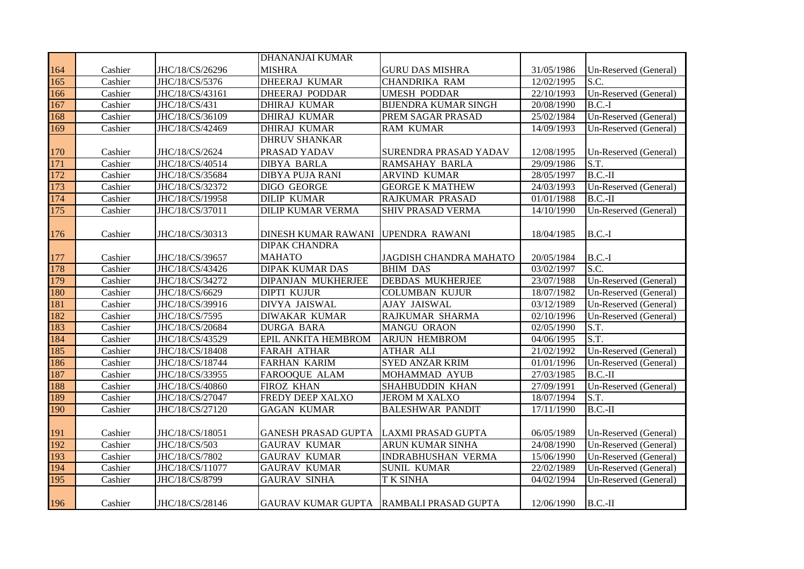|     |         |                 | <b>DHANANJAI KUMAR</b>             |                                         |            |                       |
|-----|---------|-----------------|------------------------------------|-----------------------------------------|------------|-----------------------|
| 164 | Cashier | JHC/18/CS/26296 | <b>MISHRA</b>                      | <b>GURU DAS MISHRA</b>                  | 31/05/1986 | Un-Reserved (General) |
| 165 | Cashier | JHC/18/CS/5376  | <b>DHEERAJ KUMAR</b>               | <b>CHANDRIKA RAM</b>                    | 12/02/1995 | S.C.                  |
| 166 | Cashier | JHC/18/CS/43161 | <b>DHEERAJ PODDAR</b>              | <b>UMESH PODDAR</b>                     | 22/10/1993 | Un-Reserved (General) |
| 167 | Cashier | JHC/18/CS/431   | <b>DHIRAJ KUMAR</b>                | <b>BIJENDRA KUMAR SINGH</b>             | 20/08/1990 | $B.C.-I$              |
| 168 | Cashier | JHC/18/CS/36109 | <b>DHIRAJ KUMAR</b>                | PREM SAGAR PRASAD                       | 25/02/1984 | Un-Reserved (General) |
| 169 | Cashier | JHC/18/CS/42469 | <b>DHIRAJ KUMAR</b>                | <b>RAM KUMAR</b>                        | 14/09/1993 | Un-Reserved (General) |
|     |         |                 | <b>DHRUV SHANKAR</b>               |                                         |            |                       |
| 170 | Cashier | JHC/18/CS/2624  | PRASAD YADAV                       | <b>SURENDRA PRASAD YADAV</b>            | 12/08/1995 | Un-Reserved (General) |
| 171 | Cashier | JHC/18/CS/40514 | <b>DIBYA BARLA</b>                 | <b>RAMSAHAY BARLA</b>                   | 29/09/1986 | S.T.                  |
| 172 | Cashier | JHC/18/CS/35684 | <b>DIBYA PUJA RANI</b>             | <b>ARVIND KUMAR</b>                     | 28/05/1997 | $B.C.-II$             |
| 173 | Cashier | JHC/18/CS/32372 | DIGO GEORGE                        | <b>GEORGE K MATHEW</b>                  | 24/03/1993 | Un-Reserved (General) |
| 174 | Cashier | JHC/18/CS/19958 | <b>DILIP KUMAR</b>                 | RAJKUMAR PRASAD                         | 01/01/1988 | $B.C.-II$             |
| 175 | Cashier | JHC/18/CS/37011 | <b>DILIP KUMAR VERMA</b>           | SHIV PRASAD VERMA                       | 14/10/1990 | Un-Reserved (General) |
| 176 | Cashier | JHC/18/CS/30313 | DINESH KUMAR RAWANI UPENDRA RAWANI |                                         | 18/04/1985 | $B.C.-I$              |
|     |         |                 | <b>DIPAK CHANDRA</b>               |                                         |            |                       |
| 177 | Cashier | JHC/18/CS/39657 | <b>MAHATO</b>                      | JAGDISH CHANDRA MAHATO                  | 20/05/1984 | $B.C.-I$              |
| 178 | Cashier | JHC/18/CS/43426 | <b>DIPAK KUMAR DAS</b>             | <b>BHIM DAS</b>                         | 03/02/1997 | S.C.                  |
| 179 | Cashier | JHC/18/CS/34272 | DIPANJAN MUKHERJEE                 | <b>DEBDAS MUKHERJEE</b>                 | 23/07/1988 | Un-Reserved (General) |
| 180 | Cashier | JHC/18/CS/6629  | <b>DIPTI KUJUR</b>                 | <b>COLUMBAN KUJUR</b>                   | 18/07/1982 | Un-Reserved (General) |
| 181 | Cashier | JHC/18/CS/39916 | DIVYA JAISWAL                      | <b>AJAY JAISWAL</b>                     | 03/12/1989 | Un-Reserved (General) |
| 182 | Cashier | JHC/18/CS/7595  | <b>DIWAKAR KUMAR</b>               | RAJKUMAR SHARMA                         | 02/10/1996 | Un-Reserved (General) |
| 183 | Cashier | JHC/18/CS/20684 | <b>DURGA BARA</b>                  | <b>MANGU ORAON</b>                      | 02/05/1990 | S.T.                  |
| 184 | Cashier | JHC/18/CS/43529 | EPIL ANKITA HEMBROM                | <b>ARJUN HEMBROM</b>                    | 04/06/1995 | S.T.                  |
| 185 | Cashier | JHC/18/CS/18408 | <b>FARAH ATHAR</b>                 | <b>ATHAR ALI</b>                        | 21/02/1992 | Un-Reserved (General) |
| 186 | Cashier | JHC/18/CS/18744 | <b>FARHAN KARIM</b>                | <b>SYED ANZAR KRIM</b>                  | 01/01/1996 | Un-Reserved (General) |
| 187 | Cashier | JHC/18/CS/33955 | FAROOQUE ALAM                      | <b>MOHAMMAD AYUB</b>                    | 27/03/1985 | $B.C.-II$             |
| 188 | Cashier | JHC/18/CS/40860 | FIROZ KHAN                         | <b>SHAHBUDDIN KHAN</b>                  | 27/09/1991 | Un-Reserved (General) |
| 189 | Cashier | JHC/18/CS/27047 | FREDY DEEP XALXO                   | <b>JEROM M XALXO</b>                    | 18/07/1994 | S.T.                  |
| 190 | Cashier | JHC/18/CS/27120 | <b>GAGAN KUMAR</b>                 | <b>BALESHWAR PANDIT</b>                 | 17/11/1990 | $B.C.-II$             |
| 191 | Cashier | JHC/18/CS/18051 | <b>GANESH PRASAD GUPTA</b>         | LAXMI PRASAD GUPTA                      | 06/05/1989 | Un-Reserved (General) |
| 192 | Cashier | JHC/18/CS/503   | <b>GAURAV KUMAR</b>                | <b>ARUN KUMAR SINHA</b>                 | 24/08/1990 | Un-Reserved (General) |
| 193 | Cashier | JHC/18/CS/7802  | <b>GAURAV KUMAR</b>                | <b>INDRABHUSHAN VERMA</b>               | 15/06/1990 | Un-Reserved (General) |
| 194 | Cashier | JHC/18/CS/11077 | <b>GAURAV KUMAR</b>                | <b>SUNIL KUMAR</b>                      | 22/02/1989 | Un-Reserved (General) |
| 195 | Cashier | JHC/18/CS/8799  | <b>GAURAV SINHA</b>                | <b>T K SINHA</b>                        | 04/02/1994 | Un-Reserved (General) |
| 196 | Cashier | JHC/18/CS/28146 |                                    | GAURAV KUMAR GUPTA RAMBALI PRASAD GUPTA | 12/06/1990 | $B.C.-II$             |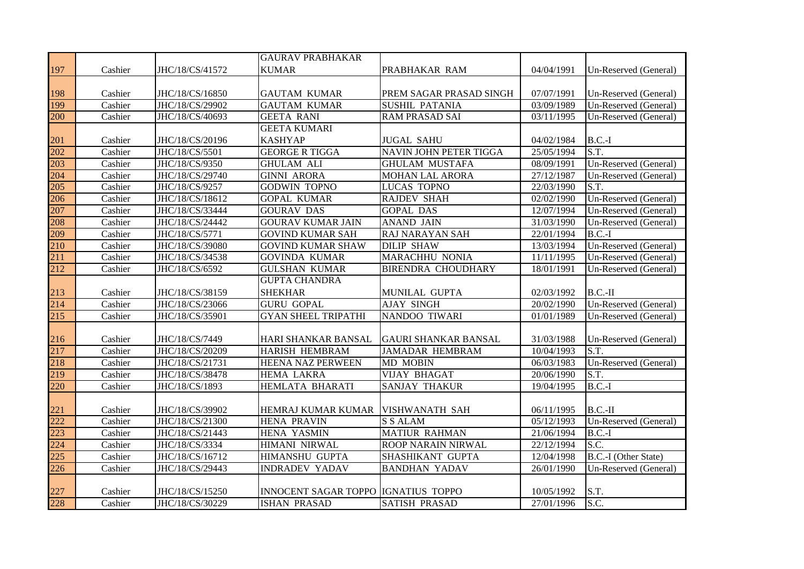|     |         |                 | <b>GAURAV PRABHAKAR</b>                    |                             |            |                       |
|-----|---------|-----------------|--------------------------------------------|-----------------------------|------------|-----------------------|
| 197 | Cashier | JHC/18/CS/41572 | <b>KUMAR</b>                               | PRABHAKAR RAM               | 04/04/1991 | Un-Reserved (General) |
|     |         |                 |                                            |                             |            |                       |
| 198 | Cashier | JHC/18/CS/16850 | <b>GAUTAM KUMAR</b>                        | PREM SAGAR PRASAD SINGH     | 07/07/1991 | Un-Reserved (General) |
| 199 | Cashier | JHC/18/CS/29902 | <b>GAUTAM KUMAR</b>                        | <b>SUSHIL PATANIA</b>       | 03/09/1989 | Un-Reserved (General) |
| 200 | Cashier | JHC/18/CS/40693 | <b>GEETA RANI</b>                          | <b>RAM PRASAD SAI</b>       | 03/11/1995 | Un-Reserved (General) |
|     |         |                 | <b>GEETA KUMARI</b>                        |                             |            |                       |
| 201 | Cashier | JHC/18/CS/20196 | <b>KASHYAP</b>                             | <b>JUGAL SAHU</b>           | 04/02/1984 | $B.C.-I$              |
| 202 | Cashier | JHC/18/CS/5501  | <b>GEORGE R TIGGA</b>                      | NAVIN JOHN PETER TIGGA      | 25/05/1994 | S.T.                  |
| 203 | Cashier | JHC/18/CS/9350  | <b>GHULAM ALI</b>                          | <b>GHULAM MUSTAFA</b>       | 08/09/1991 | Un-Reserved (General) |
| 204 | Cashier | JHC/18/CS/29740 | <b>GINNI ARORA</b>                         | MOHAN LAL ARORA             | 27/12/1987 | Un-Reserved (General) |
| 205 | Cashier | JHC/18/CS/9257  | <b>GODWIN TOPNO</b>                        | <b>LUCAS TOPNO</b>          | 22/03/1990 | $\overline{S.T.}$     |
| 206 | Cashier | JHC/18/CS/18612 | <b>GOPAL KUMAR</b>                         | <b>RAJDEV SHAH</b>          | 02/02/1990 | Un-Reserved (General) |
| 207 | Cashier | JHC/18/CS/33444 | <b>GOURAV DAS</b>                          | <b>GOPAL DAS</b>            | 12/07/1994 | Un-Reserved (General) |
| 208 | Cashier | JHC/18/CS/24442 | <b>GOURAV KUMAR JAIN</b>                   | <b>ANAND JAIN</b>           | 31/03/1990 | Un-Reserved (General) |
| 209 | Cashier | JHC/18/CS/5771  | <b>GOVIND KUMAR SAH</b>                    | RAJ NARAYAN SAH             | 22/01/1994 | $B.C.-I$              |
| 210 | Cashier | JHC/18/CS/39080 | <b>GOVIND KUMAR SHAW</b>                   | <b>DILIP SHAW</b>           | 13/03/1994 | Un-Reserved (General) |
| 211 | Cashier | JHC/18/CS/34538 | <b>GOVINDA KUMAR</b>                       | MARACHHU NONIA              | 11/11/1995 | Un-Reserved (General) |
| 212 | Cashier | JHC/18/CS/6592  | <b>GULSHAN KUMAR</b>                       | <b>BIRENDRA CHOUDHARY</b>   | 18/01/1991 | Un-Reserved (General) |
|     |         |                 | <b>GUPTA CHANDRA</b>                       |                             |            |                       |
| 213 | Cashier | JHC/18/CS/38159 | <b>SHEKHAR</b>                             | MUNILAL GUPTA               | 02/03/1992 | $B.C.-II$             |
| 214 | Cashier | JHC/18/CS/23066 | <b>GURU GOPAL</b>                          | <b>AJAY SINGH</b>           | 20/02/1990 | Un-Reserved (General) |
| 215 | Cashier | JHC/18/CS/35901 | <b>GYAN SHEEL TRIPATHI</b>                 | NANDOO TIWARI               | 01/01/1989 | Un-Reserved (General) |
|     |         |                 |                                            |                             |            |                       |
| 216 | Cashier | JHC/18/CS/7449  | HARI SHANKAR BANSAL                        | <b>GAURI SHANKAR BANSAL</b> | 31/03/1988 | Un-Reserved (General) |
| 217 | Cashier | JHC/18/CS/20209 | <b>HARISH HEMBRAM</b>                      | <b>JAMADAR HEMBRAM</b>      | 10/04/1993 | S.T.                  |
| 218 | Cashier | JHC/18/CS/21731 | <b>HEENA NAZ PERWEEN</b>                   | MD MOBIN                    | 06/03/1983 | Un-Reserved (General) |
| 219 | Cashier | JHC/18/CS/38478 | <b>HEMA LAKRA</b>                          | VIJAY BHAGAT                | 20/06/1990 | S.T.                  |
| 220 | Cashier | JHC/18/CS/1893  | <b>HEMLATA BHARATI</b>                     | <b>SANJAY THAKUR</b>        | 19/04/1995 | $B.C.-I$              |
|     |         |                 |                                            |                             |            |                       |
| 221 | Cashier | JHC/18/CS/39902 | HEMRAJ KUMAR KUMAR                         | VISHWANATH SAH              | 06/11/1995 | $B.C.-II$             |
| 222 | Cashier | JHC/18/CS/21300 | <b>HENA PRAVIN</b>                         | <b>S S ALAM</b>             | 05/12/1993 | Un-Reserved (General) |
| 223 | Cashier | JHC/18/CS/21443 | HENA YASMIN                                | <b>MATIUR RAHMAN</b>        | 21/06/1994 | $B.C.-I$              |
| 224 | Cashier | JHC/18/CS/3334  | <b>HIMANI NIRWAL</b>                       | ROOP NARAIN NIRWAL          | 22/12/1994 | S.C.                  |
| 225 | Cashier | JHC/18/CS/16712 | <b>HIMANSHU GUPTA</b>                      | SHASHIKANT GUPTA            | 12/04/1998 | B.C.-I (Other State)  |
| 226 | Cashier | JHC/18/CS/29443 | <b>INDRADEV YADAV</b>                      | <b>BANDHAN YADAV</b>        | 26/01/1990 | Un-Reserved (General) |
|     |         |                 |                                            |                             |            |                       |
| 227 | Cashier | JHC/18/CS/15250 | <b>INNOCENT SAGAR TOPPO IGNATIUS TOPPO</b> |                             | 10/05/1992 | S.T.                  |
| 228 | Cashier | JHC/18/CS/30229 | <b>ISHAN PRASAD</b>                        | <b>SATISH PRASAD</b>        | 27/01/1996 | S.C.                  |
|     |         |                 |                                            |                             |            |                       |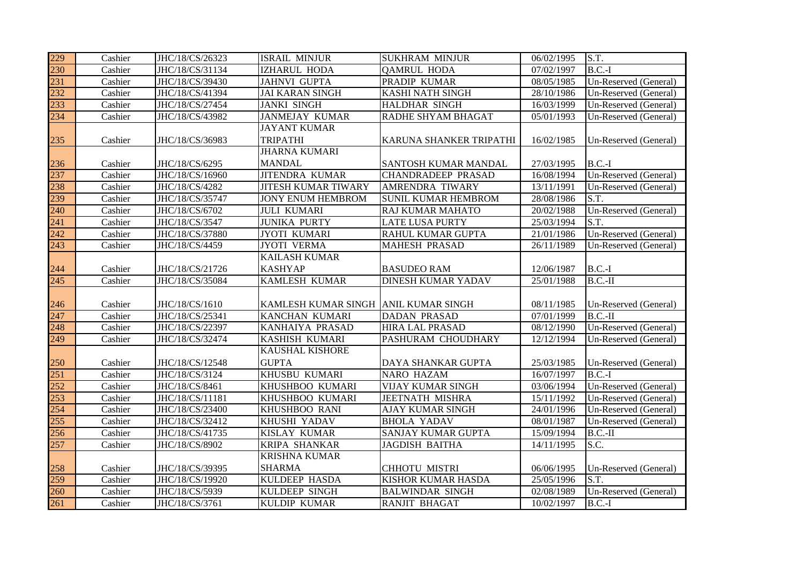| 229 | Cashier | JHC/18/CS/26323 | <b>ISRAIL MINJUR</b>       | <b>SUKHRAM MINJUR</b>      | 06/02/1995 | S.T.                     |
|-----|---------|-----------------|----------------------------|----------------------------|------------|--------------------------|
| 230 | Cashier | JHC/18/CS/31134 | IZHARUL HODA               | <b>QAMRUL HODA</b>         | 07/02/1997 | $B.C.-I$                 |
| 231 | Cashier | JHC/18/CS/39430 | <b>JAHNVI GUPTA</b>        | PRADIP KUMAR               | 08/05/1985 | Un-Reserved (General)    |
| 232 | Cashier | JHC/18/CS/41394 | <b>JAI KARAN SINGH</b>     | KASHI NATH SINGH           | 28/10/1986 | Un-Reserved (General)    |
| 233 | Cashier | JHC/18/CS/27454 | <b>JANKI SINGH</b>         | HALDHAR SINGH              | 16/03/1999 | Un-Reserved (General)    |
| 234 | Cashier | JHC/18/CS/43982 | <b>JANMEJAY KUMAR</b>      | RADHE SHYAM BHAGAT         | 05/01/1993 | Un-Reserved (General)    |
|     |         |                 | <b>JAYANT KUMAR</b>        |                            |            |                          |
| 235 | Cashier | JHC/18/CS/36983 | <b>TRIPATHI</b>            | KARUNA SHANKER TRIPATHI    | 16/02/1985 | Un-Reserved (General)    |
|     |         |                 | <b>JHARNA KUMARI</b>       |                            |            |                          |
| 236 | Cashier | JHC/18/CS/6295  | <b>MANDAL</b>              | SANTOSH KUMAR MANDAL       | 27/03/1995 | $B.C.-I$                 |
| 237 | Cashier | JHC/18/CS/16960 | <b>JITENDRA KUMAR</b>      | <b>CHANDRADEEP PRASAD</b>  | 16/08/1994 | Un-Reserved (General)    |
| 238 | Cashier | JHC/18/CS/4282  | <b>JITESH KUMAR TIWARY</b> | AMRENDRA TIWARY            | 13/11/1991 | Un-Reserved (General)    |
| 239 | Cashier | JHC/18/CS/35747 | <b>JONY ENUM HEMBROM</b>   | <b>SUNIL KUMAR HEMBROM</b> | 28/08/1986 | S.T.                     |
| 240 | Cashier | JHC/18/CS/6702  | <b>JULI KUMARI</b>         | RAJ KUMAR MAHATO           | 20/02/1988 | Un-Reserved (General)    |
| 241 | Cashier | JHC/18/CS/3547  | <b>JUNIKA PURTY</b>        | <b>LATE LUSA PURTY</b>     | 25/03/1994 | S.T.                     |
| 242 | Cashier | JHC/18/CS/37880 | <b>JYOTI KUMARI</b>        | RAHUL KUMAR GUPTA          | 21/01/1986 | Un-Reserved (General)    |
| 243 | Cashier | JHC/18/CS/4459  | <b>JYOTI VERMA</b>         | <b>MAHESH PRASAD</b>       | 26/11/1989 | Un-Reserved (General)    |
|     |         |                 | <b>KAILASH KUMAR</b>       |                            |            |                          |
| 244 | Cashier | JHC/18/CS/21726 | <b>KASHYAP</b>             | <b>BASUDEO RAM</b>         | 12/06/1987 | $B.C.-I$                 |
| 245 | Cashier | JHC/18/CS/35084 | KAMLESH KUMAR              | <b>DINESH KUMAR YADAV</b>  | 25/01/1988 | $B.C.-II$                |
|     |         |                 |                            |                            |            |                          |
| 246 | Cashier | JHC/18/CS/1610  | KAMLESH KUMAR SINGH        | <b>ANIL KUMAR SINGH</b>    | 08/11/1985 | Un-Reserved (General)    |
| 247 | Cashier | JHC/18/CS/25341 | KANCHAN KUMARI             | <b>DADAN PRASAD</b>        | 07/01/1999 | $B.C.-II$                |
| 248 | Cashier | JHC/18/CS/22397 | KANHAIYA PRASAD            | <b>HIRA LAL PRASAD</b>     | 08/12/1990 | Un-Reserved (General)    |
| 249 | Cashier | JHC/18/CS/32474 | KASHISH KUMARI             | PASHURAM CHOUDHARY         | 12/12/1994 | Un-Reserved (General)    |
|     |         |                 | KAUSHAL KISHORE            |                            |            |                          |
| 250 | Cashier | JHC/18/CS/12548 | <b>GUPTA</b>               | DAYA SHANKAR GUPTA         | 25/03/1985 | Un-Reserved (General)    |
| 251 | Cashier | JHC/18/CS/3124  | KHUSBU KUMARI              | NARO HAZAM                 | 16/07/1997 | $B.C.-I$                 |
| 252 | Cashier | JHC/18/CS/8461  | KHUSHBOO KUMARI            | VIJAY KUMAR SINGH          | 03/06/1994 | Un-Reserved (General)    |
| 253 | Cashier | JHC/18/CS/11181 | KHUSHBOO KUMARI            | <b>JEETNATH MISHRA</b>     | 15/11/1992 | Un-Reserved (General)    |
| 254 | Cashier | JHC/18/CS/23400 | KHUSHBOO RANI              | <b>AJAY KUMAR SINGH</b>    | 24/01/1996 | Un-Reserved (General)    |
| 255 | Cashier | JHC/18/CS/32412 | KHUSHI YADAV               | <b>BHOLA YADAV</b>         | 08/01/1987 | Un-Reserved (General)    |
| 256 | Cashier | JHC/18/CS/41735 | KISLAY KUMAR               | SANJAY KUMAR GUPTA         | 15/09/1994 | $B.C.-II$                |
| 257 | Cashier | JHC/18/CS/8902  | KRIPA SHANKAR              | <b>JAGDISH BAITHA</b>      | 14/11/1995 | S.C.                     |
|     |         |                 | <b>KRISHNA KUMAR</b>       |                            |            |                          |
| 258 | Cashier | JHC/18/CS/39395 | <b>SHARMA</b>              | CHHOTU MISTRI              | 06/06/1995 | Un-Reserved (General)    |
| 259 | Cashier | JHC/18/CS/19920 | KULDEEP HASDA              | KISHOR KUMAR HASDA         | 25/05/1996 | $\overline{\text{S.T.}}$ |
| 260 | Cashier | JHC/18/CS/5939  | KULDEEP SINGH              | <b>BALWINDAR SINGH</b>     | 02/08/1989 | Un-Reserved (General)    |
| 261 | Cashier | JHC/18/CS/3761  | KULDIP KUMAR               | <b>RANJIT BHAGAT</b>       | 10/02/1997 | $B.C.-I$                 |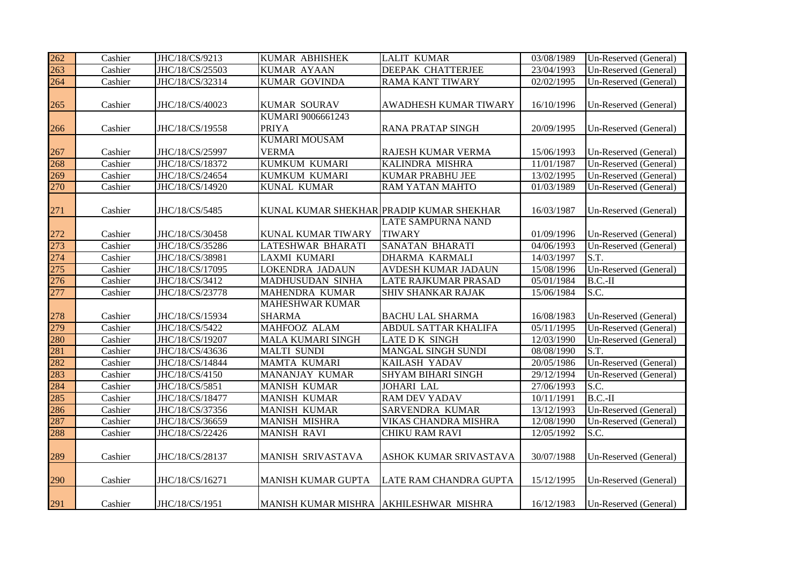| 262 | Cashier | JHC/18/CS/9213  | KUMAR ABHISHEK             | <b>LALIT KUMAR</b>                       | 03/08/1989 | Un-Reserved (General) |
|-----|---------|-----------------|----------------------------|------------------------------------------|------------|-----------------------|
| 263 | Cashier | JHC/18/CS/25503 | <b>KUMAR AYAAN</b>         | <b>DEEPAK CHATTERJEE</b>                 | 23/04/1993 | Un-Reserved (General) |
| 264 | Cashier | JHC/18/CS/32314 | <b>KUMAR GOVINDA</b>       | <b>RAMA KANT TIWARY</b>                  | 02/02/1995 | Un-Reserved (General) |
|     |         |                 |                            |                                          |            |                       |
| 265 | Cashier | JHC/18/CS/40023 | KUMAR SOURAV               | <b>AWADHESH KUMAR TIWARY</b>             | 16/10/1996 | Un-Reserved (General) |
|     |         |                 | KUMARI 9006661243          |                                          |            |                       |
| 266 | Cashier | JHC/18/CS/19558 | <b>PRIYA</b>               | <b>RANA PRATAP SINGH</b>                 | 20/09/1995 | Un-Reserved (General) |
|     |         |                 | <b>KUMARI MOUSAM</b>       |                                          |            |                       |
| 267 | Cashier | JHC/18/CS/25997 | <b>VERMA</b>               | RAJESH KUMAR VERMA                       | 15/06/1993 | Un-Reserved (General) |
| 268 | Cashier | JHC/18/CS/18372 | <b>KUMKUM KUMARI</b>       | KALINDRA MISHRA                          | 11/01/1987 | Un-Reserved (General) |
| 269 | Cashier | JHC/18/CS/24654 | KUMKUM KUMARI              | <b>KUMAR PRABHU JEE</b>                  | 13/02/1995 | Un-Reserved (General) |
| 270 | Cashier | JHC/18/CS/14920 | KUNAL KUMAR                | RAM YATAN MAHTO                          | 01/03/1989 | Un-Reserved (General) |
|     |         |                 |                            |                                          |            |                       |
| 271 | Cashier | JHC/18/CS/5485  |                            | KUNAL KUMAR SHEKHAR PRADIP KUMAR SHEKHAR | 16/03/1987 | Un-Reserved (General) |
|     |         |                 |                            | LATE SAMPURNA NAND                       |            |                       |
| 272 | Cashier | JHC/18/CS/30458 | KUNAL KUMAR TIWARY         | <b>TIWARY</b>                            | 01/09/1996 | Un-Reserved (General) |
| 273 | Cashier | JHC/18/CS/35286 | LATESHWAR BHARATI          | <b>SANATAN BHARATI</b>                   | 04/06/1993 | Un-Reserved (General) |
| 274 | Cashier | JHC/18/CS/38981 | <b>LAXMI KUMARI</b>        | <b>DHARMA KARMALI</b>                    | 14/03/1997 | S.T.                  |
| 275 | Cashier | JHC/18/CS/17095 | LOKENDRA JADAUN            | <b>AVDESH KUMAR JADAUN</b>               | 15/08/1996 | Un-Reserved (General) |
| 276 | Cashier | JHC/18/CS/3412  | MADHUSUDAN SINHA           | <b>LATE RAJKUMAR PRASAD</b>              | 05/01/1984 | $B.C.-II$             |
| 277 | Cashier | JHC/18/CS/23778 | MAHENDRA KUMAR             | <b>SHIV SHANKAR RAJAK</b>                | 15/06/1984 | S.C.                  |
|     |         |                 | <b>MAHESHWAR KUMAR</b>     |                                          |            |                       |
| 278 | Cashier | JHC/18/CS/15934 | <b>SHARMA</b>              | <b>BACHU LAL SHARMA</b>                  | 16/08/1983 | Un-Reserved (General) |
| 279 | Cashier | JHC/18/CS/5422  | MAHFOOZ ALAM               | ABDUL SATTAR KHALIFA                     | 05/11/1995 | Un-Reserved (General) |
| 280 | Cashier | JHC/18/CS/19207 | MALA KUMARI SINGH          | LATE D K SINGH                           | 12/03/1990 | Un-Reserved (General) |
| 281 | Cashier | JHC/18/CS/43636 | <b>MALTI SUNDI</b>         | <b>MANGAL SINGH SUNDI</b>                | 08/08/1990 | S.T.                  |
| 282 | Cashier | JHC/18/CS/14844 | <b>MAMTA KUMARI</b>        | <b>KAILASH YADAV</b>                     | 20/05/1986 | Un-Reserved (General) |
| 283 | Cashier | JHC/18/CS/4150  | MANANJAY KUMAR             | <b>SHYAM BIHARI SINGH</b>                | 29/12/1994 | Un-Reserved (General) |
| 284 | Cashier | JHC/18/CS/5851  | <b>MANISH KUMAR</b>        | <b>JOHARI LAL</b>                        | 27/06/1993 | S.C.                  |
| 285 | Cashier | JHC/18/CS/18477 | <b>MANISH KUMAR</b>        | <b>RAM DEV YADAV</b>                     | 10/11/1991 | $B.C.-II$             |
| 286 | Cashier | JHC/18/CS/37356 | <b>MANISH KUMAR</b>        | SARVENDRA KUMAR                          | 13/12/1993 | Un-Reserved (General) |
| 287 | Cashier | JHC/18/CS/36659 | <b>MANISH MISHRA</b>       | VIKAS CHANDRA MISHRA                     | 12/08/1990 | Un-Reserved (General) |
| 288 | Cashier | JHC/18/CS/22426 | <b>MANISH RAVI</b>         | CHIKU RAM RAVI                           | 12/05/1992 | $\overline{S.C.}$     |
|     |         |                 |                            |                                          |            |                       |
| 289 | Cashier | JHC/18/CS/28137 | MANISH SRIVASTAVA          | ASHOK KUMAR SRIVASTAVA                   | 30/07/1988 | Un-Reserved (General) |
|     |         |                 |                            |                                          |            |                       |
| 290 | Cashier | JHC/18/CS/16271 | MANISH KUMAR GUPTA         | LATE RAM CHANDRA GUPTA                   | 15/12/1995 | Un-Reserved (General) |
|     |         |                 |                            |                                          |            |                       |
| 291 | Cashier | JHC/18/CS/1951  | <b>MANISH KUMAR MISHRA</b> | <b>AKHILESHWAR MISHRA</b>                | 16/12/1983 | Un-Reserved (General) |
|     |         |                 |                            |                                          |            |                       |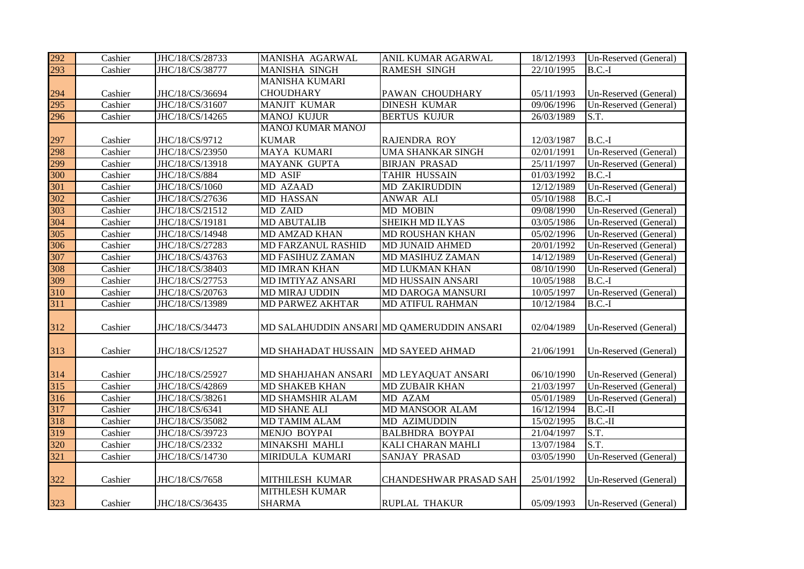| 292 | Cashier | JHC/18/CS/28733 | MANISHA AGARWAL           | ANIL KUMAR AGARWAL                        | 18/12/1993              | Un-Reserved (General) |
|-----|---------|-----------------|---------------------------|-------------------------------------------|-------------------------|-----------------------|
| 293 | Cashier | JHC/18/CS/38777 | <b>MANISHA SINGH</b>      | <b>RAMESH SINGH</b>                       | 22/10/1995              | $B.C.-I$              |
|     |         |                 | <b>MANISHA KUMARI</b>     |                                           |                         |                       |
| 294 | Cashier | JHC/18/CS/36694 | <b>CHOUDHARY</b>          | PAWAN CHOUDHARY                           | 05/11/1993              | Un-Reserved (General) |
| 295 | Cashier | JHC/18/CS/31607 | <b>MANJIT KUMAR</b>       | <b>DINESH KUMAR</b>                       | 09/06/1996              | Un-Reserved (General) |
| 296 | Cashier | JHC/18/CS/14265 | <b>MANOJ KUJUR</b>        | <b>BERTUS KUJUR</b>                       | 26/03/1989              | S.T.                  |
|     |         |                 | <b>MANOJ KUMAR MANOJ</b>  |                                           |                         |                       |
| 297 | Cashier | JHC/18/CS/9712  | <b>KUMAR</b>              | <b>RAJENDRA ROY</b>                       | 12/03/1987              | $B.C.-I$              |
| 298 | Cashier | JHC/18/CS/23950 | MAYA KUMARI               | <b>UMA SHANKAR SINGH</b>                  | 02/01/1991              | Un-Reserved (General) |
| 299 | Cashier | JHC/18/CS/13918 | <b>MAYANK GUPTA</b>       | <b>BIRJAN PRASAD</b>                      | 25/11/1997              | Un-Reserved (General) |
| 300 | Cashier | JHC/18/CS/884   | MD ASIF                   | <b>TAHIR HUSSAIN</b>                      | 01/03/1992              | $B.C.-I$              |
| 301 | Cashier | JHC/18/CS/1060  | MD AZAAD                  | <b>MD ZAKIRUDDIN</b>                      | 12/12/1989              | Un-Reserved (General) |
| 302 | Cashier | JHC/18/CS/27636 | MD HASSAN                 | ANWAR ALI                                 | 05/10/1988              | $B.C.-I$              |
| 303 | Cashier | JHC/18/CS/21512 | MD ZAID                   | MD MOBIN                                  | 09/08/1990              | Un-Reserved (General) |
| 304 | Cashier | JHC/18/CS/19181 | <b>MD ABUTALIB</b>        | SHEIKH MD ILYAS                           | 03/05/1986              | Un-Reserved (General) |
| 305 | Cashier | JHC/18/CS/14948 | MD AMZAD KHAN             | MD ROUSHAN KHAN                           | 05/02/1996              | Un-Reserved (General) |
| 306 | Cashier | JHC/18/CS/27283 | <b>MD FARZANUL RASHID</b> | MD JUNAID AHMED                           | 20/01/1992              | Un-Reserved (General) |
| 307 | Cashier | JHC/18/CS/43763 | MD FASIHUZ ZAMAN          | MD MASIHUZ ZAMAN                          | 14/12/1989              | Un-Reserved (General) |
| 308 | Cashier | JHC/18/CS/38403 | <b>MD IMRAN KHAN</b>      | <b>MD LUKMAN KHAN</b>                     | 08/10/1990              | Un-Reserved (General) |
| 309 | Cashier | JHC/18/CS/27753 | MD IMTIYAZ ANSARI         | MD HUSSAIN ANSARI                         | 10/05/1988              | $B.C.-I$              |
| 310 | Cashier | JHC/18/CS/20763 | <b>MD MIRAJ UDDIN</b>     | MD DAROGA MANSURI                         | 10/05/1997              | Un-Reserved (General) |
| 311 | Cashier | JHC/18/CS/13989 | MD PARWEZ AKHTAR          | MD ATIFUL RAHMAN                          | 10/12/1984              | $B.C.-I$              |
|     |         |                 |                           |                                           |                         |                       |
| 312 | Cashier | JHC/18/CS/34473 |                           | MD SALAHUDDIN ANSARI MD QAMERUDDIN ANSARI | 02/04/1989              | Un-Reserved (General) |
|     |         |                 |                           |                                           |                         |                       |
| 313 | Cashier | JHC/18/CS/12527 | MD SHAHADAT HUSSAIN       | <b>MD SAYEED AHMAD</b>                    | 21/06/1991              | Un-Reserved (General) |
|     |         |                 |                           |                                           |                         |                       |
| 314 | Cashier | JHC/18/CS/25927 | MD SHAHJAHAN ANSARI       | MD LEYAQUAT ANSARI                        | 06/10/1990              | Un-Reserved (General) |
| 315 | Cashier | JHC/18/CS/42869 | <b>MD SHAKEB KHAN</b>     | <b>MD ZUBAIR KHAN</b>                     | $\overline{21}/03/1997$ | Un-Reserved (General) |
| 316 | Cashier | JHC/18/CS/38261 | MD SHAMSHIR ALAM          | MD AZAM                                   | 05/01/1989              | Un-Reserved (General) |
| 317 | Cashier | JHC/18/CS/6341  | <b>MD SHANE ALI</b>       | MD MANSOOR ALAM                           | 16/12/1994              | $B.C.-II$             |
| 318 | Cashier | JHC/18/CS/35082 | MD TAMIM ALAM             | MD AZIMUDDIN                              | 15/02/1995              | $B.C.-II$             |
| 319 | Cashier | JHC/18/CS/39723 | MENJO BOYPAI              | <b>BALBHDRA BOYPAI</b>                    | 21/04/1997              | S.T.                  |
| 320 | Cashier | JHC/18/CS/2332  | MINAKSHI MAHLI            | KALI CHARAN MAHLI                         | 13/07/1984              | S.T.                  |
| 321 | Cashier | JHC/18/CS/14730 | MIRIDULA KUMARI           | SANJAY PRASAD                             | 03/05/1990              | Un-Reserved (General) |
|     |         |                 |                           |                                           |                         |                       |
| 322 | Cashier | JHC/18/CS/7658  | MITHILESH KUMAR           | CHANDESHWAR PRASAD SAH                    | 25/01/1992              | Un-Reserved (General) |
|     |         |                 | <b>MITHLESH KUMAR</b>     |                                           |                         |                       |
| 323 | Cashier | JHC/18/CS/36435 | <b>SHARMA</b>             | <b>RUPLAL THAKUR</b>                      | 05/09/1993              | Un-Reserved (General) |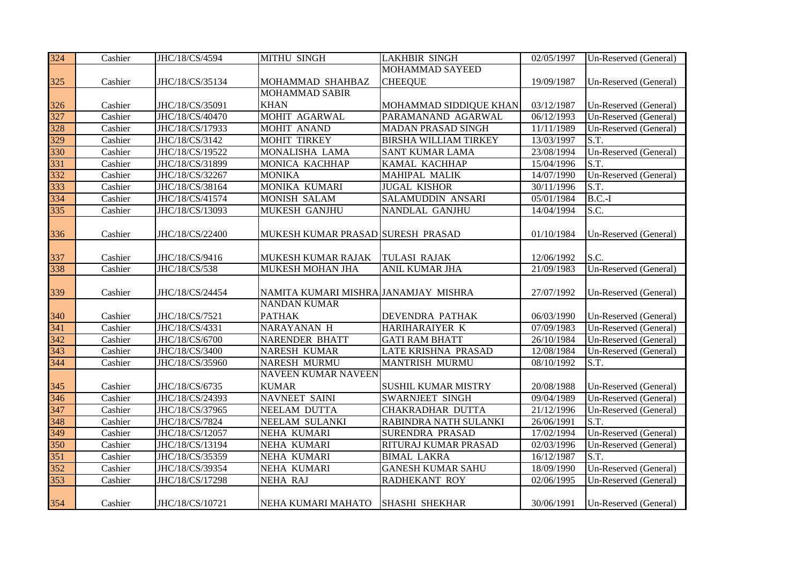| Un-Reserved (General)<br>Un-Reserved (General)<br>Un-Reserved (General)<br>Un-Reserved (General)<br>S.T.<br>Un-Reserved (General) |
|-----------------------------------------------------------------------------------------------------------------------------------|
|                                                                                                                                   |
|                                                                                                                                   |
|                                                                                                                                   |
|                                                                                                                                   |
|                                                                                                                                   |
|                                                                                                                                   |
|                                                                                                                                   |
|                                                                                                                                   |
| S.T.                                                                                                                              |
| Un-Reserved (General)                                                                                                             |
| S.T.                                                                                                                              |
| $B.C.-I$                                                                                                                          |
| S.C.                                                                                                                              |
|                                                                                                                                   |
| Un-Reserved (General)                                                                                                             |
|                                                                                                                                   |
| S.C.                                                                                                                              |
| Un-Reserved (General)                                                                                                             |
|                                                                                                                                   |
| Un-Reserved (General)                                                                                                             |
|                                                                                                                                   |
| Un-Reserved (General)                                                                                                             |
| Un-Reserved (General)                                                                                                             |
| Un-Reserved (General)                                                                                                             |
| Un-Reserved (General)                                                                                                             |
| S.T.                                                                                                                              |
|                                                                                                                                   |
| Un-Reserved (General)                                                                                                             |
| Un-Reserved (General)                                                                                                             |
| Un-Reserved (General)                                                                                                             |
| S.T.                                                                                                                              |
| Un-Reserved (General)                                                                                                             |
| Un-Reserved (General)                                                                                                             |
| $\overline{\text{S.T.}}$                                                                                                          |
| Un-Reserved (General)                                                                                                             |
| Un-Reserved (General)                                                                                                             |
|                                                                                                                                   |
| Un-Reserved (General)                                                                                                             |
|                                                                                                                                   |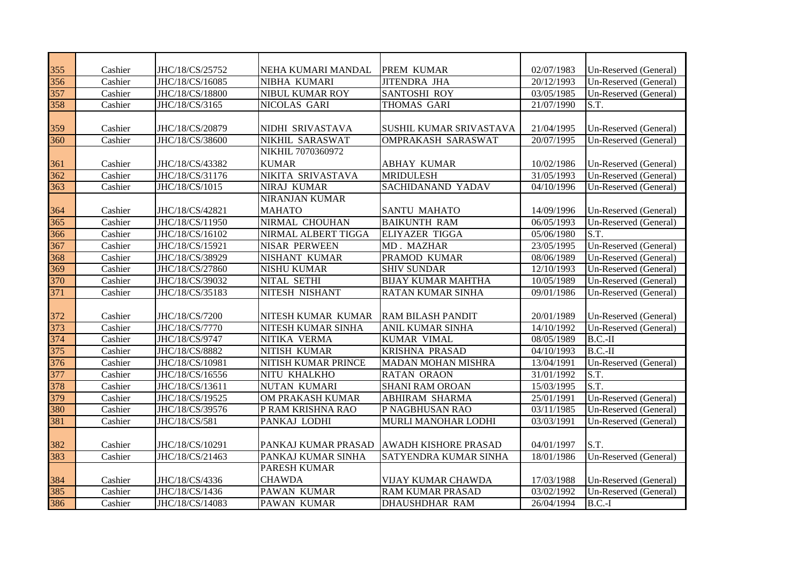| 355 | Cashier | JHC/18/CS/25752 | NEHA KUMARI MANDAL     | PREM KUMAR                   | 02/07/1983 | Un-Reserved (General) |
|-----|---------|-----------------|------------------------|------------------------------|------------|-----------------------|
| 356 | Cashier | JHC/18/CS/16085 | NIBHA KUMARI           | <b>JITENDRA JHA</b>          | 20/12/1993 | Un-Reserved (General) |
| 357 | Cashier | JHC/18/CS/18800 | <b>NIBUL KUMAR ROY</b> | <b>SANTOSHI ROY</b>          | 03/05/1985 | Un-Reserved (General) |
| 358 | Cashier | JHC/18/CS/3165  | NICOLAS GARI           | THOMAS GARI                  | 21/07/1990 | S.T.                  |
|     |         |                 |                        |                              |            |                       |
| 359 | Cashier | JHC/18/CS/20879 | NIDHI SRIVASTAVA       | SUSHIL KUMAR SRIVASTAVA      | 21/04/1995 | Un-Reserved (General) |
| 360 | Cashier | JHC/18/CS/38600 | <b>NIKHIL SARASWAT</b> | <b>OMPRAKASH SARASWAT</b>    | 20/07/1995 | Un-Reserved (General) |
|     |         |                 | NIKHIL 7070360972      |                              |            |                       |
| 361 | Cashier | JHC/18/CS/43382 | <b>KUMAR</b>           | <b>ABHAY KUMAR</b>           | 10/02/1986 | Un-Reserved (General) |
| 362 | Cashier | JHC/18/CS/31176 | NIKITA SRIVASTAVA      | <b>MRIDULESH</b>             | 31/05/1993 | Un-Reserved (General) |
| 363 | Cashier | JHC/18/CS/1015  | NIRAJ KUMAR            | <b>SACHIDANAND YADAV</b>     | 04/10/1996 | Un-Reserved (General) |
|     |         |                 | <b>NIRANJAN KUMAR</b>  |                              |            |                       |
| 364 | Cashier | JHC/18/CS/42821 | <b>MAHATO</b>          | <b>SANTU MAHATO</b>          | 14/09/1996 | Un-Reserved (General) |
| 365 | Cashier | JHC/18/CS/11950 | NIRMAL CHOUHAN         | <b>BAIKUNTH RAM</b>          | 06/05/1993 | Un-Reserved (General) |
| 366 | Cashier | JHC/18/CS/16102 | NIRMAL ALBERT TIGGA    | ELIYAZER TIGGA               | 05/06/1980 | S.T.                  |
| 367 | Cashier | JHC/18/CS/15921 | <b>NISAR PERWEEN</b>   | MD. MAZHAR                   | 23/05/1995 | Un-Reserved (General) |
| 368 | Cashier | JHC/18/CS/38929 | <b>NISHANT KUMAR</b>   | PRAMOD KUMAR                 | 08/06/1989 | Un-Reserved (General) |
| 369 | Cashier | JHC/18/CS/27860 | <b>NISHU KUMAR</b>     | <b>SHIV SUNDAR</b>           | 12/10/1993 | Un-Reserved (General) |
| 370 | Cashier | JHC/18/CS/39032 | NITAL SETHI            | <b>BIJAY KUMAR MAHTHA</b>    | 10/05/1989 | Un-Reserved (General) |
| 371 | Cashier | JHC/18/CS/35183 | NITESH NISHANT         | <b>RATAN KUMAR SINHA</b>     | 09/01/1986 | Un-Reserved (General) |
|     |         |                 |                        |                              |            |                       |
| 372 | Cashier | JHC/18/CS/7200  | NITESH KUMAR KUMAR     | <b>RAM BILASH PANDIT</b>     | 20/01/1989 | Un-Reserved (General) |
| 373 | Cashier | JHC/18/CS/7770  | NITESH KUMAR SINHA     | <b>ANIL KUMAR SINHA</b>      | 14/10/1992 | Un-Reserved (General) |
| 374 | Cashier | JHC/18/CS/9747  | NITIKA VERMA           | <b>KUMAR VIMAL</b>           | 08/05/1989 | $B.C.-II$             |
| 375 | Cashier | JHC/18/CS/8882  | NITISH KUMAR           | KRISHNA PRASAD               | 04/10/1993 | $B.C.-II$             |
| 376 | Cashier | JHC/18/CS/10981 | NITISH KUMAR PRINCE    | <b>MADAN MOHAN MISHRA</b>    | 13/04/1991 | Un-Reserved (General) |
| 377 | Cashier | JHC/18/CS/16556 | NITU KHALKHO           | <b>RATAN ORAON</b>           | 31/01/1992 | S.T.                  |
| 378 | Cashier | JHC/18/CS/13611 | <b>NUTAN KUMARI</b>    | <b>SHANI RAM OROAN</b>       | 15/03/1995 | S.T.                  |
| 379 | Cashier | JHC/18/CS/19525 | OM PRAKASH KUMAR       | <b>ABHIRAM SHARMA</b>        | 25/01/1991 | Un-Reserved (General) |
| 380 | Cashier | JHC/18/CS/39576 | P RAM KRISHNA RAO      | P NAGBHUSAN RAO              | 03/11/1985 | Un-Reserved (General) |
| 381 | Cashier | JHC/18/CS/581   | PANKAJ LODHI           | MURLI MANOHAR LODHI          | 03/03/1991 | Un-Reserved (General) |
|     |         |                 |                        |                              |            |                       |
| 382 | Cashier | JHC/18/CS/10291 | PANKAJ KUMAR PRASAD    | <b>AWADH KISHORE PRASAD</b>  | 04/01/1997 | S.T.                  |
| 383 | Cashier | JHC/18/CS/21463 | PANKAJ KUMAR SINHA     | <b>SATYENDRA KUMAR SINHA</b> | 18/01/1986 | Un-Reserved (General) |
|     |         |                 | <b>PARESH KUMAR</b>    |                              |            |                       |
| 384 | Cashier | JHC/18/CS/4336  | <b>CHAWDA</b>          | VIJAY KUMAR CHAWDA           | 17/03/1988 | Un-Reserved (General) |
| 385 | Cashier | JHC/18/CS/1436  | <b>PAWAN KUMAR</b>     | <b>RAM KUMAR PRASAD</b>      | 03/02/1992 | Un-Reserved (General) |
| 386 | Cashier | JHC/18/CS/14083 | <b>PAWAN KUMAR</b>     | <b>DHAUSHDHAR RAM</b>        | 26/04/1994 | $B.C.-I$              |
|     |         |                 |                        |                              |            |                       |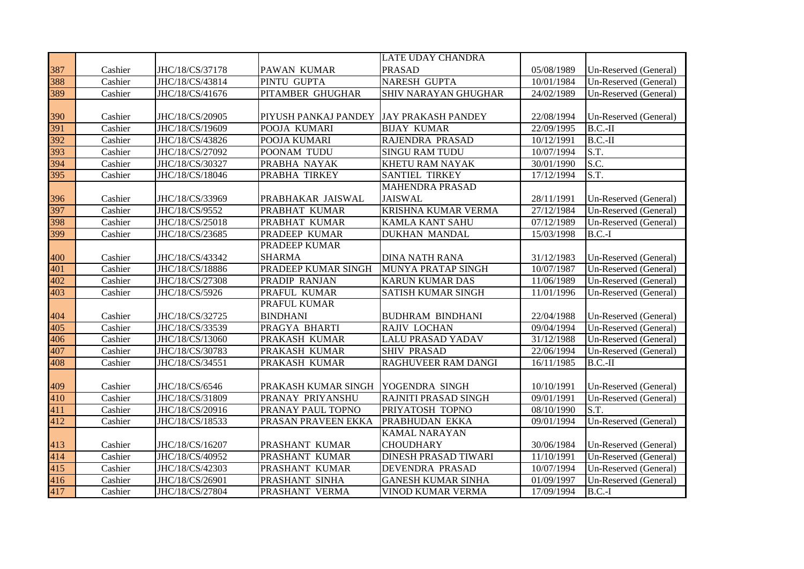|     |         |                 |                      | <b>LATE UDAY CHANDRA</b>    |            |                       |
|-----|---------|-----------------|----------------------|-----------------------------|------------|-----------------------|
| 387 | Cashier | JHC/18/CS/37178 | PAWAN KUMAR          | <b>PRASAD</b>               | 05/08/1989 | Un-Reserved (General) |
| 388 | Cashier | JHC/18/CS/43814 | PINTU GUPTA          | NARESH GUPTA                | 10/01/1984 | Un-Reserved (General) |
| 389 | Cashier | JHC/18/CS/41676 | PITAMBER GHUGHAR     | SHIV NARAYAN GHUGHAR        | 24/02/1989 | Un-Reserved (General) |
|     |         |                 |                      |                             |            |                       |
| 390 | Cashier | JHC/18/CS/20905 | PIYUSH PANKAJ PANDEY | <b>JAY PRAKASH PANDEY</b>   | 22/08/1994 | Un-Reserved (General) |
| 391 | Cashier | JHC/18/CS/19609 | POOJA KUMARI         | <b>BIJAY KUMAR</b>          | 22/09/1995 | $B.C.-II$             |
| 392 | Cashier | JHC/18/CS/43826 | POOJA KUMARI         | RAJENDRA PRASAD             | 10/12/1991 | $B.C.-II$             |
| 393 | Cashier | JHC/18/CS/27092 | POONAM TUDU          | <b>SINGU RAM TUDU</b>       | 10/07/1994 | S.T.                  |
| 394 | Cashier | JHC/18/CS/30327 | PRABHA NAYAK         | KHETU RAM NAYAK             | 30/01/1990 | S.C.                  |
| 395 | Cashier | JHC/18/CS/18046 | PRABHA TIRKEY        | <b>SANTIEL TIRKEY</b>       | 17/12/1994 | S.T.                  |
|     |         |                 |                      | <b>MAHENDRA PRASAD</b>      |            |                       |
| 396 | Cashier | JHC/18/CS/33969 | PRABHAKAR JAISWAL    | <b>JAISWAL</b>              | 28/11/1991 | Un-Reserved (General) |
| 397 | Cashier | JHC/18/CS/9552  | PRABHAT KUMAR        | KRISHNA KUMAR VERMA         | 27/12/1984 | Un-Reserved (General) |
| 398 | Cashier | JHC/18/CS/25018 | PRABHAT KUMAR        | <b>KAMLA KANT SAHU</b>      | 07/12/1989 | Un-Reserved (General) |
| 399 | Cashier | JHC/18/CS/23685 | PRADEEP KUMAR        | <b>DUKHAN MANDAL</b>        | 15/03/1998 | $B.C.-I$              |
|     |         |                 | PRADEEP KUMAR        |                             |            |                       |
| 400 | Cashier | JHC/18/CS/43342 | <b>SHARMA</b>        | <b>DINA NATH RANA</b>       | 31/12/1983 | Un-Reserved (General) |
| 401 | Cashier | JHC/18/CS/18886 | PRADEEP KUMAR SINGH  | MUNYA PRATAP SINGH          | 10/07/1987 | Un-Reserved (General) |
| 402 | Cashier | JHC/18/CS/27308 | PRADIP RANJAN        | <b>KARUN KUMAR DAS</b>      | 11/06/1989 | Un-Reserved (General) |
| 403 | Cashier | JHC/18/CS/5926  | PRAFUL KUMAR         | <b>SATISH KUMAR SINGH</b>   | 11/01/1996 | Un-Reserved (General) |
|     |         |                 | PRAFUL KUMAR         |                             |            |                       |
| 404 | Cashier | JHC/18/CS/32725 | <b>BINDHANI</b>      | <b>BUDHRAM BINDHANI</b>     | 22/04/1988 | Un-Reserved (General) |
| 405 | Cashier | JHC/18/CS/33539 | PRAGYA BHARTI        | RAJIV LOCHAN                | 09/04/1994 | Un-Reserved (General) |
| 406 | Cashier | JHC/18/CS/13060 | PRAKASH KUMAR        | <b>LALU PRASAD YADAV</b>    | 31/12/1988 | Un-Reserved (General) |
| 407 | Cashier | JHC/18/CS/30783 | PRAKASH KUMAR        | <b>SHIV PRASAD</b>          | 22/06/1994 | Un-Reserved (General) |
| 408 | Cashier | JHC/18/CS/34551 | PRAKASH KUMAR        | RAGHUVEER RAM DANGI         | 16/11/1985 | $B.C.-II$             |
|     |         |                 |                      |                             |            |                       |
| 409 | Cashier | JHC/18/CS/6546  | PRAKASH KUMAR SINGH  | YOGENDRA SINGH              | 10/10/1991 | Un-Reserved (General) |
| 410 | Cashier | JHC/18/CS/31809 | PRANAY PRIYANSHU     | RAJNITI PRASAD SINGH        | 09/01/1991 | Un-Reserved (General) |
| 411 | Cashier | JHC/18/CS/20916 | PRANAY PAUL TOPNO    | PRIYATOSH TOPNO             | 08/10/1990 | S.T.                  |
| 412 | Cashier | JHC/18/CS/18533 | PRASAN PRAVEEN EKKA  | PRABHUDAN EKKA              | 09/01/1994 | Un-Reserved (General) |
|     |         |                 |                      | KAMAL NARAYAN               |            |                       |
| 413 | Cashier | JHC/18/CS/16207 | PRASHANT KUMAR       | <b>CHOUDHARY</b>            | 30/06/1984 | Un-Reserved (General) |
| 414 | Cashier | JHC/18/CS/40952 | PRASHANT KUMAR       | <b>DINESH PRASAD TIWARI</b> | 11/10/1991 | Un-Reserved (General) |
| 415 | Cashier | JHC/18/CS/42303 | PRASHANT KUMAR       | DEVENDRA PRASAD             | 10/07/1994 | Un-Reserved (General) |
| 416 | Cashier | JHC/18/CS/26901 | PRASHANT SINHA       | <b>GANESH KUMAR SINHA</b>   | 01/09/1997 | Un-Reserved (General) |
| 417 | Cashier | JHC/18/CS/27804 | PRASHANT VERMA       | VINOD KUMAR VERMA           | 17/09/1994 | $B.C.-I$              |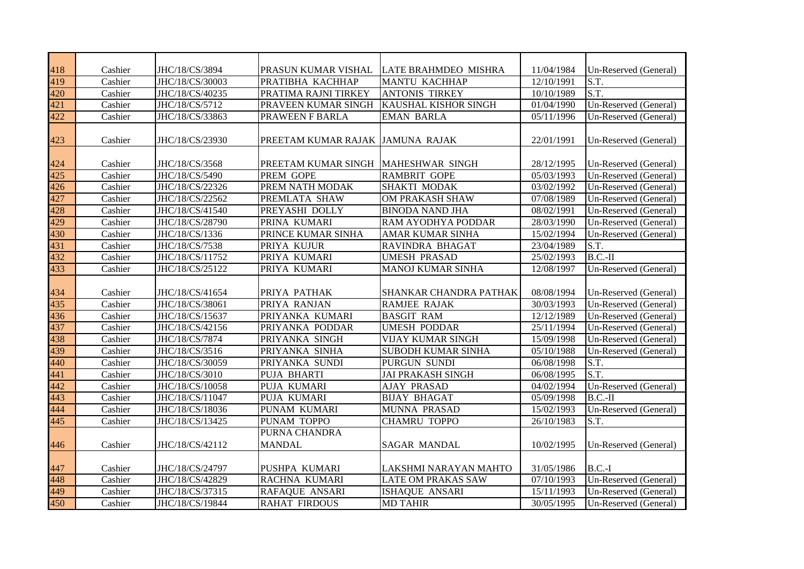| 418 | Cashier | JHC/18/CS/3894  | PRASUN KUMAR VISHAL                 | LATE BRAHMDEO MISHRA      | 11/04/1984 | Un-Reserved (General) |
|-----|---------|-----------------|-------------------------------------|---------------------------|------------|-----------------------|
| 419 | Cashier | JHC/18/CS/30003 | PRATIBHA KACHHAP                    | <b>MANTU KACHHAP</b>      | 12/10/1991 | S.T.                  |
| 420 | Cashier | JHC/18/CS/40235 | PRATIMA RAJNI TIRKEY                | <b>ANTONIS TIRKEY</b>     | 10/10/1989 | S.T.                  |
| 421 | Cashier | JHC/18/CS/5712  | PRAVEEN KUMAR SINGH                 | KAUSHAL KISHOR SINGH      | 01/04/1990 | Un-Reserved (General) |
| 422 | Cashier | JHC/18/CS/33863 | PRAWEEN F BARLA                     | <b>EMAN BARLA</b>         | 05/11/1996 | Un-Reserved (General) |
|     |         |                 |                                     |                           |            |                       |
| 423 | Cashier | JHC/18/CS/23930 | PREETAM KUMAR RAJAK JAMUNA RAJAK    |                           | 22/01/1991 | Un-Reserved (General) |
|     |         |                 |                                     |                           |            |                       |
| 424 | Cashier | JHC/18/CS/3568  | PREETAM KUMAR SINGH MAHESHWAR SINGH |                           | 28/12/1995 | Un-Reserved (General) |
| 425 | Cashier | JHC/18/CS/5490  | PREM GOPE                           | <b>RAMBRIT GOPE</b>       | 05/03/1993 | Un-Reserved (General) |
| 426 | Cashier | JHC/18/CS/22326 | PREM NATH MODAK                     | SHAKTI MODAK              | 03/02/1992 | Un-Reserved (General) |
| 427 | Cashier | JHC/18/CS/22562 | PREMLATA SHAW                       | OM PRAKASH SHAW           | 07/08/1989 | Un-Reserved (General) |
| 428 | Cashier | JHC/18/CS/41540 | PREYASHI DOLLY                      | <b>BINODA NAND JHA</b>    | 08/02/1991 | Un-Reserved (General) |
| 429 | Cashier | JHC/18/CS/28790 | PRINA KUMARI                        | RAM AYODHYA PODDAR        | 28/03/1990 | Un-Reserved (General) |
| 430 | Cashier | JHC/18/CS/1336  | PRINCE KUMAR SINHA                  | AMAR KUMAR SINHA          | 15/02/1994 | Un-Reserved (General) |
| 431 | Cashier | JHC/18/CS/7538  | PRIYA KUJUR                         | RAVINDRA BHAGAT           | 23/04/1989 | S.T.                  |
| 432 | Cashier | JHC/18/CS/11752 | PRIYA KUMARI                        | <b>UMESH PRASAD</b>       | 25/02/1993 | $B.C.-II$             |
| 433 | Cashier | JHC/18/CS/25122 | PRIYA KUMARI                        | <b>MANOJ KUMAR SINHA</b>  | 12/08/1997 | Un-Reserved (General) |
|     |         |                 |                                     |                           |            |                       |
| 434 | Cashier | JHC/18/CS/41654 | PRIYA PATHAK                        | SHANKAR CHANDRA PATHAK    | 08/08/1994 | Un-Reserved (General) |
| 435 | Cashier | JHC/18/CS/38061 | PRIYA RANJAN                        | <b>RAMJEE RAJAK</b>       | 30/03/1993 | Un-Reserved (General) |
| 436 | Cashier | JHC/18/CS/15637 | PRIYANKA KUMARI                     | <b>BASGIT RAM</b>         | 12/12/1989 | Un-Reserved (General) |
| 437 | Cashier | JHC/18/CS/42156 | PRIYANKA PODDAR                     | <b>UMESH PODDAR</b>       | 25/11/1994 | Un-Reserved (General) |
| 438 | Cashier | JHC/18/CS/7874  | PRIYANKA SINGH                      | <b>VIJAY KUMAR SINGH</b>  | 15/09/1998 | Un-Reserved (General) |
| 439 | Cashier | JHC/18/CS/3516  | PRIYANKA SINHA                      | <b>SUBODH KUMAR SINHA</b> | 05/10/1988 | Un-Reserved (General) |
| 440 | Cashier | JHC/18/CS/30059 | PRIYANKA SUNDI                      | PURGUN SUNDI              | 06/08/1998 | S.T.                  |
| 441 | Cashier | JHC/18/CS/3010  | PUJA BHARTI                         | <b>JAI PRAKASH SINGH</b>  | 06/08/1995 | S.T.                  |
| 442 | Cashier | JHC/18/CS/10058 | PUJA KUMARI                         | <b>AJAY PRASAD</b>        | 04/02/1994 | Un-Reserved (General) |
| 443 | Cashier | JHC/18/CS/11047 | PUJA KUMARI                         | <b>BIJAY BHAGAT</b>       | 05/09/1998 | $B.C.-II$             |
| 444 | Cashier | JHC/18/CS/18036 | PUNAM KUMARI                        | MUNNA PRASAD              | 15/02/1993 | Un-Reserved (General) |
| 445 | Cashier | JHC/18/CS/13425 | PUNAM TOPPO                         | <b>CHAMRU TOPPO</b>       | 26/10/1983 | S.T.                  |
|     |         |                 | PURNA CHANDRA                       |                           |            |                       |
| 446 | Cashier | JHC/18/CS/42112 | <b>MANDAL</b>                       | <b>SAGAR MANDAL</b>       | 10/02/1995 | Un-Reserved (General) |
|     |         |                 |                                     |                           |            |                       |
| 447 | Cashier | JHC/18/CS/24797 | PUSHPA KUMARI                       | LAKSHMI NARAYAN MAHTO     | 31/05/1986 | $B.C.-I$              |
| 448 | Cashier | JHC/18/CS/42829 | RACHNA KUMARI                       | <b>LATE OM PRAKAS SAW</b> | 07/10/1993 | Un-Reserved (General) |
| 449 | Cashier | JHC/18/CS/37315 | RAFAQUE ANSARI                      | ISHAQUE ANSARI            | 15/11/1993 | Un-Reserved (General) |
| 450 | Cashier | JHC/18/CS/19844 | <b>RAHAT FIRDOUS</b>                | <b>MD TAHIR</b>           | 30/05/1995 | Un-Reserved (General) |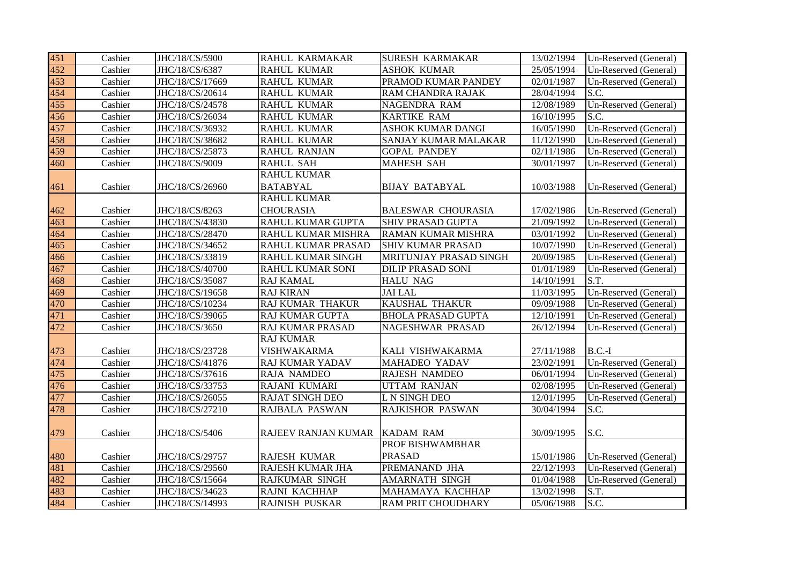| 451 | Cashier | JHC/18/CS/5900  | RAHUL KARMAKAR           | <b>SURESH KARMAKAR</b>    | 13/02/1994 | Un-Reserved (General) |
|-----|---------|-----------------|--------------------------|---------------------------|------------|-----------------------|
| 452 | Cashier | JHC/18/CS/6387  | <b>RAHUL KUMAR</b>       | <b>ASHOK KUMAR</b>        | 25/05/1994 | Un-Reserved (General) |
| 453 | Cashier | JHC/18/CS/17669 | <b>RAHUL KUMAR</b>       | PRAMOD KUMAR PANDEY       | 02/01/1987 | Un-Reserved (General) |
| 454 | Cashier | JHC/18/CS/20614 | <b>RAHUL KUMAR</b>       | RAM CHANDRA RAJAK         | 28/04/1994 | S.C.                  |
| 455 | Cashier | JHC/18/CS/24578 | <b>RAHUL KUMAR</b>       | NAGENDRA RAM              | 12/08/1989 | Un-Reserved (General) |
| 456 | Cashier | JHC/18/CS/26034 | <b>RAHUL KUMAR</b>       | <b>KARTIKE RAM</b>        | 16/10/1995 | S.C.                  |
| 457 | Cashier | JHC/18/CS/36932 | <b>RAHUL KUMAR</b>       | <b>ASHOK KUMAR DANGI</b>  | 16/05/1990 | Un-Reserved (General) |
| 458 | Cashier | JHC/18/CS/38682 | <b>RAHUL KUMAR</b>       | SANJAY KUMAR MALAKAR      | 11/12/1990 | Un-Reserved (General) |
| 459 | Cashier | JHC/18/CS/25873 | <b>RAHUL RANJAN</b>      | <b>GOPAL PANDEY</b>       | 02/11/1986 | Un-Reserved (General) |
| 460 | Cashier | JHC/18/CS/9009  | <b>RAHUL SAH</b>         | <b>MAHESH SAH</b>         | 30/01/1997 | Un-Reserved (General) |
|     |         |                 | <b>RAHUL KUMAR</b>       |                           |            |                       |
| 461 | Cashier | JHC/18/CS/26960 | <b>BATABYAL</b>          | <b>BIJAY BATABYAL</b>     | 10/03/1988 | Un-Reserved (General) |
|     |         |                 | <b>RAHUL KUMAR</b>       |                           |            |                       |
| 462 | Cashier | JHC/18/CS/8263  | <b>CHOURASIA</b>         | <b>BALESWAR CHOURASIA</b> | 17/02/1986 | Un-Reserved (General) |
| 463 | Cashier | JHC/18/CS/43830 | <b>RAHUL KUMAR GUPTA</b> | SHIV PRASAD GUPTA         | 21/09/1992 | Un-Reserved (General) |
| 464 | Cashier | JHC/18/CS/28470 | RAHUL KUMAR MISHRA       | RAMAN KUMAR MISHRA        | 03/01/1992 | Un-Reserved (General) |
| 465 | Cashier | JHC/18/CS/34652 | RAHUL KUMAR PRASAD       | <b>SHIV KUMAR PRASAD</b>  | 10/07/1990 | Un-Reserved (General) |
| 466 | Cashier | JHC/18/CS/33819 | RAHUL KUMAR SINGH        | MRITUNJAY PRASAD SINGH    | 20/09/1985 | Un-Reserved (General) |
| 467 | Cashier | JHC/18/CS/40700 | <b>RAHUL KUMAR SONI</b>  | <b>DILIP PRASAD SONI</b>  | 01/01/1989 | Un-Reserved (General) |
| 468 | Cashier | JHC/18/CS/35087 | <b>RAJ KAMAL</b>         | <b>HALU NAG</b>           | 14/10/1991 | S.T.                  |
| 469 | Cashier | JHC/18/CS/19658 | <b>RAJ KIRAN</b>         | JAI LAL                   | 11/03/1995 | Un-Reserved (General) |
| 470 | Cashier | JHC/18/CS/10234 | RAJ KUMAR THAKUR         | KAUSHAL THAKUR            | 09/09/1988 | Un-Reserved (General) |
| 471 | Cashier | JHC/18/CS/39065 | RAJ KUMAR GUPTA          | <b>BHOLA PRASAD GUPTA</b> | 12/10/1991 | Un-Reserved (General) |
| 472 | Cashier | JHC/18/CS/3650  | <b>RAJ KUMAR PRASAD</b>  | NAGESHWAR PRASAD          | 26/12/1994 | Un-Reserved (General) |
|     |         |                 | <b>RAJ KUMAR</b>         |                           |            |                       |
| 473 | Cashier | JHC/18/CS/23728 | VISHWAKARMA              | KALI VISHWAKARMA          | 27/11/1988 | $B.C.-I$              |
| 474 | Cashier | JHC/18/CS/41876 | RAJ KUMAR YADAV          | MAHADEO YADAV             | 23/02/1991 | Un-Reserved (General) |
| 475 | Cashier | JHC/18/CS/37616 | <b>RAJA NAMDEO</b>       | RAJESH NAMDEO             | 06/01/1994 | Un-Reserved (General) |
| 476 | Cashier | JHC/18/CS/33753 | RAJANI KUMARI            | <b>UTTAM RANJAN</b>       | 02/08/1995 | Un-Reserved (General) |
| 477 | Cashier | JHC/18/CS/26055 | <b>RAJAT SINGH DEO</b>   | L N SINGH DEO             | 12/01/1995 | Un-Reserved (General) |
| 478 | Cashier | JHC/18/CS/27210 | RAJBALA PASWAN           | RAJKISHOR PASWAN          | 30/04/1994 | S.C.                  |
|     |         |                 |                          |                           |            |                       |
| 479 | Cashier | JHC/18/CS/5406  | RAJEEV RANJAN KUMAR      | KADAM RAM                 | 30/09/1995 | S.C.                  |
|     |         |                 |                          | PROF BISHWAMBHAR          |            |                       |
| 480 | Cashier | JHC/18/CS/29757 | RAJESH KUMAR             | <b>PRASAD</b>             | 15/01/1986 | Un-Reserved (General) |
| 481 | Cashier | JHC/18/CS/29560 | RAJESH KUMAR JHA         | PREMANAND JHA             | 22/12/1993 | Un-Reserved (General) |
| 482 | Cashier | JHC/18/CS/15664 | <b>RAJKUMAR SINGH</b>    | <b>AMARNATH SINGH</b>     | 01/04/1988 | Un-Reserved (General) |
| 483 | Cashier | JHC/18/CS/34623 | RAJNI KACHHAP            | MAHAMAYA KACHHAP          | 13/02/1998 | S.T.                  |
| 484 | Cashier | JHC/18/CS/14993 | <b>RAJNISH PUSKAR</b>    | RAM PRIT CHOUDHARY        | 05/06/1988 | S.C.                  |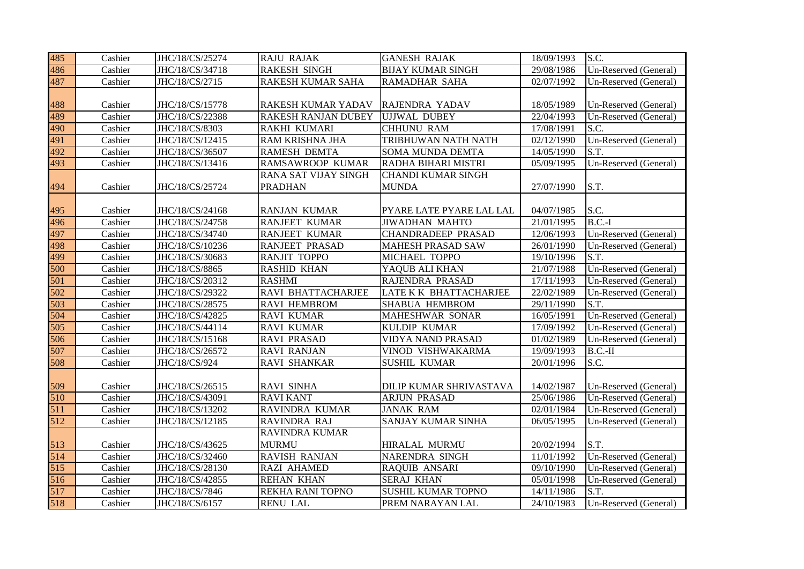| 485 | Cashier | JHC/18/CS/25274 | <b>RAJU RAJAK</b>     | <b>GANESH RAJAK</b>       | 18/09/1993 | S.C.                  |
|-----|---------|-----------------|-----------------------|---------------------------|------------|-----------------------|
| 486 | Cashier | JHC/18/CS/34718 | <b>RAKESH SINGH</b>   | <b>BIJAY KUMAR SINGH</b>  | 29/08/1986 | Un-Reserved (General) |
| 487 | Cashier | JHC/18/CS/2715  | RAKESH KUMAR SAHA     | RAMADHAR SAHA             | 02/07/1992 | Un-Reserved (General) |
|     |         |                 |                       |                           |            |                       |
| 488 | Cashier | JHC/18/CS/15778 | RAKESH KUMAR YADAV    | RAJENDRA YADAV            | 18/05/1989 | Un-Reserved (General) |
| 489 | Cashier | JHC/18/CS/22388 | RAKESH RANJAN DUBEY   | <b>UJJWAL DUBEY</b>       | 22/04/1993 | Un-Reserved (General) |
| 490 | Cashier | JHC/18/CS/8303  | RAKHI KUMARI          | <b>CHHUNU RAM</b>         | 17/08/1991 | S.C.                  |
| 491 | Cashier | JHC/18/CS/12415 | RAM KRISHNA JHA       | TRIBHUWAN NATH NATH       | 02/12/1990 | Un-Reserved (General) |
| 492 | Cashier | JHC/18/CS/36507 | <b>RAMESH DEMTA</b>   | <b>SOMA MUNDA DEMTA</b>   | 14/05/1990 | S.T.                  |
| 493 | Cashier | JHC/18/CS/13416 | RAMSAWROOP KUMAR      | RADHA BIHARI MISTRI       | 05/09/1995 | Un-Reserved (General) |
|     |         |                 | RANA SAT VIJAY SINGH  | <b>CHANDI KUMAR SINGH</b> |            |                       |
| 494 | Cashier | JHC/18/CS/25724 | <b>PRADHAN</b>        | <b>MUNDA</b>              | 27/07/1990 | S.T.                  |
|     |         |                 |                       |                           |            |                       |
| 495 | Cashier | JHC/18/CS/24168 | <b>RANJAN KUMAR</b>   | PYARE LATE PYARE LAL LAL  | 04/07/1985 | S.C.                  |
| 496 | Cashier | JHC/18/CS/24758 | <b>RANJEET KUMAR</b>  | <b>JIWADHAN MAHTO</b>     | 21/01/1995 | $B.C.-I$              |
| 497 | Cashier | JHC/18/CS/34740 | <b>RANJEET KUMAR</b>  | <b>CHANDRADEEP PRASAD</b> | 12/06/1993 | Un-Reserved (General) |
| 498 | Cashier | JHC/18/CS/10236 | <b>RANJEET PRASAD</b> | <b>MAHESH PRASAD SAW</b>  | 26/01/1990 | Un-Reserved (General) |
| 499 | Cashier | JHC/18/CS/30683 | <b>RANJIT TOPPO</b>   | MICHAEL TOPPO             | 19/10/1996 | S.T.                  |
| 500 | Cashier | JHC/18/CS/8865  | <b>RASHID KHAN</b>    | YAQUB ALI KHAN            | 21/07/1988 | Un-Reserved (General) |
| 501 | Cashier | JHC/18/CS/20312 | <b>RASHMI</b>         | RAJENDRA PRASAD           | 17/11/1993 | Un-Reserved (General) |
| 502 | Cashier | JHC/18/CS/29322 | RAVI BHATTACHARJEE    | LATE K K BHATTACHARJEE    | 22/02/1989 | Un-Reserved (General) |
| 503 | Cashier | JHC/18/CS/28575 | RAVI HEMBROM          | <b>SHABUA HEMBROM</b>     | 29/11/1990 | S.T.                  |
| 504 | Cashier | JHC/18/CS/42825 | <b>RAVI KUMAR</b>     | MAHESHWAR SONAR           | 16/05/1991 | Un-Reserved (General) |
| 505 | Cashier | JHC/18/CS/44114 | <b>RAVI KUMAR</b>     | KULDIP KUMAR              | 17/09/1992 | Un-Reserved (General) |
| 506 | Cashier | JHC/18/CS/15168 | <b>RAVI PRASAD</b>    | VIDYA NAND PRASAD         | 01/02/1989 | Un-Reserved (General) |
| 507 | Cashier | JHC/18/CS/26572 | <b>RAVI RANJAN</b>    | VINOD VISHWAKARMA         | 19/09/1993 | $B.C.-II$             |
| 508 | Cashier | JHC/18/CS/924   | <b>RAVI SHANKAR</b>   | <b>SUSHIL KUMAR</b>       | 20/01/1996 | S.C.                  |
|     |         |                 |                       |                           |            |                       |
| 509 | Cashier | JHC/18/CS/26515 | RAVI SINHA            | DILIP KUMAR SHRIVASTAVA   | 14/02/1987 | Un-Reserved (General) |
| 510 | Cashier | JHC/18/CS/43091 | <b>RAVI KANT</b>      | <b>ARJUN PRASAD</b>       | 25/06/1986 | Un-Reserved (General) |
| 511 | Cashier | JHC/18/CS/13202 | <b>RAVINDRA KUMAR</b> | <b>JANAK RAM</b>          | 02/01/1984 | Un-Reserved (General) |
| 512 | Cashier | JHC/18/CS/12185 | RAVINDRA RAJ          | SANJAY KUMAR SINHA        | 06/05/1995 | Un-Reserved (General) |
|     |         |                 | <b>RAVINDRA KUMAR</b> |                           |            |                       |
| 513 | Cashier | JHC/18/CS/43625 | <b>MURMU</b>          | HIRALAL MURMU             | 20/02/1994 | S.T.                  |
| 514 | Cashier | JHC/18/CS/32460 | RAVISH RANJAN         | NARENDRA SINGH            | 11/01/1992 | Un-Reserved (General) |
| 515 | Cashier | JHC/18/CS/28130 | RAZI AHAMED           | RAQUIB ANSARI             | 09/10/1990 | Un-Reserved (General) |
| 516 | Cashier | JHC/18/CS/42855 | <b>REHAN KHAN</b>     | <b>SERAJ KHAN</b>         | 05/01/1998 | Un-Reserved (General) |
| 517 | Cashier | JHC/18/CS/7846  | REKHA RANI TOPNO      | <b>SUSHIL KUMAR TOPNO</b> | 14/11/1986 | S.T.                  |
| 518 | Cashier | JHC/18/CS/6157  | <b>RENU LAL</b>       | PREM NARAYAN LAL          | 24/10/1983 | Un-Reserved (General) |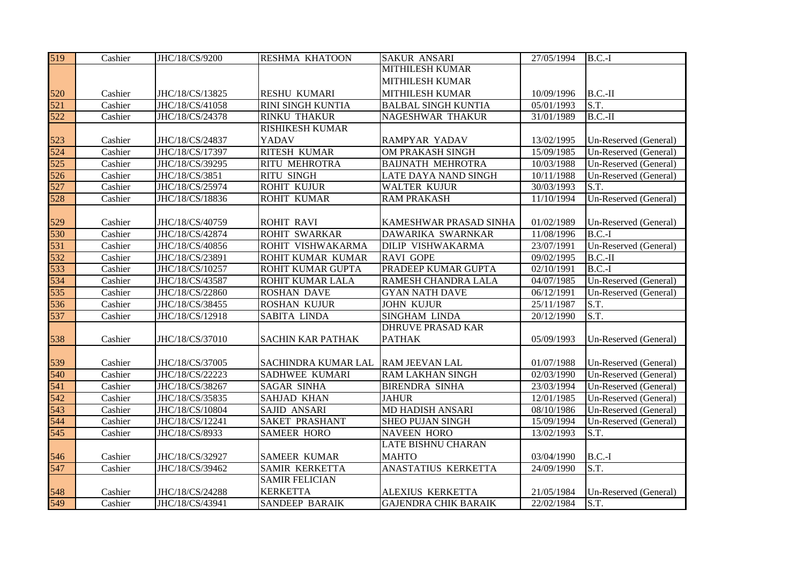| 519 | Cashier | JHC/18/CS/9200  | <b>RESHMA KHATOON</b>      | <b>SAKUR ANSARI</b>         | 27/05/1994 | $B.C.-I$                 |
|-----|---------|-----------------|----------------------------|-----------------------------|------------|--------------------------|
|     |         |                 |                            | <b>MITHILESH KUMAR</b>      |            |                          |
|     |         |                 |                            | <b>MITHILESH KUMAR</b>      |            |                          |
| 520 | Cashier | JHC/18/CS/13825 | <b>RESHU KUMARI</b>        | MITHILESH KUMAR             | 10/09/1996 | $B.C.-II$                |
| 521 | Cashier | JHC/18/CS/41058 | <b>RINI SINGH KUNTIA</b>   | <b>BALBAL SINGH KUNTIA</b>  | 05/01/1993 | S.T.                     |
| 522 | Cashier | JHC/18/CS/24378 | <b>RINKU THAKUR</b>        | NAGESHWAR THAKUR            | 31/01/1989 | $B.C.-II$                |
|     |         |                 | <b>RISHIKESH KUMAR</b>     |                             |            |                          |
| 523 | Cashier | JHC/18/CS/24837 | YADAV                      | RAMPYAR YADAV               | 13/02/1995 | Un-Reserved (General)    |
| 524 | Cashier | JHC/18/CS/17397 | <b>RITESH KUMAR</b>        | OM PRAKASH SINGH            | 15/09/1985 | Un-Reserved (General)    |
| 525 | Cashier | JHC/18/CS/39295 | RITU MEHROTRA              | <b>BAIJNATH MEHROTRA</b>    | 10/03/1988 | Un-Reserved (General)    |
| 526 | Cashier | JHC/18/CS/3851  | <b>RITU SINGH</b>          | LATE DAYA NAND SINGH        | 10/11/1988 | Un-Reserved (General)    |
| 527 | Cashier | JHC/18/CS/25974 | <b>ROHIT KUJUR</b>         | <b>WALTER KUJUR</b>         | 30/03/1993 | $\overline{S.T.}$        |
| 528 | Cashier | JHC/18/CS/18836 | <b>ROHIT KUMAR</b>         | <b>RAM PRAKASH</b>          | 11/10/1994 | Un-Reserved (General)    |
|     |         |                 |                            |                             |            |                          |
| 529 | Cashier | JHC/18/CS/40759 | <b>ROHIT RAVI</b>          | KAMESHWAR PRASAD SINHA      | 01/02/1989 | Un-Reserved (General)    |
| 530 | Cashier | JHC/18/CS/42874 | ROHIT SWARKAR              | DAWARIKA SWARNKAR           | 11/08/1996 | $B.C.-I$                 |
| 531 | Cashier | JHC/18/CS/40856 | ROHIT VISHWAKARMA          | DILIP VISHWAKARMA           | 23/07/1991 | Un-Reserved (General)    |
| 532 | Cashier | JHC/18/CS/23891 | ROHIT KUMAR KUMAR          | <b>RAVI GOPE</b>            | 09/02/1995 | $B.C.-II$                |
| 533 | Cashier | JHC/18/CS/10257 | ROHIT KUMAR GUPTA          | PRADEEP KUMAR GUPTA         | 02/10/1991 | $B.C.-I$                 |
| 534 | Cashier | JHC/18/CS/43587 | ROHIT KUMAR LALA           | RAMESH CHANDRA LALA         | 04/07/1985 | Un-Reserved (General)    |
| 535 | Cashier | JHC/18/CS/22860 | <b>ROSHAN DAVE</b>         | <b>GYAN NATH DAVE</b>       | 06/12/1991 | Un-Reserved (General)    |
| 536 | Cashier | JHC/18/CS/38455 | <b>ROSHAN KUJUR</b>        | <b>JOHN KUJUR</b>           | 25/11/1987 | S.T.                     |
| 537 | Cashier | JHC/18/CS/12918 | SABITA LINDA               | SINGHAM LINDA               | 20/12/1990 | $\overline{\text{S.T.}}$ |
|     |         |                 |                            | <b>DHRUVE PRASAD KAR</b>    |            |                          |
| 538 | Cashier | JHC/18/CS/37010 | <b>SACHIN KAR PATHAK</b>   | <b>PATHAK</b>               | 05/09/1993 | Un-Reserved (General)    |
|     |         |                 |                            |                             |            |                          |
| 539 | Cashier | JHC/18/CS/37005 | <b>SACHINDRA KUMAR LAL</b> | RAM JEEVAN LAL              | 01/07/1988 | Un-Reserved (General)    |
| 540 | Cashier | JHC/18/CS/22223 | SADHWEE KUMARI             | <b>RAM LAKHAN SINGH</b>     | 02/03/1990 | Un-Reserved (General)    |
| 541 | Cashier | JHC/18/CS/38267 | <b>SAGAR SINHA</b>         | <b>BIRENDRA SINHA</b>       | 23/03/1994 | Un-Reserved (General)    |
| 542 | Cashier | JHC/18/CS/35835 | <b>SAHJAD KHAN</b>         | <b>JAHUR</b>                | 12/01/1985 | Un-Reserved (General)    |
| 543 | Cashier | JHC/18/CS/10804 | SAJID ANSARI               | <b>MD HADISH ANSARI</b>     | 08/10/1986 | Un-Reserved (General)    |
| 544 | Cashier | JHC/18/CS/12241 | <b>SAKET PRASHANT</b>      | <b>SHEO PUJAN SINGH</b>     | 15/09/1994 | Un-Reserved (General)    |
| 545 | Cashier | JHC/18/CS/8933  | <b>SAMEER HORO</b>         | <b>NAVEEN HORO</b>          | 13/02/1993 | S.T.                     |
|     |         |                 |                            | <b>LATE BISHNU CHARAN</b>   |            |                          |
| 546 | Cashier | JHC/18/CS/32927 | <b>SAMEER KUMAR</b>        | <b>MAHTO</b>                | 03/04/1990 | $B.C.-I$                 |
| 547 | Cashier | JHC/18/CS/39462 | <b>SAMIR KERKETTA</b>      | ANASTATIUS KERKETTA         | 24/09/1990 | S.T.                     |
|     |         |                 | <b>SAMIR FELICIAN</b>      |                             |            |                          |
| 548 | Cashier | JHC/18/CS/24288 | <b>KERKETTA</b>            | ALEXIUS KERKETTA            | 21/05/1984 | Un-Reserved (General)    |
| 549 | Cashier | JHC/18/CS/43941 | <b>SANDEEP BARAIK</b>      | <b>GAJENDRA CHIK BARAIK</b> | 22/02/1984 | S.T.                     |
|     |         |                 |                            |                             |            |                          |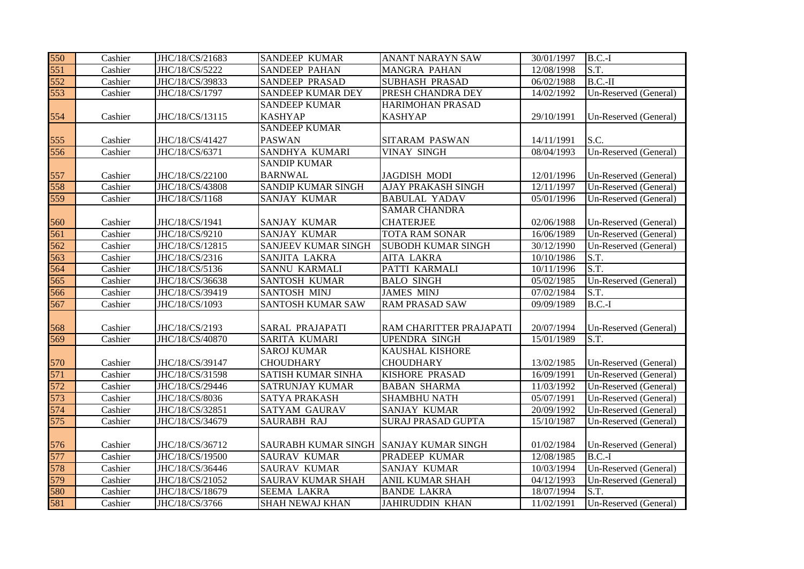| 550 | Cashier | JHC/18/CS/21683 | <b>SANDEEP KUMAR</b>                   | ANANT NARAYN SAW          | 30/01/1997 | $B.C.-I$              |
|-----|---------|-----------------|----------------------------------------|---------------------------|------------|-----------------------|
| 551 | Cashier | JHC/18/CS/5222  | <b>SANDEEP PAHAN</b>                   | <b>MANGRA PAHAN</b>       | 12/08/1998 | S.T.                  |
| 552 | Cashier | JHC/18/CS/39833 | SANDEEP PRASAD                         | <b>SUBHASH PRASAD</b>     | 06/02/1988 | $B.C.-II$             |
| 553 | Cashier | JHC/18/CS/1797  | SANDEEP KUMAR DEY                      | PRESH CHANDRA DEY         | 14/02/1992 | Un-Reserved (General) |
|     |         |                 | <b>SANDEEP KUMAR</b>                   | HARIMOHAN PRASAD          |            |                       |
| 554 | Cashier | JHC/18/CS/13115 | <b>KASHYAP</b>                         | <b>KASHYAP</b>            | 29/10/1991 | Un-Reserved (General) |
|     |         |                 | <b>SANDEEP KUMAR</b>                   |                           |            |                       |
| 555 | Cashier | JHC/18/CS/41427 | <b>PASWAN</b>                          | <b>SITARAM PASWAN</b>     | 14/11/1991 | S.C.                  |
| 556 | Cashier | JHC/18/CS/6371  | SANDHYA KUMARI                         | <b>VINAY SINGH</b>        | 08/04/1993 | Un-Reserved (General) |
|     |         |                 | <b>SANDIP KUMAR</b>                    |                           |            |                       |
| 557 | Cashier | JHC/18/CS/22100 | <b>BARNWAL</b>                         | <b>JAGDISH MODI</b>       | 12/01/1996 | Un-Reserved (General) |
| 558 | Cashier | JHC/18/CS/43808 | <b>SANDIP KUMAR SINGH</b>              | <b>AJAY PRAKASH SINGH</b> | 12/11/1997 | Un-Reserved (General) |
| 559 | Cashier | JHC/18/CS/1168  | <b>SANJAY KUMAR</b>                    | <b>BABULAL YADAV</b>      | 05/01/1996 | Un-Reserved (General) |
|     |         |                 |                                        | <b>SAMAR CHANDRA</b>      |            |                       |
| 560 | Cashier | JHC/18/CS/1941  | <b>SANJAY KUMAR</b>                    | <b>CHATERJEE</b>          | 02/06/1988 | Un-Reserved (General) |
| 561 | Cashier | JHC/18/CS/9210  | <b>SANJAY KUMAR</b>                    | <b>TOTA RAM SONAR</b>     | 16/06/1989 | Un-Reserved (General) |
| 562 | Cashier | JHC/18/CS/12815 | SANJEEV KUMAR SINGH                    | <b>SUBODH KUMAR SINGH</b> | 30/12/1990 | Un-Reserved (General) |
| 563 | Cashier | JHC/18/CS/2316  | SANJITA LAKRA                          | <b>AITA LAKRA</b>         | 10/10/1986 | S.T.                  |
| 564 | Cashier | JHC/18/CS/5136  | SANNU KARMALI                          | PATTI KARMALI             | 10/11/1996 | S.T.                  |
| 565 | Cashier | JHC/18/CS/36638 | SANTOSH KUMAR                          | <b>BALO SINGH</b>         | 05/02/1985 | Un-Reserved (General) |
| 566 | Cashier | JHC/18/CS/39419 | SANTOSH MINJ                           | <b>JAMES MINJ</b>         | 07/02/1984 | S.T.                  |
| 567 | Cashier | JHC/18/CS/1093  | <b>SANTOSH KUMAR SAW</b>               | <b>RAM PRASAD SAW</b>     | 09/09/1989 | $B.C.-I$              |
|     |         |                 |                                        |                           |            |                       |
| 568 | Cashier | JHC/18/CS/2193  | SARAL PRAJAPATI                        | RAM CHARITTER PRAJAPATI   | 20/07/1994 | Un-Reserved (General) |
| 569 | Cashier | JHC/18/CS/40870 | SARITA KUMARI                          | <b>UPENDRA SINGH</b>      | 15/01/1989 | S.T.                  |
|     |         |                 | <b>SAROJ KUMAR</b>                     | KAUSHAL KISHORE           |            |                       |
| 570 | Cashier | JHC/18/CS/39147 | <b>CHOUDHARY</b>                       | <b>CHOUDHARY</b>          | 13/02/1985 | Un-Reserved (General) |
| 571 | Cashier | JHC/18/CS/31598 | SATISH KUMAR SINHA                     | <b>KISHORE PRASAD</b>     | 16/09/1991 | Un-Reserved (General) |
| 572 | Cashier | JHC/18/CS/29446 | <b>SATRUNJAY KUMAR</b>                 | <b>BABAN SHARMA</b>       | 11/03/1992 | Un-Reserved (General) |
| 573 | Cashier | JHC/18/CS/8036  | SATYA PRAKASH                          | <b>SHAMBHU NATH</b>       | 05/07/1991 | Un-Reserved (General) |
| 574 | Cashier | JHC/18/CS/32851 | SATYAM GAURAV                          | <b>SANJAY KUMAR</b>       | 20/09/1992 | Un-Reserved (General) |
| 575 | Cashier | JHC/18/CS/34679 | SAURABH RAJ                            | <b>SURAJ PRASAD GUPTA</b> | 15/10/1987 | Un-Reserved (General) |
|     |         |                 |                                        |                           |            |                       |
| 576 | Cashier | JHC/18/CS/36712 | SAURABH KUMAR SINGH SANJAY KUMAR SINGH |                           | 01/02/1984 | Un-Reserved (General) |
| 577 | Cashier | JHC/18/CS/19500 | <b>SAURAV KUMAR</b>                    | PRADEEP KUMAR             | 12/08/1985 | $B.C.-I$              |
| 578 | Cashier | JHC/18/CS/36446 | <b>SAURAV KUMAR</b>                    | <b>SANJAY KUMAR</b>       | 10/03/1994 | Un-Reserved (General) |
| 579 | Cashier | JHC/18/CS/21052 | <b>SAURAV KUMAR SHAH</b>               | <b>ANIL KUMAR SHAH</b>    | 04/12/1993 | Un-Reserved (General) |
| 580 | Cashier | JHC/18/CS/18679 | <b>SEEMA LAKRA</b>                     | <b>BANDE LAKRA</b>        | 18/07/1994 | S.T.                  |
| 581 | Cashier | JHC/18/CS/3766  | <b>SHAH NEWAJ KHAN</b>                 | <b>JAHIRUDDIN KHAN</b>    | 11/02/1991 | Un-Reserved (General) |
|     |         |                 |                                        |                           |            |                       |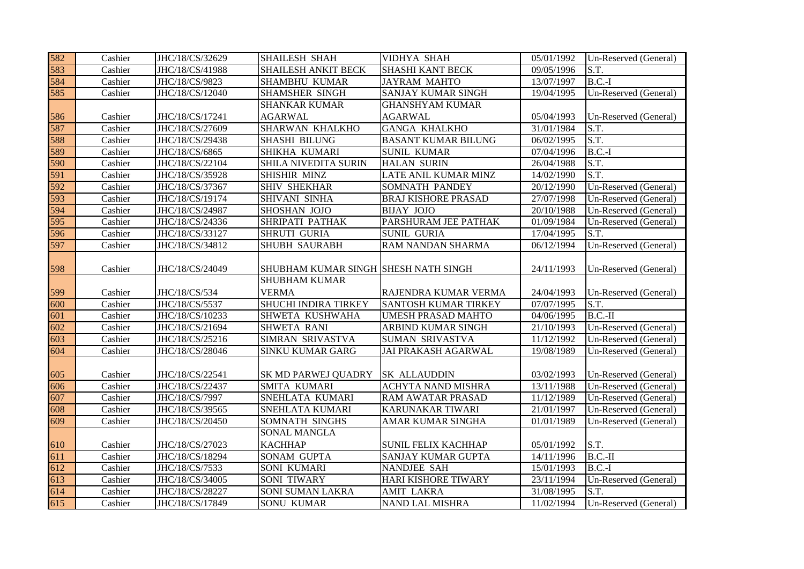| 582        | Cashier            | JHC/18/CS/32629                    | <b>SHAILESH SHAH</b>                                         | <b>VIDHYA SHAH</b>                            | 05/01/1992               | Un-Reserved (General)                          |
|------------|--------------------|------------------------------------|--------------------------------------------------------------|-----------------------------------------------|--------------------------|------------------------------------------------|
| 583        | Cashier            | JHC/18/CS/41988                    | <b>SHAILESH ANKIT BECK</b>                                   | SHASHI KANT BECK                              | 09/05/1996               | S.T.                                           |
| 584        | Cashier            | JHC/18/CS/9823                     | SHAMBHU KUMAR                                                | <b>JAYRAM MAHTO</b>                           | 13/07/1997               | $B.C.-I$                                       |
| 585        | Cashier            | JHC/18/CS/12040                    | <b>SHAMSHER SINGH</b>                                        | SANJAY KUMAR SINGH                            | 19/04/1995               | Un-Reserved (General)                          |
|            |                    |                                    | <b>SHANKAR KUMAR</b>                                         | <b>GHANSHYAM KUMAR</b>                        |                          |                                                |
| 586        | Cashier            | JHC/18/CS/17241                    | <b>AGARWAL</b>                                               | <b>AGARWAL</b>                                | 05/04/1993               | Un-Reserved (General)                          |
| 587        | Cashier            | JHC/18/CS/27609                    | <b>SHARWAN KHALKHO</b>                                       | <b>GANGA KHALKHO</b>                          | 31/01/1984               | S.T.                                           |
| 588        | Cashier            | JHC/18/CS/29438                    | <b>SHASHI BILUNG</b>                                         | <b>BASANT KUMAR BILUNG</b>                    | 06/02/1995               | S.T.                                           |
| 589        | Cashier            | JHC/18/CS/6865                     | SHIKHA KUMARI                                                | <b>SUNIL KUMAR</b>                            | 07/04/1996               | $B.C.-I$                                       |
| 590        | Cashier            | JHC/18/CS/22104                    | SHILA NIVEDITA SURIN                                         | <b>HALAN SURIN</b>                            | 26/04/1988               | S.T.                                           |
| 591        | Cashier            | JHC/18/CS/35928                    | SHISHIR MINZ                                                 | LATE ANIL KUMAR MINZ                          | 14/02/1990               | S.T.                                           |
| 592        | Cashier            | JHC/18/CS/37367                    | <b>SHIV SHEKHAR</b>                                          | SOMNATH PANDEY                                | 20/12/1990               | Un-Reserved (General)                          |
| 593        | Cashier            | JHC/18/CS/19174                    | SHIVANI SINHA                                                | <b>BRAJ KISHORE PRASAD</b>                    | 27/07/1998               | Un-Reserved (General)                          |
| 594        | Cashier            | JHC/18/CS/24987                    | SHOSHAN JOJO                                                 | <b>BIJAY JOJO</b>                             | 20/10/1988               | Un-Reserved (General)                          |
| 595        | Cashier            | JHC/18/CS/24336                    | SHRIPATI PATHAK                                              | PARSHURAM JEE PATHAK                          | 01/09/1984               | Un-Reserved (General)                          |
| 596        | Cashier            | JHC/18/CS/33127                    | SHRUTI GURIA                                                 | <b>SUNIL GURIA</b>                            | 17/04/1995               | S.T.                                           |
| 597        | Cashier            | JHC/18/CS/34812                    | <b>SHUBH SAURABH</b>                                         | RAM NANDAN SHARMA                             | 06/12/1994               | Un-Reserved (General)                          |
| 598        | Cashier            | JHC/18/CS/24049                    | SHUBHAM KUMAR SINGH SHESH NATH SINGH<br><b>SHUBHAM KUMAR</b> |                                               | 24/11/1993               | Un-Reserved (General)                          |
|            |                    |                                    |                                                              |                                               |                          |                                                |
|            |                    |                                    |                                                              |                                               |                          |                                                |
| 599        | Cashier            | JHC/18/CS/534                      | <b>VERMA</b>                                                 | RAJENDRA KUMAR VERMA                          | 24/04/1993               | Un-Reserved (General)                          |
| 600        | Cashier            | JHC/18/CS/5537                     | <b>SHUCHI INDIRA TIRKEY</b>                                  | <b>SANTOSH KUMAR TIRKEY</b>                   | 07/07/1995               | S.T.                                           |
| 601        | Cashier            | JHC/18/CS/10233                    | SHWETA KUSHWAHA                                              | UMESH PRASAD MAHTO                            | 04/06/1995               | $B.C.-II$                                      |
| 602        | Cashier            | JHC/18/CS/21694                    | SHWETA RANI                                                  | ARBIND KUMAR SINGH                            | 21/10/1993               | Un-Reserved (General)                          |
| 603<br>604 | Cashier<br>Cashier | JHC/18/CS/25216<br>JHC/18/CS/28046 | SIMRAN SRIVASTVA<br><b>SINKU KUMAR GARG</b>                  | SUMAN SRIVASTVA<br><b>JAI PRAKASH AGARWAL</b> | 11/12/1992<br>19/08/1989 | Un-Reserved (General)<br>Un-Reserved (General) |
| 605        | Cashier            | JHC/18/CS/22541                    | SK MD PARWEJ QUADRY                                          | <b>SK ALLAUDDIN</b>                           | 03/02/1993               | Un-Reserved (General)                          |
| 606        | Cashier            | JHC/18/CS/22437                    | <b>SMITA KUMARI</b>                                          | <b>ACHYTA NAND MISHRA</b>                     | 13/11/1988               | Un-Reserved (General)                          |
| 607        | Cashier            | JHC/18/CS/7997                     | SNEHLATA KUMARI                                              | RAM AWATAR PRASAD                             | 11/12/1989               | Un-Reserved (General)                          |
| 608        | Cashier            | JHC/18/CS/39565                    | SNEHLATA KUMARI                                              | KARUNAKAR TIWARI                              | 21/01/1997               | Un-Reserved (General)                          |
| 609        | Cashier            | JHC/18/CS/20450                    | SOMNATH SINGHS                                               | AMAR KUMAR SINGHA                             | 01/01/1989               | Un-Reserved (General)                          |
|            |                    |                                    | SONAL MANGLA                                                 |                                               |                          |                                                |
| 610        | Cashier            | JHC/18/CS/27023                    | <b>KACHHAP</b>                                               | <b>SUNIL FELIX KACHHAP</b>                    | 05/01/1992               | S.T.                                           |
| 611        | Cashier            | JHC/18/CS/18294                    | SONAM GUPTA                                                  | SANJAY KUMAR GUPTA                            | 14/11/1996               | $B.C.-II$                                      |
| 612        | Cashier            | JHC/18/CS/7533                     | SONI KUMARI                                                  | NANDJEE SAH                                   | 15/01/1993               | $B.C.-I$                                       |
| 613        | Cashier            | JHC/18/CS/34005                    | SONI TIWARY                                                  | HARI KISHORE TIWARY                           | 23/11/1994               | Un-Reserved (General)                          |
| 614<br>615 | Cashier<br>Cashier | JHC/18/CS/28227<br>JHC/18/CS/17849 | <b>SONI SUMAN LAKRA</b><br><b>SONU KUMAR</b>                 | <b>AMIT LAKRA</b><br><b>NAND LAL MISHRA</b>   | 31/08/1995<br>11/02/1994 | S.T.<br>Un-Reserved (General)                  |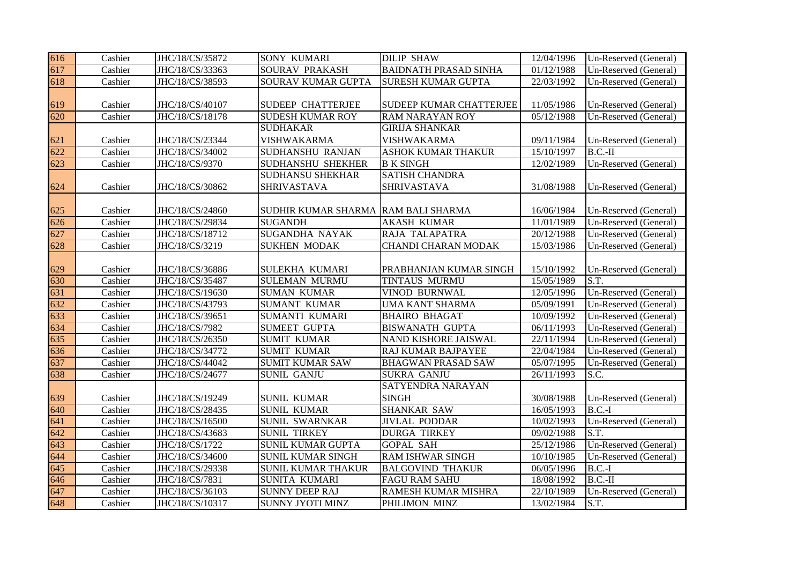| 616 | Cashier | JHC/18/CS/35872 | <b>SONY KUMARI</b>       | <b>DILIP SHAW</b>            | 12/04/1996 | Un-Reserved (General) |
|-----|---------|-----------------|--------------------------|------------------------------|------------|-----------------------|
| 617 | Cashier | JHC/18/CS/33363 | <b>SOURAV PRAKASH</b>    | <b>BAIDNATH PRASAD SINHA</b> | 01/12/1988 | Un-Reserved (General) |
| 618 | Cashier | JHC/18/CS/38593 | SOURAV KUMAR GUPTA       | SURESH KUMAR GUPTA           | 22/03/1992 | Un-Reserved (General) |
|     |         |                 |                          |                              |            |                       |
| 619 | Cashier | JHC/18/CS/40107 | <b>SUDEEP CHATTERJEE</b> | SUDEEP KUMAR CHATTERJEE      | 11/05/1986 | Un-Reserved (General) |
| 620 | Cashier | JHC/18/CS/18178 | <b>SUDESH KUMAR ROY</b>  | RAM NARAYAN ROY              | 05/12/1988 | Un-Reserved (General) |
|     |         |                 | <b>SUDHAKAR</b>          | <b>GIRIJA SHANKAR</b>        |            |                       |
| 621 | Cashier | JHC/18/CS/23344 | <b>VISHWAKARMA</b>       | VISHWAKARMA                  | 09/11/1984 | Un-Reserved (General) |
| 622 | Cashier | JHC/18/CS/34002 | <b>SUDHANSHU RANJAN</b>  | ASHOK KUMAR THAKUR           | 15/10/1997 | $B.C.-II$             |
| 623 | Cashier | JHC/18/CS/9370  | SUDHANSHU SHEKHER        | <b>B K SINGH</b>             | 12/02/1989 | Un-Reserved (General) |
|     |         |                 | <b>SUDHANSU SHEKHAR</b>  | <b>SATISH CHANDRA</b>        |            |                       |
| 624 | Cashier | JHC/18/CS/30862 | SHRIVASTAVA              | SHRIVASTAVA                  | 31/08/1988 | Un-Reserved (General) |
|     |         |                 |                          |                              |            |                       |
| 625 | Cashier | JHC/18/CS/24860 | SUDHIR KUMAR SHARMA      | <b>RAM BALI SHARMA</b>       | 16/06/1984 | Un-Reserved (General) |
| 626 | Cashier | JHC/18/CS/29834 | <b>SUGANDH</b>           | <b>AKASH KUMAR</b>           | 11/01/1989 | Un-Reserved (General) |
| 627 | Cashier | JHC/18/CS/18712 | <b>SUGANDHA NAYAK</b>    | RAJA TALAPATRA               | 20/12/1988 | Un-Reserved (General) |
| 628 | Cashier | JHC/18/CS/3219  | <b>SUKHEN MODAK</b>      | CHANDI CHARAN MODAK          | 15/03/1986 | Un-Reserved (General) |
|     |         |                 |                          |                              |            |                       |
| 629 | Cashier | JHC/18/CS/36886 | <b>SULEKHA KUMARI</b>    | PRABHANJAN KUMAR SINGH       | 15/10/1992 | Un-Reserved (General) |
| 630 | Cashier | JHC/18/CS/35487 | <b>SULEMAN MURMU</b>     | TINTAUS MURMU                | 15/05/1989 | S.T.                  |
| 631 | Cashier | JHC/18/CS/19630 | <b>SUMAN KUMAR</b>       | VINOD BURNWAL                | 12/05/1996 | Un-Reserved (General) |
| 632 | Cashier | JHC/18/CS/43793 | <b>SUMANT KUMAR</b>      | UMA KANT SHARMA              | 05/09/1991 | Un-Reserved (General) |
| 633 | Cashier | JHC/18/CS/39651 | SUMANTI KUMARI           | <b>BHAIRO BHAGAT</b>         | 10/09/1992 | Un-Reserved (General) |
| 634 | Cashier | JHC/18/CS/7982  | <b>SUMEET GUPTA</b>      | <b>BISWANATH GUPTA</b>       | 06/11/1993 | Un-Reserved (General) |
| 635 | Cashier | JHC/18/CS/26350 | <b>SUMIT KUMAR</b>       | NAND KISHORE JAISWAL         | 22/11/1994 | Un-Reserved (General) |
| 636 | Cashier | JHC/18/CS/34772 | <b>SUMIT KUMAR</b>       | RAJ KUMAR BAJPAYEE           | 22/04/1984 | Un-Reserved (General) |
| 637 | Cashier | JHC/18/CS/44042 | <b>SUMIT KUMAR SAW</b>   | <b>BHAGWAN PRASAD SAW</b>    | 05/07/1995 | Un-Reserved (General) |
| 638 | Cashier | JHC/18/CS/24677 | <b>SUNIL GANJU</b>       | <b>SUKRA GANJU</b>           | 26/11/1993 | S.C.                  |
|     |         |                 |                          | SATYENDRA NARAYAN            |            |                       |
| 639 | Cashier | JHC/18/CS/19249 | <b>SUNIL KUMAR</b>       | <b>SINGH</b>                 | 30/08/1988 | Un-Reserved (General) |
| 640 | Cashier | JHC/18/CS/28435 | <b>SUNIL KUMAR</b>       | SHANKAR SAW                  | 16/05/1993 | $B.C.-I$              |
| 641 | Cashier | JHC/18/CS/16500 | <b>SUNIL SWARNKAR</b>    | <b>JIVLAL PODDAR</b>         | 10/02/1993 | Un-Reserved (General) |
| 642 | Cashier | JHC/18/CS/43683 | <b>SUNIL TIRKEY</b>      | <b>DURGA TIRKEY</b>          | 09/02/1988 | S.T.                  |
| 643 | Cashier | JHC/18/CS/1722  | SUNIL KUMAR GUPTA        | <b>GOPAL SAH</b>             | 25/12/1986 | Un-Reserved (General) |
| 644 | Cashier | JHC/18/CS/34600 | SUNIL KUMAR SINGH        | RAM ISHWAR SINGH             | 10/10/1985 | Un-Reserved (General) |
| 645 | Cashier | JHC/18/CS/29338 | SUNIL KUMAR THAKUR       | <b>BALGOVIND THAKUR</b>      | 06/05/1996 | $B.C.-I$              |
| 646 | Cashier | JHC/18/CS/7831  | SUNITA KUMARI            | <b>FAGU RAM SAHU</b>         | 18/08/1992 | $B.C.-II$             |
| 647 | Cashier | JHC/18/CS/36103 | <b>SUNNY DEEP RAJ</b>    | RAMESH KUMAR MISHRA          | 22/10/1989 | Un-Reserved (General) |
| 648 | Cashier | JHC/18/CS/10317 | <b>SUNNY JYOTI MINZ</b>  | PHILIMON MINZ                | 13/02/1984 | S.T.                  |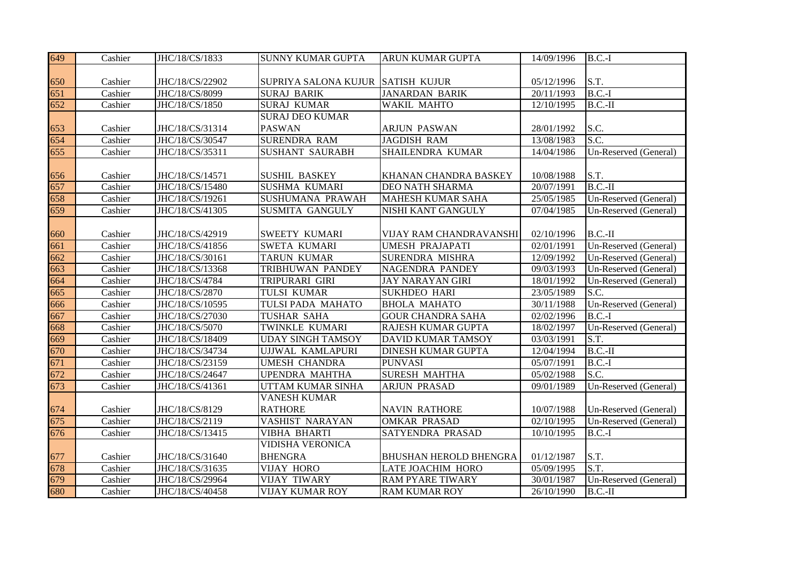| 649 | Cashier | JHC/18/CS/1833  | <b>SUNNY KUMAR GUPTA</b>          | <b>ARUN KUMAR GUPTA</b>       | 14/09/1996 | $\overline{B}$ .C.-I        |
|-----|---------|-----------------|-----------------------------------|-------------------------------|------------|-----------------------------|
|     |         |                 |                                   |                               |            |                             |
| 650 | Cashier | JHC/18/CS/22902 | SUPRIYA SALONA KUJUR SATISH KUJUR |                               | 05/12/1996 | S.T.                        |
| 651 | Cashier | JHC/18/CS/8099  | <b>SURAJ BARIK</b>                | <b>JANARDAN BARIK</b>         | 20/11/1993 | $B.C.-I$                    |
| 652 | Cashier | JHC/18/CS/1850  | <b>SURAJ KUMAR</b>                | <b>WAKIL MAHTO</b>            | 12/10/1995 | $B.C.-II$                   |
|     |         |                 | <b>SURAJ DEO KUMAR</b>            |                               |            |                             |
| 653 | Cashier | JHC/18/CS/31314 | <b>PASWAN</b>                     | <b>ARJUN PASWAN</b>           | 28/01/1992 | S.C.                        |
| 654 | Cashier | JHC/18/CS/30547 | <b>SURENDRA RAM</b>               | <b>JAGDISH RAM</b>            | 13/08/1983 | S.C.                        |
| 655 | Cashier | JHC/18/CS/35311 | <b>SUSHANT SAURABH</b>            | SHAILENDRA KUMAR              | 14/04/1986 | Un-Reserved (General)       |
|     |         |                 |                                   |                               |            |                             |
| 656 | Cashier | JHC/18/CS/14571 | <b>SUSHIL BASKEY</b>              | KHANAN CHANDRA BASKEY         | 10/08/1988 | S.T.                        |
| 657 | Cashier | JHC/18/CS/15480 | <b>SUSHMA KUMARI</b>              | <b>DEO NATH SHARMA</b>        | 20/07/1991 | $\overline{\text{B.C.-II}}$ |
| 658 | Cashier | JHC/18/CS/19261 | SUSHUMANA PRAWAH                  | <b>MAHESH KUMAR SAHA</b>      | 25/05/1985 | Un-Reserved (General)       |
| 659 | Cashier | JHC/18/CS/41305 | SUSMITA GANGULY                   | NISHI KANT GANGULY            | 07/04/1985 | Un-Reserved (General)       |
|     |         |                 |                                   |                               |            |                             |
| 660 | Cashier | JHC/18/CS/42919 | SWEETY KUMARI                     | VIJAY RAM CHANDRAVANSHI       | 02/10/1996 | $B.C.-II$                   |
| 661 | Cashier | JHC/18/CS/41856 | SWETA KUMARI                      | <b>UMESH PRAJAPATI</b>        | 02/01/1991 | Un-Reserved (General)       |
| 662 | Cashier | JHC/18/CS/30161 | <b>TARUN KUMAR</b>                | SURENDRA MISHRA               | 12/09/1992 | Un-Reserved (General)       |
| 663 | Cashier | JHC/18/CS/13368 | TRIBHUWAN PANDEY                  | NAGENDRA PANDEY               | 09/03/1993 | Un-Reserved (General)       |
| 664 | Cashier | JHC/18/CS/4784  | TRIPURARI GIRI                    | <b>JAY NARAYAN GIRI</b>       | 18/01/1992 | Un-Reserved (General)       |
| 665 | Cashier | JHC/18/CS/2870  | TULSI KUMAR                       | <b>SUKHDEO HARI</b>           | 23/05/1989 | S.C.                        |
| 666 | Cashier | JHC/18/CS/10595 | TULSI PADA MAHATO                 | <b>BHOLA MAHATO</b>           | 30/11/1988 | Un-Reserved (General)       |
| 667 | Cashier | JHC/18/CS/27030 | TUSHAR SAHA                       | <b>GOUR CHANDRA SAHA</b>      | 02/02/1996 | $B.C.-I$                    |
| 668 | Cashier | JHC/18/CS/5070  | TWINKLE KUMARI                    | RAJESH KUMAR GUPTA            | 18/02/1997 | Un-Reserved (General)       |
| 669 | Cashier | JHC/18/CS/18409 | <b>UDAY SINGH TAMSOY</b>          | DAVID KUMAR TAMSOY            | 03/03/1991 | S.T.                        |
| 670 | Cashier | JHC/18/CS/34734 | UJJWAL KAMLAPURI                  | <b>DINESH KUMAR GUPTA</b>     | 12/04/1994 | $B.C.-II$                   |
| 671 | Cashier | JHC/18/CS/23159 | <b>UMESH CHANDRA</b>              | <b>PUNVASI</b>                | 05/07/1991 | $B.C.-I$                    |
| 672 | Cashier | JHC/18/CS/24647 | <b>UPENDRA MAHTHA</b>             | <b>SURESH MAHTHA</b>          | 05/02/1988 | S.C.                        |
| 673 | Cashier | JHC/18/CS/41361 | UTTAM KUMAR SINHA                 | <b>ARJUN PRASAD</b>           | 09/01/1989 | Un-Reserved (General)       |
|     |         |                 | <b>VANESH KUMAR</b>               |                               |            |                             |
| 674 | Cashier | JHC/18/CS/8129  | <b>RATHORE</b>                    | <b>NAVIN RATHORE</b>          | 10/07/1988 | Un-Reserved (General)       |
| 675 | Cashier | JHC/18/CS/2119  | VASHIST NARAYAN                   | <b>OMKAR PRASAD</b>           | 02/10/1995 | Un-Reserved (General)       |
| 676 | Cashier | JHC/18/CS/13415 | <b>VIBHA BHARTI</b>               | SATYENDRA PRASAD              | 10/10/1995 | $B.C.-I$                    |
|     |         |                 | <b>VIDISHA VERONICA</b>           |                               |            |                             |
| 677 | Cashier | JHC/18/CS/31640 | <b>BHENGRA</b>                    | <b>BHUSHAN HEROLD BHENGRA</b> | 01/12/1987 | S.T.                        |
| 678 | Cashier | JHC/18/CS/31635 | <b>VIJAY HORO</b>                 | <b>LATE JOACHIM HORO</b>      | 05/09/1995 | S.T.                        |
| 679 | Cashier | JHC/18/CS/29964 | <b>VIJAY TIWARY</b>               | <b>RAM PYARE TIWARY</b>       | 30/01/1987 | Un-Reserved (General)       |
| 680 | Cashier | JHC/18/CS/40458 | <b>VIJAY KUMAR ROY</b>            | <b>RAM KUMAR ROY</b>          | 26/10/1990 | $B.C.-II$                   |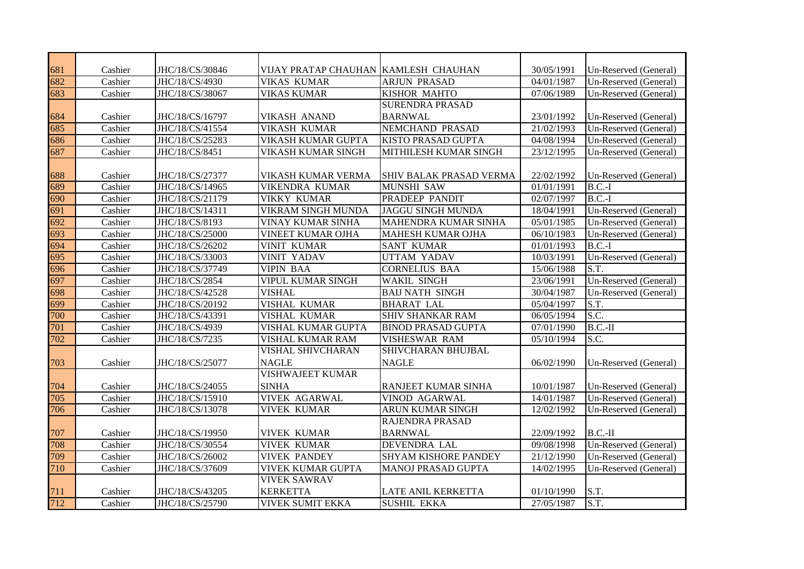| 681 | Cashier | JHC/18/CS/30846 | VIJAY PRATAP CHAUHAN KAMLESH CHAUHAN |                             | 30/05/1991 | Un-Reserved (General) |
|-----|---------|-----------------|--------------------------------------|-----------------------------|------------|-----------------------|
| 682 | Cashier | JHC/18/CS/4930  | <b>VIKAS KUMAR</b>                   | <b>ARJUN PRASAD</b>         | 04/01/1987 | Un-Reserved (General) |
| 683 | Cashier | JHC/18/CS/38067 | <b>VIKAS KUMAR</b>                   | KISHOR MAHTO                | 07/06/1989 | Un-Reserved (General) |
|     |         |                 |                                      | <b>SURENDRA PRASAD</b>      |            |                       |
| 684 | Cashier | JHC/18/CS/16797 | <b>VIKASH ANAND</b>                  | <b>BARNWAL</b>              | 23/01/1992 | Un-Reserved (General) |
| 685 | Cashier | JHC/18/CS/41554 | <b>VIKASH KUMAR</b>                  | <b>NEMCHAND PRASAD</b>      | 21/02/1993 | Un-Reserved (General) |
| 686 | Cashier | JHC/18/CS/25283 | VIKASH KUMAR GUPTA                   | KISTO PRASAD GUPTA          | 04/08/1994 | Un-Reserved (General) |
| 687 | Cashier | JHC/18/CS/8451  | VIKASH KUMAR SINGH                   | MITHILESH KUMAR SINGH       | 23/12/1995 | Un-Reserved (General) |
|     |         |                 |                                      |                             |            |                       |
| 688 | Cashier | JHC/18/CS/27377 | VIKASH KUMAR VERMA                   | SHIV BALAK PRASAD VERMA     | 22/02/1992 | Un-Reserved (General) |
| 689 | Cashier | JHC/18/CS/14965 | <b>VIKENDRA KUMAR</b>                | <b>MUNSHI SAW</b>           | 01/01/1991 | $B.C.-I$              |
| 690 | Cashier | JHC/18/CS/21179 | <b>VIKKY KUMAR</b>                   | PRADEEP PANDIT              | 02/07/1997 | $B.C.-I$              |
| 691 | Cashier | JHC/18/CS/14311 | VIKRAM SINGH MUNDA                   | <b>JAGGU SINGH MUNDA</b>    | 18/04/1991 | Un-Reserved (General) |
| 692 | Cashier | JHC/18/CS/8193  | VINAY KUMAR SINHA                    | MAHENDRA KUMAR SINHA        | 05/01/1985 | Un-Reserved (General) |
| 693 | Cashier | JHC/18/CS/25000 | <b>VINEET KUMAR OJHA</b>             | <b>MAHESH KUMAR OJHA</b>    | 06/10/1983 | Un-Reserved (General) |
| 694 | Cashier | JHC/18/CS/26202 | <b>VINIT KUMAR</b>                   | <b>SANT KUMAR</b>           | 01/01/1993 | $B.C.-I$              |
| 695 | Cashier | JHC/18/CS/33003 | <b>VINIT YADAV</b>                   | <b>UTTAM YADAV</b>          | 10/03/1991 | Un-Reserved (General) |
| 696 | Cashier | JHC/18/CS/37749 | <b>VIPIN BAA</b>                     | <b>CORNELIUS BAA</b>        | 15/06/1988 | S.T.                  |
| 697 | Cashier | JHC/18/CS/2854  | <b>VIPUL KUMAR SINGH</b>             | <b>WAKIL SINGH</b>          | 23/06/1991 | Un-Reserved (General) |
| 698 | Cashier | JHC/18/CS/42528 | <b>VISHAL</b>                        | <b>BAIJ NATH SINGH</b>      | 30/04/1987 | Un-Reserved (General) |
| 699 | Cashier | JHC/18/CS/20192 | VISHAL KUMAR                         | <b>BHARAT LAL</b>           | 05/04/1997 | S.T.                  |
| 700 | Cashier | JHC/18/CS/43391 | <b>VISHAL KUMAR</b>                  | <b>SHIV SHANKAR RAM</b>     | 06/05/1994 | S.C.                  |
| 701 | Cashier | JHC/18/CS/4939  | VISHAL KUMAR GUPTA                   | <b>BINOD PRASAD GUPTA</b>   | 07/01/1990 | $B.C.-II$             |
| 702 | Cashier | JHC/18/CS/7235  | VISHAL KUMAR RAM                     | VISHESWAR RAM               | 05/10/1994 | S.C.                  |
|     |         |                 | VISHAL SHIVCHARAN                    | SHIVCHARAN BHUJBAL          |            |                       |
| 703 | Cashier | JHC/18/CS/25077 | <b>NAGLE</b>                         | <b>NAGLE</b>                | 06/02/1990 | Un-Reserved (General) |
|     |         |                 | <b>VISHWAJEET KUMAR</b>              |                             |            |                       |
| 704 | Cashier | JHC/18/CS/24055 | <b>SINHA</b>                         | RANJEET KUMAR SINHA         | 10/01/1987 | Un-Reserved (General) |
| 705 | Cashier | JHC/18/CS/15910 | <b>VIVEK AGARWAL</b>                 | VINOD AGARWAL               | 14/01/1987 | Un-Reserved (General) |
| 706 | Cashier | JHC/18/CS/13078 | <b>VIVEK KUMAR</b>                   | ARUN KUMAR SINGH            | 12/02/1992 | Un-Reserved (General) |
|     |         |                 |                                      | RAJENDRA PRASAD             |            |                       |
| 707 | Cashier | JHC/18/CS/19950 | <b>VIVEK KUMAR</b>                   | <b>BARNWAL</b>              | 22/09/1992 | $B.C.-II$             |
| 708 | Cashier | JHC/18/CS/30554 | <b>VIVEK KUMAR</b>                   | DEVENDRA LAL                | 09/08/1998 | Un-Reserved (General) |
| 709 | Cashier | JHC/18/CS/26002 | <b>VIVEK PANDEY</b>                  | <b>SHYAM KISHORE PANDEY</b> | 21/12/1990 | Un-Reserved (General) |
| 710 | Cashier | JHC/18/CS/37609 | <b>VIVEK KUMAR GUPTA</b>             | MANOJ PRASAD GUPTA          | 14/02/1995 | Un-Reserved (General) |
|     |         |                 | <b>VIVEK SAWRAV</b>                  |                             |            |                       |
| 711 | Cashier | JHC/18/CS/43205 | <b>KERKETTA</b>                      | <b>LATE ANIL KERKETTA</b>   | 01/10/1990 | S.T.                  |
| 712 | Cashier | JHC/18/CS/25790 | <b>VIVEK SUMIT EKKA</b>              | <b>SUSHIL EKKA</b>          | 27/05/1987 | S.T.                  |
|     |         |                 |                                      |                             |            |                       |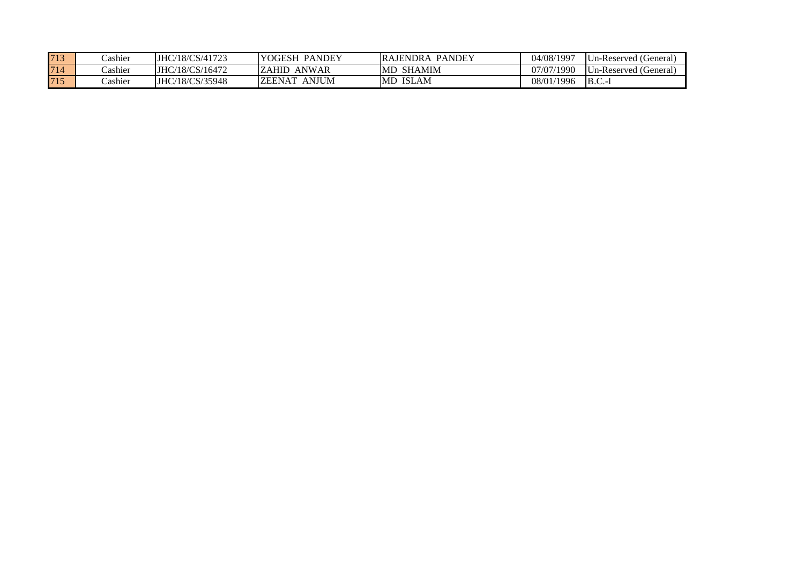| 713 | `ashier | JHC/18/CS/41723        | <b>YOGESH</b><br>PANDEY       | <b>PANDEY</b><br><b>RAJENDRA</b> | 04/08/1997 | Un-Reserved (General) |
|-----|---------|------------------------|-------------------------------|----------------------------------|------------|-----------------------|
| 714 | `ashier | JHC/18/CS/16472        | ANWAR<br>ZAHID.               | MD.<br>SHAMIM                    | 07/07/1990 | Un-Reserved (General) |
| 715 | Cashier | <b>JHC/18/CS/35948</b> | <b>ANJUM</b><br><b>ZEENAT</b> | <b>IMD ISLAM</b>                 | 08/01/1996 | $B.C.-1$              |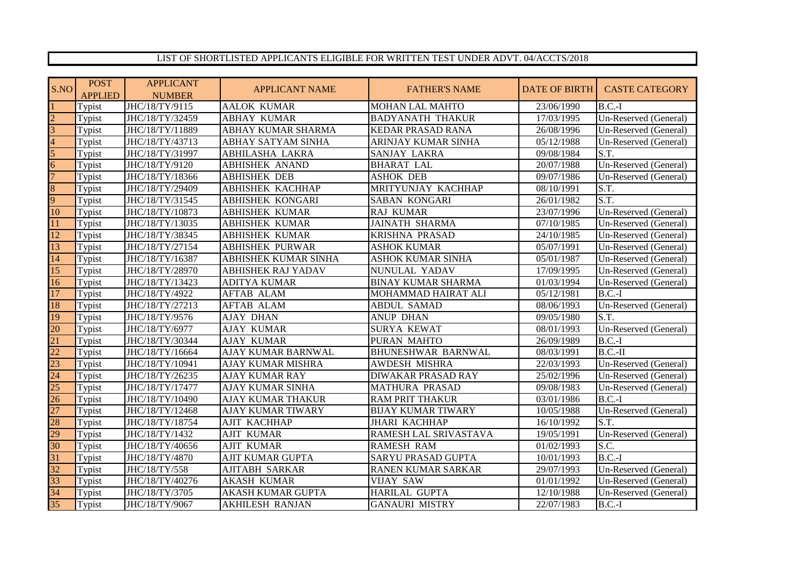## LIST OF SHORTLISTED APPLICANTS ELIGIBLE FOR WRITTEN TEST UNDER ADVT. 04/ACCTS/2018

| S.NO            | <b>POST</b><br><b>APPLIED</b> | <b>APPLICANT</b><br><b>NUMBER</b> | <b>APPLICANT NAME</b>     | <b>FATHER'S NAME</b>      | <b>DATE OF BIRTH</b> | <b>CASTE CATEGORY</b> |
|-----------------|-------------------------------|-----------------------------------|---------------------------|---------------------------|----------------------|-----------------------|
|                 | Typist                        | JHC/18/TY/9115                    | <b>AALOK KUMAR</b>        | <b>MOHAN LAL MAHTO</b>    | 23/06/1990           | $B.C.-I$              |
| $\overline{2}$  | Typist                        | JHC/18/TY/32459                   | <b>ABHAY KUMAR</b>        | <b>BADYANATH THAKUR</b>   | 17/03/1995           | Un-Reserved (General) |
| 3               | Typist                        | JHC/18/TY/11889                   | ABHAY KUMAR SHARMA        | <b>KEDAR PRASAD RANA</b>  | 26/08/1996           | Un-Reserved (General) |
| 4               | Typist                        | JHC/18/TY/43713                   | ABHAY SATYAM SINHA        | ARINJAY KUMAR SINHA       | 05/12/1988           | Un-Reserved (General) |
| 5               | Typist                        | JHC/18/TY/31997                   | <b>ABHILASHA LAKRA</b>    | SANJAY LAKRA              | 09/08/1984           | S.T.                  |
| 6               | Typist                        | JHC/18/TY/9120                    | <b>ABHISHEK ANAND</b>     | <b>BHARAT LAL</b>         | 20/07/1988           | Un-Reserved (General) |
| $\overline{7}$  | Typist                        | JHC/18/TY/18366                   | <b>ABHISHEK DEB</b>       | <b>ASHOK DEB</b>          | 09/07/1986           | Un-Reserved (General) |
| 8               | Typist                        | JHC/18/TY/29409                   | <b>ABHISHEK KACHHAP</b>   | MRITYUNJAY KACHHAP        | 08/10/1991           | S.T.                  |
| 9               | Typist                        | JHC/18/TY/31545                   | <b>ABHISHEK KONGARI</b>   | <b>SABAN KONGARI</b>      | 26/01/1982           | S.T.                  |
| 10              | Typist                        | JHC/18/TY/10873                   | <b>ABHISHEK KUMAR</b>     | RAJ KUMAR                 | 23/07/1996           | Un-Reserved (General) |
| $\overline{11}$ | Typist                        | JHC/18/TY/13035                   | <b>ABHISHEK KUMAR</b>     | <b>JAINATH SHARMA</b>     | 07/10/1985           | Un-Reserved (General) |
| $\overline{12}$ | Typist                        | JHC/18/TY/38345                   | <b>ABHISHEK KUMAR</b>     | <b>KRISHNA PRASAD</b>     | 24/10/1985           | Un-Reserved (General) |
| $\overline{13}$ | Typist                        | JHC/18/TY/27154                   | <b>ABHISHEK PURWAR</b>    | <b>ASHOK KUMAR</b>        | 05/07/1991           | Un-Reserved (General) |
| 14              | Typist                        | JHC/18/TY/16387                   | ABHISHEK KUMAR SINHA      | <b>ASHOK KUMAR SINHA</b>  | 05/01/1987           | Un-Reserved (General) |
| $\overline{15}$ | Typist                        | JHC/18/TY/28970                   | <b>ABHISHEK RAJ YADAV</b> | NUNULAL YADAV             | 17/09/1995           | Un-Reserved (General) |
| $\overline{16}$ | Typist                        | JHC/18/TY/13423                   | <b>ADITYA KUMAR</b>       | <b>BINAY KUMAR SHARMA</b> | 01/03/1994           | Un-Reserved (General) |
| $\overline{17}$ | Typist                        | JHC/18/TY/4922                    | <b>AFTAB ALAM</b>         | MOHAMMAD HAIRAT ALI       | 05/12/1981           | $B.C.-I$              |
| 18              | Typist                        | JHC/18/TY/27213                   | <b>AFTAB ALAM</b>         | <b>ABDUL SAMAD</b>        | 08/06/1993           | Un-Reserved (General) |
| 19              | Typist                        | JHC/18/TY/9576                    | <b>AJAY DHAN</b>          | <b>ANUP DHAN</b>          | 09/05/1980           | S.T.                  |
| 20              | Typist                        | JHC/18/TY/6977                    | <b>AJAY KUMAR</b>         | <b>SURYA KEWAT</b>        | 08/01/1993           | Un-Reserved (General) |
| 21              | Typist                        | JHC/18/TY/30344                   | <b>AJAY KUMAR</b>         | PURAN MAHTO               | 26/09/1989           | $B.C.-I$              |
| $\overline{22}$ | Typist                        | JHC/18/TY/16664                   | <b>AJAY KUMAR BARNWAL</b> | <b>BHUNESHWAR BARNWAL</b> | 08/03/1991           | $B.C.-II$             |
| 23              | Typist                        | JHC/18/TY/10941                   | <b>AJAY KUMAR MISHRA</b>  | <b>AWDESH MISHRA</b>      | 22/03/1993           | Un-Reserved (General) |
| $\overline{24}$ | Typist                        | JHC/18/TY/26235                   | <b>AJAY KUMAR RAY</b>     | <b>DIWAKAR PRASAD RAY</b> | 25/02/1996           | Un-Reserved (General) |
| 25              | Typist                        | JHC/18/TY/17477                   | <b>AJAY KUMAR SINHA</b>   | <b>MATHURA PRASAD</b>     | 09/08/1983           | Un-Reserved (General) |
| 26              | Typist                        | JHC/18/TY/10490                   | <b>AJAY KUMAR THAKUR</b>  | <b>RAM PRIT THAKUR</b>    | 03/01/1986           | $B.C.-I$              |
| 27              | Typist                        | JHC/18/TY/12468                   | <b>AJAY KUMAR TIWARY</b>  | <b>BIJAY KUMAR TIWARY</b> | 10/05/1988           | Un-Reserved (General) |
| 28              | Typist                        | JHC/18/TY/18754                   | <b>AJIT KACHHAP</b>       | <b>JHARI KACHHAP</b>      | 16/10/1992           | S.T.                  |
| 29              | Typist                        | JHC/18/TY/1432                    | <b>AJIT KUMAR</b>         | RAMESH LAL SRIVASTAVA     | 19/05/1991           | Un-Reserved (General) |
| $\overline{30}$ | Typist                        | JHC/18/TY/40656                   | <b>AJIT KUMAR</b>         | <b>RAMESH RAM</b>         | 01/02/1993           | S.C.                  |
| 31              | Typist                        | JHC/18/TY/4870                    | <b>AJIT KUMAR GUPTA</b>   | <b>SARYU PRASAD GUPTA</b> | 10/01/1993           | $B.C.-I$              |
| 32              | Typist                        | JHC/18/TY/558                     | <b>AJITABH SARKAR</b>     | <b>RANEN KUMAR SARKAR</b> | 29/07/1993           | Un-Reserved (General) |
| 33              | Typist                        | JHC/18/TY/40276                   | <b>AKASH KUMAR</b>        | <b>VIJAY SAW</b>          | 01/01/1992           | Un-Reserved (General) |
| 34              | Typist                        | JHC/18/TY/3705                    | <b>AKASH KUMAR GUPTA</b>  | HARILAL GUPTA             | 12/10/1988           | Un-Reserved (General) |
| 35              | Typist                        | JHC/18/TY/9067                    | <b>AKHILESH RANJAN</b>    | <b>GANAURI MISTRY</b>     | 22/07/1983           | $B.C.-I$              |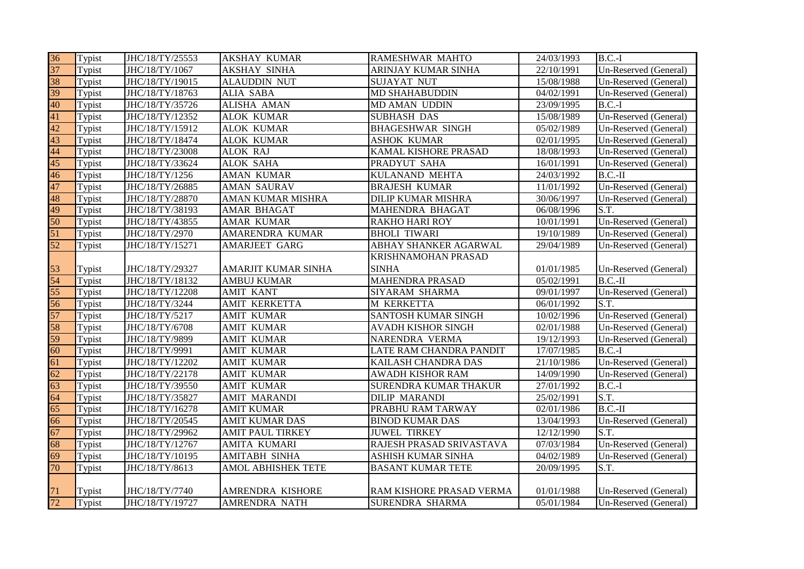| 36              | Typist | JHC/18/TY/25553 | <b>AKSHAY KUMAR</b>     | RAMESHWAR MAHTO          | 24/03/1993 | $B.C.-I$              |
|-----------------|--------|-----------------|-------------------------|--------------------------|------------|-----------------------|
| 37              | Typist | JHC/18/TY/1067  | <b>AKSHAY SINHA</b>     | ARINJAY KUMAR SINHA      | 22/10/1991 | Un-Reserved (General) |
| 38              | Typist | JHC/18/TY/19015 | <b>ALAUDDIN NUT</b>     | <b>SUJAYAT NUT</b>       | 15/08/1988 | Un-Reserved (General) |
| 39              | Typist | JHC/18/TY/18763 | ALIA SABA               | MD SHAHABUDDIN           | 04/02/1991 | Un-Reserved (General) |
| 40              | Typist | JHC/18/TY/35726 | ALISHA AMAN             | MD AMAN UDDIN            | 23/09/1995 | $B.C.-I$              |
| 41              | Typist | JHC/18/TY/12352 | <b>ALOK KUMAR</b>       | <b>SUBHASH DAS</b>       | 15/08/1989 | Un-Reserved (General) |
| 42              | Typist | JHC/18/TY/15912 | <b>ALOK KUMAR</b>       | <b>BHAGESHWAR SINGH</b>  | 05/02/1989 | Un-Reserved (General) |
| 43              | Typist | JHC/18/TY/18474 | <b>ALOK KUMAR</b>       | <b>ASHOK KUMAR</b>       | 02/01/1995 | Un-Reserved (General) |
| 44              | Typist | JHC/18/TY/23008 | <b>ALOK RAJ</b>         | KAMAL KISHORE PRASAD     | 18/08/1993 | Un-Reserved (General) |
| 45              | Typist | JHC/18/TY/33624 | <b>ALOK SAHA</b>        | PRADYUT SAHA             | 16/01/1991 | Un-Reserved (General) |
| $\overline{46}$ | Typist | JHC/18/TY/1256  | <b>AMAN KUMAR</b>       | KULANAND MEHTA           | 24/03/1992 | $B.C.-II$             |
| 47              | Typist | JHC/18/TY/26885 | <b>AMAN SAURAV</b>      | <b>BRAJESH KUMAR</b>     | 11/01/1992 | Un-Reserved (General) |
| 48              | Typist | JHC/18/TY/28870 | AMAN KUMAR MISHRA       | DILIP KUMAR MISHRA       | 30/06/1997 | Un-Reserved (General) |
| 49              | Typist | JHC/18/TY/38193 | AMAR BHAGAT             | MAHENDRA BHAGAT          | 06/08/1996 | S.T.                  |
| 50              | Typist | JHC/18/TY/43855 | AMAR KUMAR              | <b>RAKHO HARI ROY</b>    | 10/01/1991 | Un-Reserved (General) |
| 51              | Typist | JHC/18/TY/2970  | AMARENDRA KUMAR         | <b>BHOLI TIWARI</b>      | 19/10/1989 | Un-Reserved (General) |
| $\overline{52}$ | Typist | JHC/18/TY/15271 | <b>AMARJEET GARG</b>    | ABHAY SHANKER AGARWAL    | 29/04/1989 | Un-Reserved (General) |
|                 |        |                 |                         | KRISHNAMOHAN PRASAD      |            |                       |
| 53              | Typist | JHC/18/TY/29327 | AMARJIT KUMAR SINHA     | <b>SINHA</b>             | 01/01/1985 | Un-Reserved (General) |
| 54              | Typist | JHC/18/TY/18132 | <b>AMBUJ KUMAR</b>      | <b>MAHENDRA PRASAD</b>   | 05/02/1991 | $B.C.-II$             |
| 55              | Typist | JHC/18/TY/12208 | <b>AMIT KANT</b>        | SIYARAM SHARMA           | 09/01/1997 | Un-Reserved (General) |
| 56              | Typist | JHC/18/TY/3244  | <b>AMIT KERKETTA</b>    | M KERKETTA               | 06/01/1992 | S.T.                  |
| 57              | Typist | JHC/18/TY/5217  | <b>AMIT KUMAR</b>       | SANTOSH KUMAR SINGH      | 10/02/1996 | Un-Reserved (General) |
| 58              | Typist | JHC/18/TY/6708  | <b>AMIT KUMAR</b>       | AVADH KISHOR SINGH       | 02/01/1988 | Un-Reserved (General) |
| 59              | Typist | JHC/18/TY/9899  | <b>AMIT KUMAR</b>       | NARENDRA VERMA           | 19/12/1993 | Un-Reserved (General) |
| 60              | Typist | JHC/18/TY/9991  | <b>AMIT KUMAR</b>       | LATE RAM CHANDRA PANDIT  | 17/07/1985 | $B.C.-I$              |
| 61              | Typist | JHC/18/TY/12202 | <b>AMIT KUMAR</b>       | KAILASH CHANDRA DAS      | 21/10/1986 | Un-Reserved (General) |
| 62              | Typist | JHC/18/TY/22178 | <b>AMIT KUMAR</b>       | <b>AWADH KISHOR RAM</b>  | 14/09/1990 | Un-Reserved (General) |
| 63              | Typist | JHC/18/TY/39550 | <b>AMIT KUMAR</b>       | SURENDRA KUMAR THAKUR    | 27/01/1992 | $B.C.-I$              |
| 64              | Typist | JHC/18/TY/35827 | <b>AMIT MARANDI</b>     | <b>DILIP MARANDI</b>     | 25/02/1991 | S.T.                  |
| 65              | Typist | JHC/18/TY/16278 | <b>AMIT KUMAR</b>       | PRABHU RAM TARWAY        | 02/01/1986 | $B.C.-II$             |
| $\overline{66}$ | Typist | JHC/18/TY/20545 | <b>AMIT KUMAR DAS</b>   | <b>BINOD KUMAR DAS</b>   | 13/04/1993 | Un-Reserved (General) |
| 67              | Typist | JHC/18/TY/29962 | <b>AMIT PAUL TIRKEY</b> | <b>JUWEL TIRKEY</b>      | 12/12/1990 | S.T.                  |
| 68              | Typist | JHC/18/TY/12767 | <b>AMITA KUMARI</b>     | RAJESH PRASAD SRIVASTAVA | 07/03/1984 | Un-Reserved (General) |
| 69              | Typist | JHC/18/TY/10195 | <b>AMITABH SINHA</b>    | ASHISH KUMAR SINHA       | 04/02/1989 | Un-Reserved (General) |
| 70              | Typist | JHC/18/TY/8613  | AMOL ABHISHEK TETE      | <b>BASANT KUMAR TETE</b> | 20/09/1995 | S.T.                  |
|                 |        |                 |                         |                          |            |                       |
| 71              | Typist | JHC/18/TY/7740  | AMRENDRA KISHORE        | RAM KISHORE PRASAD VERMA | 01/01/1988 | Un-Reserved (General) |
| 72              | Typist | JHC/18/TY/19727 | <b>AMRENDRA NATH</b>    | SURENDRA SHARMA          | 05/01/1984 | Un-Reserved (General) |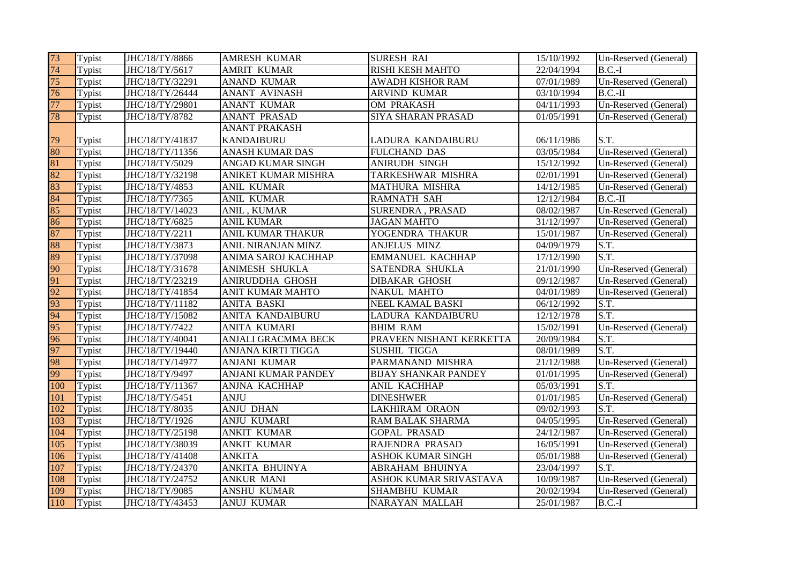| 73  | Typist | JHC/18/TY/8866  | <b>AMRESH KUMAR</b>        | <b>SURESH RAI</b>           | 15/10/1992 | Un-Reserved (General) |
|-----|--------|-----------------|----------------------------|-----------------------------|------------|-----------------------|
| 74  | Typist | JHC/18/TY/5617  | <b>AMRIT KUMAR</b>         | <b>RISHI KESH MAHTO</b>     | 22/04/1994 | $B.C.-I$              |
| 75  | Typist | JHC/18/TY/32291 | <b>ANAND KUMAR</b>         | <b>AWADH KISHOR RAM</b>     | 07/01/1989 | Un-Reserved (General) |
| 76  | Typist | JHC/18/TY/26444 | ANANT AVINASH              | ARVIND KUMAR                | 03/10/1994 | $B.C.-II$             |
| 77  | Typist | JHC/18/TY/29801 | <b>ANANT KUMAR</b>         | OM PRAKASH                  | 04/11/1993 | Un-Reserved (General) |
| 78  | Typist | JHC/18/TY/8782  | <b>ANANT PRASAD</b>        | <b>SIYA SHARAN PRASAD</b>   | 01/05/1991 | Un-Reserved (General) |
|     |        |                 | <b>ANANT PRAKASH</b>       |                             |            |                       |
| 79  | Typist | JHC/18/TY/41837 | <b>KANDAIBURU</b>          | LADURA KANDAIBURU           | 06/11/1986 | S.T.                  |
| 80  | Typist | JHC/18/TY/11356 | <b>ANASH KUMAR DAS</b>     | FULCHAND DAS                | 03/05/1984 | Un-Reserved (General) |
| 81  | Typist | JHC/18/TY/5029  | ANGAD KUMAR SINGH          | <b>ANIRUDH SINGH</b>        | 15/12/1992 | Un-Reserved (General) |
| 82  | Typist | JHC/18/TY/32198 | ANIKET KUMAR MISHRA        | TARKESHWAR MISHRA           | 02/01/1991 | Un-Reserved (General) |
| 83  | Typist | JHC/18/TY/4853  | <b>ANIL KUMAR</b>          | MATHURA MISHRA              | 14/12/1985 | Un-Reserved (General) |
| 84  | Typist | JHC/18/TY/7365  | <b>ANIL KUMAR</b>          | <b>RAMNATH SAH</b>          | 12/12/1984 | $B.C.-II$             |
| 85  | Typist | JHC/18/TY/14023 | ANIL, KUMAR                | SURENDRA, PRASAD            | 08/02/1987 | Un-Reserved (General) |
| 86  | Typist | JHC/18/TY/6825  | <b>ANIL KUMAR</b>          | <b>JAGAN MAHTO</b>          | 31/12/1997 | Un-Reserved (General) |
| 87  | Typist | JHC/18/TY/2211  | <b>ANIL KUMAR THAKUR</b>   | YOGENDRA THAKUR             | 15/01/1987 | Un-Reserved (General) |
| 88  | Typist | JHC/18/TY/3873  | ANIL NIRANJAN MINZ         | <b>ANJELUS MINZ</b>         | 04/09/1979 | S.T.                  |
| 89  | Typist | JHC/18/TY/37098 | ANIMA SAROJ KACHHAP        | <b>EMMANUEL KACHHAP</b>     | 17/12/1990 | S.T.                  |
| 90  | Typist | JHC/18/TY/31678 | <b>ANIMESH SHUKLA</b>      | SATENDRA SHUKLA             | 21/01/1990 | Un-Reserved (General) |
| 91  | Typist | JHC/18/TY/23219 | ANIRUDDHA GHOSH            | <b>DIBAKAR GHOSH</b>        | 09/12/1987 | Un-Reserved (General) |
| 92  | Typist | JHC/18/TY/41854 | <b>ANIT KUMAR MAHTO</b>    | <b>NAKUL MAHTO</b>          | 04/01/1989 | Un-Reserved (General) |
| 93  | Typist | JHC/18/TY/11182 | <b>ANITA BASKI</b>         | NEEL KAMAL BASKI            | 06/12/1992 | S.T.                  |
| 94  | Typist | JHC/18/TY/15082 | ANITA KANDAIBURU           | LADURA KANDAIBURU           | 12/12/1978 | S.T.                  |
| 95  | Typist | JHC/18/TY/7422  | <b>ANITA KUMARI</b>        | <b>BHIM RAM</b>             | 15/02/1991 | Un-Reserved (General) |
| 96  | Typist | JHC/18/TY/40041 | <b>ANJALI GRACMMA BECK</b> | PRAVEEN NISHANT KERKETTA    | 20/09/1984 | S.T.                  |
| 97  | Typist | JHC/18/TY/19440 | ANJANA KIRTI TIGGA         | <b>SUSHIL TIGGA</b>         | 08/01/1989 | S.T.                  |
| 98  | Typist | JHC/18/TY/14977 | ANJANI KUMAR               | PARMANAND MISHRA            | 21/12/1988 | Un-Reserved (General) |
| 99  | Typist | JHC/18/TY/9497  | ANJANI KUMAR PANDEY        | <b>BIJAY SHANKAR PANDEY</b> | 01/01/1995 | Un-Reserved (General) |
| 100 | Typist | JHC/18/TY/11367 | <b>ANJNA KACHHAP</b>       | ANIL KACHHAP                | 05/03/1991 | S.T.                  |
| 101 | Typist | JHC/18/TY/5451  | <b>ANJU</b>                | <b>DINESHWER</b>            | 01/01/1985 | Un-Reserved (General) |
| 102 | Typist | JHC/18/TY/8035  | <b>ANJU DHAN</b>           | <b>LAKHIRAM ORAON</b>       | 09/02/1993 | S.T.                  |
| 103 | Typist | JHC/18/TY/1926  | <b>ANJU KUMARI</b>         | <b>RAM BALAK SHARMA</b>     | 04/05/1995 | Un-Reserved (General) |
| 104 | Typist | JHC/18/TY/25198 | <b>ANKIT KUMAR</b>         | <b>GOPAL PRASAD</b>         | 24/12/1987 | Un-Reserved (General) |
| 105 | Typist | JHC/18/TY/38039 | <b>ANKIT KUMAR</b>         | RAJENDRA PRASAD             | 16/05/1991 | Un-Reserved (General) |
| 106 | Typist | JHC/18/TY/41408 | <b>ANKITA</b>              | ASHOK KUMAR SINGH           | 05/01/1988 | Un-Reserved (General) |
| 107 | Typist | JHC/18/TY/24370 | ANKITA BHUINYA             | ABRAHAM BHUINYA             | 23/04/1997 | S.T.                  |
| 108 | Typist | JHC/18/TY/24752 | <b>ANKUR MANI</b>          | ASHOK KUMAR SRIVASTAVA      | 10/09/1987 | Un-Reserved (General) |
| 109 | Typist | JHC/18/TY/9085  | <b>ANSHU KUMAR</b>         | <b>SHAMBHU KUMAR</b>        | 20/02/1994 | Un-Reserved (General) |
| 110 | Typist | JHC/18/TY/43453 | <b>ANUJ KUMAR</b>          | <b>NARAYAN MALLAH</b>       | 25/01/1987 | $B.C.-I$              |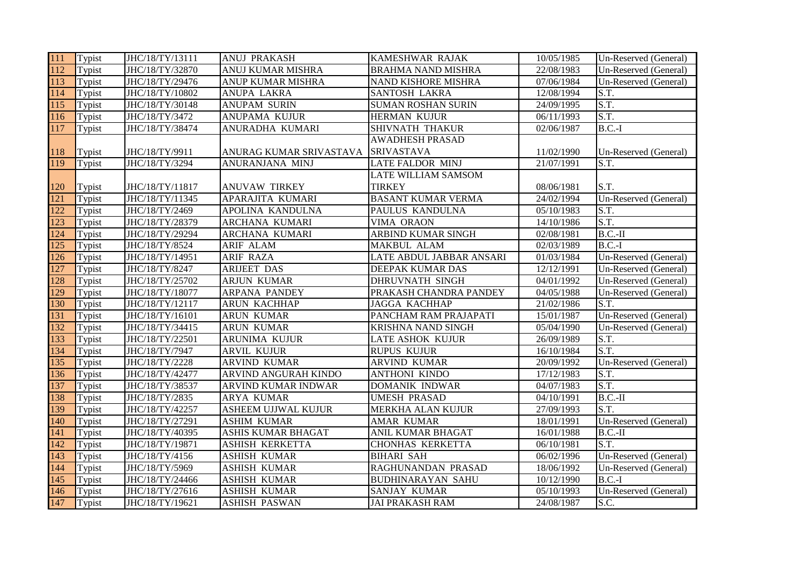| 111 | Typist | JHC/18/TY/13111 | <b>ANUJ PRAKASH</b>     | KAMESHWAR RAJAK            | 10/05/1985 | Un-Reserved (General) |
|-----|--------|-----------------|-------------------------|----------------------------|------------|-----------------------|
| 112 | Typist | JHC/18/TY/32870 | ANUJ KUMAR MISHRA       | <b>BRAHMA NAND MISHRA</b>  | 22/08/1983 | Un-Reserved (General) |
| 113 | Typist | JHC/18/TY/29476 | ANUP KUMAR MISHRA       | NAND KISHORE MISHRA        | 07/06/1984 | Un-Reserved (General) |
| 114 | Typist | JHC/18/TY/10802 | <b>ANUPA LAKRA</b>      | <b>SANTOSH LAKRA</b>       | 12/08/1994 | S.T.                  |
| 115 | Typist | JHC/18/TY/30148 | <b>ANUPAM SURIN</b>     | <b>SUMAN ROSHAN SURIN</b>  | 24/09/1995 | S.T.                  |
| 116 | Typist | JHC/18/TY/3472  | ANUPAMA KUJUR           | HERMAN KUJUR               | 06/11/1993 | S.T.                  |
| 117 | Typist | JHC/18/TY/38474 | ANURADHA KUMARI         | SHIVNATH THAKUR            | 02/06/1987 | $B.C.-I$              |
|     |        |                 |                         | <b>AWADHESH PRASAD</b>     |            |                       |
| 118 | Typist | JHC/18/TY/9911  | ANURAG KUMAR SRIVASTAVA | <b>SRIVASTAVA</b>          | 11/02/1990 | Un-Reserved (General) |
| 119 | Typist | JHC/18/TY/3294  | ANURANJANA MINJ         | <b>LATE FALDOR MINJ</b>    | 21/07/1991 | S.T.                  |
|     |        |                 |                         | <b>LATE WILLIAM SAMSOM</b> |            |                       |
| 120 | Typist | JHC/18/TY/11817 | <b>ANUVAW TIRKEY</b>    | <b>TIRKEY</b>              | 08/06/1981 | S.T.                  |
| 121 | Typist | JHC/18/TY/11345 | APARAJITA KUMARI        | <b>BASANT KUMAR VERMA</b>  | 24/02/1994 | Un-Reserved (General) |
| 122 | Typist | JHC/18/TY/2469  | APOLINA KANDULNA        | PAULUS KANDULNA            | 05/10/1983 | S.T.                  |
| 123 | Typist | JHC/18/TY/28379 | ARCHANA KUMARI          | VIMA ORAON                 | 14/10/1986 | S.T.                  |
| 124 | Typist | JHC/18/TY/29294 | ARCHANA KUMARI          | ARBIND KUMAR SINGH         | 02/08/1981 | $B.C.-II$             |
| 125 | Typist | JHC/18/TY/8524  | ARIF ALAM               | MAKBUL ALAM                | 02/03/1989 | $B.C.-I$              |
| 126 | Typist | JHC/18/TY/14951 | <b>ARIF RAZA</b>        | LATE ABDUL JABBAR ANSARI   | 01/03/1984 | Un-Reserved (General) |
| 127 | Typist | JHC/18/TY/8247  | <b>ARIJEET DAS</b>      | DEEPAK KUMAR DAS           | 12/12/1991 | Un-Reserved (General) |
| 128 | Typist | JHC/18/TY/25702 | <b>ARJUN KUMAR</b>      | <b>DHRUVNATH SINGH</b>     | 04/01/1992 | Un-Reserved (General) |
| 129 | Typist | JHC/18/TY/18077 | <b>ARPANA PANDEY</b>    | PRAKASH CHANDRA PANDEY     | 04/05/1988 | Un-Reserved (General) |
| 130 | Typist | JHC/18/TY/12117 | ARUN KACHHAP            | <b>JAGGA KACHHAP</b>       | 21/02/1986 | S.T.                  |
| 131 | Typist | JHC/18/TY/16101 | <b>ARUN KUMAR</b>       | PANCHAM RAM PRAJAPATI      | 15/01/1987 | Un-Reserved (General) |
| 132 | Typist | JHC/18/TY/34415 | <b>ARUN KUMAR</b>       | KRISHNA NAND SINGH         | 05/04/1990 | Un-Reserved (General) |
| 133 | Typist | JHC/18/TY/22501 | ARUNIMA KUJUR           | LATE ASHOK KUJUR           | 26/09/1989 | S.T.                  |
| 134 | Typist | JHC/18/TY/7947  | <b>ARVIL KUJUR</b>      | <b>RUPUS KUJUR</b>         | 16/10/1984 | S.T.                  |
| 135 | Typist | JHC/18/TY/2228  | <b>ARVIND KUMAR</b>     | <b>ARVIND KUMAR</b>        | 20/09/1992 | Un-Reserved (General) |
| 136 | Typist | JHC/18/TY/42477 | ARVIND ANGURAH KINDO    | <b>ANTHONI KINDO</b>       | 17/12/1983 | S.T.                  |
| 137 | Typist | JHC/18/TY/38537 | ARVIND KUMAR INDWAR     | DOMANIK INDWAR             | 04/07/1983 | S.T.                  |
| 138 | Typist | JHC/18/TY/2835  | <b>ARYA KUMAR</b>       | <b>UMESH PRASAD</b>        | 04/10/1991 | $B.C.-II$             |
| 139 | Typist | JHC/18/TY/42257 | ASHEEM UJJWAL KUJUR     | MERKHA ALAN KUJUR          | 27/09/1993 | S.T.                  |
| 140 | Typist | JHC/18/TY/27291 | <b>ASHIM KUMAR</b>      | AMAR KUMAR                 | 18/01/1991 | Un-Reserved (General) |
| 141 | Typist | JHC/18/TY/40395 | ASHIS KUMAR BHAGAT      | ANIL KUMAR BHAGAT          | 16/01/1988 | $B.C.-II$             |
| 142 | Typist | JHC/18/TY/19871 | <b>ASHISH KERKETTA</b>  | <b>CHONHAS KERKETTA</b>    | 06/10/1981 | S.T.                  |
| 143 | Typist | JHC/18/TY/4156  | <b>ASHISH KUMAR</b>     | <b>BIHARI SAH</b>          | 06/02/1996 | Un-Reserved (General) |
| 144 | Typist | JHC/18/TY/5969  | <b>ASHISH KUMAR</b>     | RAGHUNANDAN PRASAD         | 18/06/1992 | Un-Reserved (General) |
| 145 | Typist | JHC/18/TY/24466 | <b>ASHISH KUMAR</b>     | <b>BUDHINARAYAN SAHU</b>   | 10/12/1990 | $B.C.-I$              |
| 146 | Typist | JHC/18/TY/27616 | <b>ASHISH KUMAR</b>     | SANJAY KUMAR               | 05/10/1993 | Un-Reserved (General) |
| 147 | Typist | JHC/18/TY/19621 | <b>ASHISH PASWAN</b>    | <b>JAI PRAKASH RAM</b>     | 24/08/1987 | S.C.                  |
|     |        |                 |                         |                            |            |                       |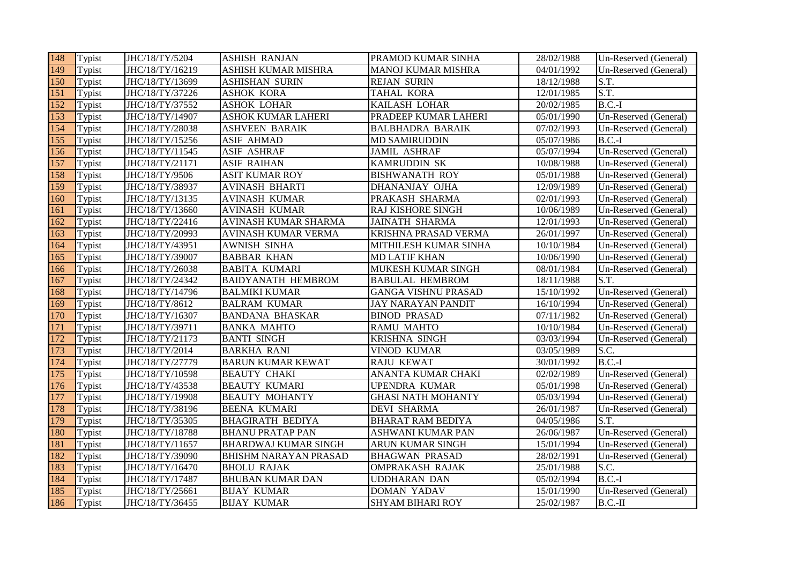| 148 | Typist | JHC/18/TY/5204  | <b>ASHISH RANJAN</b>         | PRAMOD KUMAR SINHA         | 28/02/1988 | Un-Reserved (General) |
|-----|--------|-----------------|------------------------------|----------------------------|------------|-----------------------|
| 149 | Typist | JHC/18/TY/16219 | ASHISH KUMAR MISHRA          | <b>MANOJ KUMAR MISHRA</b>  | 04/01/1992 | Un-Reserved (General) |
| 150 | Typist | JHC/18/TY/13699 | <b>ASHISHAN SURIN</b>        | <b>REJAN SURIN</b>         | 18/12/1988 | S.T.                  |
| 151 | Typist | JHC/18/TY/37226 | <b>ASHOK KORA</b>            | <b>TAHAL KORA</b>          | 12/01/1985 | S.T.                  |
| 152 | Typist | JHC/18/TY/37552 | <b>ASHOK LOHAR</b>           | KAILASH LOHAR              | 20/02/1985 | $B.C.-I$              |
| 153 | Typist | JHC/18/TY/14907 | <b>ASHOK KUMAR LAHERI</b>    | PRADEEP KUMAR LAHERI       | 05/01/1990 | Un-Reserved (General) |
| 154 | Typist | JHC/18/TY/28038 | <b>ASHVEEN BARAIK</b>        | <b>BALBHADRA BARAIK</b>    | 07/02/1993 | Un-Reserved (General) |
| 155 | Typist | JHC/18/TY/15256 | <b>ASIF AHMAD</b>            | <b>MD SAMIRUDDIN</b>       | 05/07/1986 | $B.C.-I$              |
| 156 | Typist | JHC/18/TY/11545 | <b>ASIF ASHRAF</b>           | <b>JAMIL ASHRAF</b>        | 05/07/1994 | Un-Reserved (General) |
| 157 | Typist | JHC/18/TY/21171 | <b>ASIF RAIHAN</b>           | KAMRUDDIN SK               | 10/08/1988 | Un-Reserved (General) |
| 158 | Typist | JHC/18/TY/9506  | ASIT KUMAR ROY               | <b>BISHWANATH ROY</b>      | 05/01/1988 | Un-Reserved (General) |
| 159 | Typist | JHC/18/TY/38937 | <b>AVINASH BHARTI</b>        | DHANANJAY OJHA             | 12/09/1989 | Un-Reserved (General) |
| 160 | Typist | JHC/18/TY/13135 | <b>AVINASH KUMAR</b>         | PRAKASH SHARMA             | 02/01/1993 | Un-Reserved (General) |
| 161 | Typist | JHC/18/TY/13660 | <b>AVINASH KUMAR</b>         | RAJ KISHORE SINGH          | 10/06/1989 | Un-Reserved (General) |
| 162 | Typist | JHC/18/TY/22416 | AVINASH KUMAR SHARMA         | <b>JAINATH SHARMA</b>      | 12/01/1993 | Un-Reserved (General) |
| 163 | Typist | JHC/18/TY/20993 | <b>AVINASH KUMAR VERMA</b>   | KRISHNA PRASAD VERMA       | 26/01/1997 | Un-Reserved (General) |
| 164 | Typist | JHC/18/TY/43951 | <b>AWNISH SINHA</b>          | MITHILESH KUMAR SINHA      | 10/10/1984 | Un-Reserved (General) |
| 165 | Typist | JHC/18/TY/39007 | <b>BABBAR KHAN</b>           | <b>MD LATIF KHAN</b>       | 10/06/1990 | Un-Reserved (General) |
| 166 | Typist | JHC/18/TY/26038 | <b>BABITA KUMARI</b>         | MUKESH KUMAR SINGH         | 08/01/1984 | Un-Reserved (General) |
| 167 | Typist | JHC/18/TY/24342 | <b>BAIDYANATH HEMBROM</b>    | <b>BABULAL HEMBROM</b>     | 18/11/1988 | S.T.                  |
| 168 | Typist | JHC/18/TY/14796 | <b>BALMIKI KUMAR</b>         | <b>GANGA VISHNU PRASAD</b> | 15/10/1992 | Un-Reserved (General) |
| 169 | Typist | JHC/18/TY/8612  | <b>BALRAM KUMAR</b>          | JAY NARAYAN PANDIT         | 16/10/1994 | Un-Reserved (General) |
| 170 | Typist | JHC/18/TY/16307 | <b>BANDANA BHASKAR</b>       | <b>BINOD PRASAD</b>        | 07/11/1982 | Un-Reserved (General) |
| 171 | Typist | JHC/18/TY/39711 | <b>BANKA MAHTO</b>           | <b>RAMU MAHTO</b>          | 10/10/1984 | Un-Reserved (General) |
| 172 | Typist | JHC/18/TY/21173 | <b>BANTI SINGH</b>           | KRISHNA SINGH              | 03/03/1994 | Un-Reserved (General) |
| 173 | Typist | JHC/18/TY/2014  | <b>BARKHA RANI</b>           | <b>VINOD KUMAR</b>         | 03/05/1989 | S.C.                  |
| 174 | Typist | JHC/18/TY/27779 | <b>BARUN KUMAR KEWAT</b>     | <b>RAJU KEWAT</b>          | 30/01/1992 | $B.C.-I$              |
| 175 | Typist | JHC/18/TY/10598 | <b>BEAUTY CHAKI</b>          | <b>ANANTA KUMAR CHAKI</b>  | 02/02/1989 | Un-Reserved (General) |
| 176 | Typist | JHC/18/TY/43538 | <b>BEAUTY KUMARI</b>         | <b>UPENDRA KUMAR</b>       | 05/01/1998 | Un-Reserved (General) |
| 177 | Typist | JHC/18/TY/19908 | <b>BEAUTY MOHANTY</b>        | <b>GHASI NATH MOHANTY</b>  | 05/03/1994 | Un-Reserved (General) |
| 178 | Typist | JHC/18/TY/38196 | <b>BEENA KUMARI</b>          | <b>DEVI SHARMA</b>         | 26/01/1987 | Un-Reserved (General) |
| 179 | Typist | JHC/18/TY/35305 | <b>BHAGIRATH BEDIYA</b>      | <b>BHARAT RAM BEDIYA</b>   | 04/05/1986 | S.T.                  |
| 180 | Typist | JHC/18/TY/18788 | <b>BHANU PRATAP PAN</b>      | ASHWANI KUMAR PAN          | 26/06/1987 | Un-Reserved (General) |
| 181 | Typist | JHC/18/TY/11657 | <b>BHARDWAJ KUMAR SINGH</b>  | ARUN KUMAR SINGH           | 15/01/1994 | Un-Reserved (General) |
| 182 | Typist | JHC/18/TY/39090 | <b>BHISHM NARAYAN PRASAD</b> | <b>BHAGWAN PRASAD</b>      | 28/02/1991 | Un-Reserved (General) |
| 183 | Typist | JHC/18/TY/16470 | <b>BHOLU RAJAK</b>           | <b>OMPRAKASH RAJAK</b>     | 25/01/1988 | S.C.                  |
| 184 | Typist | JHC/18/TY/17487 | <b>BHUBAN KUMAR DAN</b>      | <b>UDDHARAN DAN</b>        | 05/02/1994 | $B.C.-I$              |
| 185 | Typist | JHC/18/TY/25661 | <b>BIJAY KUMAR</b>           | <b>DOMAN YADAV</b>         | 15/01/1990 | Un-Reserved (General) |
| 186 | Typist | JHC/18/TY/36455 | <b>BIJAY KUMAR</b>           | <b>SHYAM BIHARI ROY</b>    | 25/02/1987 | $B.C.-II$             |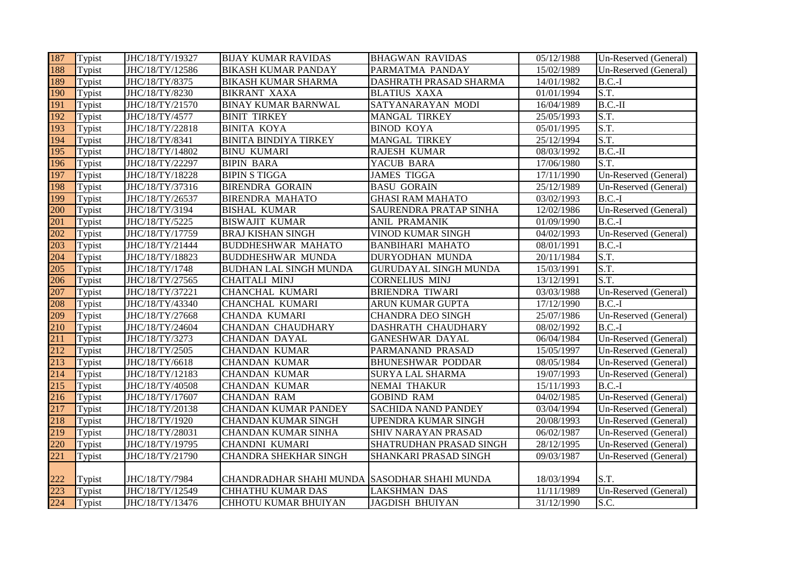| 187 | Typist | JHC/18/TY/19327 | <b>BIJAY KUMAR RAVIDAS</b>                   | <b>BHAGWAN RAVIDAS</b>       | 05/12/1988              | Un-Reserved (General) |
|-----|--------|-----------------|----------------------------------------------|------------------------------|-------------------------|-----------------------|
| 188 | Typist | JHC/18/TY/12586 | <b>BIKASH KUMAR PANDAY</b>                   | PARMATMA PANDAY              | 15/02/1989              | Un-Reserved (General) |
| 189 | Typist | JHC/18/TY/8375  | <b>BIKASH KUMAR SHARMA</b>                   | DASHRATH PRASAD SHARMA       | 14/01/1982              | $B.C.-I$              |
| 190 | Typist | JHC/18/TY/8230  | <b>BIKRANT XAXA</b>                          | <b>BLATIUS XAXA</b>          | 01/01/1994              | S.T.                  |
| 191 | Typist | JHC/18/TY/21570 | <b>BINAY KUMAR BARNWAL</b>                   | SATYANARAYAN MODI            | 16/04/1989              | $B.C.-II$             |
| 192 | Typist | JHC/18/TY/4577  | <b>BINIT TIRKEY</b>                          | <b>MANGAL TIRKEY</b>         | 25/05/1993              | S.T.                  |
| 193 | Typist | JHC/18/TY/22818 | <b>BINITA KOYA</b>                           | <b>BINOD KOYA</b>            | $\overline{05}/01/1995$ | S.T.                  |
| 194 | Typist | JHC/18/TY/8341  | <b>BINITA BINDIYA TIRKEY</b>                 | <b>MANGAL TIRKEY</b>         | 25/12/1994              | S.T.                  |
| 195 | Typist | JHC/18/TY/14802 | <b>BINU KUMARI</b>                           | RAJESH KUMAR                 | 08/03/1992              | $B.C.-II$             |
| 196 | Typist | JHC/18/TY/22297 | <b>BIPIN BARA</b>                            | YACUB BARA                   | 17/06/1980              | S.T.                  |
| 197 | Typist | JHC/18/TY/18228 | <b>BIPIN S TIGGA</b>                         | <b>JAMES TIGGA</b>           | 17/11/1990              | Un-Reserved (General) |
| 198 | Typist | JHC/18/TY/37316 | <b>BIRENDRA GORAIN</b>                       | <b>BASU GORAIN</b>           | 25/12/1989              | Un-Reserved (General) |
| 199 | Typist | JHC/18/TY/26537 | <b>BIRENDRA MAHATO</b>                       | <b>GHASI RAM MAHATO</b>      | 03/02/1993              | $B.C.-I$              |
| 200 | Typist | JHC/18/TY/3194  | <b>BISHAL KUMAR</b>                          | SAURENDRA PRATAP SINHA       | 12/02/1986              | Un-Reserved (General) |
| 201 | Typist | JHC/18/TY/5225  | <b>BISWAJIT KUMAR</b>                        | <b>ANIL PRAMANIK</b>         | 01/09/1990              | $B.C.-I$              |
| 202 | Typist | JHC/18/TY/17759 | <b>BRAJ KISHAN SINGH</b>                     | VINOD KUMAR SINGH            | 04/02/1993              | Un-Reserved (General) |
| 203 | Typist | JHC/18/TY/21444 | <b>BUDDHESHWAR MAHATO</b>                    | <b>BANBIHARI MAHATO</b>      | 08/01/1991              | $B.C.-I$              |
| 204 | Typist | JHC/18/TY/18823 | <b>BUDDHESHWAR MUNDA</b>                     | DURYODHAN MUNDA              | 20/11/1984              | S.T.                  |
| 205 | Typist | JHC/18/TY/1748  | <b>BUDHAN LAL SINGH MUNDA</b>                | <b>GURUDAYAL SINGH MUNDA</b> | 15/03/1991              | S.T.                  |
| 206 | Typist | JHC/18/TY/27565 | CHAITALI MINJ                                | <b>CORNELIUS MINJ</b>        | 13/12/1991              | S.T.                  |
| 207 | Typist | JHC/18/TY/37221 | CHANCHAL KUMARI                              | <b>BRIENDRA TIWARI</b>       | 03/03/1988              | Un-Reserved (General) |
| 208 | Typist | JHC/18/TY/43340 | CHANCHAL KUMARI                              | ARUN KUMAR GUPTA             | 17/12/1990              | $B.C.-I$              |
| 209 | Typist | JHC/18/TY/27668 | <b>CHANDA KUMARI</b>                         | <b>CHANDRA DEO SINGH</b>     | 25/07/1986              | Un-Reserved (General) |
| 210 | Typist | JHC/18/TY/24604 | <b>CHANDAN CHAUDHARY</b>                     | DASHRATH CHAUDHARY           | 08/02/1992              | $B.C.-I$              |
| 211 | Typist | JHC/18/TY/3273  | CHANDAN DAYAL                                | <b>GANESHWAR DAYAL</b>       | 06/04/1984              | Un-Reserved (General) |
| 212 | Typist | JHC/18/TY/2505  | <b>CHANDAN KUMAR</b>                         | PARMANAND PRASAD             | 15/05/1997              | Un-Reserved (General) |
| 213 | Typist | JHC/18/TY/6618  | <b>CHANDAN KUMAR</b>                         | <b>BHUNESHWAR PODDAR</b>     | 08/05/1984              | Un-Reserved (General) |
| 214 | Typist | JHC/18/TY/12183 | <b>CHANDAN KUMAR</b>                         | <b>SURYA LAL SHARMA</b>      | 19/07/1993              | Un-Reserved (General) |
| 215 | Typist | JHC/18/TY/40508 | <b>CHANDAN KUMAR</b>                         | <b>NEMAI THAKUR</b>          | 15/11/1993              | $B.C.-I$              |
| 216 | Typist | JHC/18/TY/17607 | <b>CHANDAN RAM</b>                           | <b>GOBIND RAM</b>            | 04/02/1985              | Un-Reserved (General) |
| 217 | Typist | JHC/18/TY/20138 | <b>CHANDAN KUMAR PANDEY</b>                  | <b>SACHIDA NAND PANDEY</b>   | 03/04/1994              | Un-Reserved (General) |
| 218 | Typist | JHC/18/TY/1920  | <b>CHANDAN KUMAR SINGH</b>                   | UPENDRA KUMAR SINGH          | 20/08/1993              | Un-Reserved (General) |
| 219 | Typist | JHC/18/TY/28031 | <b>CHANDAN KUMAR SINHA</b>                   | SHIV NARAYAN PRASAD          | 06/02/1987              | Un-Reserved (General) |
| 220 | Typist | JHC/18/TY/19795 | CHANDNI KUMARI                               | SHATRUDHAN PRASAD SINGH      | 28/12/1995              | Un-Reserved (General) |
| 221 | Typist | JHC/18/TY/21790 | <b>CHANDRA SHEKHAR SINGH</b>                 | SHANKARI PRASAD SINGH        | 09/03/1987              | Un-Reserved (General) |
|     |        |                 |                                              |                              |                         |                       |
| 222 | Typist | JHC/18/TY/7984  | CHANDRADHAR SHAHI MUNDA SASODHAR SHAHI MUNDA |                              | 18/03/1994              | S.T.                  |
| 223 | Typist | JHC/18/TY/12549 | <b>CHHATHU KUMAR DAS</b>                     | <b>LAKSHMAN DAS</b>          | 11/11/1989              | Un-Reserved (General) |
| 224 | Typist | JHC/18/TY/13476 | CHHOTU KUMAR BHUIYAN                         | <b>JAGDISH BHUIYAN</b>       | 31/12/1990              | S.C.                  |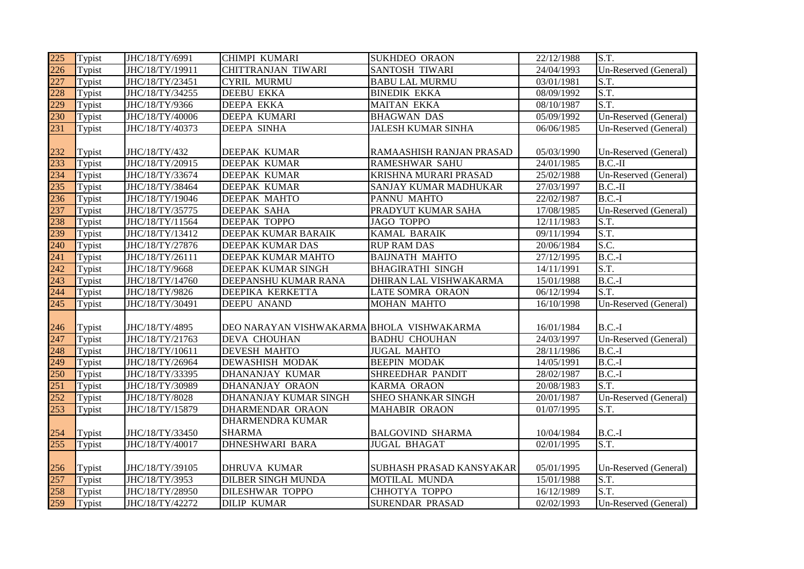| 225 | Typist | JHC/18/TY/6991  | CHIMPI KUMARI                             | <b>SUKHDEO ORAON</b>      | 22/12/1988 | S.T.                  |
|-----|--------|-----------------|-------------------------------------------|---------------------------|------------|-----------------------|
| 226 | Typist | JHC/18/TY/19911 | CHITTRANJAN TIWARI                        | <b>SANTOSH TIWARI</b>     | 24/04/1993 | Un-Reserved (General) |
| 227 | Typist | JHC/18/TY/23451 | <b>CYRIL MURMU</b>                        | <b>BABU LAL MURMU</b>     | 03/01/1981 | S.T.                  |
| 228 | Typist | JHC/18/TY/34255 | <b>DEEBU EKKA</b>                         | <b>BINEDIK EKKA</b>       | 08/09/1992 | S.T.                  |
| 229 | Typist | JHC/18/TY/9366  | <b>DEEPA EKKA</b>                         | <b>MAITAN EKKA</b>        | 08/10/1987 | S.T.                  |
| 230 | Typist | JHC/18/TY/40006 | <b>DEEPA KUMARI</b>                       | <b>BHAGWAN DAS</b>        | 05/09/1992 | Un-Reserved (General) |
| 231 | Typist | JHC/18/TY/40373 | <b>DEEPA SINHA</b>                        | <b>JALESH KUMAR SINHA</b> | 06/06/1985 | Un-Reserved (General) |
|     |        |                 |                                           |                           |            |                       |
| 232 | Typist | JHC/18/TY/432   | DEEPAK KUMAR                              | RAMAASHISH RANJAN PRASAD  | 05/03/1990 | Un-Reserved (General) |
| 233 | Typist | JHC/18/TY/20915 | <b>DEEPAK KUMAR</b>                       | <b>RAMESHWAR SAHU</b>     | 24/01/1985 | $B.C.-II$             |
| 234 | Typist | JHC/18/TY/33674 | DEEPAK KUMAR                              | KRISHNA MURARI PRASAD     | 25/02/1988 | Un-Reserved (General) |
| 235 | Typist | JHC/18/TY/38464 | DEEPAK KUMAR                              | SANJAY KUMAR MADHUKAR     | 27/03/1997 | $B.C.-II$             |
| 236 | Typist | JHC/18/TY/19046 | DEEPAK MAHTO                              | PANNU MAHTO               | 22/02/1987 | $B.C.-I$              |
| 237 | Typist | JHC/18/TY/35775 | <b>DEEPAK SAHA</b>                        | PRADYUT KUMAR SAHA        | 17/08/1985 | Un-Reserved (General) |
| 238 | Typist | JHC/18/TY/11564 | <b>DEEPAK TOPPO</b>                       | <b>JAGO TOPPO</b>         | 12/11/1983 | S.T.                  |
| 239 | Typist | JHC/18/TY/13412 | <b>DEEPAK KUMAR BARAIK</b>                | <b>KAMAL BARAIK</b>       | 09/11/1994 | S.T.                  |
| 240 | Typist | JHC/18/TY/27876 | DEEPAK KUMAR DAS                          | <b>RUP RAM DAS</b>        | 20/06/1984 | S.C.                  |
| 241 | Typist | JHC/18/TY/26111 | DEEPAK KUMAR MAHTO                        | <b>BAIJNATH MAHTO</b>     | 27/12/1995 | $B.C.-I$              |
| 242 | Typist | JHC/18/TY/9668  | DEEPAK KUMAR SINGH                        | <b>BHAGIRATHI SINGH</b>   | 14/11/1991 | S.T.                  |
| 243 | Typist | JHC/18/TY/14760 | DEEPANSHU KUMAR RANA                      | DHIRAN LAL VISHWAKARMA    | 15/01/1988 | $B.C.-I$              |
| 244 | Typist | JHC/18/TY/9826  | DEEPIKA KERKETTA                          | LATE SOMRA ORAON          | 06/12/1994 | S.T.                  |
| 245 | Typist | JHC/18/TY/30491 | DEEPU ANAND                               | <b>MOHAN MAHTO</b>        | 16/10/1998 | Un-Reserved (General) |
|     |        |                 |                                           |                           |            |                       |
| 246 | Typist | JHC/18/TY/4895  | DEO NARAYAN VISHWAKARMA BHOLA VISHWAKARMA |                           | 16/01/1984 | $B.C.-I$              |
| 247 | Typist | JHC/18/TY/21763 | <b>DEVA CHOUHAN</b>                       | <b>BADHU CHOUHAN</b>      | 24/03/1997 | Un-Reserved (General) |
| 248 | Typist | JHC/18/TY/10611 | <b>DEVESH MAHTO</b>                       | <b>JUGAL MAHTO</b>        | 28/11/1986 | $B.C.-I$              |
| 249 | Typist | JHC/18/TY/26964 | <b>DEWASHISH MODAK</b>                    | <b>BEEPIN MODAK</b>       | 14/05/1991 | $B.C.-I$              |
| 250 | Typist | JHC/18/TY/33395 | DHANANJAY KUMAR                           | SHREEDHAR PANDIT          | 28/02/1987 | $B.C.-I$              |
| 251 | Typist | JHC/18/TY/30989 | DHANANJAY ORAON                           | KARMA ORAON               | 20/08/1983 | S.T.                  |
| 252 | Typist | JHC/18/TY/8028  | DHANANJAY KUMAR SINGH                     | <b>SHEO SHANKAR SINGH</b> | 20/01/1987 | Un-Reserved (General) |
| 253 | Typist | JHC/18/TY/15879 | DHARMENDAR ORAON                          | <b>MAHABIR ORAON</b>      | 01/07/1995 | S.T.                  |
|     |        |                 | <b>DHARMENDRA KUMAR</b>                   |                           |            |                       |
| 254 | Typist | JHC/18/TY/33450 | <b>SHARMA</b>                             | <b>BALGOVIND SHARMA</b>   | 10/04/1984 | $B.C.-I$              |
| 255 | Typist | JHC/18/TY/40017 | <b>DHNESHWARI BARA</b>                    | <b>JUGAL BHAGAT</b>       | 02/01/1995 | S.T.                  |
|     |        |                 |                                           |                           |            |                       |
| 256 | Typist | JHC/18/TY/39105 | <b>DHRUVA KUMAR</b>                       | SUBHASH PRASAD KANSYAKAR  | 05/01/1995 | Un-Reserved (General) |
| 257 | Typist | JHC/18/TY/3953  | <b>DILBER SINGH MUNDA</b>                 | MOTILAL MUNDA             | 15/01/1988 | S.T.                  |
| 258 | Typist | JHC/18/TY/28950 | <b>DILESHWAR TOPPO</b>                    | СННОТҮА ТОРРО             | 16/12/1989 | S.T.                  |
| 259 | Typist | JHC/18/TY/42272 | <b>DILIP KUMAR</b>                        | SURENDAR PRASAD           | 02/02/1993 | Un-Reserved (General) |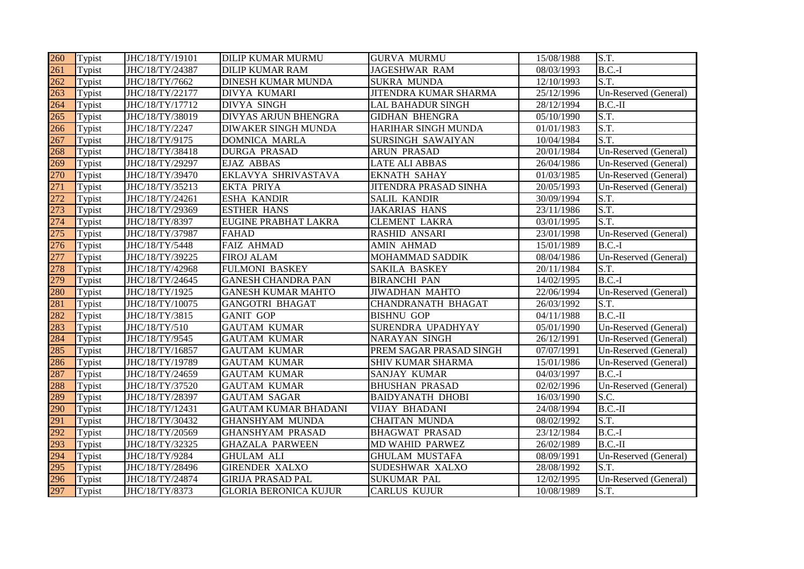| 260 | Typist | JHC/18/TY/19101 | <b>DILIP KUMAR MURMU</b>     | <b>GURVA MURMU</b>        | 15/08/1988 | S.T.                  |
|-----|--------|-----------------|------------------------------|---------------------------|------------|-----------------------|
| 261 | Typist | JHC/18/TY/24387 | <b>DILIP KUMAR RAM</b>       | <b>JAGESHWAR RAM</b>      | 08/03/1993 | $B.C.-I$              |
| 262 | Typist | JHC/18/TY/7662  | <b>DINESH KUMAR MUNDA</b>    | <b>SUKRA MUNDA</b>        | 12/10/1993 | S.T.                  |
| 263 | Typist | JHC/18/TY/22177 | DIVYA KUMARI                 | JITENDRA KUMAR SHARMA     | 25/12/1996 | Un-Reserved (General) |
| 264 | Typist | JHC/18/TY/17712 | <b>DIVYA SINGH</b>           | <b>LAL BAHADUR SINGH</b>  | 28/12/1994 | $B.C.-II$             |
| 265 | Typist | JHC/18/TY/38019 | DIVYAS ARJUN BHENGRA         | <b>GIDHAN BHENGRA</b>     | 05/10/1990 | S.T.                  |
| 266 | Typist | JHC/18/TY/2247  | <b>DIWAKER SINGH MUNDA</b>   | HARIHAR SINGH MUNDA       | 01/01/1983 | S.T.                  |
| 267 | Typist | JHC/18/TY/9175  | DOMNICA MARLA                | SURSINGH SAWAIYAN         | 10/04/1984 | S.T.                  |
| 268 | Typist | JHC/18/TY/38418 | <b>DURGA PRASAD</b>          | <b>ARUN PRASAD</b>        | 20/01/1984 | Un-Reserved (General) |
| 269 | Typist | JHC/18/TY/29297 | <b>EJAZ ABBAS</b>            | <b>LATE ALI ABBAS</b>     | 26/04/1986 | Un-Reserved (General) |
| 270 | Typist | JHC/18/TY/39470 | EKLAVYA SHRIVASTAVA          | <b>EKNATH SAHAY</b>       | 01/03/1985 | Un-Reserved (General) |
| 271 | Typist | JHC/18/TY/35213 | <b>EKTA PRIYA</b>            | JITENDRA PRASAD SINHA     | 20/05/1993 | Un-Reserved (General) |
| 272 | Typist | JHC/18/TY/24261 | <b>ESHA KANDIR</b>           | <b>SALIL KANDIR</b>       | 30/09/1994 | S.T.                  |
| 273 | Typist | JHC/18/TY/29369 | <b>ESTHER HANS</b>           | <b>JAKARIAS HANS</b>      | 23/11/1986 | S.T.                  |
| 274 | Typist | JHC/18/TY/8397  | EUGINE PRABHAT LAKRA         | <b>CLEMENT LAKRA</b>      | 03/01/1995 | S.T.                  |
| 275 | Typist | JHC/18/TY/37987 | <b>FAHAD</b>                 | <b>RASHID ANSARI</b>      | 23/01/1998 | Un-Reserved (General) |
| 276 | Typist | JHC/18/TY/5448  | <b>FAIZ AHMAD</b>            | <b>AMIN AHMAD</b>         | 15/01/1989 | $B.C.-I$              |
| 277 | Typist | JHC/18/TY/39225 | <b>FIROJ ALAM</b>            | <b>MOHAMMAD SADDIK</b>    | 08/04/1986 | Un-Reserved (General) |
| 278 | Typist | JHC/18/TY/42968 | <b>FULMONI BASKEY</b>        | <b>SAKILA BASKEY</b>      | 20/11/1984 | S.T.                  |
| 279 | Typist | JHC/18/TY/24645 | <b>GANESH CHANDRA PAN</b>    | <b>BIRANCHI PAN</b>       | 14/02/1995 | $B.C.-I$              |
| 280 | Typist | JHC/18/TY/1925  | <b>GANESH KUMAR MAHTO</b>    | <b>JIWADHAN MAHTO</b>     | 22/06/1994 | Un-Reserved (General) |
| 281 | Typist | JHC/18/TY/10075 | <b>GANGOTRI BHAGAT</b>       | <b>CHANDRANATH BHAGAT</b> | 26/03/1992 | S.T.                  |
| 282 | Typist | JHC/18/TY/3815  | <b>GANIT GOP</b>             | <b>BISHNU GOP</b>         | 04/11/1988 | $B.C.-II$             |
| 283 | Typist | JHC/18/TY/510   | <b>GAUTAM KUMAR</b>          | SURENDRA UPADHYAY         | 05/01/1990 | Un-Reserved (General) |
| 284 | Typist | JHC/18/TY/9545  | <b>GAUTAM KUMAR</b>          | <b>NARAYAN SINGH</b>      | 26/12/1991 | Un-Reserved (General) |
| 285 | Typist | JHC/18/TY/16857 | <b>GAUTAM KUMAR</b>          | PREM SAGAR PRASAD SINGH   | 07/07/1991 | Un-Reserved (General) |
| 286 | Typist | JHC/18/TY/19789 | <b>GAUTAM KUMAR</b>          | SHIV KUMAR SHARMA         | 15/01/1986 | Un-Reserved (General) |
| 287 | Typist | JHC/18/TY/24659 | <b>GAUTAM KUMAR</b>          | SANJAY KUMAR              | 04/03/1997 | $B.C.-I$              |
| 288 | Typist | JHC/18/TY/37520 | <b>GAUTAM KUMAR</b>          | <b>BHUSHAN PRASAD</b>     | 02/02/1996 | Un-Reserved (General) |
| 289 | Typist | JHC/18/TY/28397 | <b>GAUTAM SAGAR</b>          | <b>BAIDYANATH DHOBI</b>   | 16/03/1990 | S.C.                  |
| 290 | Typist | JHC/18/TY/12431 | <b>GAUTAM KUMAR BHADANI</b>  | <b>VIJAY BHADANI</b>      | 24/08/1994 | $B.C.-II$             |
| 291 | Typist | JHC/18/TY/30432 | <b>GHANSHYAM MUNDA</b>       | <b>CHAITAN MUNDA</b>      | 08/02/1992 | S.T.                  |
| 292 | Typist | JHC/18/TY/20569 | <b>GHANSHYAM PRASAD</b>      | <b>BHAGWAT PRASAD</b>     | 23/12/1984 | $B.C.-I$              |
| 293 | Typist | JHC/18/TY/32325 | <b>GHAZALA PARWEEN</b>       | MD WAHID PARWEZ           | 26/02/1989 | $B.C.-II$             |
| 294 | Typist | JHC/18/TY/9284  | <b>GHULAM ALI</b>            | <b>GHULAM MUSTAFA</b>     | 08/09/1991 | Un-Reserved (General) |
| 295 | Typist | JHC/18/TY/28496 | <b>GIRENDER XALXO</b>        | SUDESHWAR XALXO           | 28/08/1992 | S.T.                  |
| 296 | Typist | JHC/18/TY/24874 | <b>GIRIJA PRASAD PAL</b>     | <b>SUKUMAR PAL</b>        | 12/02/1995 | Un-Reserved (General) |
| 297 | Typist | JHC/18/TY/8373  | <b>GLORIA BERONICA KUJUR</b> | <b>CARLUS KUJUR</b>       | 10/08/1989 | S.T.                  |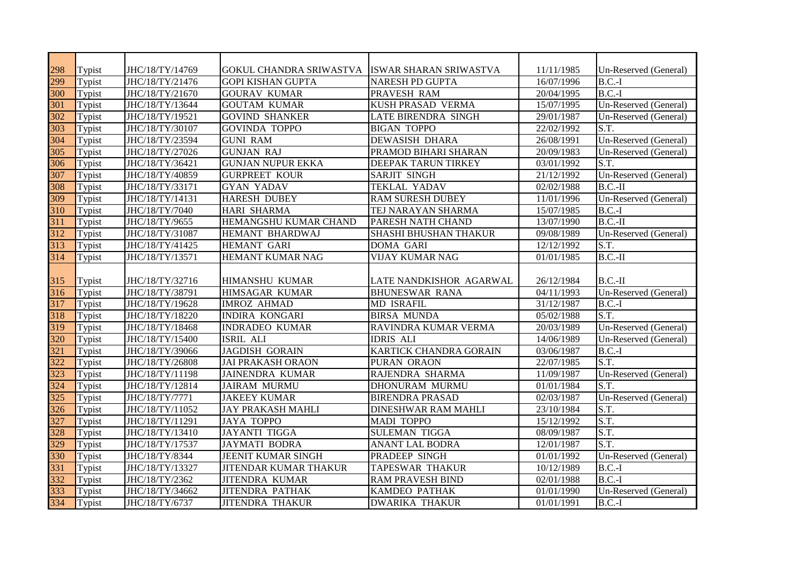| 298 | Typist | JHC/18/TY/14769 | <b>GOKUL CHANDRA SRIWASTVA</b> | ISWAR SHARAN SRIWASTVA        | 11/11/1985 | Un-Reserved (General) |
|-----|--------|-----------------|--------------------------------|-------------------------------|------------|-----------------------|
| 299 | Typist | JHC/18/TY/21476 | <b>GOPI KISHAN GUPTA</b>       | <b>NARESH PD GUPTA</b>        | 16/07/1996 | $B.C.-I$              |
| 300 | Typist | JHC/18/TY/21670 | <b>GOURAV KUMAR</b>            | PRAVESH RAM                   | 20/04/1995 | $B.C.-I$              |
| 301 | Typist | JHC/18/TY/13644 | <b>GOUTAM KUMAR</b>            | <b>KUSH PRASAD VERMA</b>      | 15/07/1995 | Un-Reserved (General) |
| 302 | Typist | JHC/18/TY/19521 | <b>GOVIND SHANKER</b>          | <b>LATE BIRENDRA SINGH</b>    | 29/01/1987 | Un-Reserved (General) |
| 303 | Typist | JHC/18/TY/30107 | <b>GOVINDA TOPPO</b>           | <b>BIGAN TOPPO</b>            | 22/02/1992 | S.T.                  |
| 304 | Typist | JHC/18/TY/23594 | <b>GUNI RAM</b>                | <b>DEWASISH DHARA</b>         | 26/08/1991 | Un-Reserved (General) |
| 305 | Typist | JHC/18/TY/27026 | <b>GUNJAN RAJ</b>              | PRAMOD BIHARI SHARAN          | 20/09/1983 | Un-Reserved (General) |
| 306 | Typist | JHC/18/TY/36421 | <b>GUNJAN NUPUR EKKA</b>       | <b>DEEPAK TARUN TIRKEY</b>    | 03/01/1992 | S.T.                  |
| 307 | Typist | JHC/18/TY/40859 | <b>GURPREET KOUR</b>           | <b>SARJIT SINGH</b>           | 21/12/1992 | Un-Reserved (General) |
| 308 | Typist | JHC/18/TY/33171 | <b>GYAN YADAV</b>              | <b>TEKLAL YADAV</b>           | 02/02/1988 | $B.C.-II$             |
| 309 | Typist | JHC/18/TY/14131 | <b>HARESH DUBEY</b>            | <b>RAM SURESH DUBEY</b>       | 11/01/1996 | Un-Reserved (General) |
| 310 | Typist | JHC/18/TY/7040  | <b>HARI SHARMA</b>             | TEJ NARAYAN SHARMA            | 15/07/1985 | $B.C.-I$              |
| 311 | Typist | JHC/18/TY/9655  | HEMANGSHU KUMAR CHAND          | PARESH NATH CHAND             | 13/07/1990 | $B.C.-II$             |
| 312 | Typist | JHC/18/TY/31087 | HEMANT BHARDWAJ                | <b>SHASHI BHUSHAN THAKUR</b>  | 09/08/1989 | Un-Reserved (General) |
| 313 | Typist | JHC/18/TY/41425 | HEMANT GARI                    | <b>DOMA GARI</b>              | 12/12/1992 | S.T.                  |
| 314 | Typist | JHC/18/TY/13571 | HEMANT KUMAR NAG               | <b>VIJAY KUMAR NAG</b>        | 01/01/1985 | $B.C.-II$             |
|     |        |                 |                                |                               |            |                       |
| 315 | Typist | JHC/18/TY/32716 | <b>HIMANSHU KUMAR</b>          | LATE NANDKISHOR AGARWAL       | 26/12/1984 | B.C.-II               |
| 316 | Typist | JHC/18/TY/38791 | <b>HIMSAGAR KUMAR</b>          | <b>BHUNESWAR RANA</b>         | 04/11/1993 | Un-Reserved (General) |
| 317 | Typist | JHC/18/TY/19628 | <b>IMROZ AHMAD</b>             | <b>MD ISRAFIL</b>             | 31/12/1987 | $B.C.-I$              |
| 318 | Typist | JHC/18/TY/18220 | <b>INDIRA KONGARI</b>          | <b>BIRSA MUNDA</b>            | 05/02/1988 | S.T.                  |
| 319 | Typist | JHC/18/TY/18468 | <b>INDRADEO KUMAR</b>          | RAVINDRA KUMAR VERMA          | 20/03/1989 | Un-Reserved (General) |
| 320 | Typist | JHC/18/TY/15400 | <b>ISRIL ALI</b>               | <b>IDRIS ALI</b>              | 14/06/1989 | Un-Reserved (General) |
| 321 | Typist | JHC/18/TY/39066 | <b>JAGDISH GORAIN</b>          | <b>KARTICK CHANDRA GORAIN</b> | 03/06/1987 | $B.C.-I$              |
| 322 | Typist | JHC/18/TY/26808 | <b>JAI PRAKASH ORAON</b>       | PURAN ORAON                   | 22/07/1985 | S.T.                  |
| 323 | Typist | JHC/18/TY/11198 | <b>JAINENDRA KUMAR</b>         | RAJENDRA SHARMA               | 11/09/1987 | Un-Reserved (General) |
| 324 | Typist | JHC/18/TY/12814 | <b>JAIRAM MURMU</b>            | DHONURAM MURMU                | 01/01/1984 | S.T.                  |
| 325 | Typist | JHC/18/TY/7771  | <b>JAKEEY KUMAR</b>            | <b>BIRENDRA PRASAD</b>        | 02/03/1987 | Un-Reserved (General) |
| 326 | Typist | JHC/18/TY/11052 | <b>JAY PRAKASH MAHLI</b>       | <b>DINESHWAR RAM MAHLI</b>    | 23/10/1984 | S.T.                  |
| 327 | Typist | JHC/18/TY/11291 | <b>JAYA TOPPO</b>              | <b>MADI TOPPO</b>             | 15/12/1992 | $\overline{S.T.}$     |
| 328 | Typist | JHC/18/TY/13410 | <b>JAYANTI TIGGA</b>           | <b>SULEMAN TIGGA</b>          | 08/09/1987 | S.T.                  |
| 329 | Typist | JHC/18/TY/17537 | <b>JAYMATI BODRA</b>           | <b>ANANT LAL BODRA</b>        | 12/01/1987 | $\overline{S.T}$      |
| 330 | Typist | JHC/18/TY/8344  | <b>JEENIT KUMAR SINGH</b>      | <b>PRADEEP SINGH</b>          | 01/01/1992 | Un-Reserved (General) |
| 331 | Typist | JHC/18/TY/13327 | <b>JITENDAR KUMAR THAKUR</b>   | <b>TAPESWAR THAKUR</b>        | 10/12/1989 | $B.C.-I$              |
| 332 | Typist | JHC/18/TY/2362  | <b>JITENDRA KUMAR</b>          | <b>RAM PRAVESH BIND</b>       | 02/01/1988 | $B.C.-I$              |
| 333 | Typist | JHC/18/TY/34662 | <b>JITENDRA PATHAK</b>         | <b>KAMDEO PATHAK</b>          | 01/01/1990 | Un-Reserved (General) |
| 334 | Typist | JHC/18/TY/6737  | <b>JITENDRA THAKUR</b>         | <b>DWARIKA THAKUR</b>         | 01/01/1991 | $B.C.-I$              |
|     |        |                 |                                |                               |            |                       |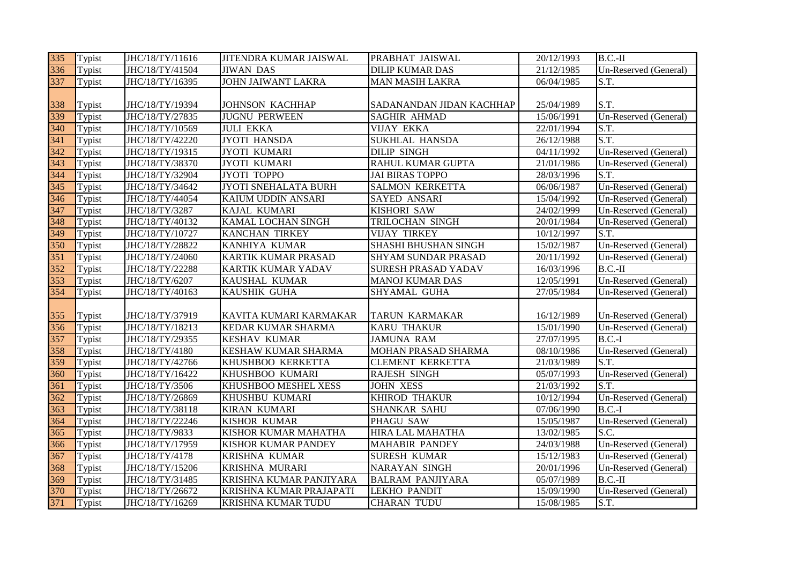| 335 | Typist | JHC/18/TY/11616 | <b>JITENDRA KUMAR JAISWAL</b> | PRABHAT JAISWAL            | 20/12/1993 | $B.C.-II$             |
|-----|--------|-----------------|-------------------------------|----------------------------|------------|-----------------------|
| 336 | Typist | JHC/18/TY/41504 | <b>JIWAN DAS</b>              | <b>DILIP KUMAR DAS</b>     | 21/12/1985 | Un-Reserved (General) |
| 337 | Typist | JHC/18/TY/16395 | <b>JOHN JAIWANT LAKRA</b>     | <b>MAN MASIH LAKRA</b>     | 06/04/1985 | S.T.                  |
|     |        |                 |                               |                            |            |                       |
| 338 | Typist | JHC/18/TY/19394 | <b>JOHNSON KACHHAP</b>        | SADANANDAN JIDAN KACHHAP   | 25/04/1989 | S.T.                  |
| 339 | Typist | JHC/18/TY/27835 | <b>JUGNU PERWEEN</b>          | <b>SAGHIR AHMAD</b>        | 15/06/1991 | Un-Reserved (General) |
| 340 | Typist | JHC/18/TY/10569 | <b>JULI EKKA</b>              | <b>VIJAY EKKA</b>          | 22/01/1994 | S.T.                  |
| 341 | Typist | JHC/18/TY/42220 | <b>JYOTI HANSDA</b>           | <b>SUKHLAL HANSDA</b>      | 26/12/1988 | S.T.                  |
| 342 | Typist | JHC/18/TY/19315 | JYOTI KUMARI                  | <b>DILIP SINGH</b>         | 04/11/1992 | Un-Reserved (General) |
| 343 | Typist | JHC/18/TY/38370 | JYOTI KUMARI                  | RAHUL KUMAR GUPTA          | 21/01/1986 | Un-Reserved (General) |
| 344 | Typist | JHC/18/TY/32904 | JYOTI TOPPO                   | <b>JAI BIRAS TOPPO</b>     | 28/03/1996 | S.T.                  |
| 345 | Typist | JHC/18/TY/34642 | JYOTI SNEHALATA BURH          | SALMON KERKETTA            | 06/06/1987 | Un-Reserved (General) |
| 346 | Typist | JHC/18/TY/44054 | KAIUM UDDIN ANSARI            | SAYED ANSARI               | 15/04/1992 | Un-Reserved (General) |
| 347 | Typist | JHC/18/TY/3287  | KAJAL KUMARI                  | <b>KISHORI SAW</b>         | 24/02/1999 | Un-Reserved (General) |
| 348 | Typist | JHC/18/TY/40132 | KAMAL LOCHAN SINGH            | TRILOCHAN SINGH            | 20/01/1984 | Un-Reserved (General) |
| 349 | Typist | JHC/18/TY/10727 | <b>KANCHAN TIRKEY</b>         | <b>VIJAY TIRKEY</b>        | 10/12/1997 | S.T.                  |
| 350 | Typist | JHC/18/TY/28822 | KANHIYA KUMAR                 | SHASHI BHUSHAN SINGH       | 15/02/1987 | Un-Reserved (General) |
| 351 | Typist | JHC/18/TY/24060 | KARTIK KUMAR PRASAD           | <b>SHYAM SUNDAR PRASAD</b> | 20/11/1992 | Un-Reserved (General) |
| 352 | Typist | JHC/18/TY/22288 | KARTIK KUMAR YADAV            | <b>SURESH PRASAD YADAV</b> | 16/03/1996 | $B.C.-II$             |
| 353 | Typist | JHC/18/TY/6207  | KAUSHAL KUMAR                 | <b>MANOJ KUMAR DAS</b>     | 12/05/1991 | Un-Reserved (General) |
| 354 | Typist | JHC/18/TY/40163 | KAUSHIK GUHA                  | SHYAMAL GUHA               | 27/05/1984 | Un-Reserved (General) |
|     |        |                 |                               |                            |            |                       |
| 355 | Typist | JHC/18/TY/37919 | KAVITA KUMARI KARMAKAR        | TARUN KARMAKAR             | 16/12/1989 | Un-Reserved (General) |
| 356 | Typist | JHC/18/TY/18213 | KEDAR KUMAR SHARMA            | <b>KARU THAKUR</b>         | 15/01/1990 | Un-Reserved (General) |
| 357 | Typist | JHC/18/TY/29355 | <b>KESHAV KUMAR</b>           | <b>JAMUNA RAM</b>          | 27/07/1995 | $B.C.-I$              |
| 358 | Typist | JHC/18/TY/4180  | <b>KESHAW KUMAR SHARMA</b>    | MOHAN PRASAD SHARMA        | 08/10/1986 | Un-Reserved (General) |
| 359 | Typist | JHC/18/TY/42766 | KHUSHBOO KERKETTA             | <b>CLEMENT KERKETTA</b>    | 21/03/1989 | S.T.                  |
| 360 | Typist | JHC/18/TY/16422 | KHUSHBOO KUMARI               | <b>RAJESH SINGH</b>        | 05/07/1993 | Un-Reserved (General) |
| 361 | Typist | JHC/18/TY/3506  | KHUSHBOO MESHEL XESS          | <b>JOHN XESS</b>           | 21/03/1992 | S.T.                  |
| 362 | Typist | JHC/18/TY/26869 | KHUSHBU KUMARI                | <b>KHIROD THAKUR</b>       | 10/12/1994 | Un-Reserved (General) |
| 363 | Typist | JHC/18/TY/38118 | <b>KIRAN KUMARI</b>           | <b>SHANKAR SAHU</b>        | 07/06/1990 | $B.C.-I$              |
| 364 | Typist | JHC/18/TY/22246 | <b>KISHOR KUMAR</b>           | PHAGU SAW                  | 15/05/1987 | Un-Reserved (General) |
| 365 | Typist | JHC/18/TY/9833  | KISHOR KUMAR MAHATHA          | HIRA LAL MAHATHA           | 13/02/1985 | S.C.                  |
| 366 | Typist | JHC/18/TY/17959 | KISHOR KUMAR PANDEY           | <b>MAHABIR PANDEY</b>      | 24/03/1988 | Un-Reserved (General) |
| 367 | Typist | JHC/18/TY/4178  | KRISHNA KUMAR                 | <b>SURESH KUMAR</b>        | 15/12/1983 | Un-Reserved (General) |
| 368 | Typist | JHC/18/TY/15206 | KRISHNA MURARI                | NARAYAN SINGH              | 20/01/1996 | Un-Reserved (General) |
| 369 | Typist | JHC/18/TY/31485 | KRISHNA KUMAR PANJIYARA       | <b>BALRAM PANJIYARA</b>    | 05/07/1989 | $B.C.-II$             |
| 370 | Typist | JHC/18/TY/26672 | KRISHNA KUMAR PRAJAPATI       | <b>LEKHO PANDIT</b>        | 15/09/1990 | Un-Reserved (General) |
| 371 | Typist | JHC/18/TY/16269 | KRISHNA KUMAR TUDU            | <b>CHARAN TUDU</b>         | 15/08/1985 | S.T.                  |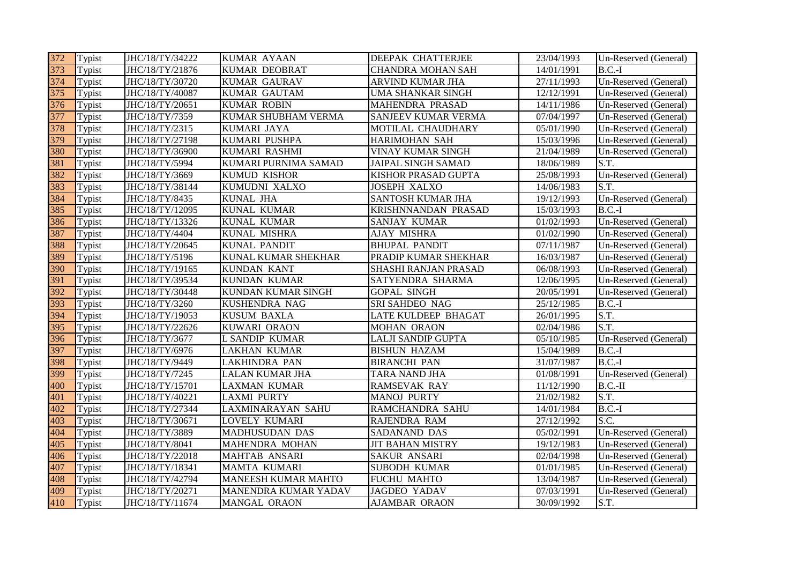| 372 | Typist | JHC/18/TY/34222 | <b>KUMAR AYAAN</b>         | DEEPAK CHATTERJEE         | 23/04/1993 | Un-Reserved (General) |
|-----|--------|-----------------|----------------------------|---------------------------|------------|-----------------------|
| 373 | Typist | JHC/18/TY/21876 | <b>KUMAR DEOBRAT</b>       | <b>CHANDRA MOHAN SAH</b>  | 14/01/1991 | $B.C.-I$              |
| 374 | Typist | JHC/18/TY/30720 | <b>KUMAR GAURAV</b>        | ARVIND KUMAR JHA          | 27/11/1993 | Un-Reserved (General) |
| 375 | Typist | JHC/18/TY/40087 | <b>KUMAR GAUTAM</b>        | UMA SHANKAR SINGH         | 12/12/1991 | Un-Reserved (General) |
| 376 | Typist | JHC/18/TY/20651 | <b>KUMAR ROBIN</b>         | MAHENDRA PRASAD           | 14/11/1986 | Un-Reserved (General) |
| 377 | Typist | JHC/18/TY/7359  | KUMAR SHUBHAM VERMA        | SANJEEV KUMAR VERMA       | 07/04/1997 | Un-Reserved (General) |
| 378 | Typist | JHC/18/TY/2315  | KUMARI JAYA                | MOTILAL CHAUDHARY         | 05/01/1990 | Un-Reserved (General) |
| 379 | Typist | JHC/18/TY/27198 | KUMARI PUSHPA              | HARIMOHAN SAH             | 15/03/1996 | Un-Reserved (General) |
| 380 | Typist | JHC/18/TY/36900 | KUMARI RASHMI              | VINAY KUMAR SINGH         | 21/04/1989 | Un-Reserved (General) |
| 381 | Typist | JHC/18/TY/5994  | KUMARI PURNIMA SAMAD       | <b>JAIPAL SINGH SAMAD</b> | 18/06/1989 | S.T.                  |
| 382 | Typist | JHC/18/TY/3669  | KUMUD KISHOR               | KISHOR PRASAD GUPTA       | 25/08/1993 | Un-Reserved (General) |
| 383 | Typist | JHC/18/TY/38144 | KUMUDNI XALXO              | <b>JOSEPH XALXO</b>       | 14/06/1983 | S.T.                  |
| 384 | Typist | JHC/18/TY/8435  | KUNAL JHA                  | SANTOSH KUMAR JHA         | 19/12/1993 | Un-Reserved (General) |
| 385 | Typist | JHC/18/TY/12095 | KUNAL KUMAR                | KRISHNNANDAN PRASAD       | 15/03/1993 | $B.C.-I$              |
| 386 | Typist | JHC/18/TY/13326 | <b>KUNAL KUMAR</b>         | <b>SANJAY KUMAR</b>       | 01/02/1993 | Un-Reserved (General) |
| 387 | Typist | JHC/18/TY/4404  | KUNAL MISHRA               | AJAY MISHRA               | 01/02/1990 | Un-Reserved (General) |
| 388 | Typist | JHC/18/TY/20645 | <b>KUNAL PANDIT</b>        | <b>BHUPAL PANDIT</b>      | 07/11/1987 | Un-Reserved (General) |
| 389 | Typist | JHC/18/TY/5196  | KUNAL KUMAR SHEKHAR        | PRADIP KUMAR SHEKHAR      | 16/03/1987 | Un-Reserved (General) |
| 390 | Typist | JHC/18/TY/19165 | <b>KUNDAN KANT</b>         | SHASHI RANJAN PRASAD      | 06/08/1993 | Un-Reserved (General) |
| 391 | Typist | JHC/18/TY/39534 | KUNDAN KUMAR               | SATYENDRA SHARMA          | 12/06/1995 | Un-Reserved (General) |
| 392 | Typist | JHC/18/TY/30448 | KUNDAN KUMAR SINGH         | <b>GOPAL SINGH</b>        | 20/05/1991 | Un-Reserved (General) |
| 393 | Typist | JHC/18/TY/3260  | KUSHENDRA NAG              | SRI SAHDEO NAG            | 25/12/1985 | $B.C.-I$              |
| 394 | Typist | JHC/18/TY/19053 | <b>KUSUM BAXLA</b>         | LATE KULDEEP BHAGAT       | 26/01/1995 | S.T.                  |
| 395 | Typist | JHC/18/TY/22626 | KUWARI ORAON               | MOHAN ORAON               | 02/04/1986 | S.T.                  |
| 396 | Typist | JHC/18/TY/3677  | <b>L SANDIP KUMAR</b>      | LALJI SANDIP GUPTA        | 05/10/1985 | Un-Reserved (General) |
| 397 | Typist | JHC/18/TY/6976  | <b>LAKHAN KUMAR</b>        | <b>BISHUN HAZAM</b>       | 15/04/1989 | $B.C.-I$              |
| 398 | Typist | JHC/18/TY/9449  | <b>LAKHINDRA PAN</b>       | <b>BIRANCHI PAN</b>       | 31/07/1987 | $B.C.-I$              |
| 399 | Typist | JHC/18/TY/7245  | <b>LALAN KUMAR JHA</b>     | TARA NAND JHA             | 01/08/1991 | Un-Reserved (General) |
| 400 | Typist | JHC/18/TY/15701 | <b>LAXMAN KUMAR</b>        | <b>RAMSEVAK RAY</b>       | 11/12/1990 | $B.C.-II$             |
| 401 | Typist | JHC/18/TY/40221 | <b>LAXMI PURTY</b>         | <b>MANOJ PURTY</b>        | 21/02/1982 | S.T.                  |
| 402 | Typist | JHC/18/TY/27344 | <b>LAXMINARAYAN SAHU</b>   | RAMCHANDRA SAHU           | 14/01/1984 | $B.C.-I$              |
| 403 | Typist | JHC/18/TY/30671 | LOVELY KUMARI              | RAJENDRA RAM              | 27/12/1992 | S.C.                  |
| 404 | Typist | JHC/18/TY/3889  | MADHUSUDAN DAS             | <b>SADANAND DAS</b>       | 05/02/1991 | Un-Reserved (General) |
| 405 | Typist | JHC/18/TY/8041  | MAHENDRA MOHAN             | <b>JIT BAHAN MISTRY</b>   | 19/12/1983 | Un-Reserved (General) |
| 406 | Typist | JHC/18/TY/22018 | MAHTAB ANSARI              | SAKUR ANSARI              | 02/04/1998 | Un-Reserved (General) |
| 407 | Typist | JHC/18/TY/18341 | MAMTA KUMARI               | <b>SUBODH KUMAR</b>       | 01/01/1985 | Un-Reserved (General) |
| 408 | Typist | JHC/18/TY/42794 | <b>MANEESH KUMAR MAHTO</b> | <b>FUCHU MAHTO</b>        | 13/04/1987 | Un-Reserved (General) |
| 409 | Typist | JHC/18/TY/20271 | MANENDRA KUMAR YADAV       | <b>JAGDEO YADAV</b>       | 07/03/1991 | Un-Reserved (General) |
| 410 | Typist | JHC/18/TY/11674 | <b>MANGAL ORAON</b>        | <b>AJAMBAR ORAON</b>      | 30/09/1992 | S.T.                  |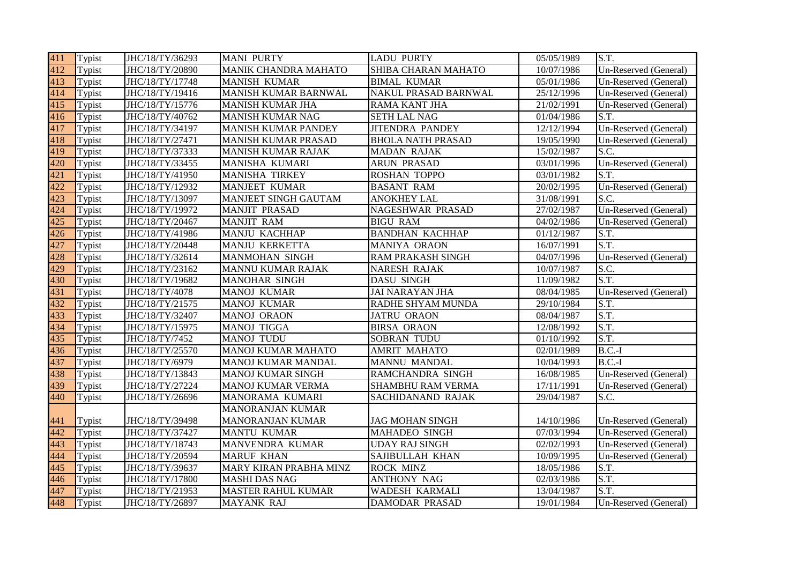| 411 | Typist | JHC/18/TY/36293 | <b>MANI PURTY</b>           | <b>LADU PURTY</b>        | 05/05/1989 | S.T.                  |
|-----|--------|-----------------|-----------------------------|--------------------------|------------|-----------------------|
| 412 | Typist | JHC/18/TY/20890 | MANIK CHANDRA MAHATO        | SHIBA CHARAN MAHATO      | 10/07/1986 | Un-Reserved (General) |
| 413 | Typist | JHC/18/TY/17748 | <b>MANISH KUMAR</b>         | <b>BIMAL KUMAR</b>       | 05/01/1986 | Un-Reserved (General) |
| 414 | Typist | JHC/18/TY/19416 | <b>MANISH KUMAR BARNWAL</b> | NAKUL PRASAD BARNWAL     | 25/12/1996 | Un-Reserved (General) |
| 415 | Typist | JHC/18/TY/15776 | MANISH KUMAR JHA            | <b>RAMA KANT JHA</b>     | 21/02/1991 | Un-Reserved (General) |
| 416 | Typist | JHC/18/TY/40762 | <b>MANISH KUMAR NAG</b>     | <b>SETH LAL NAG</b>      | 01/04/1986 | S.T.                  |
| 417 | Typist | JHC/18/TY/34197 | MANISH KUMAR PANDEY         | <b>JITENDRA PANDEY</b>   | 12/12/1994 | Un-Reserved (General) |
| 418 | Typist | JHC/18/TY/27471 | MANISH KUMAR PRASAD         | <b>BHOLA NATH PRASAD</b> | 19/05/1990 | Un-Reserved (General) |
| 419 | Typist | JHC/18/TY/37333 | MANISH KUMAR RAJAK          | <b>MADAN RAJAK</b>       | 15/02/1987 | S.C.                  |
| 420 | Typist | JHC/18/TY/33455 | MANISHA KUMARI              | <b>ARUN PRASAD</b>       | 03/01/1996 | Un-Reserved (General) |
| 421 | Typist | JHC/18/TY/41950 | MANISHA TIRKEY              | ROSHAN TOPPO             | 03/01/1982 | S.T.                  |
| 422 | Typist | JHC/18/TY/12932 | <b>MANJEET KUMAR</b>        | <b>BASANT RAM</b>        | 20/02/1995 | Un-Reserved (General) |
| 423 | Typist | JHC/18/TY/13097 | <b>MANJEET SINGH GAUTAM</b> | <b>ANOKHEY LAL</b>       | 31/08/1991 | S.C.                  |
| 424 | Typist | JHC/18/TY/19972 | <b>MANJIT PRASAD</b>        | NAGESHWAR PRASAD         | 27/02/1987 | Un-Reserved (General) |
| 425 | Typist | JHC/18/TY/20467 | <b>MANJIT RAM</b>           | <b>BIGU RAM</b>          | 04/02/1986 | Un-Reserved (General) |
| 426 | Typist | JHC/18/TY/41986 | MANJU KACHHAP               | <b>BANDHAN KACHHAP</b>   | 01/12/1987 | S.T.                  |
| 427 | Typist | JHC/18/TY/20448 | <b>MANJU KERKETTA</b>       | MANIYA ORAON             | 16/07/1991 | S.T.                  |
| 428 | Typist | JHC/18/TY/32614 | <b>MANMOHAN SINGH</b>       | <b>RAM PRAKASH SINGH</b> | 04/07/1996 | Un-Reserved (General) |
| 429 | Typist | JHC/18/TY/23162 | MANNU KUMAR RAJAK           | NARESH RAJAK             | 10/07/1987 | S.C.                  |
| 430 | Typist | JHC/18/TY/19682 | <b>MANOHAR SINGH</b>        | <b>DASU SINGH</b>        | 11/09/1982 | S.T.                  |
| 431 | Typist | JHC/18/TY/4078  | MANOJ KUMAR                 | <b>JAI NARAYAN JHA</b>   | 08/04/1985 | Un-Reserved (General) |
| 432 | Typist | JHC/18/TY/21575 | MANOJ KUMAR                 | RADHE SHYAM MUNDA        | 29/10/1984 | S.T.                  |
| 433 | Typist | JHC/18/TY/32407 | <b>MANOJ ORAON</b>          | <b>JATRU ORAON</b>       | 08/04/1987 | S.T.                  |
| 434 | Typist | JHC/18/TY/15975 | <b>MANOJ TIGGA</b>          | <b>BIRSA ORAON</b>       | 12/08/1992 | S.T.                  |
| 435 | Typist | JHC/18/TY/7452  | <b>MANOJ TUDU</b>           | SOBRAN TUDU              | 01/10/1992 | S.T.                  |
| 436 | Typist | JHC/18/TY/25570 | <b>MANOJ KUMAR MAHATO</b>   | <b>AMRIT MAHATO</b>      | 02/01/1989 | $B.C.-I$              |
| 437 | Typist | JHC/18/TY/6979  | MANOJ KUMAR MANDAL          | <b>MANNU MANDAL</b>      | 10/04/1993 | $B.C.-I$              |
| 438 | Typist | JHC/18/TY/13843 | MANOJ KUMAR SINGH           | RAMCHANDRA SINGH         | 16/08/1985 | Un-Reserved (General) |
| 439 | Typist | JHC/18/TY/27224 | MANOJ KUMAR VERMA           | <b>SHAMBHU RAM VERMA</b> | 17/11/1991 | Un-Reserved (General) |
| 440 | Typist | JHC/18/TY/26696 | MANORAMA KUMARI             | SACHIDANAND RAJAK        | 29/04/1987 | S.C.                  |
|     |        |                 | <b>MANORANJAN KUMAR</b>     |                          |            |                       |
| 441 | Typist | JHC/18/TY/39498 | <b>MANORANJAN KUMAR</b>     | <b>JAG MOHAN SINGH</b>   | 14/10/1986 | Un-Reserved (General) |
| 442 | Typist | JHC/18/TY/37427 | <b>MANTU KUMAR</b>          | MAHADEO SINGH            | 07/03/1994 | Un-Reserved (General) |
| 443 | Typist | JHC/18/TY/18743 | MANVENDRA KUMAR             | <b>UDAY RAJ SINGH</b>    | 02/02/1993 | Un-Reserved (General) |
| 444 | Typist | JHC/18/TY/20594 | <b>MARUF KHAN</b>           | SAJIBULLAH KHAN          | 10/09/1995 | Un-Reserved (General) |
| 445 | Typist | JHC/18/TY/39637 | MARY KIRAN PRABHA MINZ      | <b>ROCK MINZ</b>         | 18/05/1986 | S.T.                  |
| 446 | Typist | JHC/18/TY/17800 | <b>MASHI DAS NAG</b>        | <b>ANTHONY NAG</b>       | 02/03/1986 | S.T.                  |
| 447 | Typist | JHC/18/TY/21953 | <b>MASTER RAHUL KUMAR</b>   | WADESH KARMALI           | 13/04/1987 | S.T.                  |
| 448 | Typist | JHC/18/TY/26897 | MAYANK RAJ                  | <b>DAMODAR PRASAD</b>    | 19/01/1984 | Un-Reserved (General) |
|     |        |                 |                             |                          |            |                       |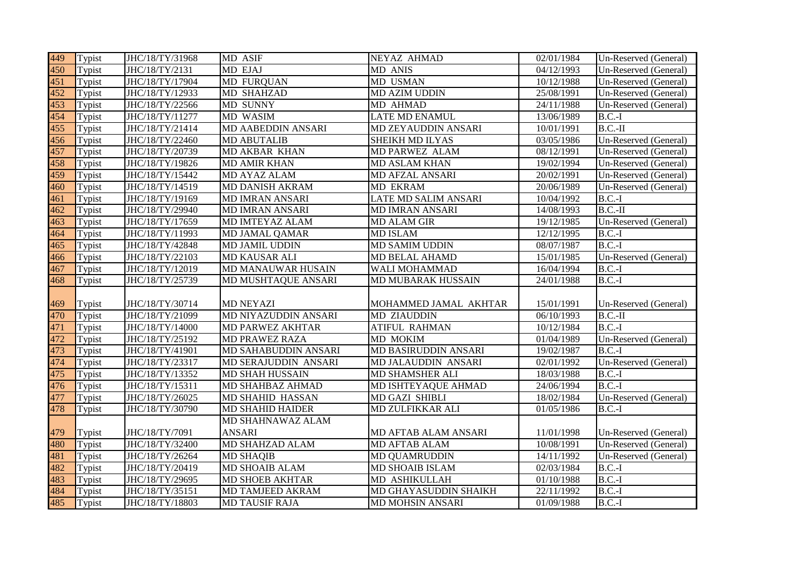| 449 | Typist | JHC/18/TY/31968 | MD ASIF                   | NEYAZ AHMAD               | 02/01/1984 | Un-Reserved (General) |
|-----|--------|-----------------|---------------------------|---------------------------|------------|-----------------------|
| 450 | Typist | JHC/18/TY/2131  | MD EJAJ                   | <b>MD ANIS</b>            | 04/12/1993 | Un-Reserved (General) |
| 451 | Typist | JHC/18/TY/17904 | <b>MD FURQUAN</b>         | MD USMAN                  | 10/12/1988 | Un-Reserved (General) |
| 452 | Typist | JHC/18/TY/12933 | <b>MD SHAHZAD</b>         | <b>MD AZIM UDDIN</b>      | 25/08/1991 | Un-Reserved (General) |
| 453 | Typist | JHC/18/TY/22566 | MD SUNNY                  | MD AHMAD                  | 24/11/1988 | Un-Reserved (General) |
| 454 | Typist | JHC/18/TY/11277 | MD WASIM                  | <b>LATE MD ENAMUL</b>     | 13/06/1989 | $B.C.-I$              |
| 455 | Typist | JHC/18/TY/21414 | <b>MD AABEDDIN ANSARI</b> | MD ZEYAUDDIN ANSARI       | 10/01/1991 | $B.C.-II$             |
| 456 | Typist | JHC/18/TY/22460 | <b>MD ABUTALIB</b>        | SHEIKH MD ILYAS           | 03/05/1986 | Un-Reserved (General) |
| 457 | Typist | JHC/18/TY/20739 | MD AKBAR KHAN             | MD PARWEZ ALAM            | 08/12/1991 | Un-Reserved (General) |
| 458 | Typist | JHC/18/TY/19826 | <b>MD AMIR KHAN</b>       | MD ASLAM KHAN             | 19/02/1994 | Un-Reserved (General) |
| 459 | Typist | JHC/18/TY/15442 | MD AYAZ ALAM              | <b>MD AFZAL ANSARI</b>    | 20/02/1991 | Un-Reserved (General) |
| 460 | Typist | JHC/18/TY/14519 | MD DANISH AKRAM           | MD EKRAM                  | 20/06/1989 | Un-Reserved (General) |
| 461 | Typist | JHC/18/TY/19169 | MD IMRAN ANSARI           | LATE MD SALIM ANSARI      | 10/04/1992 | $B.C.-I$              |
| 462 | Typist | JHC/18/TY/29940 | <b>MD IMRAN ANSARI</b>    | <b>MD IMRAN ANSARI</b>    | 14/08/1993 | $B.C.-II$             |
| 463 | Typist | JHC/18/TY/17659 | MD IMTEYAZ ALAM           | <b>MD ALAM GIR</b>        | 19/12/1985 | Un-Reserved (General) |
| 464 | Typist | JHC/18/TY/11993 | <b>MD JAMAL QAMAR</b>     | <b>MD ISLAM</b>           | 12/12/1995 | $B.C.-I$              |
| 465 | Typist | JHC/18/TY/42848 | MD JAMIL UDDIN            | <b>MD SAMIM UDDIN</b>     | 08/07/1987 | $B.C.-I$              |
| 466 | Typist | JHC/18/TY/22103 | MD KAUSAR ALI             | MD BELAL AHAMD            | 15/01/1985 | Un-Reserved (General) |
| 467 | Typist | JHC/18/TY/12019 | MD MANAUWAR HUSAIN        | WALI MOHAMMAD             | 16/04/1994 | $B.C.-I$              |
| 468 | Typist | JHC/18/TY/25739 | MD MUSHTAQUE ANSARI       | <b>MD MUBARAK HUSSAIN</b> | 24/01/1988 | $B.C.-I$              |
|     |        |                 |                           |                           |            |                       |
| 469 | Typist | JHC/18/TY/30714 | <b>MD NEYAZI</b>          | MOHAMMED JAMAL AKHTAR     | 15/01/1991 | Un-Reserved (General) |
| 470 | Typist | JHC/18/TY/21099 | MD NIYAZUDDIN ANSARI      | MD ZIAUDDIN               | 06/10/1993 | $B.C.-II$             |
| 471 | Typist | JHC/18/TY/14000 | MD PARWEZ AKHTAR          | <b>ATIFUL RAHMAN</b>      | 10/12/1984 | $B.C.-I$              |
| 472 | Typist | JHC/18/TY/25192 | <b>MD PRAWEZ RAZA</b>     | MD MOKIM                  | 01/04/1989 | Un-Reserved (General) |
| 473 | Typist | JHC/18/TY/41901 | MD SAHABUDDIN ANSARI      | MD BASIRUDDIN ANSARI      | 19/02/1987 | $B.C.-I$              |
| 474 | Typist | JHC/18/TY/23317 | MD SERAJUDDIN ANSARI      | MD JALAUDDIN ANSARI       | 02/01/1992 | Un-Reserved (General) |
| 475 | Typist | JHC/18/TY/13352 | <b>MD SHAH HUSSAIN</b>    | MD SHAMSHER ALI           | 18/03/1988 | $B.C.-I$              |
| 476 | Typist | JHC/18/TY/15311 | MD SHAHBAZ AHMAD          | MD ISHTEYAQUE AHMAD       | 24/06/1994 | $B.C.-I$              |
| 477 | Typist | JHC/18/TY/26025 | MD SHAHID HASSAN          | MD GAZI SHIBLI            | 18/02/1984 | Un-Reserved (General) |
| 478 | Typist | JHC/18/TY/30790 | <b>MD SHAHID HAIDER</b>   | MD ZULFIKKAR ALI          | 01/05/1986 | $B.C.-I$              |
|     |        |                 | MD SHAHNAWAZ ALAM         |                           |            |                       |
| 479 | Typist | JHC/18/TY/7091  | <b>ANSARI</b>             | MD AFTAB ALAM ANSARI      | 11/01/1998 | Un-Reserved (General) |
| 480 | Typist | JHC/18/TY/32400 | MD SHAHZAD ALAM           | <b>MD AFTAB ALAM</b>      | 10/08/1991 | Un-Reserved (General) |
| 481 | Typist | JHC/18/TY/26264 | <b>MD SHAQIB</b>          | <b>MD QUAMRUDDIN</b>      | 14/11/1992 | Un-Reserved (General) |
| 482 | Typist | JHC/18/TY/20419 | MD SHOAIB ALAM            | MD SHOAIB ISLAM           | 02/03/1984 | $B.C.-I$              |
| 483 | Typist | JHC/18/TY/29695 | <b>MD SHOEB AKHTAR</b>    | MD ASHIKULLAH             | 01/10/1988 | $B.C.-I$              |
| 484 | Typist | JHC/18/TY/35151 | MD TAMJEED AKRAM          | MD GHAYASUDDIN SHAIKH     | 22/11/1992 | $B.C.-I$              |
| 485 | Typist | JHC/18/TY/18803 | <b>MD TAUSIF RAJA</b>     | MD MOHSIN ANSARI          | 01/09/1988 | $B.C.-I$              |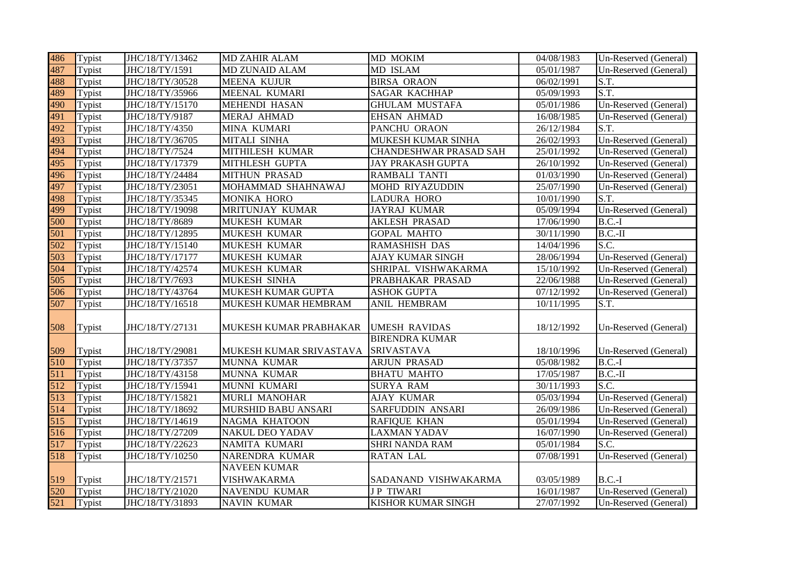| 486 | Typist | JHC/18/TY/13462 | <b>MD ZAHIR ALAM</b>       | MD MOKIM                 | 04/08/1983 | Un-Reserved (General) |
|-----|--------|-----------------|----------------------------|--------------------------|------------|-----------------------|
| 487 | Typist | JHC/18/TY/1591  | <b>MD ZUNAID ALAM</b>      | MD ISLAM                 | 05/01/1987 | Un-Reserved (General) |
| 488 | Typist | JHC/18/TY/30528 | <b>MEENA KUJUR</b>         | <b>BIRSA ORAON</b>       | 06/02/1991 | S.T.                  |
| 489 | Typist | JHC/18/TY/35966 | MEENAL KUMARI              | <b>SAGAR KACHHAP</b>     | 05/09/1993 | S.T.                  |
| 490 | Typist | JHC/18/TY/15170 | <b>MEHENDI HASAN</b>       | <b>GHULAM MUSTAFA</b>    | 05/01/1986 | Un-Reserved (General) |
| 491 | Typist | JHC/18/TY/9187  | MERAJ AHMAD                | <b>EHSAN AHMAD</b>       | 16/08/1985 | Un-Reserved (General) |
| 492 | Typist | JHC/18/TY/4350  | MINA KUMARI                | PANCHU ORAON             | 26/12/1984 | S.T.                  |
| 493 | Typist | JHC/18/TY/36705 | MITALI SINHA               | MUKESH KUMAR SINHA       | 26/02/1993 | Un-Reserved (General) |
| 494 | Typist | JHC/18/TY/7524  | MITHILESH KUMAR            | CHANDESHWAR PRASAD SAH   | 25/01/1992 | Un-Reserved (General) |
| 495 | Typist | JHC/18/TY/17379 | MITHLESH GUPTA             | <b>JAY PRAKASH GUPTA</b> | 26/10/1992 | Un-Reserved (General) |
| 496 | Typist | JHC/18/TY/24484 | <b>MITHUN PRASAD</b>       | RAMBALI TANTI            | 01/03/1990 | Un-Reserved (General) |
| 497 | Typist | JHC/18/TY/23051 | MOHAMMAD SHAHNAWAJ         | MOHD RIYAZUDDIN          | 25/07/1990 | Un-Reserved (General) |
| 498 | Typist | JHC/18/TY/35345 | MONIKA HORO                | <b>LADURA HORO</b>       | 10/01/1990 | S.T.                  |
| 499 | Typist | JHC/18/TY/19098 | MRITUNJAY KUMAR            | <b>JAYRAJ KUMAR</b>      | 05/09/1994 | Un-Reserved (General) |
| 500 | Typist | JHC/18/TY/8689  | <b>MUKESH KUMAR</b>        | <b>AKLESH PRASAD</b>     | 17/06/1990 | $B.C.-I$              |
| 501 | Typist | JHC/18/TY/12895 | <b>MUKESH KUMAR</b>        | <b>GOPAL MAHTO</b>       | 30/11/1990 | $B.C.-II$             |
| 502 | Typist | JHC/18/TY/15140 | MUKESH KUMAR               | RAMASHISH DAS            | 14/04/1996 | S.C.                  |
| 503 | Typist | JHC/18/TY/17177 | MUKESH KUMAR               | <b>AJAY KUMAR SINGH</b>  | 28/06/1994 | Un-Reserved (General) |
| 504 | Typist | JHC/18/TY/42574 | MUKESH KUMAR               | SHRIPAL VISHWAKARMA      | 15/10/1992 | Un-Reserved (General) |
| 505 | Typist | JHC/18/TY/7693  | MUKESH SINHA               | PRABHAKAR PRASAD         | 22/06/1988 | Un-Reserved (General) |
| 506 | Typist | JHC/18/TY/43764 | MUKESH KUMAR GUPTA         | <b>ASHOK GUPTA</b>       | 07/12/1992 | Un-Reserved (General) |
| 507 | Typist | JHC/18/TY/16518 | MUKESH KUMAR HEMBRAM       | ANIL HEMBRAM             | 10/11/1995 | S.T.                  |
|     |        |                 |                            |                          |            |                       |
| 508 | Typist | JHC/18/TY/27131 | MUKESH KUMAR PRABHAKAR     | <b>UMESH RAVIDAS</b>     | 18/12/1992 | Un-Reserved (General) |
|     |        |                 |                            | <b>BIRENDRA KUMAR</b>    |            |                       |
| 509 | Typist | JHC/18/TY/29081 | MUKESH KUMAR SRIVASTAVA    | <b>SRIVASTAVA</b>        | 18/10/1996 | Un-Reserved (General) |
| 510 | Typist | JHC/18/TY/37357 | MUNNA KUMAR                | <b>ARJUN PRASAD</b>      | 05/08/1982 | $B.C.-I$              |
| 511 | Typist | JHC/18/TY/43158 | MUNNA KUMAR                | <b>BHATU MAHTO</b>       | 17/05/1987 | $B.C.-II$             |
| 512 | Typist | JHC/18/TY/15941 | MUNNI KUMARI               | <b>SURYA RAM</b>         | 30/11/1993 | S.C.                  |
| 513 | Typist | JHC/18/TY/15821 | <b>MURLI MANOHAR</b>       | <b>AJAY KUMAR</b>        | 05/03/1994 | Un-Reserved (General) |
| 514 | Typist | JHC/18/TY/18692 | <b>MURSHID BABU ANSARI</b> | SARFUDDIN ANSARI         | 26/09/1986 | Un-Reserved (General) |
| 515 | Typist | JHC/18/TY/14619 | NAGMA KHATOON              | <b>RAFIQUE KHAN</b>      | 05/01/1994 | Un-Reserved (General) |
| 516 | Typist | JHC/18/TY/27209 | <b>NAKUL DEO YADAV</b>     | <b>LAXMAN YADAV</b>      | 16/07/1990 | Un-Reserved (General) |
| 517 | Typist | JHC/18/TY/22623 | NAMITA KUMARI              | SHRI NANDA RAM           | 05/01/1984 | S.C.                  |
| 518 | Typist | JHC/18/TY/10250 | NARENDRA KUMAR             | <b>RATAN LAL</b>         | 07/08/1991 | Un-Reserved (General) |
|     |        |                 | <b>NAVEEN KUMAR</b>        |                          |            |                       |
| 519 | Typist | JHC/18/TY/21571 | VISHWAKARMA                | SADANAND VISHWAKARMA     | 03/05/1989 | $B.C.-I$              |
| 520 | Typist | JHC/18/TY/21020 | NAVENDU KUMAR              | <b>JP TIWARI</b>         | 16/01/1987 | Un-Reserved (General) |
| 521 | Typist | JHC/18/TY/31893 | <b>NAVIN KUMAR</b>         | KISHOR KUMAR SINGH       | 27/07/1992 | Un-Reserved (General) |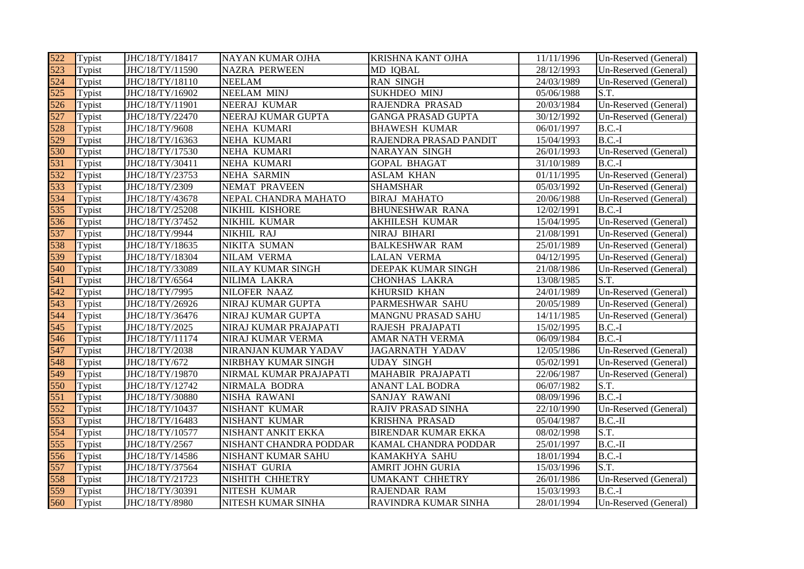| 522 | Typist | JHC/18/TY/18417 | NAYAN KUMAR OJHA         | <b>KRISHNA KANT OJHA</b>   | 11/11/1996 | Un-Reserved (General) |
|-----|--------|-----------------|--------------------------|----------------------------|------------|-----------------------|
| 523 | Typist | JHC/18/TY/11590 | <b>NAZRA PERWEEN</b>     | MD IQBAL                   | 28/12/1993 | Un-Reserved (General) |
| 524 | Typist | JHC/18/TY/18110 | <b>NEELAM</b>            | <b>RAN SINGH</b>           | 24/03/1989 | Un-Reserved (General) |
| 525 | Typist | JHC/18/TY/16902 | <b>NEELAM MINJ</b>       | <b>SUKHDEO MINJ</b>        | 05/06/1988 | S.T.                  |
| 526 | Typist | JHC/18/TY/11901 | NEERAJ KUMAR             | RAJENDRA PRASAD            | 20/03/1984 | Un-Reserved (General) |
| 527 | Typist | JHC/18/TY/22470 | NEERAJ KUMAR GUPTA       | <b>GANGA PRASAD GUPTA</b>  | 30/12/1992 | Un-Reserved (General) |
| 528 | Typist | JHC/18/TY/9608  | NEHA KUMARI              | <b>BHAWESH KUMAR</b>       | 06/01/1997 | $B.C.-I$              |
| 529 | Typist | JHC/18/TY/16363 | NEHA KUMARI              | RAJENDRA PRASAD PANDIT     | 15/04/1993 | $B.C.-I$              |
| 530 | Typist | JHC/18/TY/17530 | NEHA KUMARI              | <b>NARAYAN SINGH</b>       | 26/01/1993 | Un-Reserved (General) |
| 531 | Typist | JHC/18/TY/30411 | NEHA KUMARI              | <b>GOPAL BHAGAT</b>        | 31/10/1989 | $B.C.-I$              |
| 532 | Typist | JHC/18/TY/23753 | <b>NEHA SARMIN</b>       | <b>ASLAM KHAN</b>          | 01/11/1995 | Un-Reserved (General) |
| 533 | Typist | JHC/18/TY/2309  | NEMAT PRAVEEN            | <b>SHAMSHAR</b>            | 05/03/1992 | Un-Reserved (General) |
| 534 | Typist | JHC/18/TY/43678 | NEPAL CHANDRA MAHATO     | <b>BIRAJ MAHATO</b>        | 20/06/1988 | Un-Reserved (General) |
| 535 | Typist | JHC/18/TY/25208 | NIKHIL KISHORE           | <b>BHUNESHWAR RANA</b>     | 12/02/1991 | $B.C.-I$              |
| 536 | Typist | JHC/18/TY/37452 | NIKHIL KUMAR             | <b>AKHILESH KUMAR</b>      | 15/04/1995 | Un-Reserved (General) |
| 537 | Typist | JHC/18/TY/9944  | NIKHIL RAJ               | NIRAJ BIHARI               | 21/08/1991 | Un-Reserved (General) |
| 538 | Typist | JHC/18/TY/18635 | NIKITA SUMAN             | <b>BALKESHWAR RAM</b>      | 25/01/1989 | Un-Reserved (General) |
| 539 | Typist | JHC/18/TY/18304 | NILAM VERMA              | <b>LALAN VERMA</b>         | 04/12/1995 | Un-Reserved (General) |
| 540 | Typist | JHC/18/TY/33089 | <b>NILAY KUMAR SINGH</b> | DEEPAK KUMAR SINGH         | 21/08/1986 | Un-Reserved (General) |
| 541 | Typist | JHC/18/TY/6564  | NILIMA LAKRA             | <b>CHONHAS LAKRA</b>       | 13/08/1985 | S.T.                  |
| 542 | Typist | JHC/18/TY/7995  | NILOFER NAAZ             | KHURSID KHAN               | 24/01/1989 | Un-Reserved (General) |
| 543 | Typist | JHC/18/TY/26926 | NIRAJ KUMAR GUPTA        | PARMESHWAR SAHU            | 20/05/1989 | Un-Reserved (General) |
| 544 | Typist | JHC/18/TY/36476 | NIRAJ KUMAR GUPTA        | MANGNU PRASAD SAHU         | 14/11/1985 | Un-Reserved (General) |
| 545 | Typist | JHC/18/TY/2025  | NIRAJ KUMAR PRAJAPATI    | RAJESH PRAJAPATI           | 15/02/1995 | $B.C.-I$              |
| 546 | Typist | JHC/18/TY/11174 | NIRAJ KUMAR VERMA        | AMAR NATH VERMA            | 06/09/1984 | $\overline{B}$ .C.-I  |
| 547 | Typist | JHC/18/TY/2038  | NIRANJAN KUMAR YADAV     | <b>JAGARNATH YADAV</b>     | 12/05/1986 | Un-Reserved (General) |
| 548 | Typist | JHC/18/TY/672   | NIRBHAY KUMAR SINGH      | <b>UDAY SINGH</b>          | 05/02/1991 | Un-Reserved (General) |
| 549 | Typist | JHC/18/TY/19870 | NIRMAL KUMAR PRAJAPATI   | MAHABIR PRAJAPATI          | 22/06/1987 | Un-Reserved (General) |
| 550 | Typist | JHC/18/TY/12742 | NIRMALA BODRA            | <b>ANANT LAL BODRA</b>     | 06/07/1982 | S.T.                  |
| 551 | Typist | JHC/18/TY/30880 | NISHA RAWANI             | SANJAY RAWANI              | 08/09/1996 | $B.C.-I$              |
| 552 | Typist | JHC/18/TY/10437 | NISHANT KUMAR            | RAJIV PRASAD SINHA         | 22/10/1990 | Un-Reserved (General) |
| 553 | Typist | JHC/18/TY/16483 | NISHANT KUMAR            | <b>KRISHNA PRASAD</b>      | 05/04/1987 | $B.C.-II$             |
| 554 | Typist | JHC/18/TY/10577 | NISHANT ANKIT EKKA       | <b>BIRENDAR KUMAR EKKA</b> | 08/02/1998 | S.T.                  |
| 555 | Typist | JHC/18/TY/2567  | NISHANT CHANDRA PODDAR   | KAMAL CHANDRA PODDAR       | 25/01/1997 | $B.C.-II$             |
| 556 | Typist | JHC/18/TY/14586 | NISHANT KUMAR SAHU       | KAMAKHYA SAHU              | 18/01/1994 | $B.C.-I$              |
| 557 | Typist | JHC/18/TY/37564 | NISHAT GURIA             | AMRIT JOHN GURIA           | 15/03/1996 | S.T.                  |
| 558 | Typist | JHC/18/TY/21723 | NISHITH CHHETRY          | <b>UMAKANT CHHETRY</b>     | 26/01/1986 | Un-Reserved (General) |
| 559 | Typist | JHC/18/TY/30391 | NITESH KUMAR             | RAJENDAR RAM               | 15/03/1993 | $B.C.-I$              |
| 560 | Typist | JHC/18/TY/8980  | NITESH KUMAR SINHA       | RAVINDRA KUMAR SINHA       | 28/01/1994 | Un-Reserved (General) |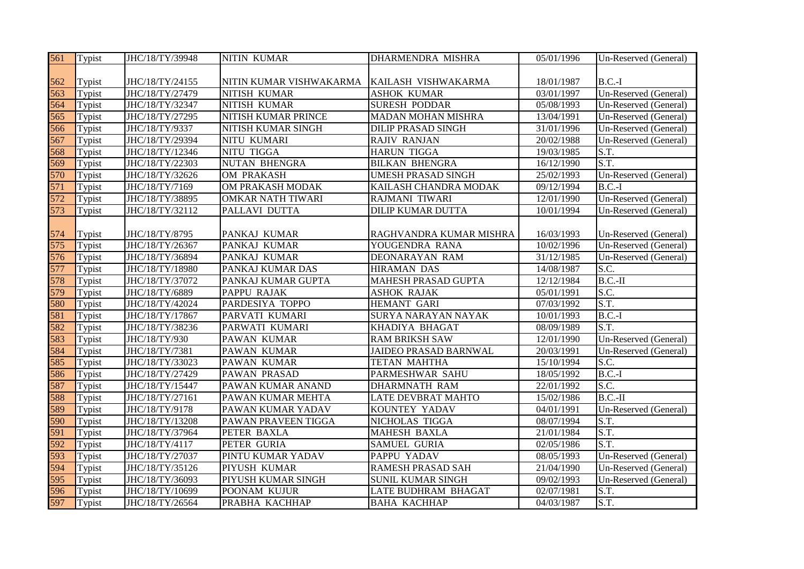| 561 | Typist               | JHC/18/TY/39948 | <b>NITIN KUMAR</b>       | DHARMENDRA MISHRA            | 05/01/1996 | Un-Reserved (General) |
|-----|----------------------|-----------------|--------------------------|------------------------------|------------|-----------------------|
|     |                      |                 |                          |                              |            |                       |
| 562 | Typist               | JHC/18/TY/24155 | NITIN KUMAR VISHWAKARMA  | KAILASH VISHWAKARMA          | 18/01/1987 | $B.C.-I$              |
| 563 | Typist               | JHC/18/TY/27479 | <b>NITISH KUMAR</b>      | <b>ASHOK KUMAR</b>           | 03/01/1997 | Un-Reserved (General) |
| 564 | Typist               | JHC/18/TY/32347 | NITISH KUMAR             | <b>SURESH PODDAR</b>         | 05/08/1993 | Un-Reserved (General) |
| 565 | Typist               | JHC/18/TY/27295 | NITISH KUMAR PRINCE      | <b>MADAN MOHAN MISHRA</b>    | 13/04/1991 | Un-Reserved (General) |
| 566 | Typist               | JHC/18/TY/9337  | NITISH KUMAR SINGH       | <b>DILIP PRASAD SINGH</b>    | 31/01/1996 | Un-Reserved (General) |
| 567 | Typist               | JHC/18/TY/29394 | NITU KUMARI              | <b>RAJIV RANJAN</b>          | 20/02/1988 | Un-Reserved (General) |
| 568 | Typist               | JHC/18/TY/12346 | NITU TIGGA               | <b>HARUN TIGGA</b>           | 19/03/1985 | S.T.                  |
| 569 | Typist               | JHC/18/TY/22303 | <b>NUTAN BHENGRA</b>     | <b>BILKAN BHENGRA</b>        | 16/12/1990 | S.T.                  |
| 570 | Typist               | JHC/18/TY/32626 | OM PRAKASH               | <b>UMESH PRASAD SINGH</b>    | 25/02/1993 | Un-Reserved (General) |
| 571 | Typist               | JHC/18/TY/7169  | OM PRAKASH MODAK         | KAILASH CHANDRA MODAK        | 09/12/1994 | $B.C.-I$              |
| 572 | Typist               | JHC/18/TY/38895 | <b>OMKAR NATH TIWARI</b> | RAJMANI TIWARI               | 12/01/1990 | Un-Reserved (General) |
| 573 | Typist               | JHC/18/TY/32112 | PALLAVI DUTTA            | <b>DILIP KUMAR DUTTA</b>     | 10/01/1994 | Un-Reserved (General) |
|     |                      |                 |                          |                              |            |                       |
| 574 | Typist               | JHC/18/TY/8795  | PANKAJ KUMAR             | RAGHVANDRA KUMAR MISHRA      | 16/03/1993 | Un-Reserved (General) |
| 575 | Typist               | JHC/18/TY/26367 | PANKAJ KUMAR             | YOUGENDRA RANA               | 10/02/1996 | Un-Reserved (General) |
| 576 | Typist               | JHC/18/TY/36894 | PANKAJ KUMAR             | DEONARAYAN RAM               | 31/12/1985 | Un-Reserved (General) |
| 577 | Typist               | JHC/18/TY/18980 | PANKAJ KUMAR DAS         | <b>HIRAMAN DAS</b>           | 14/08/1987 | S.C.                  |
| 578 | Typist               | JHC/18/TY/37072 | PANKAJ KUMAR GUPTA       | <b>MAHESH PRASAD GUPTA</b>   | 12/12/1984 | $B.C.-II$             |
| 579 | Typist               | JHC/18/TY/6889  | <b>PAPPU RAJAK</b>       | <b>ASHOK RAJAK</b>           | 05/01/1991 | S.C.                  |
| 580 | Typist               | JHC/18/TY/42024 | PARDESIYA TOPPO          | HEMANT GARI                  | 07/03/1992 | S.T.                  |
| 581 | Typist               | JHC/18/TY/17867 | PARVATI KUMARI           | SURYA NARAYAN NAYAK          | 10/01/1993 | $B.C.-I$              |
| 582 | Typist               | JHC/18/TY/38236 | PARWATI KUMARI           | KHADIYA BHAGAT               | 08/09/1989 | S.T.                  |
| 583 | Typist               | JHC/18/TY/930   | PAWAN KUMAR              | <b>RAM BRIKSH SAW</b>        | 12/01/1990 | Un-Reserved (General) |
| 584 | Typist               | JHC/18/TY/7381  | PAWAN KUMAR              | <b>JAIDEO PRASAD BARNWAL</b> | 20/03/1991 | Un-Reserved (General) |
| 585 | Typist               | JHC/18/TY/33023 | PAWAN KUMAR              | <b>TETAN MAHTHA</b>          | 15/10/1994 | S.C.                  |
| 586 | Typist               | JHC/18/TY/27429 | <b>PAWAN PRASAD</b>      | PARMESHWAR SAHU              | 18/05/1992 | $B.C.-I$              |
| 587 | Typist               | JHC/18/TY/15447 | PAWAN KUMAR ANAND        | <b>DHARMNATH RAM</b>         | 22/01/1992 | S.C.                  |
| 588 | Typist               | JHC/18/TY/27161 | PAWAN KUMAR MEHTA        | <b>LATE DEVBRAT MAHTO</b>    | 15/02/1986 | $B.C.-II$             |
| 589 | Typist               | JHC/18/TY/9178  | PAWAN KUMAR YADAV        | KOUNTEY YADAV                | 04/01/1991 | Un-Reserved (General) |
| 590 | Typist               | JHC/18/TY/13208 | PAWAN PRAVEEN TIGGA      | NICHOLAS TIGGA               | 08/07/1994 | S.T.                  |
| 591 | Typist               | JHC/18/TY/37964 | PETER BAXLA              | <b>MAHESH BAXLA</b>          | 21/01/1984 | S.T.                  |
| 592 | $\overline{T}$ ypist | JHC/18/TY/4117  | PETER GURIA              | <b>SAMUEL GURIA</b>          | 02/05/1986 | S.T.                  |
| 593 | Typist               | JHC/18/TY/27037 | PINTU KUMAR YADAV        | PAPPU YADAV                  | 08/05/1993 | Un-Reserved (General) |
| 594 | Typist               | JHC/18/TY/35126 | PIYUSH KUMAR             | RAMESH PRASAD SAH            | 21/04/1990 | Un-Reserved (General) |
| 595 | Typist               | JHC/18/TY/36093 | PIYUSH KUMAR SINGH       | <b>SUNIL KUMAR SINGH</b>     | 09/02/1993 | Un-Reserved (General) |
| 596 | Typist               | JHC/18/TY/10699 | POONAM KUJUR             | <b>LATE BUDHRAM BHAGAT</b>   | 02/07/1981 | S.T.                  |
| 597 | Typist               | JHC/18/TY/26564 | PRABHA KACHHAP           | <b>BAHA KACHHAP</b>          | 04/03/1987 | S.T.                  |
|     |                      |                 |                          |                              |            |                       |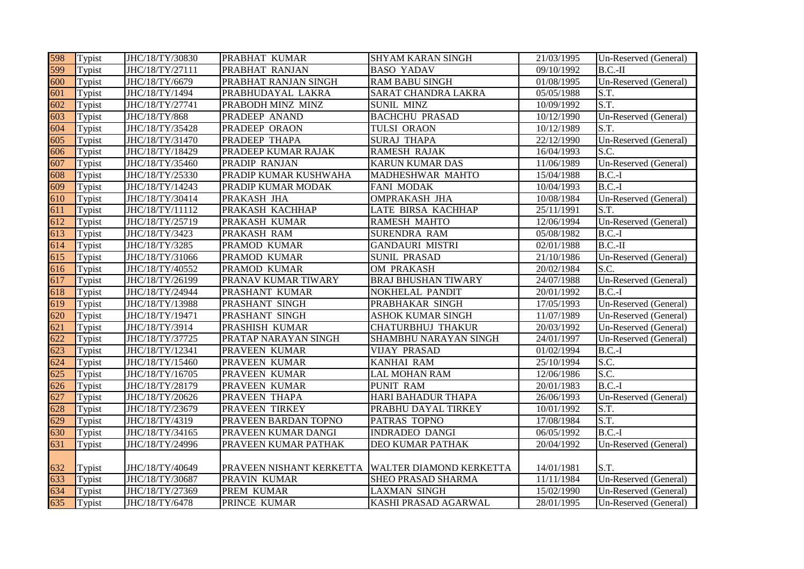| 598 | Typist | JHC/18/TY/30830 | PRABHAT KUMAR            | <b>SHYAM KARAN SINGH</b>   | 21/03/1995 | Un-Reserved (General) |
|-----|--------|-----------------|--------------------------|----------------------------|------------|-----------------------|
| 599 | Typist | JHC/18/TY/27111 | PRABHAT RANJAN           | <b>BASO YADAV</b>          | 09/10/1992 | $B.C.-II$             |
| 600 | Typist | JHC/18/TY/6679  | PRABHAT RANJAN SINGH     | <b>RAM BABU SINGH</b>      | 01/08/1995 | Un-Reserved (General) |
| 601 | Typist | JHC/18/TY/1494  | PRABHUDAYAL LAKRA        | SARAT CHANDRA LAKRA        | 05/05/1988 | S.T.                  |
| 602 | Typist | JHC/18/TY/27741 | PRABODH MINZ MINZ        | <b>SUNIL MINZ</b>          | 10/09/1992 | S.T.                  |
| 603 | Typist | JHC/18/TY/868   | PRADEEP ANAND            | <b>BACHCHU PRASAD</b>      | 10/12/1990 | Un-Reserved (General) |
| 604 | Typist | JHC/18/TY/35428 | PRADEEP ORAON            | <b>TULSI ORAON</b>         | 10/12/1989 | S.T.                  |
| 605 | Typist | JHC/18/TY/31470 | PRADEEP THAPA            | <b>SURAJ THAPA</b>         | 22/12/1990 | Un-Reserved (General) |
| 606 | Typist | JHC/18/TY/18429 | PRADEEP KUMAR RAJAK      | <b>RAMESH RAJAK</b>        | 16/04/1993 | S.C.                  |
| 607 | Typist | JHC/18/TY/35460 | PRADIP RANJAN            | <b>KARUN KUMAR DAS</b>     | 11/06/1989 | Un-Reserved (General) |
| 608 | Typist | JHC/18/TY/25330 | PRADIP KUMAR KUSHWAHA    | MADHESHWAR MAHTO           | 15/04/1988 | $B.C.-I$              |
| 609 | Typist | JHC/18/TY/14243 | PRADIP KUMAR MODAK       | FANI MODAK                 | 10/04/1993 | $B.C.-I$              |
| 610 | Typist | JHC/18/TY/30414 | PRAKASH JHA              | <b>OMPRAKASH JHA</b>       | 10/08/1984 | Un-Reserved (General) |
| 611 | Typist | JHC/18/TY/11112 | PRAKASH KACHHAP          | <b>LATE BIRSA KACHHAP</b>  | 25/11/1991 | S.T.                  |
| 612 | Typist | JHC/18/TY/25719 | PRAKASH KUMAR            | <b>RAMESH MAHTO</b>        | 12/06/1994 | Un-Reserved (General) |
| 613 | Typist | JHC/18/TY/3423  | PRAKASH RAM              | <b>SURENDRA RAM</b>        | 05/08/1982 | $B.C.-I$              |
| 614 | Typist | JHC/18/TY/3285  | PRAMOD KUMAR             | <b>GANDAURI MISTRI</b>     | 02/01/1988 | $B.C.-II$             |
| 615 | Typist | JHC/18/TY/31066 | PRAMOD KUMAR             | <b>SUNIL PRASAD</b>        | 21/10/1986 | Un-Reserved (General) |
| 616 | Typist | JHC/18/TY/40552 | PRAMOD KUMAR             | OM PRAKASH                 | 20/02/1984 | S.C.                  |
| 617 | Typist | JHC/18/TY/26199 | PRANAV KUMAR TIWARY      | <b>BRAJ BHUSHAN TIWARY</b> | 24/07/1988 | Un-Reserved (General) |
| 618 | Typist | JHC/18/TY/24944 | PRASHANT KUMAR           | NOKHELAL PANDIT            | 20/01/1992 | $B.C.-I$              |
| 619 | Typist | JHC/18/TY/13988 | PRASHANT SINGH           | PRABHAKAR SINGH            | 17/05/1993 | Un-Reserved (General) |
| 620 | Typist | JHC/18/TY/19471 | PRASHANT SINGH           | ASHOK KUMAR SINGH          | 11/07/1989 | Un-Reserved (General) |
| 621 | Typist | JHC/18/TY/3914  | PRASHISH KUMAR           | <b>CHATURBHUJ THAKUR</b>   | 20/03/1992 | Un-Reserved (General) |
| 622 | Typist | JHC/18/TY/37725 | PRATAP NARAYAN SINGH     | SHAMBHU NARAYAN SINGH      | 24/01/1997 | Un-Reserved (General) |
| 623 | Typist | JHC/18/TY/12341 | PRAVEEN KUMAR            | <b>VIJAY PRASAD</b>        | 01/02/1994 | $B.C.-I$              |
| 624 | Typist | JHC/18/TY/15460 | PRAVEEN KUMAR            | <b>KANHAI RAM</b>          | 25/10/1994 | S.C.                  |
| 625 | Typist | JHC/18/TY/16705 | PRAVEEN KUMAR            | <b>LAL MOHAN RAM</b>       | 12/06/1986 | S.C.                  |
| 626 | Typist | JHC/18/TY/28179 | PRAVEEN KUMAR            | <b>PUNIT RAM</b>           | 20/01/1983 | $B.C.-I$              |
| 627 | Typist | JHC/18/TY/20626 | PRAVEEN THAPA            | HARI BAHADUR THAPA         | 26/06/1993 | Un-Reserved (General) |
| 628 | Typist | JHC/18/TY/23679 | PRAVEEN TIRKEY           | PRABHU DAYAL TIRKEY        | 10/01/1992 | S.T.                  |
| 629 | Typist | JHC/18/TY/4319  | PRAVEEN BARDAN TOPNO     | PATRAS TOPNO               | 17/08/1984 | S.T.                  |
| 630 | Typist | JHC/18/TY/34165 | PRAVEEN KUMAR DANGI      | <b>INDRADEO DANGI</b>      | 06/05/1992 | $B.C.-I$              |
| 631 | Typist | JHC/18/TY/24996 | PRAVEEN KUMAR PATHAK     | DEO KUMAR PATHAK           | 20/04/1992 | Un-Reserved (General) |
|     |        |                 |                          |                            |            |                       |
| 632 | Typist | JHC/18/TY/40649 | PRAVEEN NISHANT KERKETTA | WALTER DIAMOND KERKETTA    | 14/01/1981 | S.T.                  |
| 633 | Typist | JHC/18/TY/30687 | PRAVIN KUMAR             | <b>SHEO PRASAD SHARMA</b>  | 11/11/1984 | Un-Reserved (General) |
| 634 | Typist | JHC/18/TY/27369 | PREM KUMAR               | <b>LAXMAN SINGH</b>        | 15/02/1990 | Un-Reserved (General) |
| 635 | Typist | JHC/18/TY/6478  | PRINCE KUMAR             | KASHI PRASAD AGARWAL       | 28/01/1995 | Un-Reserved (General) |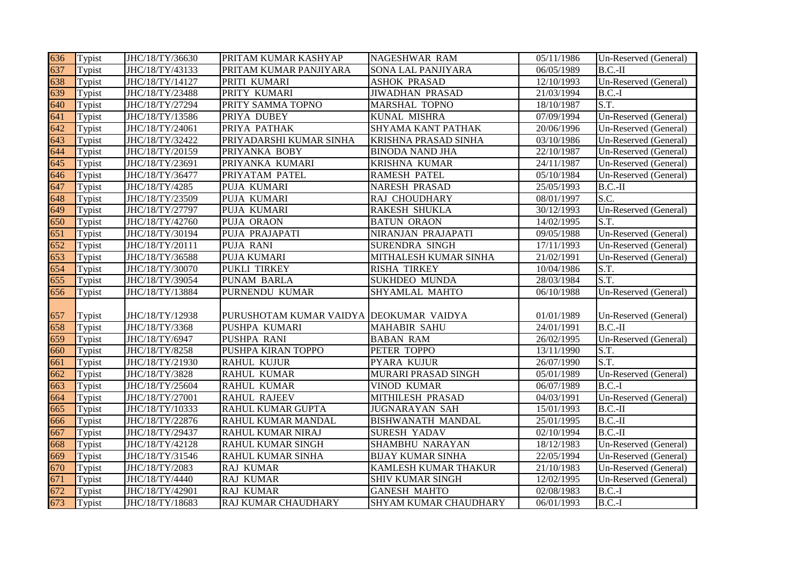| 636 | Typist | JHC/18/TY/36630 | PRITAM KUMAR KASHYAP                    | <b>NAGESHWAR RAM</b>      | 05/11/1986 | Un-Reserved (General) |
|-----|--------|-----------------|-----------------------------------------|---------------------------|------------|-----------------------|
| 637 | Typist | JHC/18/TY/43133 | PRITAM KUMAR PANJIYARA                  | SONA LAL PANJIYARA        | 06/05/1989 | $B.C.-II$             |
| 638 | Typist | JHC/18/TY/14127 | PRITI KUMARI                            | <b>ASHOK PRASAD</b>       | 12/10/1993 | Un-Reserved (General) |
| 639 | Typist | JHC/18/TY/23488 | PRITY KUMARI                            | <b>JIWADHAN PRASAD</b>    | 21/03/1994 | $B.C.-I$              |
| 640 | Typist | JHC/18/TY/27294 | PRITY SAMMA TOPNO                       | MARSHAL TOPNO             | 18/10/1987 | S.T.                  |
| 641 | Typist | JHC/18/TY/13586 | PRIYA DUBEY                             | <b>KUNAL MISHRA</b>       | 07/09/1994 | Un-Reserved (General) |
| 642 | Typist | JHC/18/TY/24061 | PRIYA PATHAK                            | <b>SHYAMA KANT PATHAK</b> | 20/06/1996 | Un-Reserved (General) |
| 643 | Typist | JHC/18/TY/32422 | PRIYADARSHI KUMAR SINHA                 | KRISHNA PRASAD SINHA      | 03/10/1986 | Un-Reserved (General) |
| 644 | Typist | JHC/18/TY/20159 | PRIYANKA BOBY                           | <b>BINODA NAND JHA</b>    | 22/10/1987 | Un-Reserved (General) |
| 645 | Typist | JHC/18/TY/23691 | PRIYANKA KUMARI                         | KRISHNA KUMAR             | 24/11/1987 | Un-Reserved (General) |
| 646 | Typist | JHC/18/TY/36477 | PRIYATAM PATEL                          | <b>RAMESH PATEL</b>       | 05/10/1984 | Un-Reserved (General) |
| 647 | Typist | JHC/18/TY/4285  | PUJA KUMARI                             | NARESH PRASAD             | 25/05/1993 | $B.C.-II$             |
| 648 | Typist | JHC/18/TY/23509 | PUJA KUMARI                             | RAJ CHOUDHARY             | 08/01/1997 | S.C.                  |
| 649 | Typist | JHC/18/TY/27797 | PUJA KUMARI                             | RAKESH SHUKLA             | 30/12/1993 | Un-Reserved (General) |
| 650 | Typist | JHC/18/TY/42760 | PUJA ORAON                              | <b>BATUN ORAON</b>        | 14/02/1995 | S.T.                  |
| 651 | Typist | JHC/18/TY/30194 | PUJA PRAJAPATI                          | NIRANJAN PRAJAPATI        | 09/05/1988 | Un-Reserved (General) |
| 652 | Typist | JHC/18/TY/20111 | PUJA RANI                               | SURENDRA SINGH            | 17/11/1993 | Un-Reserved (General) |
| 653 | Typist | JHC/18/TY/36588 | PUJA KUMARI                             | MITHALESH KUMAR SINHA     | 21/02/1991 | Un-Reserved (General) |
| 654 | Typist | JHC/18/TY/30070 | PUKLI TIRKEY                            | <b>RISHA TIRKEY</b>       | 10/04/1986 | S.T.                  |
| 655 | Typist | JHC/18/TY/39054 | PUNAM BARLA                             | <b>SUKHDEO MUNDA</b>      | 28/03/1984 | S.T.                  |
| 656 | Typist | JHC/18/TY/13884 | PURNENDU KUMAR                          | SHYAMLAL MAHTO            | 06/10/1988 | Un-Reserved (General) |
|     |        |                 |                                         |                           |            |                       |
| 657 | Typist | JHC/18/TY/12938 | PURUSHOTAM KUMAR VAIDYA DEOKUMAR VAIDYA |                           | 01/01/1989 | Un-Reserved (General) |
| 658 | Typist | JHC/18/TY/3368  | PUSHPA KUMARI                           | <b>MAHABIR SAHU</b>       | 24/01/1991 | $B.C.-II$             |
| 659 | Typist | JHC/18/TY/6947  | PUSHPA RANI                             | <b>BABAN RAM</b>          | 26/02/1995 | Un-Reserved (General) |
| 660 | Typist | JHC/18/TY/8258  | PUSHPA KIRAN TOPPO                      | PETER TOPPO               | 13/11/1990 | S.T.                  |
| 661 | Typist | JHC/18/TY/21930 | <b>RAHUL KUJUR</b>                      | PYARA KUJUR               | 26/07/1990 | S.T.                  |
| 662 | Typist | JHC/18/TY/3828  | <b>RAHUL KUMAR</b>                      | MURARI PRASAD SINGH       | 05/01/1989 | Un-Reserved (General) |
| 663 | Typist | JHC/18/TY/25604 | <b>RAHUL KUMAR</b>                      | VINOD KUMAR               | 06/07/1989 | $B.C.-I$              |
| 664 | Typist | JHC/18/TY/27001 | <b>RAHUL RAJEEV</b>                     | MITHILESH PRASAD          | 04/03/1991 | Un-Reserved (General) |
| 665 | Typist | JHC/18/TY/10333 | RAHUL KUMAR GUPTA                       | <b>JUGNARAYAN SAH</b>     | 15/01/1993 | $B.C.-II$             |
| 666 | Typist | JHC/18/TY/22876 | RAHUL KUMAR MANDAL                      | <b>BISHWANATH MANDAL</b>  | 25/01/1995 | $B.C.-II$             |
| 667 | Typist | JHC/18/TY/29437 | RAHUL KUMAR NIRAJ                       | <b>SURESH YADAV</b>       | 02/10/1994 | $B.C.-II$             |
| 668 | Typist | JHC/18/TY/42128 | RAHUL KUMAR SINGH                       | SHAMBHU NARAYAN           | 18/12/1983 | Un-Reserved (General) |
| 669 | Typist | JHC/18/TY/31546 | RAHUL KUMAR SINHA                       | <b>BIJAY KUMAR SINHA</b>  | 22/05/1994 | Un-Reserved (General) |
| 670 | Typist | JHC/18/TY/2083  | RAJ KUMAR                               | KAMLESH KUMAR THAKUR      | 21/10/1983 | Un-Reserved (General) |
| 671 | Typist | JHC/18/TY/4440  | RAJ KUMAR                               | <b>SHIV KUMAR SINGH</b>   | 12/02/1995 | Un-Reserved (General) |
| 672 | Typist | JHC/18/TY/42901 | <b>RAJ KUMAR</b>                        | <b>GANESH MAHTO</b>       | 02/08/1983 | $B.C.-I$              |
| 673 | Typist | JHC/18/TY/18683 | RAJ KUMAR CHAUDHARY                     | SHYAM KUMAR CHAUDHARY     | 06/01/1993 | $B.C.-I$              |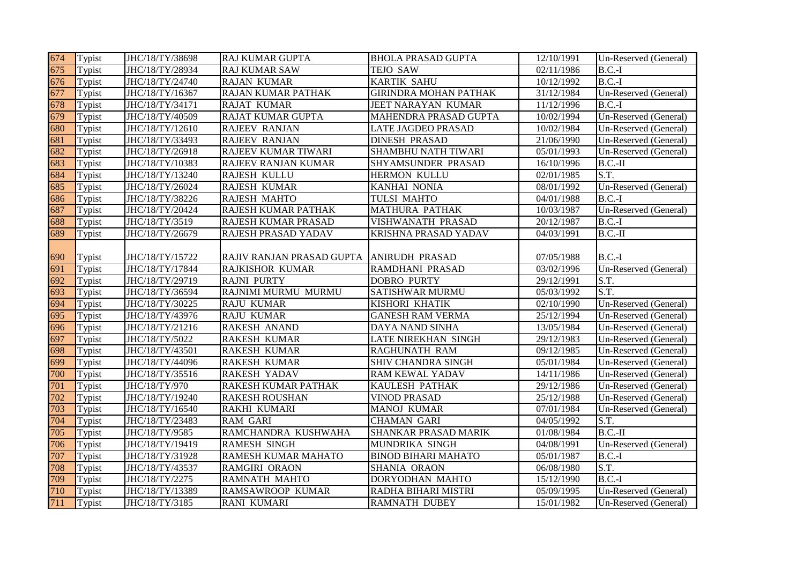| 674 | Typist | JHC/18/TY/38698 | <b>RAJ KUMAR GUPTA</b>    | <b>BHOLA PRASAD GUPTA</b>    | 12/10/1991 | Un-Reserved (General) |
|-----|--------|-----------------|---------------------------|------------------------------|------------|-----------------------|
| 675 | Typist | JHC/18/TY/28934 | <b>RAJ KUMAR SAW</b>      | <b>TEJO SAW</b>              | 02/11/1986 | $B.C.-I$              |
| 676 | Typist | JHC/18/TY/24740 | <b>RAJAN KUMAR</b>        | <b>KARTIK SAHU</b>           | 10/12/1992 | $B.C.-I$              |
| 677 | Typist | JHC/18/TY/16367 | RAJAN KUMAR PATHAK        | <b>GIRINDRA MOHAN PATHAK</b> | 31/12/1984 | Un-Reserved (General) |
| 678 | Typist | JHC/18/TY/34171 | <b>RAJAT KUMAR</b>        | JEET NARAYAN KUMAR           | 11/12/1996 | $B.C.-I$              |
| 679 | Typist | JHC/18/TY/40509 | RAJAT KUMAR GUPTA         | MAHENDRA PRASAD GUPTA        | 10/02/1994 | Un-Reserved (General) |
| 680 | Typist | JHC/18/TY/12610 | RAJEEV RANJAN             | LATE JAGDEO PRASAD           | 10/02/1984 | Un-Reserved (General) |
| 681 | Typist | JHC/18/TY/33493 | RAJEEV RANJAN             | <b>DINESH PRASAD</b>         | 21/06/1990 | Un-Reserved (General) |
| 682 | Typist | JHC/18/TY/26918 | RAJEEV KUMAR TIWARI       | SHAMBHU NATH TIWARI          | 05/01/1993 | Un-Reserved (General) |
| 683 | Typist | JHC/18/TY/10383 | RAJEEV RANJAN KUMAR       | SHYAMSUNDER PRASAD           | 16/10/1996 | $B.C.-II$             |
| 684 | Typist | JHC/18/TY/13240 | RAJESH KULLU              | HERMON KULLU                 | 02/01/1985 | S.T.                  |
| 685 | Typist | JHC/18/TY/26024 | RAJESH KUMAR              | KANHAI NONIA                 | 08/01/1992 | Un-Reserved (General) |
| 686 | Typist | JHC/18/TY/38226 | RAJESH MAHTO              | TULSI MAHTO                  | 04/01/1988 | $B.C.-I$              |
| 687 | Typist | JHC/18/TY/20424 | RAJESH KUMAR PATHAK       | <b>MATHURA PATHAK</b>        | 10/03/1987 | Un-Reserved (General) |
| 688 | Typist | JHC/18/TY/3519  | RAJESH KUMAR PRASAD       | VISHWANATH PRASAD            | 20/12/1987 | $B.C.-I$              |
| 689 | Typist | JHC/18/TY/26679 | RAJESH PRASAD YADAV       | KRISHNA PRASAD YADAV         | 04/03/1991 | $B.C.-II$             |
|     |        |                 |                           |                              |            |                       |
| 690 | Typist | JHC/18/TY/15722 | RAJIV RANJAN PRASAD GUPTA | <b>ANIRUDH PRASAD</b>        | 07/05/1988 | $B.C.-I$              |
| 691 | Typist | JHC/18/TY/17844 | RAJKISHOR KUMAR           | RAMDHANI PRASAD              | 03/02/1996 | Un-Reserved (General) |
| 692 | Typist | JHC/18/TY/29719 | <b>RAJNI PURTY</b>        | <b>DOBRO PURTY</b>           | 29/12/1991 | S.T.                  |
| 693 | Typist | JHC/18/TY/36594 | RAJNIMI MURMU MURMU       | <b>SATISHWAR MURMU</b>       | 05/03/1992 | S.T.                  |
| 694 | Typist | JHC/18/TY/30225 | <b>RAJU KUMAR</b>         | KISHORI KHATIK               | 02/10/1990 | Un-Reserved (General) |
| 695 | Typist | JHC/18/TY/43976 | <b>RAJU KUMAR</b>         | <b>GANESH RAM VERMA</b>      | 25/12/1994 | Un-Reserved (General) |
| 696 | Typist | JHC/18/TY/21216 | RAKESH ANAND              | DAYA NAND SINHA              | 13/05/1984 | Un-Reserved (General) |
| 697 | Typist | JHC/18/TY/5022  | <b>RAKESH KUMAR</b>       | LATE NIREKHAN SINGH          | 29/12/1983 | Un-Reserved (General) |
| 698 | Typist | JHC/18/TY/43501 | <b>RAKESH KUMAR</b>       | RAGHUNATH RAM                | 09/12/1985 | Un-Reserved (General) |
| 699 | Typist | JHC/18/TY/44096 | RAKESH KUMAR              | SHIV CHANDRA SINGH           | 05/01/1984 | Un-Reserved (General) |
| 700 | Typist | JHC/18/TY/35516 | RAKESH YADAV              | RAM KEWAL YADAV              | 14/11/1986 | Un-Reserved (General) |
| 701 | Typist | JHC/18/TY/970   | RAKESH KUMAR PATHAK       | <b>KAULESH PATHAK</b>        | 29/12/1986 | Un-Reserved (General) |
| 702 | Typist | JHC/18/TY/19240 | <b>RAKESH ROUSHAN</b>     | <b>VINOD PRASAD</b>          | 25/12/1988 | Un-Reserved (General) |
| 703 | Typist | JHC/18/TY/16540 | RAKHI KUMARI              | <b>MANOJ KUMAR</b>           | 07/01/1984 | Un-Reserved (General) |
| 704 | Typist | JHC/18/TY/23483 | RAM GARI                  | <b>CHAMAN GARI</b>           | 04/05/1992 | S.T.                  |
| 705 | Typist | JHC/18/TY/9585  | RAMCHANDRA KUSHWAHA       | SHANKAR PRASAD MARIK         | 01/08/1984 | $B.C.-II$             |
| 706 | Typist | JHC/18/TY/19419 | RAMESH SINGH              | MUNDRIKA SINGH               | 04/08/1991 | Un-Reserved (General) |
| 707 | Typist | JHC/18/TY/31928 | RAMESH KUMAR MAHATO       | <b>BINOD BIHARI MAHATO</b>   | 05/01/1987 | $B.C.-I$              |
| 708 | Typist | JHC/18/TY/43537 | RAMGIRI ORAON             | SHANIA ORAON                 | 06/08/1980 | S.T.                  |
| 709 | Typist | JHC/18/TY/2275  | RAMNATH MAHTO             | DORYODHAN MAHTO              | 15/12/1990 | $B.C.-I$              |
| 710 | Typist | JHC/18/TY/13389 | RAMSAWROOP KUMAR          | RADHA BIHARI MISTRI          | 05/09/1995 | Un-Reserved (General) |
| 711 | Typist | JHC/18/TY/3185  | <b>RANI KUMARI</b>        | <b>RAMNATH DUBEY</b>         | 15/01/1982 | Un-Reserved (General) |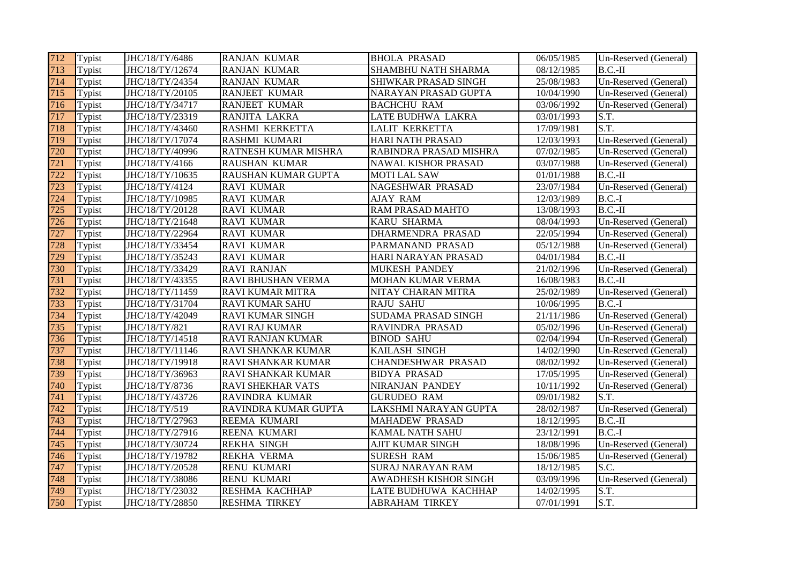| 712 | Typist | JHC/18/TY/6486  | <b>RANJAN KUMAR</b>      | <b>BHOLA PRASAD</b>        | 06/05/1985 | Un-Reserved (General) |
|-----|--------|-----------------|--------------------------|----------------------------|------------|-----------------------|
| 713 | Typist | JHC/18/TY/12674 | <b>RANJAN KUMAR</b>      | SHAMBHU NATH SHARMA        | 08/12/1985 | $B.C.-II$             |
| 714 | Typist | JHC/18/TY/24354 | <b>RANJAN KUMAR</b>      | SHIWKAR PRASAD SINGH       | 25/08/1983 | Un-Reserved (General) |
| 715 | Typist | JHC/18/TY/20105 | <b>RANJEET KUMAR</b>     | NARAYAN PRASAD GUPTA       | 10/04/1990 | Un-Reserved (General) |
| 716 | Typist | JHC/18/TY/34717 | <b>RANJEET KUMAR</b>     | <b>BACHCHU RAM</b>         | 03/06/1992 | Un-Reserved (General) |
| 717 | Typist | JHC/18/TY/23319 | RANJITA LAKRA            | LATE BUDHWA LAKRA          | 03/01/1993 | S.T.                  |
| 718 | Typist | JHC/18/TY/43460 | RASHMI KERKETTA          | LALIT KERKETTA             | 17/09/1981 | S.T.                  |
| 719 | Typist | JHC/18/TY/17074 | RASHMI KUMARI            | <b>HARI NATH PRASAD</b>    | 12/03/1993 | Un-Reserved (General) |
| 720 | Typist | JHC/18/TY/40996 | RATNESH KUMAR MISHRA     | RABINDRA PRASAD MISHRA     | 07/02/1985 | Un-Reserved (General) |
| 721 | Typist | JHC/18/TY/4166  | RAUSHAN KUMAR            | <b>NAWAL KISHOR PRASAD</b> | 03/07/1988 | Un-Reserved (General) |
| 722 | Typist | JHC/18/TY/10635 | RAUSHAN KUMAR GUPTA      | <b>MOTI LAL SAW</b>        | 01/01/1988 | $B.C.-II$             |
| 723 | Typist | JHC/18/TY/4124  | <b>RAVI KUMAR</b>        | NAGESHWAR PRASAD           | 23/07/1984 | Un-Reserved (General) |
| 724 | Typist | JHC/18/TY/10985 | <b>RAVI KUMAR</b>        | <b>AJAY RAM</b>            | 12/03/1989 | $B.C.-I$              |
| 725 | Typist | JHC/18/TY/20128 | <b>RAVI KUMAR</b>        | <b>RAM PRASAD MAHTO</b>    | 13/08/1993 | $B.C.-II$             |
| 726 | Typist | JHC/18/TY/21648 | <b>RAVI KUMAR</b>        | KARU SHARMA                | 08/04/1993 | Un-Reserved (General) |
| 727 | Typist | JHC/18/TY/22964 | <b>RAVI KUMAR</b>        | DHARMENDRA PRASAD          | 22/05/1994 | Un-Reserved (General) |
| 728 | Typist | JHC/18/TY/33454 | <b>RAVI KUMAR</b>        | PARMANAND PRASAD           | 05/12/1988 | Un-Reserved (General) |
| 729 | Typist | JHC/18/TY/35243 | <b>RAVI KUMAR</b>        | HARI NARAYAN PRASAD        | 04/01/1984 | $B.C.-II$             |
| 730 | Typist | JHC/18/TY/33429 | <b>RAVI RANJAN</b>       | <b>MUKESH PANDEY</b>       | 21/02/1996 | Un-Reserved (General) |
| 731 | Typist | JHC/18/TY/43355 | RAVI BHUSHAN VERMA       | MOHAN KUMAR VERMA          | 16/08/1983 | $B.C.-II$             |
| 732 | Typist | JHC/18/TY/11459 | <b>RAVI KUMAR MITRA</b>  | NITAY CHARAN MITRA         | 25/02/1989 | Un-Reserved (General) |
| 733 | Typist | JHC/18/TY/31704 | <b>RAVI KUMAR SAHU</b>   | <b>RAJU SAHU</b>           | 10/06/1995 | $B.C.-I$              |
| 734 | Typist | JHC/18/TY/42049 | <b>RAVI KUMAR SINGH</b>  | SUDAMA PRASAD SINGH        | 21/11/1986 | Un-Reserved (General) |
| 735 | Typist | JHC/18/TY/821   | <b>RAVI RAJ KUMAR</b>    | RAVINDRA PRASAD            | 05/02/1996 | Un-Reserved (General) |
| 736 | Typist | JHC/18/TY/14518 | <b>RAVI RANJAN KUMAR</b> | <b>BINOD SAHU</b>          | 02/04/1994 | Un-Reserved (General) |
| 737 | Typist | JHC/18/TY/11146 | RAVI SHANKAR KUMAR       | KAILASH SINGH              | 14/02/1990 | Un-Reserved (General) |
| 738 | Typist | JHC/18/TY/19918 | RAVI SHANKAR KUMAR       | <b>CHANDESHWAR PRASAD</b>  | 08/02/1992 | Un-Reserved (General) |
| 739 | Typist | JHC/18/TY/36963 | RAVI SHANKAR KUMAR       | <b>BIDYA PRASAD</b>        | 17/05/1995 | Un-Reserved (General) |
| 740 | Typist | JHC/18/TY/8736  | <b>RAVI SHEKHAR VATS</b> | NIRANJAN PANDEY            | 10/11/1992 | Un-Reserved (General) |
| 741 | Typist | JHC/18/TY/43726 | RAVINDRA KUMAR           | <b>GURUDEO RAM</b>         | 09/01/1982 | S.T.                  |
| 742 | Typist | JHC/18/TY/519   | RAVINDRA KUMAR GUPTA     | LAKSHMI NARAYAN GUPTA      | 28/02/1987 | Un-Reserved (General) |
| 743 | Typist | JHC/18/TY/27963 | REEMA KUMARI             | <b>MAHADEW PRASAD</b>      | 18/12/1995 | $B.C.-II$             |
| 744 | Typist | JHC/18/TY/27916 | REENA KUMARI             | KAMAL NATH SAHU            | 23/12/1991 | $B.C.-I$              |
| 745 | Typist | JHC/18/TY/30724 | <b>REKHA SINGH</b>       | AJIT KUMAR SINGH           | 18/08/1996 | Un-Reserved (General) |
| 746 | Typist | JHC/18/TY/19782 | REKHA VERMA              | <b>SURESH RAM</b>          | 15/06/1985 | Un-Reserved (General) |
| 747 | Typist | JHC/18/TY/20528 | <b>RENU KUMARI</b>       | SURAJ NARAYAN RAM          | 18/12/1985 | S.C.                  |
| 748 | Typist | JHC/18/TY/38086 | RENU KUMARI              | AWADHESH KISHOR SINGH      | 03/09/1996 | Un-Reserved (General) |
| 749 | Typist | JHC/18/TY/23032 | RESHMA KACHHAP           | LATE BUDHUWA KACHHAP       | 14/02/1995 | S.T.                  |
| 750 | Typist | JHC/18/TY/28850 | <b>RESHMA TIRKEY</b>     | <b>ABRAHAM TIRKEY</b>      | 07/01/1991 | S.T.                  |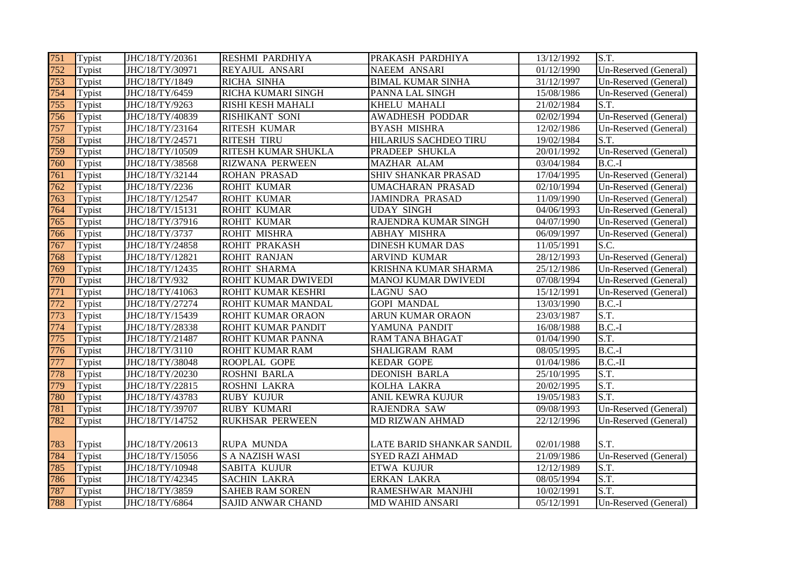| 751 | Typist | JHC/18/TY/20361 | <b>RESHMI PARDHIYA</b>   | PRAKASH PARDHIYA           | 13/12/1992 | S.T.                  |
|-----|--------|-----------------|--------------------------|----------------------------|------------|-----------------------|
| 752 | Typist | JHC/18/TY/30971 | REYAJUL ANSARI           | NAEEM ANSARI               | 01/12/1990 | Un-Reserved (General) |
| 753 | Typist | JHC/18/TY/1849  | RICHA SINHA              | <b>BIMAL KUMAR SINHA</b>   | 31/12/1997 | Un-Reserved (General) |
| 754 | Typist | JHC/18/TY/6459  | RICHA KUMARI SINGH       | PANNA LAL SINGH            | 15/08/1986 | Un-Reserved (General) |
| 755 | Typist | JHC/18/TY/9263  | RISHI KESH MAHALI        | KHELU MAHALI               | 21/02/1984 | S.T.                  |
| 756 | Typist | JHC/18/TY/40839 | RISHIKANT SONI           | <b>AWADHESH PODDAR</b>     | 02/02/1994 | Un-Reserved (General) |
| 757 | Typist | JHC/18/TY/23164 | <b>RITESH KUMAR</b>      | <b>BYASH MISHRA</b>        | 12/02/1986 | Un-Reserved (General) |
| 758 | Typist | JHC/18/TY/24571 | <b>RITESH TIRU</b>       | HILARIUS SACHDEO TIRU      | 19/02/1984 | S.T.                  |
| 759 | Typist | JHC/18/TY/10509 | RITESH KUMAR SHUKLA      | PRADEEP SHUKLA             | 20/01/1992 | Un-Reserved (General) |
| 760 | Typist | JHC/18/TY/38568 | <b>RIZWANA PERWEEN</b>   | MAZHAR ALAM                | 03/04/1984 | $B.C.-I$              |
| 761 | Typist | JHC/18/TY/32144 | <b>ROHAN PRASAD</b>      | SHIV SHANKAR PRASAD        | 17/04/1995 | Un-Reserved (General) |
| 762 | Typist | JHC/18/TY/2236  | <b>ROHIT KUMAR</b>       | <b>UMACHARAN PRASAD</b>    | 02/10/1994 | Un-Reserved (General) |
| 763 | Typist | JHC/18/TY/12547 | <b>ROHIT KUMAR</b>       | <b>JAMINDRA PRASAD</b>     | 11/09/1990 | Un-Reserved (General) |
| 764 | Typist | JHC/18/TY/15131 | ROHIT KUMAR              | <b>UDAY SINGH</b>          | 04/06/1993 | Un-Reserved (General) |
| 765 | Typist | JHC/18/TY/37916 | <b>ROHIT KUMAR</b>       | RAJENDRA KUMAR SINGH       | 04/07/1990 | Un-Reserved (General) |
| 766 | Typist | JHC/18/TY/3737  | ROHIT MISHRA             | <b>ABHAY MISHRA</b>        | 06/09/1997 | Un-Reserved (General) |
| 767 | Typist | JHC/18/TY/24858 | ROHIT PRAKASH            | <b>DINESH KUMAR DAS</b>    | 11/05/1991 | S.C.                  |
| 768 | Typist | JHC/18/TY/12821 | <b>ROHIT RANJAN</b>      | ARVIND KUMAR               | 28/12/1993 | Un-Reserved (General) |
| 769 | Typist | JHC/18/TY/12435 | <b>ROHIT SHARMA</b>      | KRISHNA KUMAR SHARMA       | 25/12/1986 | Un-Reserved (General) |
| 770 | Typist | JHC/18/TY/932   | ROHIT KUMAR DWIVEDI      | <b>MANOJ KUMAR DWIVEDI</b> | 07/08/1994 | Un-Reserved (General) |
| 771 | Typist | JHC/18/TY/41063 | ROHIT KUMAR KESHRI       | <b>LAGNU SAO</b>           | 15/12/1991 | Un-Reserved (General) |
| 772 | Typist | JHC/18/TY/27274 | ROHIT KUMAR MANDAL       | <b>GOPI MANDAL</b>         | 13/03/1990 | $B.C.-I$              |
| 773 | Typist | JHC/18/TY/15439 | ROHIT KUMAR ORAON        | ARUN KUMAR ORAON           | 23/03/1987 | S.T.                  |
| 774 | Typist | JHC/18/TY/28338 | ROHIT KUMAR PANDIT       | YAMUNA PANDIT              | 16/08/1988 | $\overline{B}$ .C.-I  |
| 775 | Typist | JHC/18/TY/21487 | ROHIT KUMAR PANNA        | RAM TANA BHAGAT            | 01/04/1990 | S.T.                  |
| 776 | Typist | JHC/18/TY/3110  | ROHIT KUMAR RAM          | SHALIGRAM RAM              | 08/05/1995 | $B.C.-I$              |
| 777 | Typist | JHC/18/TY/38048 | ROOPLAL GOPE             | KEDAR GOPE                 | 01/04/1986 | $B.C.-II$             |
| 778 | Typist | JHC/18/TY/20230 | <b>ROSHNI BARLA</b>      | <b>DEONISH BARLA</b>       | 25/10/1995 | S.T.                  |
| 779 | Typist | JHC/18/TY/22815 | <b>ROSHNI LAKRA</b>      | KOLHA LAKRA                | 20/02/1995 | S.T.                  |
| 780 | Typist | JHC/18/TY/43783 | <b>RUBY KUJUR</b>        | ANIL KEWRA KUJUR           | 19/05/1983 | S.T.                  |
| 781 | Typist | JHC/18/TY/39707 | <b>RUBY KUMARI</b>       | RAJENDRA SAW               | 09/08/1993 | Un-Reserved (General) |
| 782 | Typist | JHC/18/TY/14752 | <b>RUKHSAR PERWEEN</b>   | MD RIZWAN AHMAD            | 22/12/1996 | Un-Reserved (General) |
|     |        |                 |                          |                            |            |                       |
| 783 | Typist | JHC/18/TY/20613 | <b>RUPA MUNDA</b>        | LATE BARID SHANKAR SANDIL  | 02/01/1988 | S.T.                  |
| 784 | Typist | JHC/18/TY/15056 | <b>S A NAZISH WASI</b>   | <b>SYED RAZI AHMAD</b>     | 21/09/1986 | Un-Reserved (General) |
| 785 | Typist | JHC/18/TY/10948 | <b>SABITA KUJUR</b>      | ETWA KUJUR                 | 12/12/1989 | S.T.                  |
| 786 | Typist | JHC/18/TY/42345 | <b>SACHIN LAKRA</b>      | ERKAN LAKRA                | 08/05/1994 | S.T.                  |
| 787 | Typist | JHC/18/TY/3859  | <b>SAHEB RAM SOREN</b>   | RAMESHWAR MANJHI           | 10/02/1991 | S.T.                  |
| 788 | Typist | JHC/18/TY/6864  | <b>SAJID ANWAR CHAND</b> | MD WAHID ANSARI            | 05/12/1991 | Un-Reserved (General) |
|     |        |                 |                          |                            |            |                       |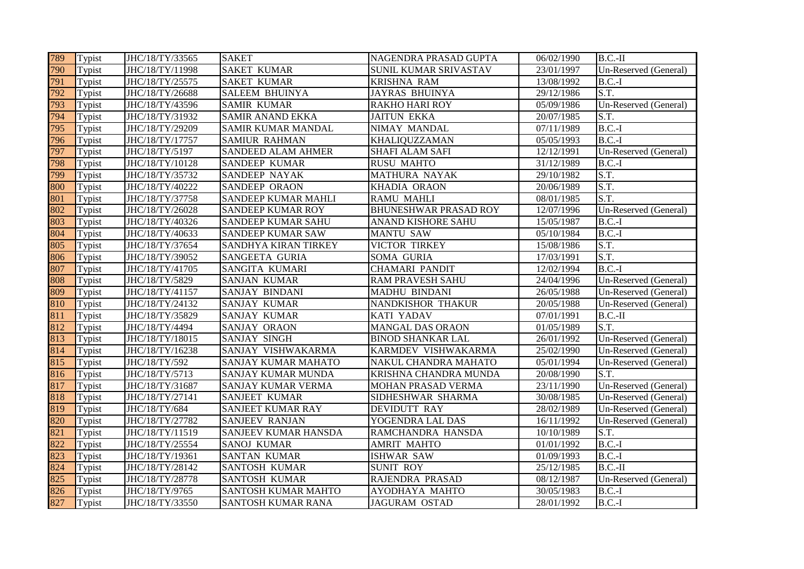| 789 | Typist | JHC/18/TY/33565 | <b>SAKET</b>              | NAGENDRA PRASAD GUPTA        | 06/02/1990 | $B.C.-II$                     |
|-----|--------|-----------------|---------------------------|------------------------------|------------|-------------------------------|
| 790 | Typist | JHC/18/TY/11998 | <b>SAKET KUMAR</b>        | <b>SUNIL KUMAR SRIVASTAV</b> | 23/01/1997 | Un-Reserved (General)         |
| 791 | Typist | JHC/18/TY/25575 | <b>SAKET KUMAR</b>        | <b>KRISHNA RAM</b>           | 13/08/1992 | $B.C.-I$                      |
| 792 | Typist | JHC/18/TY/26688 | <b>SALEEM BHUINYA</b>     | <b>JAYRAS BHUINYA</b>        | 29/12/1986 | S.T.                          |
| 793 | Typist | JHC/18/TY/43596 | <b>SAMIR KUMAR</b>        | <b>RAKHO HARI ROY</b>        | 05/09/1986 | Un-Reserved (General)         |
| 794 | Typist | JHC/18/TY/31932 | <b>SAMIR ANAND EKKA</b>   | <b>JAITUN EKKA</b>           | 20/07/1985 | S.T.                          |
| 795 | Typist | JHC/18/TY/29209 | SAMIR KUMAR MANDAL        | NIMAY MANDAL                 | 07/11/1989 | $\overline{\mathbf{B}}$ .C.-I |
| 796 | Typist | JHC/18/TY/17757 | <b>SAMIUR RAHMAN</b>      | <b>KHALIQUZZAMAN</b>         | 05/05/1993 | $B.C.-I$                      |
| 797 | Typist | JHC/18/TY/5197  | <b>SANDEED ALAM AHMER</b> | <b>SHAFI ALAM SAFI</b>       | 12/12/1991 | Un-Reserved (General)         |
| 798 | Typist | JHC/18/TY/10128 | SANDEEP KUMAR             | <b>RUSU MAHTO</b>            | 31/12/1989 | $B.C.-I$                      |
| 799 | Typist | JHC/18/TY/35732 | SANDEEP NAYAK             | <b>MATHURA NAYAK</b>         | 29/10/1982 | S.T.                          |
| 800 | Typist | JHC/18/TY/40222 | SANDEEP ORAON             | KHADIA ORAON                 | 20/06/1989 | S.T.                          |
| 801 | Typist | JHC/18/TY/37758 | SANDEEP KUMAR MAHLI       | <b>RAMU MAHLI</b>            | 08/01/1985 | S.T.                          |
| 802 | Typist | JHC/18/TY/26028 | <b>SANDEEP KUMAR ROY</b>  | <b>BHUNESHWAR PRASAD ROY</b> | 12/07/1996 | Un-Reserved (General)         |
| 803 | Typist | JHC/18/TY/40326 | SANDEEP KUMAR SAHU        | ANAND KISHORE SAHU           | 15/05/1987 | $B.C.-I$                      |
| 804 | Typist | JHC/18/TY/40633 | SANDEEP KUMAR SAW         | <b>MANTU SAW</b>             | 05/10/1984 | $B.C.-I$                      |
| 805 | Typist | JHC/18/TY/37654 | SANDHYA KIRAN TIRKEY      | VICTOR TIRKEY                | 15/08/1986 | S.T.                          |
| 806 | Typist | JHC/18/TY/39052 | <b>SANGEETA GURIA</b>     | <b>SOMA GURIA</b>            | 17/03/1991 | S.T.                          |
| 807 | Typist | JHC/18/TY/41705 | SANGITA KUMARI            | <b>CHAMARI PANDIT</b>        | 12/02/1994 | $\overline{\mathbf{B}}$ .C.-I |
| 808 | Typist | JHC/18/TY/5829  | <b>SANJAN KUMAR</b>       | <b>RAM PRAVESH SAHU</b>      | 24/04/1996 | Un-Reserved (General)         |
| 809 | Typist | JHC/18/TY/41157 | SANJAY BINDANI            | <b>MADHU BINDANI</b>         | 26/05/1988 | Un-Reserved (General)         |
| 810 | Typist | JHC/18/TY/24132 | <b>SANJAY KUMAR</b>       | NANDKISHOR THAKUR            | 20/05/1988 | Un-Reserved (General)         |
| 811 | Typist | JHC/18/TY/35829 | <b>SANJAY KUMAR</b>       | KATI YADAV                   | 07/01/1991 | $B.C.-II$                     |
| 812 | Typist | JHC/18/TY/4494  | SANJAY ORAON              | <b>MANGAL DAS ORAON</b>      | 01/05/1989 | S.T.                          |
| 813 | Typist | JHC/18/TY/18015 | SANJAY SINGH              | <b>BINOD SHANKAR LAL</b>     | 26/01/1992 | Un-Reserved (General)         |
| 814 | Typist | JHC/18/TY/16238 | SANJAY VISHWAKARMA        | KARMDEV VISHWAKARMA          | 25/02/1990 | Un-Reserved (General)         |
| 815 | Typist | JHC/18/TY/592   | SANJAY KUMAR MAHATO       | NAKUL CHANDRA MAHATO         | 05/01/1994 | Un-Reserved (General)         |
| 816 | Typist | JHC/18/TY/5713  | SANJAY KUMAR MUNDA        | KRISHNA CHANDRA MUNDA        | 20/08/1990 | S.T.                          |
| 817 | Typist | JHC/18/TY/31687 | <b>SANJAY KUMAR VERMA</b> | MOHAN PRASAD VERMA           | 23/11/1990 | Un-Reserved (General)         |
| 818 | Typist | JHC/18/TY/27141 | <b>SANJEET KUMAR</b>      | SIDHESHWAR SHARMA            | 30/08/1985 | Un-Reserved (General)         |
| 819 | Typist | JHC/18/TY/684   | SANJEET KUMAR RAY         | <b>DEVIDUTT RAY</b>          | 28/02/1989 | Un-Reserved (General)         |
| 820 | Typist | JHC/18/TY/27782 | <b>SANJEEV RANJAN</b>     | YOGENDRA LAL DAS             | 16/11/1992 | Un-Reserved (General)         |
| 821 | Typist | JHC/18/TY/11519 | SANJEEV KUMAR HANSDA      | RAMCHANDRA HANSDA            | 10/10/1989 | S.T.                          |
| 822 | Typist | JHC/18/TY/25554 | <b>SANOJ KUMAR</b>        | <b>AMRIT MAHTO</b>           | 01/01/1992 | $B.C.-I$                      |
| 823 | Typist | JHC/18/TY/19361 | <b>SANTAN KUMAR</b>       | <b>ISHWAR SAW</b>            | 01/09/1993 | $B.C.-I$                      |
| 824 | Typist | JHC/18/TY/28142 | SANTOSH KUMAR             | <b>SUNIT ROY</b>             | 25/12/1985 | $B.C.-II$                     |
| 825 | Typist | JHC/18/TY/28778 | <b>SANTOSH KUMAR</b>      | RAJENDRA PRASAD              | 08/12/1987 | Un-Reserved (General)         |
| 826 | Typist | JHC/18/TY/9765  | SANTOSH KUMAR MAHTO       | AYODHAYA MAHTO               | 30/05/1983 | $B.C.-I$                      |
| 827 | Typist | JHC/18/TY/33550 | SANTOSH KUMAR RANA        | <b>JAGURAM OSTAD</b>         | 28/01/1992 | $B.C.-I$                      |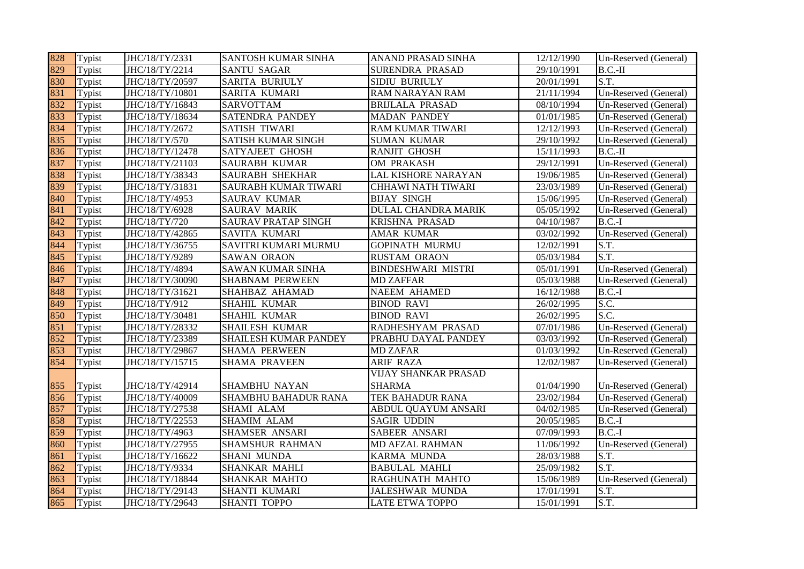| 828 | Typist | JHC/18/TY/2331  | <b>SANTOSH KUMAR SINHA</b>  | ANAND PRASAD SINHA          | 12/12/1990 | Un-Reserved (General) |
|-----|--------|-----------------|-----------------------------|-----------------------------|------------|-----------------------|
| 829 | Typist | JHC/18/TY/2214  | <b>SANTU SAGAR</b>          | SURENDRA PRASAD             | 29/10/1991 | $B.C.-II$             |
| 830 | Typist | JHC/18/TY/20597 | <b>SARITA BURIULY</b>       | SIDIU BURIULY               | 20/01/1991 | S.T.                  |
| 831 | Typist | JHC/18/TY/10801 | <b>SARITA KUMARI</b>        | RAM NARAYAN RAM             | 21/11/1994 | Un-Reserved (General) |
| 832 | Typist | JHC/18/TY/16843 | <b>SARVOTTAM</b>            | <b>BRIJLALA PRASAD</b>      | 08/10/1994 | Un-Reserved (General) |
| 833 | Typist | JHC/18/TY/18634 | <b>SATENDRA PANDEY</b>      | <b>MADAN PANDEY</b>         | 01/01/1985 | Un-Reserved (General) |
| 834 | Typist | JHC/18/TY/2672  | <b>SATISH TIWARI</b>        | RAM KUMAR TIWARI            | 12/12/1993 | Un-Reserved (General) |
| 835 | Typist | JHC/18/TY/570   | SATISH KUMAR SINGH          | <b>SUMAN KUMAR</b>          | 29/10/1992 | Un-Reserved (General) |
| 836 | Typist | JHC/18/TY/12478 | <b>SATYAJEET GHOSH</b>      | RANJIT GHOSH                | 15/11/1993 | $B.C.-II$             |
| 837 | Typist | JHC/18/TY/21103 | <b>SAURABH KUMAR</b>        | OM PRAKASH                  | 29/12/1991 | Un-Reserved (General) |
| 838 | Typist | JHC/18/TY/38343 | <b>SAURABH SHEKHAR</b>      | LAL KISHORE NARAYAN         | 19/06/1985 | Un-Reserved (General) |
| 839 | Typist | JHC/18/TY/31831 | <b>SAURABH KUMAR TIWARI</b> | <b>CHHAWI NATH TIWARI</b>   | 23/03/1989 | Un-Reserved (General) |
| 840 | Typist | JHC/18/TY/4953  | <b>SAURAV KUMAR</b>         | <b>BIJAY SINGH</b>          | 15/06/1995 | Un-Reserved (General) |
| 841 | Typist | JHC/18/TY/6928  | <b>SAURAV MARIK</b>         | DULAL CHANDRA MARIK         | 05/05/1992 | Un-Reserved (General) |
| 842 | Typist | JHC/18/TY/720   | <b>SAURAV PRATAP SINGH</b>  | <b>KRISHNA PRASAD</b>       | 04/10/1987 | $B.C.-I$              |
| 843 | Typist | JHC/18/TY/42865 | <b>SAVITA KUMARI</b>        | AMAR KUMAR                  | 03/02/1992 | Un-Reserved (General) |
| 844 | Typist | JHC/18/TY/36755 | SAVITRI KUMARI MURMU        | <b>GOPINATH MURMU</b>       | 12/02/1991 | S.T.                  |
| 845 | Typist | JHC/18/TY/9289  | <b>SAWAN ORAON</b>          | <b>RUSTAM ORAON</b>         | 05/03/1984 | S.T.                  |
| 846 | Typist | JHC/18/TY/4894  | <b>SAWAN KUMAR SINHA</b>    | <b>BINDESHWARI MISTRI</b>   | 05/01/1991 | Un-Reserved (General) |
| 847 | Typist | JHC/18/TY/30090 | <b>SHABNAM PERWEEN</b>      | <b>MD ZAFFAR</b>            | 05/03/1988 | Un-Reserved (General) |
| 848 | Typist | JHC/18/TY/31621 | SHAHBAZ AHAMAD              | <b>NAEEM AHAMED</b>         | 16/12/1988 | $B.C.-I$              |
| 849 | Typist | JHC/18/TY/912   | <b>SHAHIL KUMAR</b>         | <b>BINOD RAVI</b>           | 26/02/1995 | S.C.                  |
| 850 | Typist | JHC/18/TY/30481 | <b>SHAHIL KUMAR</b>         | <b>BINOD RAVI</b>           | 26/02/1995 | S.C.                  |
| 851 | Typist | JHC/18/TY/28332 | <b>SHAILESH KUMAR</b>       | RADHESHYAM PRASAD           | 07/01/1986 | Un-Reserved (General) |
| 852 | Typist | JHC/18/TY/23389 | SHAILESH KUMAR PANDEY       | PRABHU DAYAL PANDEY         | 03/03/1992 | Un-Reserved (General) |
| 853 | Typist | JHC/18/TY/29867 | <b>SHAMA PERWEEN</b>        | <b>MD ZAFAR</b>             | 01/03/1992 | Un-Reserved (General) |
| 854 | Typist | JHC/18/TY/15715 | <b>SHAMA PRAVEEN</b>        | <b>ARIF RAZA</b>            | 12/02/1987 | Un-Reserved (General) |
|     |        |                 |                             | <b>VIJAY SHANKAR PRASAD</b> |            |                       |
| 855 | Typist | JHC/18/TY/42914 | <b>SHAMBHU NAYAN</b>        | <b>SHARMA</b>               | 01/04/1990 | Un-Reserved (General) |
| 856 | Typist | JHC/18/TY/40009 | <b>SHAMBHU BAHADUR RANA</b> | TEK BAHADUR RANA            | 23/02/1984 | Un-Reserved (General) |
| 857 | Typist | JHC/18/TY/27538 | SHAMI ALAM                  | ABDUL QUAYUM ANSARI         | 04/02/1985 | Un-Reserved (General) |
| 858 | Typist | JHC/18/TY/22553 | <b>SHAMIM ALAM</b>          | <b>SAGIR UDDIN</b>          | 20/05/1985 | $B.C.-I$              |
| 859 | Typist | JHC/18/TY/4963  | SHAMSER ANSARI              | SABEER ANSARI               | 07/09/1993 | $B.C.-I$              |
| 860 | Typist | JHC/18/TY/27955 | <b>SHAMSHUR RAHMAN</b>      | MD AFZAL RAHMAN             | 11/06/1992 | Un-Reserved (General) |
| 861 | Typist | JHC/18/TY/16622 | <b>SHANI MUNDA</b>          | KARMA MUNDA                 | 28/03/1988 | S.T.                  |
| 862 | Typist | JHC/18/TY/9334  | <b>SHANKAR MAHLI</b>        | <b>BABULAL MAHLI</b>        | 25/09/1982 | S.T.                  |
| 863 | Typist | JHC/18/TY/18844 | <b>SHANKAR MAHTO</b>        | RAGHUNATH MAHTO             | 15/06/1989 | Un-Reserved (General) |
| 864 | Typist | JHC/18/TY/29143 | <b>SHANTI KUMARI</b>        | <b>JALESHWAR MUNDA</b>      | 17/01/1991 | S.T.                  |
| 865 | Typist | JHC/18/TY/29643 | <b>SHANTI TOPPO</b>         | <b>LATE ETWA TOPPO</b>      | 15/01/1991 | S.T.                  |
|     |        |                 |                             |                             |            |                       |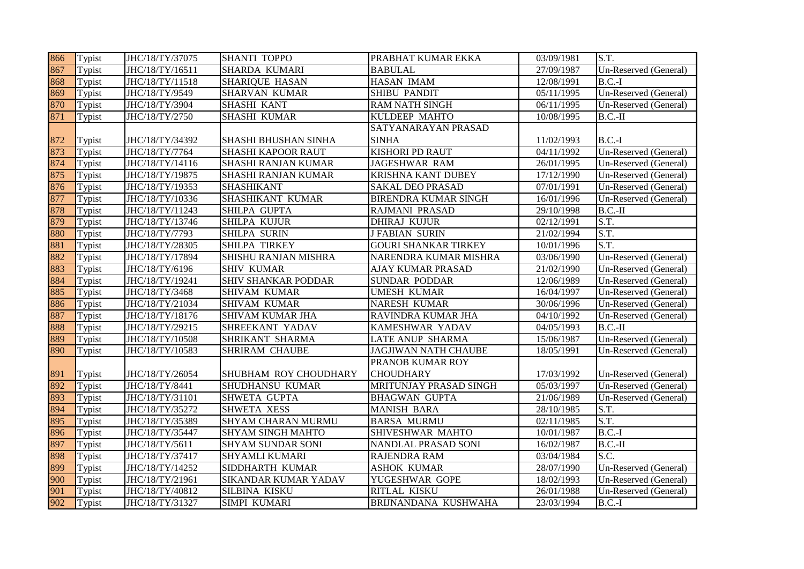| 866 | Typist | JHC/18/TY/37075 | <b>SHANTI TOPPO</b>        | PRABHAT KUMAR EKKA          | 03/09/1981              | S.T.                  |
|-----|--------|-----------------|----------------------------|-----------------------------|-------------------------|-----------------------|
| 867 | Typist | JHC/18/TY/16511 | <b>SHARDA KUMARI</b>       | <b>BABULAL</b>              | 27/09/1987              | Un-Reserved (General) |
| 868 | Typist | JHC/18/TY/11518 | <b>SHARIQUE HASAN</b>      | HASAN IMAM                  | 12/08/1991              | $B.C.-I$              |
| 869 | Typist | JHC/18/TY/9549  | <b>SHARVAN KUMAR</b>       | <b>SHIBU PANDIT</b>         | 05/11/1995              | Un-Reserved (General) |
| 870 | Typist | JHC/18/TY/3904  | <b>SHASHI KANT</b>         | <b>RAM NATH SINGH</b>       | 06/11/1995              | Un-Reserved (General) |
| 871 | Typist | JHC/18/TY/2750  | SHASHI KUMAR               | KULDEEP MAHTO               | 10/08/1995              | $B.C.-II$             |
|     |        |                 |                            | SATYANARAYAN PRASAD         |                         |                       |
| 872 | Typist | JHC/18/TY/34392 | SHASHI BHUSHAN SINHA       | <b>SINHA</b>                | 11/02/1993              | $B.C.-I$              |
| 873 | Typist | JHC/18/TY/7764  | <b>SHASHI KAPOOR RAUT</b>  | <b>KISHORI PD RAUT</b>      | $\overline{04}/11/1992$ | Un-Reserved (General) |
| 874 | Typist | JHC/18/TY/14116 | SHASHI RANJAN KUMAR        | <b>JAGESHWAR RAM</b>        | 26/01/1995              | Un-Reserved (General) |
| 875 | Typist | JHC/18/TY/19875 | SHASHI RANJAN KUMAR        | KRISHNA KANT DUBEY          | 17/12/1990              | Un-Reserved (General) |
| 876 | Typist | JHC/18/TY/19353 | SHASHIKANT                 | <b>SAKAL DEO PRASAD</b>     | 07/01/1991              | Un-Reserved (General) |
| 877 | Typist | JHC/18/TY/10336 | SHASHIKANT KUMAR           | <b>BIRENDRA KUMAR SINGH</b> | 16/01/1996              | Un-Reserved (General) |
| 878 | Typist | JHC/18/TY/11243 | SHILPA GUPTA               | RAJMANI PRASAD              | 29/10/1998              | $B.C.-II$             |
| 879 | Typist | JHC/18/TY/13746 | <b>SHILPA KUJUR</b>        | <b>DHIRAJ KUJUR</b>         | 02/12/1991              | S.T.                  |
| 880 | Typist | JHC/18/TY/7793  | <b>SHILPA SURIN</b>        | <b>J FABIAN SURIN</b>       | 21/02/1994              | S.T.                  |
| 881 | Typist | JHC/18/TY/28305 | <b>SHILPA TIRKEY</b>       | <b>GOURI SHANKAR TIRKEY</b> | 10/01/1996              | S.T.                  |
| 882 | Typist | JHC/18/TY/17894 | SHISHU RANJAN MISHRA       | NARENDRA KUMAR MISHRA       | 03/06/1990              | Un-Reserved (General) |
| 883 | Typist | JHC/18/TY/6196  | <b>SHIV KUMAR</b>          | AJAY KUMAR PRASAD           | 21/02/1990              | Un-Reserved (General) |
| 884 | Typist | JHC/18/TY/19241 | <b>SHIV SHANKAR PODDAR</b> | <b>SUNDAR PODDAR</b>        | 12/06/1989              | Un-Reserved (General) |
| 885 | Typist | JHC/18/TY/3468  | <b>SHIVAM KUMAR</b>        | <b>UMESH KUMAR</b>          | 16/04/1997              | Un-Reserved (General) |
| 886 | Typist | JHC/18/TY/21034 | SHIVAM KUMAR               | NARESH KUMAR                | 30/06/1996              | Un-Reserved (General) |
| 887 | Typist | JHC/18/TY/18176 | SHIVAM KUMAR JHA           | RAVINDRA KUMAR JHA          | 04/10/1992              | Un-Reserved (General) |
| 888 | Typist | JHC/18/TY/29215 | SHREEKANT YADAV            | KAMESHWAR YADAV             | 04/05/1993              | $B.C.-II$             |
| 889 | Typist | JHC/18/TY/10508 | SHRIKANT SHARMA            | LATE ANUP SHARMA            | 15/06/1987              | Un-Reserved (General) |
| 890 | Typist | JHC/18/TY/10583 | <b>SHRIRAM CHAUBE</b>      | <b>JAGJIWAN NATH CHAUBE</b> | 18/05/1991              | Un-Reserved (General) |
|     |        |                 |                            | PRANOB KUMAR ROY            |                         |                       |
| 891 | Typist | JHC/18/TY/26054 | SHUBHAM ROY CHOUDHARY      | <b>CHOUDHARY</b>            | 17/03/1992              | Un-Reserved (General) |
| 892 | Typist | JHC/18/TY/8441  | SHUDHANSU KUMAR            | MRITUNJAY PRASAD SINGH      | 05/03/1997              | Un-Reserved (General) |
| 893 | Typist | JHC/18/TY/31101 | SHWETA GUPTA               | <b>BHAGWAN GUPTA</b>        | 21/06/1989              | Un-Reserved (General) |
| 894 | Typist | JHC/18/TY/35272 | <b>SHWETA XESS</b>         | <b>MANISH BARA</b>          | 28/10/1985              | S.T.                  |
| 895 | Typist | JHC/18/TY/35389 | SHYAM CHARAN MURMU         | <b>BARSA MURMU</b>          | 02/11/1985              | S.T.                  |
| 896 | Typist | JHC/18/TY/35447 | <b>SHYAM SINGH MAHTO</b>   | SHIVESHWAR MAHTO            | 10/01/1987              | $B.C.-I$              |
| 897 | Typist | JHC/18/TY/5611  | SHYAM SUNDAR SONI          | NANDLAL PRASAD SONI         | 16/02/1987              | $B.C.-II$             |
| 898 | Typist | JHC/18/TY/37417 | SHYAMLI KUMARI             | RAJENDRA RAM                | 03/04/1984              | S.C.                  |
| 899 | Typist | JHC/18/TY/14252 | SIDDHARTH KUMAR            | <b>ASHOK KUMAR</b>          | 28/07/1990              | Un-Reserved (General) |
| 900 | Typist | JHC/18/TY/21961 | SIKANDAR KUMAR YADAV       | YUGESHWAR GOPE              | 18/02/1993              | Un-Reserved (General) |
| 901 | Typist | JHC/18/TY/40812 | SILBINA KISKU              | RITLAL KISKU                | 26/01/1988              | Un-Reserved (General) |
| 902 | Typist | JHC/18/TY/31327 | <b>SIMPI KUMARI</b>        | BRIJNANDANA KUSHWAHA        | 23/03/1994              | $B.C.-I$              |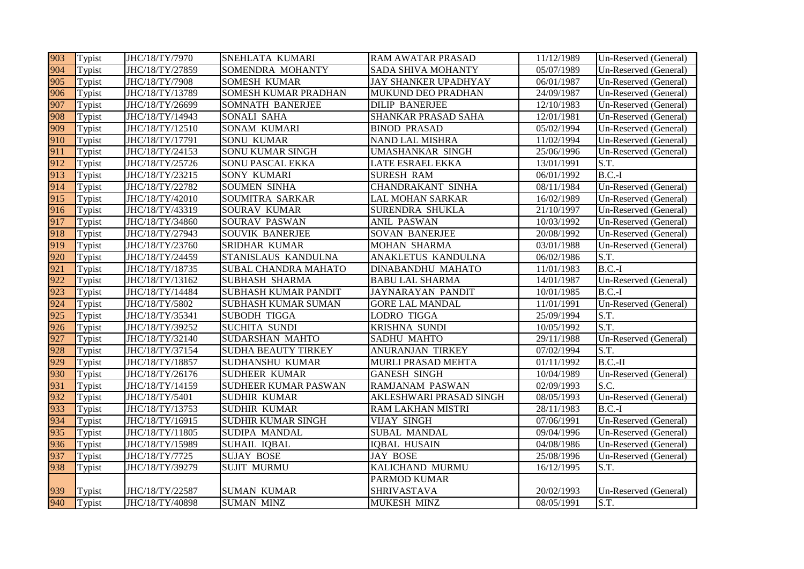| 903 | Typist | JHC/18/TY/7970  | <b>SNEHLATA KUMARI</b>      | <b>RAM AWATAR PRASAD</b>    | 11/12/1989          | Un-Reserved (General) |
|-----|--------|-----------------|-----------------------------|-----------------------------|---------------------|-----------------------|
| 904 | Typist | JHC/18/TY/27859 | SOMENDRA MOHANTY            | <b>SADA SHIVA MOHANTY</b>   | 05/07/1989          | Un-Reserved (General) |
| 905 | Typist | JHC/18/TY/7908  | <b>SOMESH KUMAR</b>         | <b>JAY SHANKER UPADHYAY</b> | 06/01/1987          | Un-Reserved (General) |
| 906 | Typist | JHC/18/TY/13789 | <b>SOMESH KUMAR PRADHAN</b> | MUKUND DEO PRADHAN          | 24/09/1987          | Un-Reserved (General) |
| 907 | Typist | JHC/18/TY/26699 | <b>SOMNATH BANERJEE</b>     | <b>DILIP BANERJEE</b>       | 12/10/1983          | Un-Reserved (General) |
| 908 | Typist | JHC/18/TY/14943 | SONALI SAHA                 | SHANKAR PRASAD SAHA         | 12/01/1981          | Un-Reserved (General) |
| 909 | Typist | JHC/18/TY/12510 | <b>SONAM KUMARI</b>         | <b>BINOD PRASAD</b>         | $\sqrt{05/02}/1994$ | Un-Reserved (General) |
| 910 | Typist | JHC/18/TY/17791 | <b>SONU KUMAR</b>           | NAND LAL MISHRA             | 11/02/1994          | Un-Reserved (General) |
| 911 | Typist | JHC/18/TY/24153 | <b>SONU KUMAR SINGH</b>     | UMASHANKAR SINGH            | 25/06/1996          | Un-Reserved (General) |
| 912 | Typist | JHC/18/TY/25726 | <b>SONU PASCAL EKKA</b>     | <b>LATE ESRAEL EKKA</b>     | 13/01/1991          | S.T.                  |
| 913 | Typist | JHC/18/TY/23215 | SONY KUMARI                 | <b>SURESH RAM</b>           | 06/01/1992          | $B.C.-I$              |
| 914 | Typist | JHC/18/TY/22782 | <b>SOUMEN SINHA</b>         | <b>CHANDRAKANT SINHA</b>    | 08/11/1984          | Un-Reserved (General) |
| 915 | Typist | JHC/18/TY/42010 | <b>SOUMITRA SARKAR</b>      | <b>LAL MOHAN SARKAR</b>     | 16/02/1989          | Un-Reserved (General) |
| 916 | Typist | JHC/18/TY/43319 | SOURAV KUMAR                | SURENDRA SHUKLA             | 21/10/1997          | Un-Reserved (General) |
| 917 | Typist | JHC/18/TY/34860 | <b>SOURAV PASWAN</b>        | <b>ANIL PASWAN</b>          | 10/03/1992          | Un-Reserved (General) |
| 918 | Typist | JHC/18/TY/27943 | <b>SOUVIK BANERJEE</b>      | SOVAN BANERJEE              | 20/08/1992          | Un-Reserved (General) |
| 919 | Typist | JHC/18/TY/23760 | <b>SRIDHAR KUMAR</b>        | <b>MOHAN SHARMA</b>         | 03/01/1988          | Un-Reserved (General) |
| 920 | Typist | JHC/18/TY/24459 | <b>STANISLAUS KANDULNA</b>  | ANAKLETUS KANDULNA          | 06/02/1986          | S.T.                  |
| 921 | Typist | JHC/18/TY/18735 | <b>SUBAL CHANDRA MAHATO</b> | DINABANDHU MAHATO           | 11/01/1983          | $B.C.-I$              |
| 922 | Typist | JHC/18/TY/13162 | <b>SUBHASH SHARMA</b>       | <b>BABU LAL SHARMA</b>      | 14/01/1987          | Un-Reserved (General) |
| 923 | Typist | JHC/18/TY/14484 | <b>SUBHASH KUMAR PANDIT</b> | <b>JAYNARAYAN PANDIT</b>    | 10/01/1985          | $B.C.-I$              |
| 924 | Typist | JHC/18/TY/5802  | <b>SUBHASH KUMAR SUMAN</b>  | <b>GORE LAL MANDAL</b>      | 11/01/1991          | Un-Reserved (General) |
| 925 | Typist | JHC/18/TY/35341 | <b>SUBODH TIGGA</b>         | <b>LODRO TIGGA</b>          | 25/09/1994          | S.T.                  |
| 926 | Typist | JHC/18/TY/39252 | <b>SUCHITA SUNDI</b>        | KRISHNA SUNDI               | 10/05/1992          | S.T.                  |
| 927 | Typist | JHC/18/TY/32140 | SUDARSHAN MAHTO             | <b>SADHU MAHTO</b>          | 29/11/1988          | Un-Reserved (General) |
| 928 | Typist | JHC/18/TY/37154 | <b>SUDHA BEAUTY TIRKEY</b>  | ANURANJAN TIRKEY            | 07/02/1994          | S.T.                  |
| 929 | Typist | JHC/18/TY/18857 | SUDHANSHU KUMAR             | MURLI PRASAD MEHTA          | 01/11/1992          | $B.C.-II$             |
| 930 | Typist | JHC/18/TY/26176 | <b>SUDHEER KUMAR</b>        | <b>GANESH SINGH</b>         | 10/04/1989          | Un-Reserved (General) |
| 931 | Typist | JHC/18/TY/14159 | <b>SUDHEER KUMAR PASWAN</b> | RAMJANAM PASWAN             | 02/09/1993          | S.C.                  |
| 932 | Typist | JHC/18/TY/5401  | <b>SUDHIR KUMAR</b>         | AKLESHWARI PRASAD SINGH     | 08/05/1993          | Un-Reserved (General) |
| 933 | Typist | JHC/18/TY/13753 | <b>SUDHIR KUMAR</b>         | RAM LAKHAN MISTRI           | 28/11/1983          | $B.C.-I$              |
| 934 | Typist | JHC/18/TY/16915 | <b>SUDHIR KUMAR SINGH</b>   | <b>VIJAY SINGH</b>          | 07/06/1991          | Un-Reserved (General) |
| 935 | Typist | JHC/18/TY/11805 | SUDIPA MANDAL               | SUBAL MANDAL                | 09/04/1996          | Un-Reserved (General) |
| 936 | Typist | JHC/18/TY/15989 | <b>SUHAIL IQBAL</b>         | <b>IQBAL HUSAIN</b>         | 04/08/1986          | Un-Reserved (General) |
| 937 | Typist | JHC/18/TY/7725  | <b>SUJAY BOSE</b>           | <b>JAY BOSE</b>             | 25/08/1996          | Un-Reserved (General) |
| 938 | Typist | JHC/18/TY/39279 | <b>SUJIT MURMU</b>          | KALICHAND MURMU             | 16/12/1995          | S.T.                  |
|     |        |                 |                             | <b>PARMOD KUMAR</b>         |                     |                       |
| 939 | Typist | JHC/18/TY/22587 | <b>SUMAN KUMAR</b>          | <b>SHRIVASTAVA</b>          | 20/02/1993          | Un-Reserved (General) |
| 940 | Typist | JHC/18/TY/40898 | <b>SUMAN MINZ</b>           | MUKESH MINZ                 | 08/05/1991          | S.T.                  |
|     |        |                 |                             |                             |                     |                       |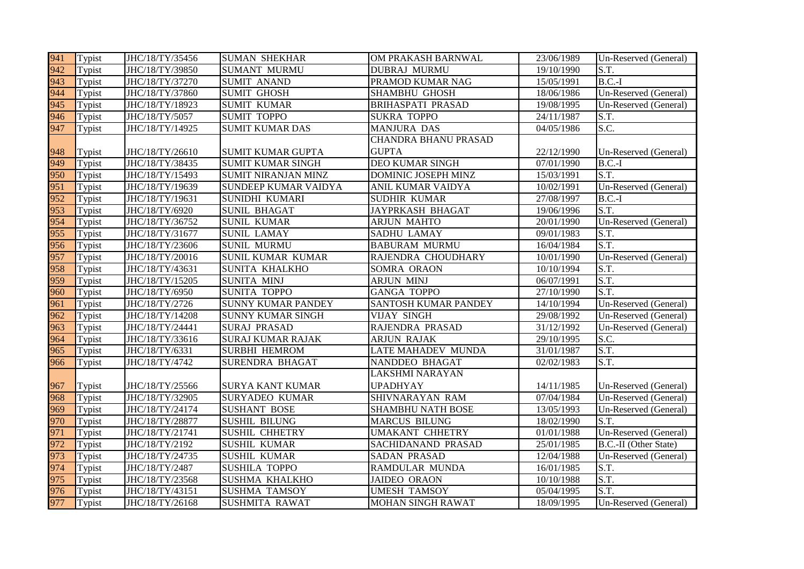| 941 | Typist | JHC/18/TY/35456 | <b>SUMAN SHEKHAR</b>      | OM PRAKASH BARNWAL          | 23/06/1989 | Un-Reserved (General) |
|-----|--------|-----------------|---------------------------|-----------------------------|------------|-----------------------|
| 942 | Typist | JHC/18/TY/39850 | <b>SUMANT MURMU</b>       | <b>DUBRAJ MURMU</b>         | 19/10/1990 | S.T.                  |
| 943 | Typist | JHC/18/TY/37270 | <b>SUMIT ANAND</b>        | PRAMOD KUMAR NAG            | 15/05/1991 | $B.C.-I$              |
| 944 | Typist | JHC/18/TY/37860 | <b>SUMIT GHOSH</b>        | <b>SHAMBHU GHOSH</b>        | 18/06/1986 | Un-Reserved (General) |
| 945 | Typist | JHC/18/TY/18923 | <b>SUMIT KUMAR</b>        | <b>BRIHASPATI PRASAD</b>    | 19/08/1995 | Un-Reserved (General) |
| 946 | Typist | JHC/18/TY/5057  | <b>SUMIT TOPPO</b>        | <b>SUKRA TOPPO</b>          | 24/11/1987 | S.T.                  |
| 947 | Typist | JHC/18/TY/14925 | <b>SUMIT KUMAR DAS</b>    | <b>MANJURA DAS</b>          | 04/05/1986 | S.C.                  |
|     |        |                 |                           | <b>CHANDRA BHANU PRASAD</b> |            |                       |
| 948 | Typist | JHC/18/TY/26610 | <b>SUMIT KUMAR GUPTA</b>  | <b>GUPTA</b>                | 22/12/1990 | Un-Reserved (General) |
| 949 | Typist | JHC/18/TY/38435 | <b>SUMIT KUMAR SINGH</b>  | <b>DEO KUMAR SINGH</b>      | 07/01/1990 | $B.C.-I$              |
| 950 | Typist | JHC/18/TY/15493 | SUMIT NIRANJAN MINZ       | DOMINIC JOSEPH MINZ         | 15/03/1991 | S.T.                  |
| 951 | Typist | JHC/18/TY/19639 | SUNDEEP KUMAR VAIDYA      | ANIL KUMAR VAIDYA           | 10/02/1991 | Un-Reserved (General) |
| 952 | Typist | JHC/18/TY/19631 | SUNIDHI KUMARI            | <b>SUDHIR KUMAR</b>         | 27/08/1997 | $B.C.-I$              |
| 953 | Typist | JHC/18/TY/6920  | <b>SUNIL BHAGAT</b>       | <b>JAYPRKASH BHAGAT</b>     | 19/06/1996 | S.T.                  |
| 954 | Typist | JHC/18/TY/36752 | <b>SUNIL KUMAR</b>        | <b>ARJUN MAHTO</b>          | 20/01/1990 | Un-Reserved (General) |
| 955 | Typist | JHC/18/TY/31677 | <b>SUNIL LAMAY</b>        | <b>SADHU LAMAY</b>          | 09/01/1983 | S.T.                  |
| 956 | Typist | JHC/18/TY/23606 | <b>SUNIL MURMU</b>        | <b>BABURAM MURMU</b>        | 16/04/1984 | S.T.                  |
| 957 | Typist | JHC/18/TY/20016 | SUNIL KUMAR KUMAR         | RAJENDRA CHOUDHARY          | 10/01/1990 | Un-Reserved (General) |
| 958 | Typist | JHC/18/TY/43631 | SUNITA KHALKHO            | SOMRA ORAON                 | 10/10/1994 | S.T.                  |
| 959 | Typist | JHC/18/TY/15205 | <b>SUNITA MINJ</b>        | <b>ARJUN MINJ</b>           | 06/07/1991 | S.T.                  |
| 960 | Typist | JHC/18/TY/6950  | <b>SUNITA TOPPO</b>       | <b>GANGA TOPPO</b>          | 27/10/1990 | S.T.                  |
| 961 | Typist | JHC/18/TY/2726  | <b>SUNNY KUMAR PANDEY</b> | <b>SANTOSH KUMAR PANDEY</b> | 14/10/1994 | Un-Reserved (General) |
| 962 | Typist | JHC/18/TY/14208 | <b>SUNNY KUMAR SINGH</b>  | <b>VIJAY SINGH</b>          | 29/08/1992 | Un-Reserved (General) |
| 963 | Typist | JHC/18/TY/24441 | <b>SURAJ PRASAD</b>       | RAJENDRA PRASAD             | 31/12/1992 | Un-Reserved (General) |
| 964 | Typist | JHC/18/TY/33616 | <b>SURAJ KUMAR RAJAK</b>  | <b>ARJUN RAJAK</b>          | 29/10/1995 | S.C.                  |
| 965 | Typist | JHC/18/TY/6331  | <b>SURBHI HEMROM</b>      | LATE MAHADEV MUNDA          | 31/01/1987 | S.T.                  |
| 966 | Typist | JHC/18/TY/4742  | SURENDRA BHAGAT           | NANDDEO BHAGAT              | 02/02/1983 | S.T.                  |
|     |        |                 |                           | LAKSHMI NARAYAN             |            |                       |
| 967 | Typist | JHC/18/TY/25566 | <b>SURYA KANT KUMAR</b>   | <b>UPADHYAY</b>             | 14/11/1985 | Un-Reserved (General) |
| 968 | Typist | JHC/18/TY/32905 | <b>SURYADEO KUMAR</b>     | SHIVNARAYAN RAM             | 07/04/1984 | Un-Reserved (General) |
| 969 | Typist | JHC/18/TY/24174 | <b>SUSHANT BOSE</b>       | <b>SHAMBHU NATH BOSE</b>    | 13/05/1993 | Un-Reserved (General) |
| 970 | Typist | JHC/18/TY/28877 | <b>SUSHIL BILUNG</b>      | <b>MARCUS BILUNG</b>        | 18/02/1990 | S.T.                  |
| 971 | Typist | JHC/18/TY/21741 | <b>SUSHIL CHHETRY</b>     | <b>UMAKANT CHHETRY</b>      | 01/01/1988 | Un-Reserved (General) |
| 972 | Typist | JHC/18/TY/2192  | <b>SUSHIL KUMAR</b>       | SACHIDANAND PRASAD          | 25/01/1985 | B.C.-II (Other State) |
| 973 | Typist | JHC/18/TY/24735 | <b>SUSHIL KUMAR</b>       | <b>SADAN PRASAD</b>         | 12/04/1988 | Un-Reserved (General) |
| 974 | Typist | JHC/18/TY/2487  | <b>SUSHILA TOPPO</b>      | RAMDULAR MUNDA              | 16/01/1985 | S.T.                  |
| 975 | Typist | JHC/18/TY/23568 | SUSHMA KHALKHO            | <b>JAIDEO ORAON</b>         | 10/10/1988 | S.T.                  |
| 976 | Typist | JHC/18/TY/43151 | <b>SUSHMA TAMSOY</b>      | <b>UMESH TAMSOY</b>         | 05/04/1995 | S.T.                  |
| 977 | Typist | JHC/18/TY/26168 | <b>SUSHMITA RAWAT</b>     | <b>MOHAN SINGH RAWAT</b>    | 18/09/1995 | Un-Reserved (General) |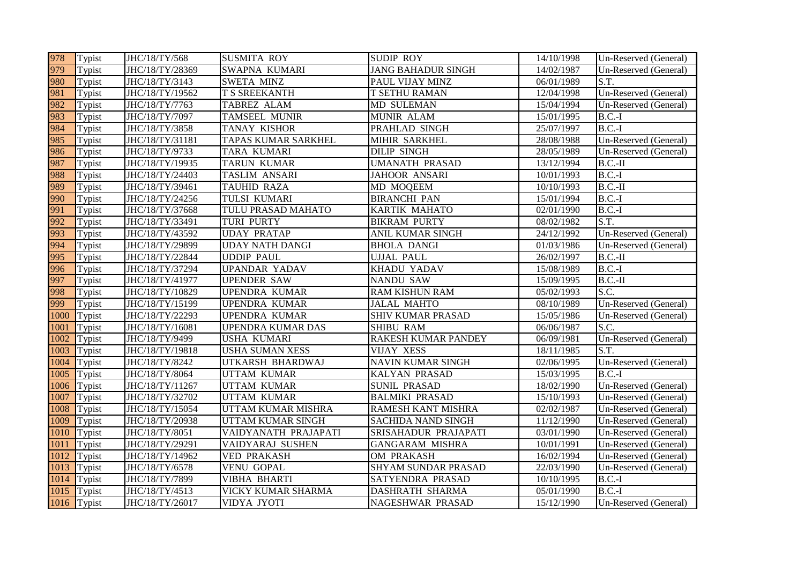| 978  | Typist      | JHC/18/TY/568   | <b>SUSMITA ROY</b>     | <b>SUDIP ROY</b>          | 14/10/1998 | Un-Reserved (General) |
|------|-------------|-----------------|------------------------|---------------------------|------------|-----------------------|
| 979  | Typist      | JHC/18/TY/28369 | SWAPNA KUMARI          | <b>JANG BAHADUR SINGH</b> | 14/02/1987 | Un-Reserved (General) |
| 980  | Typist      | JHC/18/TY/3143  | <b>SWETA MINZ</b>      | PAUL VIJAY MINZ           | 06/01/1989 | S.T.                  |
| 981  | Typist      | JHC/18/TY/19562 | T S SREEKANTH          | <b>T SETHU RAMAN</b>      | 12/04/1998 | Un-Reserved (General) |
| 982  | Typist      | JHC/18/TY/7763  | TABREZ ALAM            | <b>MD SULEMAN</b>         | 15/04/1994 | Un-Reserved (General) |
| 983  | Typist      | JHC/18/TY/7097  | <b>TAMSEEL MUNIR</b>   | MUNIR ALAM                | 15/01/1995 | $B.C.-I$              |
| 984  | Typist      | JHC/18/TY/3858  | <b>TANAY KISHOR</b>    | PRAHLAD SINGH             | 25/07/1997 | $B.C.-I$              |
| 985  | Typist      | JHC/18/TY/31181 | TAPAS KUMAR SARKHEL    | MIHIR SARKHEL             | 28/08/1988 | Un-Reserved (General) |
| 986  | Typist      | JHC/18/TY/9733  | TARA KUMARI            | <b>DILIP SINGH</b>        | 28/05/1989 | Un-Reserved (General) |
| 987  | Typist      | JHC/18/TY/19935 | <b>TARUN KUMAR</b>     | <b>UMANATH PRASAD</b>     | 13/12/1994 | $B.C.-II$             |
| 988  | Typist      | JHC/18/TY/24403 | <b>TASLIM ANSARI</b>   | <b>JAHOOR ANSARI</b>      | 10/01/1993 | $B.C.-I$              |
| 989  | Typist      | JHC/18/TY/39461 | <b>TAUHID RAZA</b>     | MD MOQEEM                 | 10/10/1993 | $B.C.-II$             |
| 990  | Typist      | JHC/18/TY/24256 | TULSI KUMARI           | <b>BIRANCHI PAN</b>       | 15/01/1994 | $B.C.-I$              |
| 991  | Typist      | JHC/18/TY/37668 | TULU PRASAD MAHATO     | KARTIK MAHATO             | 02/01/1990 | $B.C.-I$              |
| 992  | Typist      | JHC/18/TY/33491 | <b>TURI PURTY</b>      | <b>BIKRAM PURTY</b>       | 08/02/1982 | S.T.                  |
| 993  | Typist      | JHC/18/TY/43592 | <b>UDAY PRATAP</b>     | ANIL KUMAR SINGH          | 24/12/1992 | Un-Reserved (General) |
| 994  | Typist      | JHC/18/TY/29899 | <b>UDAY NATH DANGI</b> | <b>BHOLA DANGI</b>        | 01/03/1986 | Un-Reserved (General) |
| 995  | Typist      | JHC/18/TY/22844 | <b>UDDIP PAUL</b>      | <b>UJJAL PAUL</b>         | 26/02/1997 | $B.C.-II$             |
| 996  | Typist      | JHC/18/TY/37294 | <b>UPANDAR YADAV</b>   | KHADU YADAV               | 15/08/1989 | $B.C.-I$              |
| 997  | Typist      | JHC/18/TY/41977 | <b>UPENDER SAW</b>     | <b>NANDU SAW</b>          | 15/09/1995 | $B.C.-II$             |
| 998  | Typist      | JHC/18/TY/10829 | UPENDRA KUMAR          | <b>RAM KISHUN RAM</b>     | 05/02/1993 | S.C.                  |
| 999  | Typist      | JHC/18/TY/15199 | <b>UPENDRA KUMAR</b>   | <b>JALAL MAHTO</b>        | 08/10/1989 | Un-Reserved (General) |
| 1000 | Typist      | JHC/18/TY/22293 | UPENDRA KUMAR          | <b>SHIV KUMAR PRASAD</b>  | 15/05/1986 | Un-Reserved (General) |
| 1001 | Typist      | JHC/18/TY/16081 | UPENDRA KUMAR DAS      | SHIBU RAM                 | 06/06/1987 | S.C.                  |
| 1002 | Typist      | JHC/18/TY/9499  | USHA KUMARI            | RAKESH KUMAR PANDEY       | 06/09/1981 | Un-Reserved (General) |
| 1003 | Typist      | JHC/18/TY/19818 | <b>USHA SUMAN XESS</b> | <b>VIJAY XESS</b>         | 18/11/1985 | S.T.                  |
| 1004 | Typist      | JHC/18/TY/8242  | UTKARSH BHARDWAJ       | NAVIN KUMAR SINGH         | 02/06/1995 | Un-Reserved (General) |
| 1005 | Typist      | JHC/18/TY/8064  | <b>UTTAM KUMAR</b>     | <b>KALYAN PRASAD</b>      | 15/03/1995 | $B.C.-I$              |
| 1006 | Typist      | JHC/18/TY/11267 | <b>UTTAM KUMAR</b>     | <b>SUNIL PRASAD</b>       | 18/02/1990 | Un-Reserved (General) |
| 1007 | Typist      | JHC/18/TY/32702 | <b>UTTAM KUMAR</b>     | <b>BALMIKI PRASAD</b>     | 15/10/1993 | Un-Reserved (General) |
| 1008 | Typist      | JHC/18/TY/15054 | UTTAM KUMAR MISHRA     | <b>RAMESH KANT MISHRA</b> | 02/02/1987 | Un-Reserved (General) |
| 1009 | Typist      | JHC/18/TY/20938 | UTTAM KUMAR SINGH      | <b>SACHIDA NAND SINGH</b> | 11/12/1990 | Un-Reserved (General) |
| 1010 | Typist      | JHC/18/TY/8051  | VAIDYANATH PRAJAPATI   | SRISAHADUR PRAJAPATI      | 03/01/1990 | Un-Reserved (General) |
| 1011 | Typist      | JHC/18/TY/29291 | VAIDYARAJ SUSHEN       | <b>GANGARAM MISHRA</b>    | 10/01/1991 | Un-Reserved (General) |
| 1012 | Typist      | JHC/18/TY/14962 | <b>VED PRAKASH</b>     | OM PRAKASH                | 16/02/1994 | Un-Reserved (General) |
| 1013 | Typist      | JHC/18/TY/6578  | <b>VENU GOPAL</b>      | SHYAM SUNDAR PRASAD       | 22/03/1990 | Un-Reserved (General) |
| 1014 | Typist      | JHC/18/TY/7899  | <b>VIBHA BHARTI</b>    | SATYENDRA PRASAD          | 10/10/1995 | $B.C.-I$              |
| 1015 | Typist      | JHC/18/TY/4513  | VICKY KUMAR SHARMA     | <b>DASHRATH SHARMA</b>    | 05/01/1990 | $B.C.-I$              |
|      | 1016 Typist | JHC/18/TY/26017 | VIDYA JYOTI            | <b>NAGESHWAR PRASAD</b>   | 15/12/1990 | Un-Reserved (General) |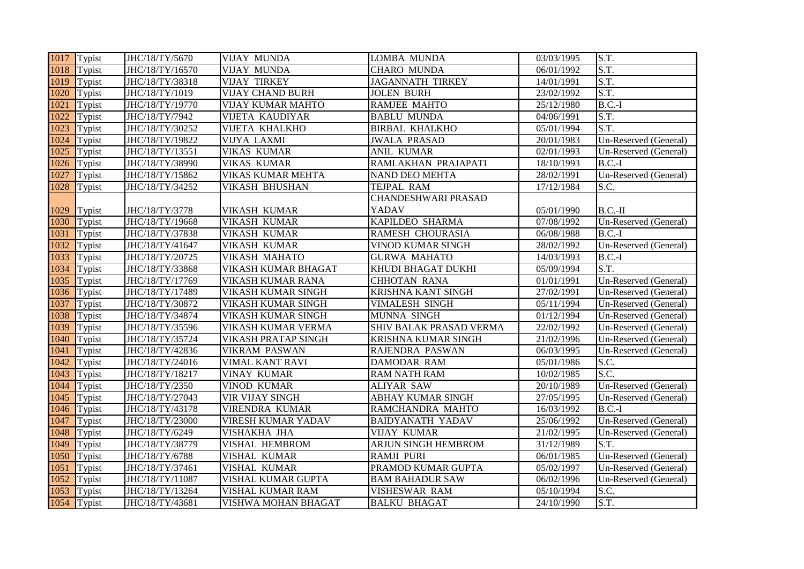|      | 1017 Typist   | JHC/18/TY/5670  | <b>VIJAY MUNDA</b>       | <b>LOMBA MUNDA</b>         | 03/03/1995 | S.T.                  |
|------|---------------|-----------------|--------------------------|----------------------------|------------|-----------------------|
| 1018 | Typist        | JHC/18/TY/16570 | <b>VIJAY MUNDA</b>       | <b>CHARO MUNDA</b>         | 06/01/1992 | S.T.                  |
| 1019 | Typist        | JHC/18/TY/38318 | <b>VIJAY TIRKEY</b>      | <b>JAGANNATH TIRKEY</b>    | 14/01/1991 | S.T.                  |
| 1020 | Typist        | JHC/18/TY/1019  | <b>VIJAY CHAND BURH</b>  | <b>JOLEN BURH</b>          | 23/02/1992 | S.T.                  |
| 1021 | Typist        | JHC/18/TY/19770 | <b>VIJAY KUMAR MAHTO</b> | <b>RAMJEE MAHTO</b>        | 25/12/1980 | $B.C.-I$              |
| 1022 | Typist        | JHC/18/TY/7942  | <b>VIJETA KAUDIYAR</b>   | <b>BABLU MUNDA</b>         | 04/06/1991 | S.T.                  |
| 1023 | Typist        | JHC/18/TY/30252 | <b>VIJETA KHALKHO</b>    | <b>BIRBAL KHALKHO</b>      | 05/01/1994 | S.T.                  |
| 1024 | Typist        | JHC/18/TY/19822 | <b>VIJYA LAXMI</b>       | <b>JWALA PRASAD</b>        | 20/01/1983 | Un-Reserved (General) |
| 1025 | Typist        | JHC/18/TY/13551 | <b>VIKAS KUMAR</b>       | ANIL KUMAR                 | 02/01/1993 | Un-Reserved (General) |
| 1026 | Typist        | JHC/18/TY/38990 | VIKAS KUMAR              | RAMLAKHAN PRAJAPATI        | 18/10/1993 | $B.C.-I$              |
| 1027 | Typist        | JHC/18/TY/15862 | VIKAS KUMAR MEHTA        | <b>NAND DEO MEHTA</b>      | 28/02/1991 | Un-Reserved (General) |
| 1028 | Typist        | JHC/18/TY/34252 | VIKASH BHUSHAN           | TEJPAL RAM                 | 17/12/1984 | S.C.                  |
|      |               |                 |                          | <b>CHANDESHWARI PRASAD</b> |            |                       |
| 1029 | Typist        | JHC/18/TY/3778  | VIKASH KUMAR             | YADAV                      | 05/01/1990 | $B.C.-II$             |
| 1030 | Typist        | JHC/18/TY/19668 | VIKASH KUMAR             | KAPILDEO SHARMA            | 07/08/1992 | Un-Reserved (General) |
| 1031 | Typist        | JHC/18/TY/37838 | VIKASH KUMAR             | RAMESH CHOURASIA           | 06/08/1988 | $B.C.-I$              |
| 1032 | Typist        | JHC/18/TY/41647 | <b>VIKASH KUMAR</b>      | <b>VINOD KUMAR SINGH</b>   | 28/02/1992 | Un-Reserved (General) |
| 1033 | Typist        | JHC/18/TY/20725 | VIKASH MAHATO            | <b>GURWA MAHATO</b>        | 14/03/1993 | $B.C.-I$              |
| 1034 | Typist        | JHC/18/TY/33868 | VIKASH KUMAR BHAGAT      | KHUDI BHAGAT DUKHI         | 05/09/1994 | S.T.                  |
| 1035 | Typist        | JHC/18/TY/17769 | VIKASH KUMAR RANA        | <b>CHHOTAN RANA</b>        | 01/01/1991 | Un-Reserved (General) |
| 1036 | Typist        | JHC/18/TY/17489 | VIKASH KUMAR SINGH       | KRISHNA KANT SINGH         | 27/02/1991 | Un-Reserved (General) |
| 1037 | Typist        | JHC/18/TY/30872 | VIKASH KUMAR SINGH       | <b>VIMALESH SINGH</b>      | 05/11/1994 | Un-Reserved (General) |
| 1038 | Typist        | JHC/18/TY/34874 | VIKASH KUMAR SINGH       | MUNNA SINGH                | 01/12/1994 | Un-Reserved (General) |
| 1039 | Typist        | JHC/18/TY/35596 | VIKASH KUMAR VERMA       | SHIV BALAK PRASAD VERMA    | 22/02/1992 | Un-Reserved (General) |
| 1040 | Typist        | JHC/18/TY/35724 | VIKASH PRATAP SINGH      | KRISHNA KUMAR SINGH        | 21/02/1996 | Un-Reserved (General) |
| 1041 | Typist        | JHC/18/TY/42836 | <b>VIKRAM PASWAN</b>     | RAJENDRA PASWAN            | 06/03/1995 | Un-Reserved (General) |
| 1042 | Typist        | JHC/18/TY/24016 | VIMAL KANT RAVI          | <b>DAMODAR RAM</b>         | 05/01/1986 | S.C.                  |
| 1043 | Typist        | JHC/18/TY/18217 | <b>VINAY KUMAR</b>       | <b>RAM NATH RAM</b>        | 10/02/1985 | S.C.                  |
| 1044 | Typist        | JHC/18/TY/2350  | <b>VINOD KUMAR</b>       | <b>ALIYAR SAW</b>          | 20/10/1989 | Un-Reserved (General) |
| 1045 | Typist        | JHC/18/TY/27043 | VIR VIJAY SINGH          | ABHAY KUMAR SINGH          | 27/05/1995 | Un-Reserved (General) |
| 1046 | Typist        | JHC/18/TY/43178 | <b>VIRENDRA KUMAR</b>    | RAMCHANDRA MAHTO           | 16/03/1992 | $B.C.-I$              |
| 1047 | Typist        | JHC/18/TY/23000 | VIRESH KUMAR YADAV       | <b>BAIDYANATH YADAV</b>    | 25/06/1992 | Un-Reserved (General) |
| 1048 | Typist        | JHC/18/TY/6249  | VISHAKHA JHA             | <b>VIJAY KUMAR</b>         | 21/02/1995 | Un-Reserved (General) |
| 1049 | Typist        | JHC/18/TY/38779 | VISHAL HEMBROM           | ARJUN SINGH HEMBROM        | 31/12/1989 | S.T.                  |
| 1050 | Typist        | JHC/18/TY/6788  | VISHAL KUMAR             | <b>RAMJI PURI</b>          | 06/01/1985 | Un-Reserved (General) |
| 1051 | Typist        | JHC/18/TY/37461 | VISHAL KUMAR             | PRAMOD KUMAR GUPTA         | 05/02/1997 | Un-Reserved (General) |
| 1052 | Typist        | JHC/18/TY/11087 | VISHAL KUMAR GUPTA       | <b>BAM BAHADUR SAW</b>     | 06/02/1996 | Un-Reserved (General) |
| 1053 | Typist        | JHC/18/TY/13264 | VISHAL KUMAR RAM         | VISHESWAR RAM              | 05/10/1994 | S.C.                  |
|      | $1054$ Typist | JHC/18/TY/43681 | VISHWA MOHAN BHAGAT      | <b>BALKU BHAGAT</b>        | 24/10/1990 | S.T.                  |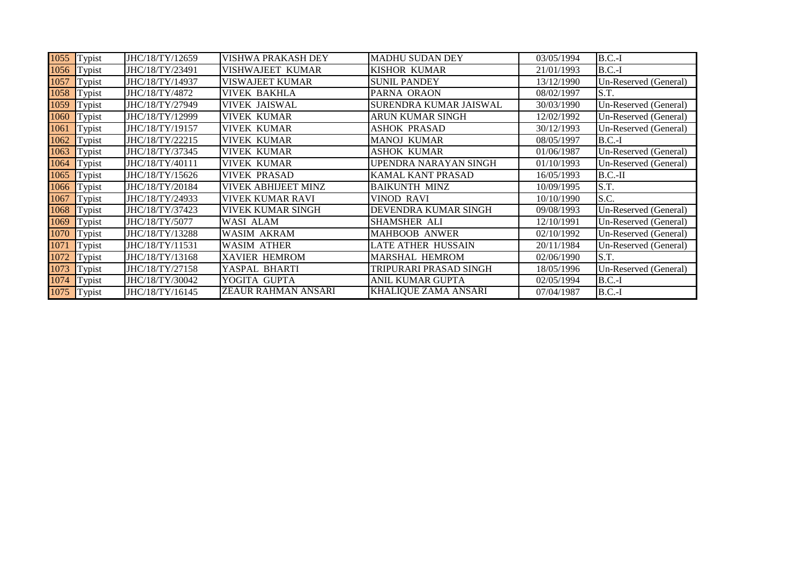| 1055 | Typist | JHC/18/TY/12659 | <b>VISHWA PRAKASH DEY</b>  | <b>MADHU SUDAN DEY</b>      | 03/05/1994 | $B.C.-I$              |
|------|--------|-----------------|----------------------------|-----------------------------|------------|-----------------------|
| 1056 | Typist | JHC/18/TY/23491 | VISHWAJEET KUMAR           | <b>KISHOR KUMAR</b>         | 21/01/1993 | $B.C.-I$              |
| 1057 | Typist | JHC/18/TY/14937 | <b>VISWAJEET KUMAR</b>     | <b>SUNIL PANDEY</b>         | 13/12/1990 | Un-Reserved (General) |
| 1058 | Typist | JHC/18/TY/4872  | <b>VIVEK BAKHLA</b>        | PARNA ORAON                 | 08/02/1997 | S.T.                  |
| 1059 | Typist | JHC/18/TY/27949 | <b>VIVEK JAISWAL</b>       | SURENDRA KUMAR JAISWAL      | 30/03/1990 | Un-Reserved (General) |
| 1060 | Typist | JHC/18/TY/12999 | <b>VIVEK KUMAR</b>         | <b>ARUN KUMAR SINGH</b>     | 12/02/1992 | Un-Reserved (General) |
| 1061 | Typist | JHC/18/TY/19157 | <b>VIVEK KUMAR</b>         | <b>ASHOK PRASAD</b>         | 30/12/1993 | Un-Reserved (General) |
| 1062 | Typist | JHC/18/TY/22215 | <b>VIVEK KUMAR</b>         | <b>MANOJ KUMAR</b>          | 08/05/1997 | $B.C.-I$              |
| 1063 | Typist | JHC/18/TY/37345 | <b>VIVEK KUMAR</b>         | <b>ASHOK KUMAR</b>          | 01/06/1987 | Un-Reserved (General) |
| 1064 | Typist | JHC/18/TY/40111 | <b>VIVEK KUMAR</b>         | UPENDRA NARAYAN SINGH       | 01/10/1993 | Un-Reserved (General) |
| 1065 | Typist | JHC/18/TY/15626 | <b>VIVEK PRASAD</b>        | <b>KAMAL KANT PRASAD</b>    | 16/05/1993 | $B.C.-II$             |
| 1066 | Typist | JHC/18/TY/20184 | <b>VIVEK ABHIJEET MINZ</b> | <b>BAIKUNTH MINZ</b>        | 10/09/1995 | S.T.                  |
| 1067 | Typist | JHC/18/TY/24933 | <b>VIVEK KUMAR RAVI</b>    | <b>VINOD RAVI</b>           | 10/10/1990 | S.C.                  |
| 1068 | Typist | JHC/18/TY/37423 | <b>VIVEK KUMAR SINGH</b>   | DEVENDRA KUMAR SINGH        | 09/08/1993 | Un-Reserved (General) |
| 1069 | Typist | JHC/18/TY/5077  | WASI ALAM                  | SHAMSHER ALI                | 12/10/1991 | Un-Reserved (General) |
| 1070 | Typist | JHC/18/TY/13288 | <b>WASIM AKRAM</b>         | <b>MAHBOOB ANWER</b>        | 02/10/1992 | Un-Reserved (General) |
| 1071 | Typist | JHC/18/TY/11531 | <b>WASIM ATHER</b>         | <b>LATE ATHER HUSSAIN</b>   | 20/11/1984 | Un-Reserved (General) |
| 1072 | Typist | JHC/18/TY/13168 | <b>XAVIER HEMROM</b>       | <b>MARSHAL HEMROM</b>       | 02/06/1990 | S.T.                  |
| 1073 | Typist | JHC/18/TY/27158 | YASPAL BHARTI              | TRIPURARI PRASAD SINGH      | 18/05/1996 | Un-Reserved (General) |
| 1074 | Typist | JHC/18/TY/30042 | YOGITA GUPTA               | ANIL KUMAR GUPTA            | 02/05/1994 | $B.C.-I$              |
| 1075 | Typist | JHC/18/TY/16145 | <b>ZEAUR RAHMAN ANSARI</b> | <b>KHALIQUE ZAMA ANSARI</b> | 07/04/1987 | $B.C.-I$              |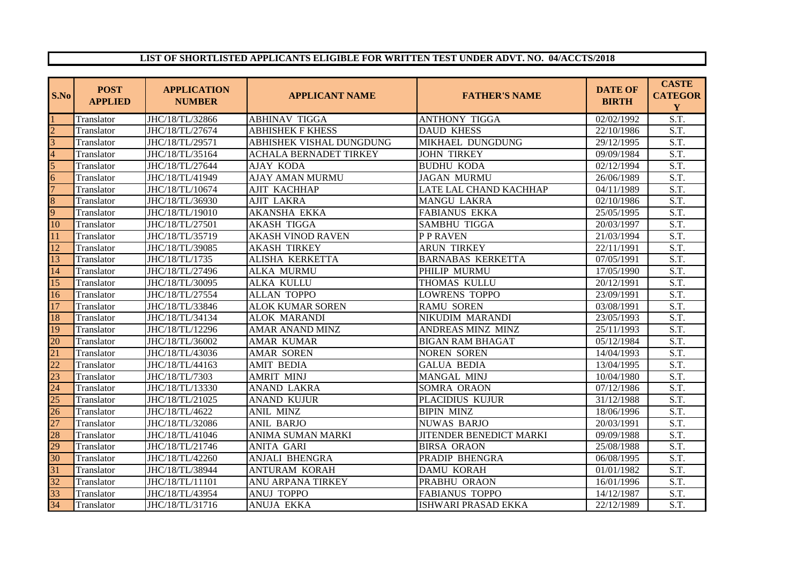## **LIST OF SHORTLISTED APPLICANTS ELIGIBLE FOR WRITTEN TEST UNDER ADVT. NO. 04/ACCTS/2018**

| S.No            | <b>POST</b><br><b>APPLIED</b> | <b>APPLICATION</b><br><b>NUMBER</b> | <b>APPLICANT NAME</b>         | <b>FATHER'S NAME</b>       | <b>DATE OF</b><br><b>BIRTH</b> | <b>CASTE</b><br><b>CATEGOR</b><br>Y |
|-----------------|-------------------------------|-------------------------------------|-------------------------------|----------------------------|--------------------------------|-------------------------------------|
|                 | Translator                    | JHC/18/TL/32866                     | <b>ABHINAV TIGGA</b>          | <b>ANTHONY TIGGA</b>       | 02/02/1992                     | S.T.                                |
| $\mathcal{D}$   | Translator                    | JHC/18/TL/27674                     | <b>ABHISHEK F KHESS</b>       | <b>DAUD KHESS</b>          | 22/10/1986                     | S.T.                                |
| 3               | Translator                    | JHC/18/TL/29571                     | ABHISHEK VISHAL DUNGDUNG      | MIKHAEL DUNGDUNG           | 29/12/1995                     | $\overline{\text{S.T.}}$            |
| 4               | Translator                    | JHC/18/TL/35164                     | <b>ACHALA BERNADET TIRKEY</b> | <b>JOHN TIRKEY</b>         | 09/09/1984                     | $\overline{S.T.}$                   |
| 5               | Translator                    | JHC/18/TL/27644                     | <b>AJAY KODA</b>              | <b>BUDHU KODA</b>          | 02/12/1994                     | S.T.                                |
| 6               | Translator                    | JHC/18/TL/41949                     | AJAY AMAN MURMU               | <b>JAGAN MURMU</b>         | 26/06/1989                     | S.T.                                |
|                 | Translator                    | JHC/18/TL/10674                     | AJIT KACHHAP                  | LATE LAL CHAND KACHHAP     | 04/11/1989                     | S.T.                                |
| 8               | Translator                    | JHC/18/TL/36930                     | <b>AJIT LAKRA</b>             | <b>MANGU LAKRA</b>         | 02/10/1986                     | S.T.                                |
| 9               | Translator                    | JHC/18/TL/19010                     | AKANSHA EKKA                  | <b>FABIANUS EKKA</b>       | 25/05/1995                     | $\overline{S.T.}$                   |
| 10              | Translator                    | JHC/18/TL/27501                     | <b>AKASH TIGGA</b>            | SAMBHU TIGGA               | 20/03/1997                     | $\overline{S.T.}$                   |
| 11              | Translator                    | JHC/18/TL/35719                     | <b>AKASH VINOD RAVEN</b>      | P P RAVEN                  | 21/03/1994                     | S.T.                                |
| 12              | Translator                    | JHC/18/TL/39085                     | <b>AKASH TIRKEY</b>           | <b>ARUN TIRKEY</b>         | 22/11/1991                     | $\overline{S.T.}$                   |
| 13              | Translator                    | JHC/18/TL/1735                      | ALISHA KERKETTA               | <b>BARNABAS KERKETTA</b>   | 07/05/1991                     | S.T.                                |
| 14              | Translator                    | JHC/18/TL/27496                     | <b>ALKA MURMU</b>             | PHILIP MURMU               | 17/05/1990                     | S.T.                                |
| 15              | Translator                    | JHC/18/TL/30095                     | ALKA KULLU                    | THOMAS KULLU               | 20/12/1991                     | $\overline{S.T.}$                   |
| 16              | Translator                    | JHC/18/TL/27554                     | ALLAN TOPPO                   | <b>LOWRENS TOPPO</b>       | 23/09/1991                     | S.T.                                |
| $\overline{17}$ | Translator                    | JHC/18/TL/33846                     | <b>ALOK KUMAR SOREN</b>       | <b>RAMU SOREN</b>          | 03/08/1991                     | S.T.                                |
| 18              | Translator                    | JHC/18/TL/34134                     | <b>ALOK MARANDI</b>           | NIKUDIM MARANDI            | 23/05/1993                     | $\overline{S.T.}$                   |
| 19              | Translator                    | JHC/18/TL/12296                     | <b>AMAR ANAND MINZ</b>        | ANDREAS MINZ MINZ          | 25/11/1993                     | S.T.                                |
| 20              | Translator                    | JHC/18/TL/36002                     | <b>AMAR KUMAR</b>             | <b>BIGAN RAM BHAGAT</b>    | 05/12/1984                     | S.T.                                |
| 21              | Translator                    | JHC/18/TL/43036                     | <b>AMAR SOREN</b>             | <b>NOREN SOREN</b>         | 14/04/1993                     | S.T.                                |
| $\overline{22}$ | Translator                    | JHC/18/TL/44163                     | <b>AMIT BEDIA</b>             | <b>GALUA BEDIA</b>         | 13/04/1995                     | $\overline{S.T.}$                   |
| $\overline{23}$ | Translator                    | JHC/18/TL/7303                      | <b>AMRIT MINJ</b>             | MANGAL MINJ                | 10/04/1980                     | S.T.                                |
| 24              | Translator                    | JHC/18/TL/13330                     | ANAND LAKRA                   | SOMRA ORAON                | 07/12/1986                     | S.T.                                |
| $\overline{25}$ | Translator                    | JHC/18/TL/21025                     | <b>ANAND KUJUR</b>            | PLACIDIUS KUJUR            | 31/12/1988                     | S.T.                                |
| $\overline{26}$ | Translator                    | JHC/18/TL/4622                      | <b>ANIL MINZ</b>              | <b>BIPIN MINZ</b>          | 18/06/1996                     | S.T.                                |
| 27              | Translator                    | JHC/18/TL/32086                     | <b>ANIL BARJO</b>             | <b>NUWAS BARJO</b>         | 20/03/1991                     | $\overline{S.T.}$                   |
| 28              | Translator                    | JHC/18/TL/41046                     | ANIMA SUMAN MARKI             | JITENDER BENEDICT MARKI    | 09/09/1988                     | S.T.                                |
| 29              | Translator                    | JHC/18/TL/21746                     | <b>ANITA GARI</b>             | <b>BIRSA ORAON</b>         | 25/08/1988                     | S.T.                                |
| 30              | Translator                    | JHC/18/TL/42260                     | ANJALI BHENGRA                | PRADIP BHENGRA             | 06/08/1995                     | S.T.                                |
| $\overline{31}$ | Translator                    | JHC/18/TL/38944                     | ANTURAM KORAH                 | <b>DAMU KORAH</b>          | 01/01/1982                     | $\overline{S.T.}$                   |
| 32              | Translator                    | JHC/18/TL/11101                     | ANU ARPANA TIRKEY             | PRABHU ORAON               | 16/01/1996                     | $\overline{S.T.}$                   |
| 33              | Translator                    | JHC/18/TL/43954                     | <b>ANUJ TOPPO</b>             | <b>FABIANUS TOPPO</b>      | 14/12/1987                     | $\overline{S.T.}$                   |
| 34              | Translator                    | JHC/18/TL/31716                     | <b>ANUJA EKKA</b>             | <b>ISHWARI PRASAD EKKA</b> | 22/12/1989                     | $\overline{S.T.}$                   |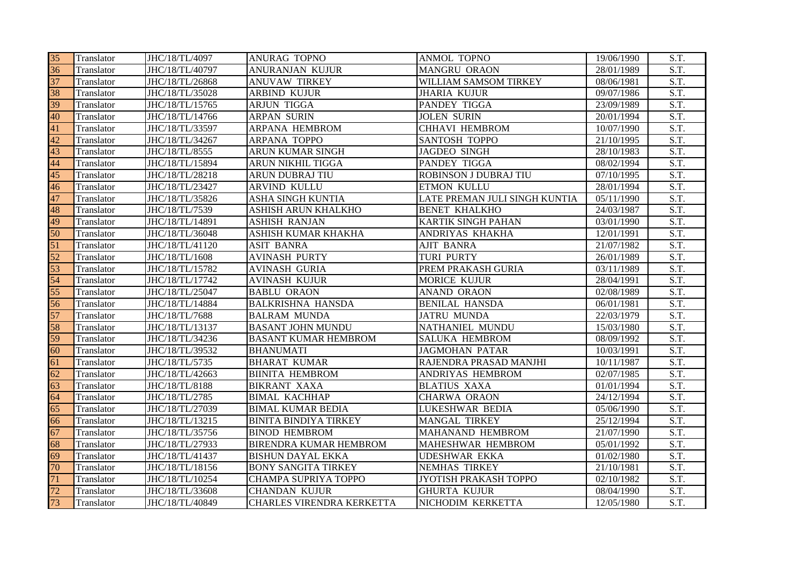| 35 | Translator | JHC/18/TL/4097  | <b>ANURAG TOPNO</b>              | <b>ANMOL TOPNO</b>            | 19/06/1990 | S.T.              |
|----|------------|-----------------|----------------------------------|-------------------------------|------------|-------------------|
| 36 | Translator | JHC/18/TL/40797 | <b>ANURANJAN KUJUR</b>           | <b>MANGRU ORAON</b>           | 28/01/1989 | S.T.              |
| 37 | Translator | JHC/18/TL/26868 | <b>ANUVAW TIRKEY</b>             | WILLIAM SAMSOM TIRKEY         | 08/06/1981 | S.T.              |
| 38 | Translator | JHC/18/TL/35028 | <b>ARBIND KUJUR</b>              | <b>JHARIA KUJUR</b>           | 09/07/1986 | $\overline{S.T.}$ |
| 39 | Translator | JHC/18/TL/15765 | <b>ARJUN TIGGA</b>               | PANDEY TIGGA                  | 23/09/1989 | S.T.              |
| 40 | Translator | JHC/18/TL/14766 | <b>ARPAN SURIN</b>               | <b>JOLEN SURIN</b>            | 20/01/1994 | S.T.              |
| 41 | Translator | JHC/18/TL/33597 | ARPANA HEMBROM                   | <b>CHHAVI HEMBROM</b>         | 10/07/1990 | S.T.              |
| 42 | Translator | JHC/18/TL/34267 | ARPANA TOPPO                     | <b>SANTOSH TOPPO</b>          | 21/10/1995 | S.T.              |
| 43 | Translator | JHC/18/TL/8555  | ARUN KUMAR SINGH                 | <b>JAGDEO SINGH</b>           | 28/10/1983 | S.T.              |
| 44 | Translator | JHC/18/TL/15894 | ARUN NIKHIL TIGGA                | PANDEY TIGGA                  | 08/02/1994 | $\overline{S.T.}$ |
| 45 | Translator | JHC/18/TL/28218 | ARUN DUBRAJ TIU                  | <b>ROBINSON J DUBRAJ TIU</b>  | 07/10/1995 | $\overline{S.T.}$ |
| 46 | Translator | JHC/18/TL/23427 | ARVIND KULLU                     | ETMON KULLU                   | 28/01/1994 | S.T.              |
| 47 | Translator | JHC/18/TL/35826 | ASHA SINGH KUNTIA                | LATE PREMAN JULI SINGH KUNTIA | 05/11/1990 | $\overline{S.T.}$ |
| 48 | Translator | JHC/18/TL/7539  | ASHISH ARUN KHALKHO              | <b>BENET KHALKHO</b>          | 24/03/1987 | S.T.              |
| 49 | Translator | JHC/18/TL/14891 | <b>ASHISH RANJAN</b>             | <b>KARTIK SINGH PAHAN</b>     | 03/01/1990 | $\overline{S.T.}$ |
| 50 | Translator | JHC/18/TL/36048 | ASHISH KUMAR KHAKHA              | ANDRIYAS KHAKHA               | 12/01/1991 | $\overline{S.T.}$ |
| 51 | Translator | JHC/18/TL/41120 | <b>ASIT BANRA</b>                | <b>AJIT BANRA</b>             | 21/07/1982 | S.T.              |
| 52 | Translator | JHC/18/TL/1608  | <b>AVINASH PURTY</b>             | <b>TURI PURTY</b>             | 26/01/1989 | $\overline{S.T.}$ |
| 53 | Translator | JHC/18/TL/15782 | <b>AVINASH GURIA</b>             | PREM PRAKASH GURIA            | 03/11/1989 | $\overline{S.T.}$ |
| 54 | Translator | JHC/18/TL/17742 | <b>AVINASH KUJUR</b>             | <b>MORICE KUJUR</b>           | 28/04/1991 | S.T.              |
| 55 | Translator | JHC/18/TL/25047 | <b>BABLU ORAON</b>               | <b>ANAND ORAON</b>            | 02/08/1989 | S.T.              |
| 56 | Translator | JHC/18/TL/14884 | <b>BALKRISHNA HANSDA</b>         | <b>BENILAL HANSDA</b>         | 06/01/1981 | S.T.              |
| 57 | Translator | JHC/18/TL/7688  | <b>BALRAM MUNDA</b>              | <b>JATRU MUNDA</b>            | 22/03/1979 | S.T.              |
| 58 | Translator | JHC/18/TL/13137 | <b>BASANT JOHN MUNDU</b>         | NATHANIEL MUNDU               | 15/03/1980 | $\overline{S.T.}$ |
| 59 | Translator | JHC/18/TL/34236 | <b>BASANT KUMAR HEMBROM</b>      | <b>SALUKA HEMBROM</b>         | 08/09/1992 | S.T.              |
| 60 | Translator | JHC/18/TL/39532 | <b>BHANUMATI</b>                 | <b>JAGMOHAN PATAR</b>         | 10/03/1991 | S.T.              |
| 61 | Translator | JHC/18/TL/5735  | <b>BHARAT KUMAR</b>              | RAJENDRA PRASAD MANJHI        | 10/11/1987 | S.T.              |
| 62 | Translator | JHC/18/TL/42663 | <b>BIINITA HEMBROM</b>           | ANDRIYAS HEMBROM              | 02/07/1985 | $\overline{S.T.}$ |
| 63 | Translator | JHC/18/TL/8188  | <b>BIKRANT XAXA</b>              | <b>BLATIUS XAXA</b>           | 01/01/1994 | S.T.              |
| 64 | Translator | JHC/18/TL/2785  | <b>BIMAL KACHHAP</b>             | <b>CHARWA ORAON</b>           | 24/12/1994 | $\overline{S.T.}$ |
| 65 | Translator | JHC/18/TL/27039 | <b>BIMAL KUMAR BEDIA</b>         | <b>LUKESHWAR BEDIA</b>        | 05/06/1990 | S.T.              |
| 66 | Translator | JHC/18/TL/13215 | <b>BINITA BINDIYA TIRKEY</b>     | <b>MANGAL TIRKEY</b>          | 25/12/1994 | S.T.              |
| 67 | Translator | JHC/18/TL/35756 | <b>BINOD HEMBROM</b>             | MAHANAND HEMBROM              | 21/07/1990 | S.T.              |
| 68 | Translator | JHC/18/TL/27933 | <b>BIRENDRA KUMAR HEMBROM</b>    | MAHESHWAR HEMBROM             | 05/01/1992 | S.T.              |
| 69 | Translator | JHC/18/TL/41437 | <b>BISHUN DAYAL EKKA</b>         | <b>UDESHWAR EKKA</b>          | 01/02/1980 | S.T.              |
| 70 | Translator | JHC/18/TL/18156 | <b>BONY SANGITA TIRKEY</b>       | <b>NEMHAS TIRKEY</b>          | 21/10/1981 | $\overline{S.T.}$ |
| 71 | Translator | JHC/18/TL/10254 | CHAMPA SUPRIYA TOPPO             | JYOTISH PRAKASH TOPPO         | 02/10/1982 | S.T.              |
| 72 | Translator | JHC/18/TL/33608 | <b>CHANDAN KUJUR</b>             | <b>GHURTA KUJUR</b>           | 08/04/1990 | S.T.              |
| 73 | Translator | JHC/18/TL/40849 | <b>CHARLES VIRENDRA KERKETTA</b> | NICHODIM KERKETTA             | 12/05/1980 | S.T.              |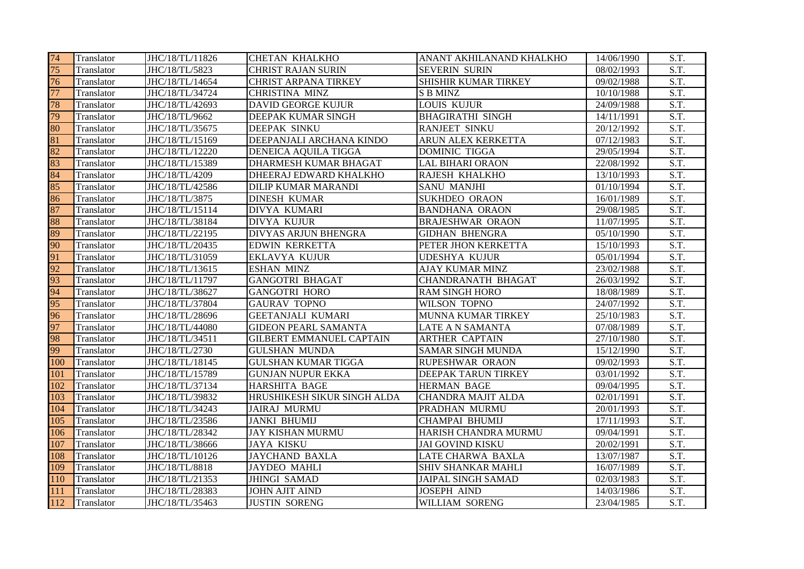| 74  | Translator | JHC/18/TL/11826 | <b>CHETAN KHALKHO</b>           | ANANT AKHILANAND KHALKHO  | 14/06/1990 | S.T.                     |
|-----|------------|-----------------|---------------------------------|---------------------------|------------|--------------------------|
| 75  | Translator | JHC/18/TL/5823  | <b>CHRIST RAJAN SURIN</b>       | <b>SEVERIN SURIN</b>      | 08/02/1993 | S.T.                     |
| 76  | Translator | JHC/18/TL/14654 | <b>CHRIST ARPANA TIRKEY</b>     | SHISHIR KUMAR TIRKEY      | 09/02/1988 | S.T.                     |
| 77  | Translator | JHC/18/TL/34724 | <b>CHRISTINA MINZ</b>           | <b>S B MINZ</b>           | 10/10/1988 | $\overline{S.T.}$        |
| 78  | Translator | JHC/18/TL/42693 | <b>DAVID GEORGE KUJUR</b>       | <b>LOUIS KUJUR</b>        | 24/09/1988 | S.T.                     |
| 79  | Translator | JHC/18/TL/9662  | <b>DEEPAK KUMAR SINGH</b>       | <b>BHAGIRATHI SINGH</b>   | 14/11/1991 | S.T.                     |
| 80  | Translator | JHC/18/TL/35675 | <b>DEEPAK SINKU</b>             | <b>RANJEET SINKU</b>      | 20/12/1992 | $\overline{S.T.}$        |
| 81  | Translator | JHC/18/TL/15169 | DEEPANJALI ARCHANA KINDO        | ARUN ALEX KERKETTA        | 07/12/1983 | S.T.                     |
| 82  | Translator | JHC/18/TL/12220 | <b>DENEICA AQUILA TIGGA</b>     | <b>DOMINIC TIGGA</b>      | 29/05/1994 | S.T.                     |
| 83  | Translator | JHC/18/TL/15389 | DHARMESH KUMAR BHAGAT           | <b>LAL BIHARI ORAON</b>   | 22/08/1992 | S.T.                     |
| 84  | Translator | JHC/18/TL/4209  | DHEERAJ EDWARD KHALKHO          | RAJESH KHALKHO            | 13/10/1993 | S.T.                     |
| 85  | Translator | JHC/18/TL/42586 | <b>DILIP KUMAR MARANDI</b>      | <b>SANU MANJHI</b>        | 01/10/1994 | S.T.                     |
| 86  | Translator | JHC/18/TL/3875  | <b>DINESH KUMAR</b>             | SUKHDEO ORAON             | 16/01/1989 | $\overline{S.T.}$        |
| 87  | Translator | JHC/18/TL/15114 | DIVYA KUMARI                    | <b>BANDHANA ORAON</b>     | 29/08/1985 | S.T.                     |
| 88  | Translator | JHC/18/TL/38184 | <b>DIVYA KUJUR</b>              | <b>BRAJESHWAR ORAON</b>   | 11/07/1995 | S.T.                     |
| 89  | Translator | JHC/18/TL/22195 | <b>DIVYAS ARJUN BHENGRA</b>     | <b>GIDHAN BHENGRA</b>     | 05/10/1990 | $\overline{S.T.}$        |
| 90  | Translator | JHC/18/TL/20435 | <b>EDWIN KERKETTA</b>           | PETER JHON KERKETTA       | 15/10/1993 | S.T.                     |
| 91  | Translator | JHC/18/TL/31059 | <b>EKLAVYA KUJUR</b>            | <b>UDESHYA KUJUR</b>      | 05/01/1994 | S.T.                     |
| 92  | Translator | JHC/18/TL/13615 | <b>ESHAN MINZ</b>               | <b>AJAY KUMAR MINZ</b>    | 23/02/1988 | S.T.                     |
| 93  | Translator | JHC/18/TL/11797 | <b>GANGOTRI BHAGAT</b>          | <b>CHANDRANATH BHAGAT</b> | 26/03/1992 | S.T.                     |
| 94  | Translator | JHC/18/TL/38627 | <b>GANGOTRI HORO</b>            | <b>RAM SINGH HORO</b>     | 18/08/1989 | S.T.                     |
| 95  | Translator | JHC/18/TL/37804 | <b>GAURAV TOPNO</b>             | WILSON TOPNO              | 24/07/1992 | $\overline{S.T.}$        |
| 96  | Translator | JHC/18/TL/28696 | <b>GEETANJALI KUMARI</b>        | <b>MUNNA KUMAR TIRKEY</b> | 25/10/1983 | S.T.                     |
| 97  | Translator | JHC/18/TL/44080 | <b>GIDEON PEARL SAMANTA</b>     | LATE A N SAMANTA          | 07/08/1989 | S.T.                     |
| 98  | Translator | JHC/18/TL/34511 | <b>GILBERT EMMANUEL CAPTAIN</b> | <b>ARTHER CAPTAIN</b>     | 27/10/1980 | $\overline{S.T.}$        |
| 99  | Translator | JHC/18/TL/2730  | <b>GULSHAN MUNDA</b>            | <b>SAMAR SINGH MUNDA</b>  | 15/12/1990 | $\overline{S.T.}$        |
| 100 | Translator | JHC/18/TL/18145 | <b>GULSHAN KUMAR TIGGA</b>      | RUPESHWAR ORAON           | 09/02/1993 | S.T.                     |
| 101 | Translator | JHC/18/TL/15789 | <b>GUNJAN NUPUR EKKA</b>        | DEEPAK TARUN TIRKEY       | 03/01/1992 | $\overline{S.T.}$        |
| 102 | Translator | JHC/18/TL/37134 | <b>HARSHITA BAGE</b>            | <b>HERMAN BAGE</b>        | 09/04/1995 | $\overline{\text{S.T.}}$ |
| 103 | Translator | JHC/18/TL/39832 | HRUSHIKESH SIKUR SINGH ALDA     | <b>CHANDRA MAJIT ALDA</b> | 02/01/1991 | S.T.                     |
| 104 | Translator | JHC/18/TL/34243 | <b>JAIRAJ MURMU</b>             | PRADHAN MURMU             | 20/01/1993 | S.T.                     |
| 105 | Translator | JHC/18/TL/23586 | <b>JANKI BHUMIJ</b>             | <b>CHAMPAI BHUMIJ</b>     | 17/11/1993 | S.T.                     |
| 106 | Translator | JHC/18/TL/28342 | <b>JAY KISHAN MURMU</b>         | HARISH CHANDRA MURMU      | 09/04/1991 | S.T.                     |
| 107 | Translator | JHC/18/TL/38666 | <b>JAYA KISKU</b>               | <b>JAI GOVIND KISKU</b>   | 20/02/1991 | S.T.                     |
| 108 | Translator | JHC/18/TL/10126 | <b>JAYCHAND BAXLA</b>           | LATE CHARWA BAXLA         | 13/07/1987 | S.T.                     |
| 109 | Translator | JHC/18/TL/8818  | <b>JAYDEO MAHLI</b>             | SHIV SHANKAR MAHLI        | 16/07/1989 | S.T.                     |
| 110 | Translator | JHC/18/TL/21353 | <b>JHINGI SAMAD</b>             | <b>JAIPAL SINGH SAMAD</b> | 02/03/1983 | S.T.                     |
| 111 | Translator | JHC/18/TL/28383 | <b>JOHN AJIT AIND</b>           | <b>JOSEPH AIND</b>        | 14/03/1986 | S.T.                     |
| 112 | Translator | JHC/18/TL/35463 | <b>JUSTIN SORENG</b>            | <b>WILLIAM SORENG</b>     | 23/04/1985 | S.T.                     |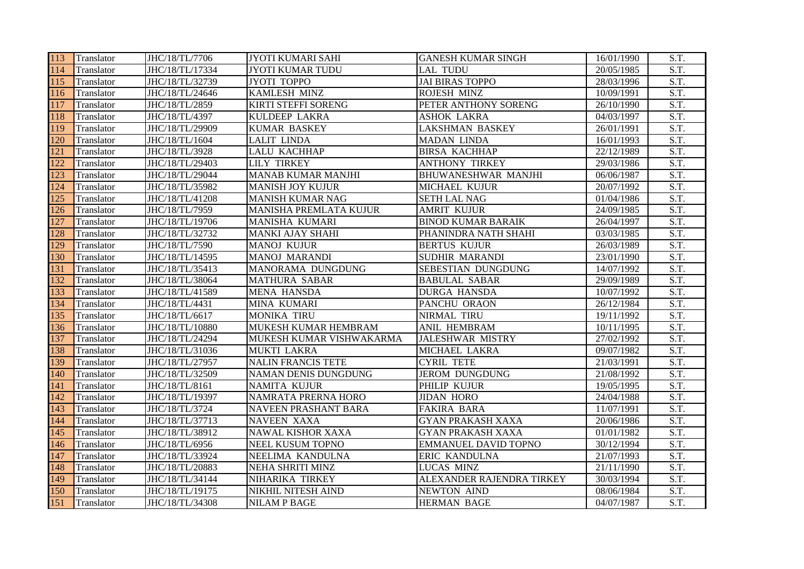| 113 | Translator        | JHC/18/TL/7706  | JYOTI KUMARI SAHI           | <b>GANESH KUMAR SINGH</b>   | 16/01/1990 | S.T.              |
|-----|-------------------|-----------------|-----------------------------|-----------------------------|------------|-------------------|
| 114 | Translator        | JHC/18/TL/17334 | <b>JYOTI KUMAR TUDU</b>     | <b>LAL TUDU</b>             | 20/05/1985 | S.T.              |
| 115 | Translator        | JHC/18/TL/32739 | JYOTI TOPPO                 | <b>JAI BIRAS TOPPO</b>      | 28/03/1996 | S.T.              |
| 116 | Translator        | JHC/18/TL/24646 | <b>KAMLESH MINZ</b>         | <b>ROJESH MINZ</b>          | 10/09/1991 | S.T.              |
| 117 | Translator        | JHC/18/TL/2859  | <b>KIRTI STEFFI SORENG</b>  | PETER ANTHONY SORENG        | 26/10/1990 | S.T.              |
| 118 | Translator        | JHC/18/TL/4397  | <b>KULDEEP LAKRA</b>        | <b>ASHOK LAKRA</b>          | 04/03/1997 | S.T.              |
| 119 | Translator        | JHC/18/TL/29909 | <b>KUMAR BASKEY</b>         | <b>LAKSHMAN BASKEY</b>      | 26/01/1991 | S.T.              |
| 120 | Translator        | JHC/18/TL/1604  | <b>LALIT LINDA</b>          | <b>MADAN LINDA</b>          | 16/01/1993 | S.T.              |
| 121 | Translator        | JHC/18/TL/3928  | <b>LALU KACHHAP</b>         | <b>BIRSA KACHHAP</b>        | 22/12/1989 | S.T.              |
| 122 | Translator        | JHC/18/TL/29403 | <b>LILY TIRKEY</b>          | <b>ANTHONY TIRKEY</b>       | 29/03/1986 | S.T.              |
| 123 | Translator        | JHC/18/TL/29044 | <b>MANAB KUMAR MANJHI</b>   | BHUWANESHWAR MANJHI         | 06/06/1987 | S.T.              |
| 124 | Translator        | JHC/18/TL/35982 | <b>MANISH JOY KUJUR</b>     | MICHAEL KUJUR               | 20/07/1992 | S.T.              |
| 125 | Translator        | JHC/18/TL/41208 | <b>MANISH KUMAR NAG</b>     | <b>SETH LAL NAG</b>         | 01/04/1986 | S.T.              |
| 126 | Translator        | JHC/18/TL/7959  | MANISHA PREMLATA KUJUR      | <b>AMRIT KUJUR</b>          | 24/09/1985 | S.T.              |
| 127 | Translator        | JHC/18/TL/19706 | <b>MANISHA KUMARI</b>       | <b>BINOD KUMAR BARAIK</b>   | 26/04/1997 | $\overline{S.T.}$ |
| 128 | Translator        | JHC/18/TL/32732 | <b>MANKI AJAY SHAHI</b>     | PHANINDRA NATH SHAHI        | 03/03/1985 | $\overline{S.T.}$ |
| 129 | <b>Translator</b> | JHC/18/TL/7590  | <b>MANOJ KUJUR</b>          | <b>BERTUS KUJUR</b>         | 26/03/1989 | S.T.              |
| 130 | <b>Translator</b> | JHC/18/TL/14595 | <b>MANOJ MARANDI</b>        | <b>SUDHIR MARANDI</b>       | 23/01/1990 | S.T.              |
| 131 | Translator        | JHC/18/TL/35413 | MANORAMA DUNGDUNG           | SEBESTIAN DUNGDUNG          | 14/07/1992 | $\overline{S.T.}$ |
| 132 | Translator        | JHC/18/TL/38064 | <b>MATHURA SABAR</b>        | <b>BABULAL SABAR</b>        | 29/09/1989 | S.T.              |
| 133 | Translator        | JHC/18/TL/41589 | <b>MENA HANSDA</b>          | <b>DURGA HANSDA</b>         | 10/07/1992 | S.T.              |
| 134 | Translator        | JHC/18/TL/4431  | MINA KUMARI                 | PANCHU ORAON                | 26/12/1984 | S.T.              |
| 135 | Translator        | JHC/18/TL/6617  | <b>MONIKA TIRU</b>          | NIRMAL TIRU                 | 19/11/1992 | S.T.              |
| 136 | Translator        | JHC/18/TL/10880 | MUKESH KUMAR HEMBRAM        | ANIL HEMBRAM                | 10/11/1995 | $\overline{S.T.}$ |
| 137 | Translator        | JHC/18/TL/24294 | MUKESH KUMAR VISHWAKARMA    | <b>JALESHWAR MISTRY</b>     | 27/02/1992 | S.T.              |
| 138 | Translator        | JHC/18/TL/31036 | <b>MUKTI LAKRA</b>          | MICHAEL LAKRA               | 09/07/1982 | S.T.              |
| 139 | Translator        | JHC/18/TL/27957 | <b>NALIN FRANCIS TETE</b>   | <b>CYRIL TETE</b>           | 21/03/1991 | $\overline{S.T.}$ |
| 140 | Translator        | JHC/18/TL/32509 | <b>NAMAN DENIS DUNGDUNG</b> | <b>JEROM DUNGDUNG</b>       | 21/08/1992 | $\overline{S.T.}$ |
| 141 | Translator        | JHC/18/TL/8161  | <b>NAMITA KUJUR</b>         | PHILIP KUJUR                | 19/05/1995 | S.T.              |
| 142 | Translator        | JHC/18/TL/19397 | NAMRATA PRERNA HORO         | <b>JIDAN HORO</b>           | 24/04/1988 | $\overline{S.T.}$ |
| 143 | Translator        | JHC/18/TL/3724  | <b>NAVEEN PRASHANT BARA</b> | <b>FAKIRA BARA</b>          | 11/07/1991 | $\overline{S.T.}$ |
| 144 | Translator        | JHC/18/TL/37713 | <b>NAVEEN XAXA</b>          | <b>GYAN PRAKASH XAXA</b>    | 20/06/1986 | S.T.              |
| 145 | Translator        | JHC/18/TL/38912 | <b>NAWAL KISHOR XAXA</b>    | <b>GYAN PRAKASH XAXA</b>    | 01/01/1982 | S.T.              |
| 146 | Translator        | JHC/18/TL/6956  | NEEL KUSUM TOPNO            | <b>EMMANUEL DAVID TOPNO</b> | 30/12/1994 | S.T.              |
| 147 | Translator        | JHC/18/TL/33924 | NEELIMA KANDULNA            | ERIC KANDULNA               | 21/07/1993 | S.T.              |
| 148 | Translator        | JHC/18/TL/20883 | <b>NEHA SHRITI MINZ</b>     | <b>LUCAS MINZ</b>           | 21/11/1990 | $\overline{S.T.}$ |
| 149 | Translator        | JHC/18/TL/34144 | NIHARIKA TIRKEY             | ALEXANDER RAJENDRA TIRKEY   | 30/03/1994 | S.T.              |
| 150 | Translator        | JHC/18/TL/19175 | <b>NIKHIL NITESH AIND</b>   | <b>NEWTON AIND</b>          | 08/06/1984 | S.T.              |
| 151 | Translator        | JHC/18/TL/34308 | <b>NILAM P BAGE</b>         | <b>HERMAN BAGE</b>          | 04/07/1987 | S.T.              |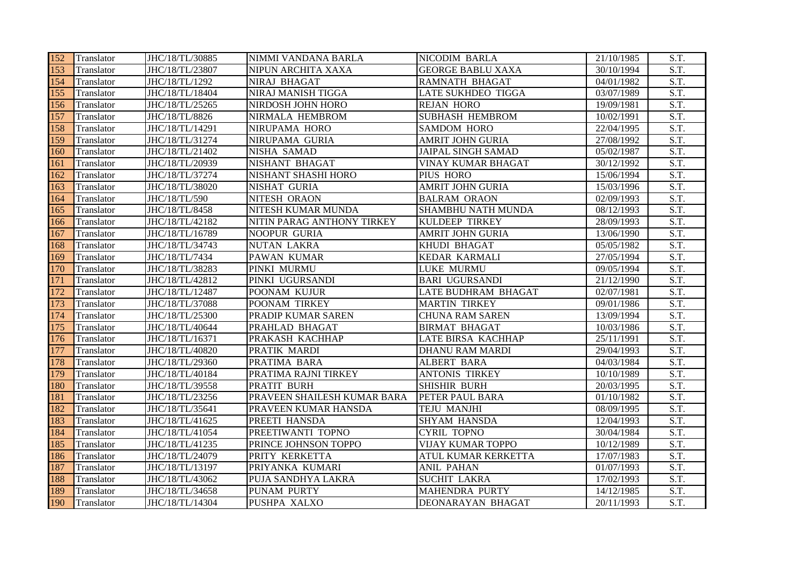| 152 | Translator | JHC/18/TL/30885 | NIMMI VANDANA BARLA         | <b>NICODIM BARLA</b>      | 21/10/1985 | S.T.              |
|-----|------------|-----------------|-----------------------------|---------------------------|------------|-------------------|
| 153 | Translator | JHC/18/TL/23807 | NIPUN ARCHITA XAXA          | <b>GEORGE BABLU XAXA</b>  | 30/10/1994 | S.T.              |
| 154 | Translator | JHC/18/TL/1292  | NIRAJ BHAGAT                | <b>RAMNATH BHAGAT</b>     | 04/01/1982 | S.T.              |
| 155 | Translator | JHC/18/TL/18404 | NIRAJ MANISH TIGGA          | <b>LATE SUKHDEO TIGGA</b> | 03/07/1989 | S.T.              |
| 156 | Translator | JHC/18/TL/25265 | NIRDOSH JOHN HORO           | <b>REJAN HORO</b>         | 19/09/1981 | S.T.              |
| 157 | Translator | JHC/18/TL/8826  | NIRMALA HEMBROM             | <b>SUBHASH HEMBROM</b>    | 10/02/1991 | S.T.              |
| 158 | Translator | JHC/18/TL/14291 | NIRUPAMA HORO               | <b>SAMDOM HORO</b>        | 22/04/1995 | S.T.              |
| 159 | Translator | JHC/18/TL/31274 | NIRUPAMA GURIA              | <b>AMRIT JOHN GURIA</b>   | 27/08/1992 | S.T.              |
| 160 | Translator | JHC/18/TL/21402 | <b>NISHA SAMAD</b>          | <b>JAIPAL SINGH SAMAD</b> | 05/02/1987 | S.T.              |
| 161 | Translator | JHC/18/TL/20939 | NISHANT BHAGAT              | VINAY KUMAR BHAGAT        | 30/12/1992 | S.T.              |
| 162 | Translator | JHC/18/TL/37274 | NISHANT SHASHI HORO         | PIUS HORO                 | 15/06/1994 | S.T.              |
| 163 | Translator | JHC/18/TL/38020 | NISHAT GURIA                | <b>AMRIT JOHN GURIA</b>   | 15/03/1996 | S.T.              |
| 164 | Translator | JHC/18/TL/590   | NITESH ORAON                | <b>BALRAM ORAON</b>       | 02/09/1993 | $\overline{S.T.}$ |
| 165 | Translator | JHC/18/TL/8458  | NITESH KUMAR MUNDA          | SHAMBHU NATH MUNDA        | 08/12/1993 | S.T.              |
| 166 | Translator | JHC/18/TL/42182 | NITIN PARAG ANTHONY TIRKEY  | <b>KULDEEP TIRKEY</b>     | 28/09/1993 | $\overline{S.T.}$ |
| 167 | Translator | JHC/18/TL/16789 | <b>NOOPUR GURIA</b>         | <b>AMRIT JOHN GURIA</b>   | 13/06/1990 | S.T.              |
| 168 | Translator | JHC/18/TL/34743 | <b>NUTAN LAKRA</b>          | KHUDI BHAGAT              | 05/05/1982 | S.T.              |
| 169 | Translator | JHC/18/TL/7434  | PAWAN KUMAR                 | <b>KEDAR KARMALI</b>      | 27/05/1994 | $\overline{S.T.}$ |
| 170 | Translator | JHC/18/TL/38283 | PINKI MURMU                 | <b>LUKE MURMU</b>         | 09/05/1994 | S.T.              |
| 171 | Translator | JHC/18/TL/42812 | PINKI UGURSANDI             | <b>BARI UGURSANDI</b>     | 21/12/1990 | S.T.              |
| 172 | Translator | JHC/18/TL/12487 | POONAM KUJUR                | LATE BUDHRAM BHAGAT       | 02/07/1981 | S.T.              |
| 173 | Translator | JHC/18/TL/37088 | POONAM TIRKEY               | <b>MARTIN TIRKEY</b>      | 09/01/1986 | S.T.              |
| 174 | Translator | JHC/18/TL/25300 | PRADIP KUMAR SAREN          | <b>CHUNA RAM SAREN</b>    | 13/09/1994 | S.T.              |
| 175 | Translator | JHC/18/TL/40644 | PRAHLAD BHAGAT              | <b>BIRMAT BHAGAT</b>      | 10/03/1986 | S.T.              |
| 176 | Translator | JHC/18/TL/16371 | PRAKASH KACHHAP             | LATE BIRSA KACHHAP        | 25/11/1991 | S.T.              |
| 177 | Translator | JHC/18/TL/40820 | PRATIK MARDI                | <b>DHANU RAM MARDI</b>    | 29/04/1993 | S.T.              |
| 178 | Translator | JHC/18/TL/29360 | PRATIMA BARA                | <b>ALBERT BARA</b>        | 04/03/1984 | $\overline{S.T.}$ |
| 179 | Translator | JHC/18/TL/40184 | PRATIMA RAJNI TIRKEY        | <b>ANTONIS TIRKEY</b>     | 10/10/1989 | $\overline{S.T.}$ |
| 180 | Translator | JHC/18/TL/39558 | PRATIT BURH                 | <b>SHISHIR BURH</b>       | 20/03/1995 | S.T.              |
| 181 | Translator | JHC/18/TL/23256 | PRAVEEN SHAILESH KUMAR BARA | PETER PAUL BARA           | 01/10/1982 | S.T.              |
| 182 | Translator | JHC/18/TL/35641 | PRAVEEN KUMAR HANSDA        | TEJU MANJHI               | 08/09/1995 | S.T.              |
| 183 | Translator | JHC/18/TL/41625 | PREETI HANSDA               | SHYAM HANSDA              | 12/04/1993 | S.T.              |
| 184 | Translator | JHC/18/TL/41054 | PREETIWANTI TOPNO           | <b>CYRIL TOPNO</b>        | 30/04/1984 | S.T.              |
| 185 | Translator | JHC/18/TL/41235 | PRINCE JOHNSON TOPPO        | <b>VIJAY KUMAR TOPPO</b>  | 10/12/1989 | S.T.              |
| 186 | Translator | JHC/18/TL/24079 | PRITY KERKETTA              | ATUL KUMAR KERKETTA       | 17/07/1983 | S.T.              |
| 187 | Translator | JHC/18/TL/13197 | PRIYANKA KUMARI             | <b>ANIL PAHAN</b>         | 01/07/1993 | S.T.              |
| 188 | Translator | JHC/18/TL/43062 | PUJA SANDHYA LAKRA          | <b>SUCHIT LAKRA</b>       | 17/02/1993 | S.T.              |
| 189 | Translator | JHC/18/TL/34658 | PUNAM PURTY                 | <b>MAHENDRA PURTY</b>     | 14/12/1985 | S.T.              |
| 190 | Translator | JHC/18/TL/14304 | <b>PUSHPA XALXO</b>         | DEONARAYAN BHAGAT         | 20/11/1993 | S.T.              |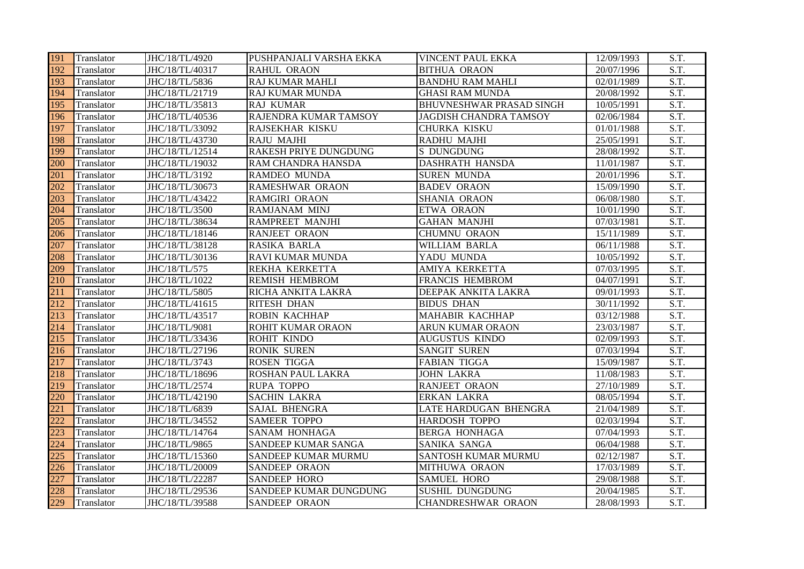| 191 | Translator | JHC/18/TL/4920  | PUSHPANJALI VARSHA EKKA    | VINCENT PAUL EKKA               | 12/09/1993 | S.T. |
|-----|------------|-----------------|----------------------------|---------------------------------|------------|------|
| 192 | Translator | JHC/18/TL/40317 | <b>RAHUL ORAON</b>         | <b>BITHUA ORAON</b>             | 20/07/1996 | S.T. |
| 193 | Translator | JHC/18/TL/5836  | <b>RAJ KUMAR MAHLI</b>     | <b>BANDHU RAM MAHLI</b>         | 02/01/1989 | S.T. |
| 194 | Translator | JHC/18/TL/21719 | <b>RAJ KUMAR MUNDA</b>     | <b>GHASI RAM MUNDA</b>          | 20/08/1992 | S.T. |
| 195 | Translator | JHC/18/TL/35813 | <b>RAJ KUMAR</b>           | <b>BHUVNESHWAR PRASAD SINGH</b> | 10/05/1991 | S.T. |
| 196 | Translator | JHC/18/TL/40536 | RAJENDRA KUMAR TAMSOY      | JAGDISH CHANDRA TAMSOY          | 02/06/1984 | S.T. |
| 197 | Translator | JHC/18/TL/33092 | RAJSEKHAR KISKU            | CHURKA KISKU                    | 01/01/1988 | S.T. |
| 198 | Translator | JHC/18/TL/43730 | <b>RAJU MAJHI</b>          | RADHU MAJHI                     | 25/05/1991 | S.T. |
| 199 | Translator | JHC/18/TL/12514 | RAKESH PRIYE DUNGDUNG      | <b>S DUNGDUNG</b>               | 28/08/1992 | S.T. |
| 200 | Translator | JHC/18/TL/19032 | RAM CHANDRA HANSDA         | DASHRATH HANSDA                 | 11/01/1987 | S.T. |
| 201 | Translator | JHC/18/TL/3192  | RAMDEO MUNDA               | <b>SUREN MUNDA</b>              | 20/01/1996 | S.T. |
| 202 | Translator | JHC/18/TL/30673 | RAMESHWAR ORAON            | <b>BADEV ORAON</b>              | 15/09/1990 | S.T. |
| 203 | Translator | JHC/18/TL/43422 | RAMGIRI ORAON              | SHANIA ORAON                    | 06/08/1980 | S.T. |
| 204 | Translator | JHC/18/TL/3500  | <b>RAMJANAM MINJ</b>       | ETWA ORAON                      | 10/01/1990 | S.T. |
| 205 | Translator | JHC/18/TL/38634 | RAMPREET MANJHI            | <b>GAHAN MANJHI</b>             | 07/03/1981 | S.T. |
| 206 | Translator | JHC/18/TL/18146 | <b>RANJEET ORAON</b>       | <b>CHUMNU ORAON</b>             | 15/11/1989 | S.T. |
| 207 | Translator | JHC/18/TL/38128 | <b>RASIKA BARLA</b>        | <b>WILLIAM BARLA</b>            | 06/11/1988 | S.T. |
| 208 | Translator | JHC/18/TL/30136 | <b>RAVI KUMAR MUNDA</b>    | YADU MUNDA                      | 10/05/1992 | S.T. |
| 209 | Translator | JHC/18/TL/575   | REKHA KERKETTA             | AMIYA KERKETTA                  | 07/03/1995 | S.T. |
| 210 | Translator | JHC/18/TL/1022  | <b>REMISH HEMBROM</b>      | FRANCIS HEMBROM                 | 04/07/1991 | S.T. |
| 211 | Translator | JHC/18/TL/5805  | RICHA ANKITA LAKRA         | DEEPAK ANKITA LAKRA             | 09/01/1993 | S.T. |
| 212 | Translator | JHC/18/TL/41615 | <b>RITESH DHAN</b>         | <b>BIDUS DHAN</b>               | 30/11/1992 | S.T. |
| 213 | Translator | JHC/18/TL/43517 | <b>ROBIN KACHHAP</b>       | <b>MAHABIR KACHHAP</b>          | 03/12/1988 | S.T. |
| 214 | Translator | JHC/18/TL/9081  | <b>ROHIT KUMAR ORAON</b>   | ARUN KUMAR ORAON                | 23/03/1987 | S.T. |
| 215 | Translator | JHC/18/TL/33436 | <b>ROHIT KINDO</b>         | <b>AUGUSTUS KINDO</b>           | 02/09/1993 | S.T. |
| 216 | Translator | JHC/18/TL/27196 | <b>RONIK SUREN</b>         | <b>SANGIT SUREN</b>             | 07/03/1994 | S.T. |
| 217 | Translator | JHC/18/TL/3743  | <b>ROSEN TIGGA</b>         | <b>FABIAN TIGGA</b>             | 15/09/1987 | S.T. |
| 218 | Translator | JHC/18/TL/18696 | ROSHAN PAUL LAKRA          | <b>JOHN LAKRA</b>               | 11/08/1983 | S.T. |
| 219 | Translator | JHC/18/TL/2574  | <b>RUPA TOPPO</b>          | <b>RANJEET ORAON</b>            | 27/10/1989 | S.T. |
| 220 | Translator | JHC/18/TL/42190 | <b>SACHIN LAKRA</b>        | <b>ERKAN LAKRA</b>              | 08/05/1994 | S.T. |
| 221 | Translator | JHC/18/TL/6839  | <b>SAJAL BHENGRA</b>       | LATE HARDUGAN BHENGRA           | 21/04/1989 | S.T. |
| 222 | Translator | JHC/18/TL/34552 | <b>SAMEER TOPPO</b>        | HARDOSH TOPPO                   | 02/03/1994 | S.T. |
| 223 | Translator | JHC/18/TL/14764 | <b>SANAM HONHAGA</b>       | <b>BERGA HONHAGA</b>            | 07/04/1993 | S.T. |
| 224 | Translator | JHC/18/TL/9865  | SANDEEP KUMAR SANGA        | SANIKA SANGA                    | 06/04/1988 | S.T. |
| 225 | Translator | JHC/18/TL/15360 | <b>SANDEEP KUMAR MURMU</b> | <b>SANTOSH KUMAR MURMU</b>      | 02/12/1987 | S.T. |
| 226 | Translator | JHC/18/TL/20009 | SANDEEP ORAON              | MITHUWA ORAON                   | 17/03/1989 | S.T. |
| 227 | Translator | JHC/18/TL/22287 | <b>SANDEEP HORO</b>        | <b>SAMUEL HORO</b>              | 29/08/1988 | S.T. |
| 228 | Translator | JHC/18/TL/29536 | SANDEEP KUMAR DUNGDUNG     | <b>SUSHIL DUNGDUNG</b>          | 20/04/1985 | S.T. |
| 229 | Translator | JHC/18/TL/39588 | <b>SANDEEP ORAON</b>       | <b>CHANDRESHWAR ORAON</b>       | 28/08/1993 | S.T. |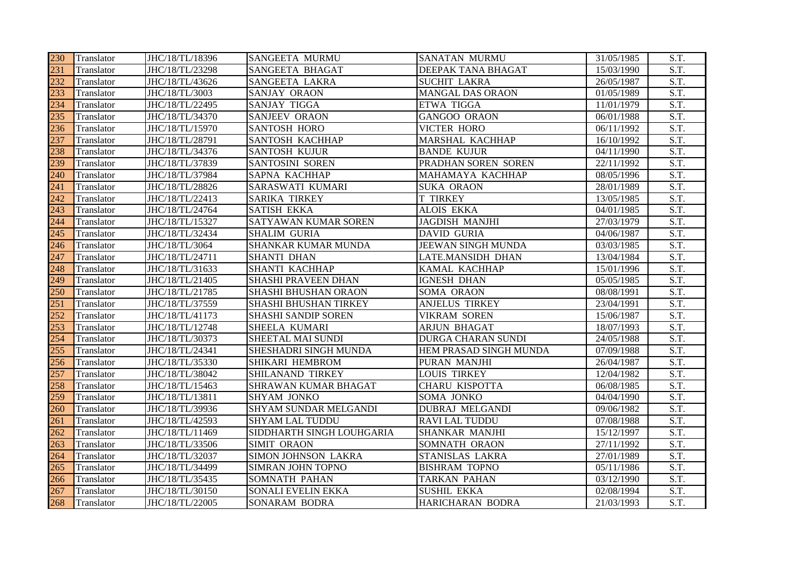| 230 | Translator        | JHC/18/TL/18396 | <b>SANGEETA MURMU</b>        | <b>SANATAN MURMU</b>      | 31/05/1985            | S.T.              |
|-----|-------------------|-----------------|------------------------------|---------------------------|-----------------------|-------------------|
| 231 | Translator        | JHC/18/TL/23298 | <b>SANGEETA BHAGAT</b>       | DEEPAK TANA BHAGAT        | 15/03/1990            | S.T.              |
| 232 | Translator        | JHC/18/TL/43626 | <b>SANGEETA LAKRA</b>        | <b>SUCHIT LAKRA</b>       | 26/05/1987            | S.T.              |
| 233 | Translator        | JHC/18/TL/3003  | <b>SANJAY ORAON</b>          | <b>MANGAL DAS ORAON</b>   | 01/05/1989            | S.T.              |
| 234 | Translator        | JHC/18/TL/22495 | <b>SANJAY TIGGA</b>          | <b>ETWA TIGGA</b>         | 11/01/1979            | S.T.              |
| 235 | Translator        | JHC/18/TL/34370 | <b>SANJEEV ORAON</b>         | <b>GANGOO ORAON</b>       | 06/01/1988            | S.T.              |
| 236 | Translator        | JHC/18/TL/15970 | <b>SANTOSH HORO</b>          | <b>VICTER HORO</b>        | 06/11/1992            | S.T.              |
| 237 | Translator        | JHC/18/TL/28791 | <b>SANTOSH KACHHAP</b>       | MARSHAL KACHHAP           | $\frac{16}{10}$ /1992 | S.T.              |
| 238 | Translator        | JHC/18/TL/34376 | <b>SANTOSH KUJUR</b>         | <b>BANDE KUJUR</b>        | 04/11/1990            | S.T.              |
| 239 | Translator        | JHC/18/TL/37839 | <b>SANTOSINI SOREN</b>       | PRADHAN SOREN SOREN       | 22/11/1992            | S.T.              |
| 240 | Translator        | JHC/18/TL/37984 | SAPNA KACHHAP                | MAHAMAYA KACHHAP          | 08/05/1996            | S.T.              |
| 241 | Translator        | JHC/18/TL/28826 | SARASWATI KUMARI             | <b>SUKA ORAON</b>         | 28/01/1989            | S.T.              |
| 242 | Translator        | JHC/18/TL/22413 | <b>SARIKA TIRKEY</b>         | <b>T TIRKEY</b>           | 13/05/1985            | S.T.              |
| 243 | Translator        | JHC/18/TL/24764 | <b>SATISH EKKA</b>           | <b>ALOIS EKKA</b>         | 04/01/1985            | S.T.              |
| 244 | Translator        | JHC/18/TL/15327 | <b>SATYAWAN KUMAR SOREN</b>  | <b>JAGDISH MANJHI</b>     | 27/03/1979            | $\overline{S.T.}$ |
| 245 | Translator        | JHC/18/TL/32434 | <b>SHALIM GURIA</b>          | <b>DAVID GURIA</b>        | 04/06/1987            | S.T.              |
| 246 | <b>Translator</b> | JHC/18/TL/3064  | <b>SHANKAR KUMAR MUNDA</b>   | JEEWAN SINGH MUNDA        | 03/03/1985            | S.T.              |
| 247 | <b>Translator</b> | JHC/18/TL/24711 | <b>SHANTI DHAN</b>           | <b>LATE.MANSIDH DHAN</b>  | 13/04/1984            | $\overline{S.T.}$ |
| 248 | Translator        | JHC/18/TL/31633 | <b>SHANTI KACHHAP</b>        | KAMAL KACHHAP             | 15/01/1996            | $\overline{S.T.}$ |
| 249 | Translator        | JHC/18/TL/21405 | <b>SHASHI PRAVEEN DHAN</b>   | <b>IGNESH DHAN</b>        | 05/05/1985            | S.T.              |
| 250 | Translator        | JHC/18/TL/21785 | SHASHI BHUSHAN ORAON         | SOMA ORAON                | 08/08/1991            | S.T.              |
| 251 | Translator        | JHC/18/TL/37559 | <b>SHASHI BHUSHAN TIRKEY</b> | <b>ANJELUS TIRKEY</b>     | 23/04/1991            | S.T.              |
| 252 | Translator        | JHC/18/TL/41173 | <b>SHASHI SANDIP SOREN</b>   | <b>VIKRAM SOREN</b>       | 15/06/1987            | S.T.              |
| 253 | Translator        | JHC/18/TL/12748 | SHEELA KUMARI                | <b>ARJUN BHAGAT</b>       | 18/07/1993            | S.T.              |
| 254 | Translator        | JHC/18/TL/30373 | SHEETAL MAI SUNDI            | <b>DURGA CHARAN SUNDI</b> | 24/05/1988            | S.T.              |
| 255 | Translator        | JHC/18/TL/24341 | SHESHADRI SINGH MUNDA        | HEM PRASAD SINGH MUNDA    | 07/09/1988            | S.T.              |
| 256 | Translator        | JHC/18/TL/35330 | <b>SHIKARI HEMBROM</b>       | PURAN MANJHI              | 26/04/1987            | $\overline{S.T.}$ |
| 257 | Translator        | JHC/18/TL/38042 | <b>SHILANAND TIRKEY</b>      | <b>LOUIS TIRKEY</b>       | 12/04/1982            | $\overline{S.T.}$ |
| 258 | Translator        | JHC/18/TL/15463 | SHRAWAN KUMAR BHAGAT         | <b>CHARU KISPOTTA</b>     | 06/08/1985            | S.T.              |
| 259 | Translator        | JHC/18/TL/13811 | <b>SHYAM JONKO</b>           | <b>SOMA JONKO</b>         | 04/04/1990            | $\overline{S.T.}$ |
| 260 | Translator        | JHC/18/TL/39936 | SHYAM SUNDAR MELGANDI        | <b>DUBRAJ MELGANDI</b>    | 09/06/1982            | $\overline{S.T.}$ |
| 261 | Translator        | JHC/18/TL/42593 | <b>SHYAM LAL TUDDU</b>       | <b>RAVI LAL TUDDU</b>     | 07/08/1988            | S.T.              |
| 262 | Translator        | JHC/18/TL/11469 | SIDDHARTH SINGH LOUHGARIA    | <b>SHANKAR MANJHI</b>     | 15/12/1997            | S.T.              |
| 263 | Translator        | JHC/18/TL/33506 | <b>SIMIT ORAON</b>           | SOMNATH ORAON             | 27/11/1992            | S.T.              |
| 264 | Translator        | JHC/18/TL/32037 | SIMON JOHNSON LAKRA          | STANISLAS LAKRA           | 27/01/1989            | S.T.              |
| 265 | Translator        | JHC/18/TL/34499 | <b>SIMRAN JOHN TOPNO</b>     | <b>BISHRAM TOPNO</b>      | 05/11/1986            | $\overline{S.T.}$ |
| 266 | Translator        | JHC/18/TL/35435 | <b>SOMNATH PAHAN</b>         | <b>TARKAN PAHAN</b>       | 03/12/1990            | S.T.              |
| 267 | Translator        | JHC/18/TL/30150 | <b>SONALI EVELIN EKKA</b>    | <b>SUSHIL EKKA</b>        | 02/08/1994            | S.T.              |
| 268 | Translator        | JHC/18/TL/22005 | <b>SONARAM BODRA</b>         | <b>HARICHARAN BODRA</b>   | 21/03/1993            | S.T.              |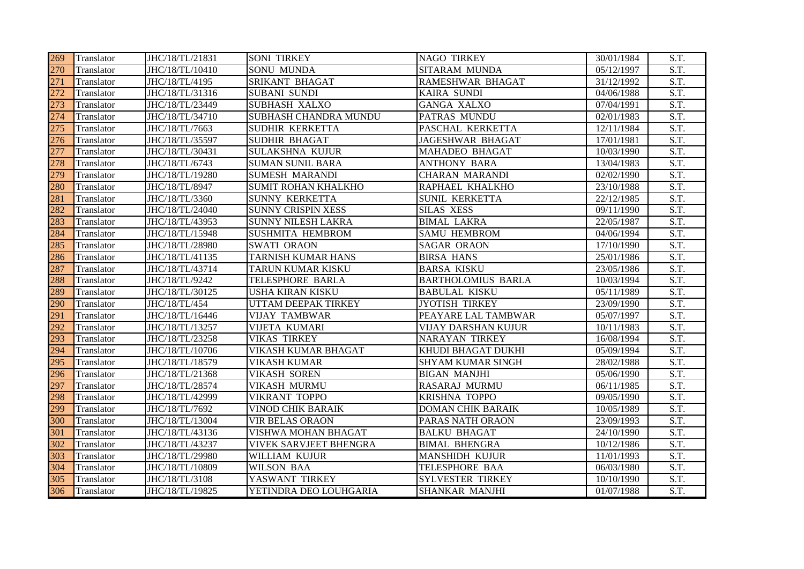| 269 | Translator        | JHC/18/TL/21831 | <b>SONI TIRKEY</b>         | <b>NAGO TIRKEY</b>        | 30/01/1984 | S.T.                     |
|-----|-------------------|-----------------|----------------------------|---------------------------|------------|--------------------------|
| 270 | Translator        | JHC/18/TL/10410 | <b>SONU MUNDA</b>          | SITARAM MUNDA             | 05/12/1997 | S.T.                     |
| 271 | Translator        | JHC/18/TL/4195  | SRIKANT BHAGAT             | <b>RAMESHWAR BHAGAT</b>   | 31/12/1992 | S.T.                     |
| 272 | Translator        | JHC/18/TL/31316 | <b>SUBANI SUNDI</b>        | <b>KAIRA SUNDI</b>        | 04/06/1988 | S.T.                     |
| 273 | Translator        | JHC/18/TL/23449 | <b>SUBHASH XALXO</b>       | <b>GANGA XALXO</b>        | 07/04/1991 | S.T.                     |
| 274 | Translator        | JHC/18/TL/34710 | SUBHASH CHANDRA MUNDU      | PATRAS MUNDU              | 02/01/1983 | S.T.                     |
| 275 | Translator        | JHC/18/TL/7663  | SUDHIR KERKETTA            | PASCHAL KERKETTA          | 12/11/1984 | $\overline{S.T.}$        |
| 276 | Translator        | JHC/18/TL/35597 | <b>SUDHIR BHAGAT</b>       | <b>JAGESHWAR BHAGAT</b>   | 17/01/1981 | S.T.                     |
| 277 | Translator        | JHC/18/TL/30431 | <b>SULAKSHNA KUJUR</b>     | <b>MAHADEO BHAGAT</b>     | 10/03/1990 | S.T.                     |
| 278 | Translator        | JHC/18/TL/6743  | <b>SUMAN SUNIL BARA</b>    | <b>ANTHONY BARA</b>       | 13/04/1983 | S.T.                     |
| 279 | Translator        | JHC/18/TL/19280 | <b>SUMESH MARANDI</b>      | <b>CHARAN MARANDI</b>     | 02/02/1990 | S.T.                     |
| 280 | Translator        | JHC/18/TL/8947  | <b>SUMIT ROHAN KHALKHO</b> | RAPHAEL KHALKHO           | 23/10/1988 | S.T.                     |
| 281 | Translator        | JHC/18/TL/3360  | <b>SUNNY KERKETTA</b>      | <b>SUNIL KERKETTA</b>     | 22/12/1985 | S.T.                     |
| 282 | <b>Translator</b> | JHC/18/TL/24040 | <b>SUNNY CRISPIN XESS</b>  | <b>SILAS XESS</b>         | 09/11/1990 | S.T.                     |
| 283 | Translator        | JHC/18/TL/43953 | <b>SUNNY NILESH LAKRA</b>  | <b>BIMAL LAKRA</b>        | 22/05/1987 | S.T.                     |
| 284 | Translator        | JHC/18/TL/15948 | <b>SUSHMITA HEMBROM</b>    | <b>SAMU HEMBROM</b>       | 04/06/1994 | S.T.                     |
| 285 | Translator        | JHC/18/TL/28980 | <b>SWATI ORAON</b>         | <b>SAGAR ORAON</b>        | 17/10/1990 | S.T.                     |
| 286 | Translator        | JHC/18/TL/41135 | <b>TARNISH KUMAR HANS</b>  | <b>BIRSA HANS</b>         | 25/01/1986 | S.T.                     |
| 287 | Translator        | JHC/18/TL/43714 | TARUN KUMAR KISKU          | <b>BARSA KISKU</b>        | 23/05/1986 | S.T.                     |
| 288 | Translator        | JHC/18/TL/9242  | TELESPHORE BARLA           | <b>BARTHOLOMIUS BARLA</b> | 10/03/1994 | S.T.                     |
| 289 | Translator        | JHC/18/TL/30125 | <b>USHA KIRAN KISKU</b>    | <b>BABULAL KISKU</b>      | 05/11/1989 | S.T.                     |
| 290 | Translator        | JHC/18/TL/454   | UTTAM DEEPAK TIRKEY        | <b>JYOTISH TIRKEY</b>     | 23/09/1990 | S.T.                     |
| 291 | Translator        | JHC/18/TL/16446 | <b>VIJAY TAMBWAR</b>       | PEAYARE LAL TAMBWAR       | 05/07/1997 | S.T.                     |
| 292 | <b>Translator</b> | JHC/18/TL/13257 | VIJETA KUMARI              | VIJAY DARSHAN KUJUR       | 10/11/1983 | S.T.                     |
| 293 | Translator        | JHC/18/TL/23258 | <b>VIKAS TIRKEY</b>        | <b>NARAYAN TIRKEY</b>     | 16/08/1994 | S.T.                     |
| 294 | Translator        | JHC/18/TL/10706 | VIKASH KUMAR BHAGAT        | KHUDI BHAGAT DUKHI        | 05/09/1994 | S.T.                     |
| 295 | Translator        | JHC/18/TL/18579 | VIKASH KUMAR               | <b>SHYAM KUMAR SINGH</b>  | 28/02/1988 | S.T.                     |
| 296 | Translator        | JHC/18/TL/21368 | VIKASH SOREN               | <b>BIGAN MANJHI</b>       | 05/06/1990 | S.T.                     |
| 297 | Translator        | JHC/18/TL/28574 | VIKASH MURMU               | RASARAJ MURMU             | 06/11/1985 | S.T.                     |
| 298 | Translator        | JHC/18/TL/42999 | VIKRANT TOPPO              | KRISHNA TOPPO             | 09/05/1990 | S.T.                     |
| 299 | Translator        | JHC/18/TL/7692  | <b>VINOD CHIK BARAIK</b>   | <b>DOMAN CHIK BARAIK</b>  | 10/05/1989 | S.T.                     |
| 300 | Translator        | JHC/18/TL/13004 | <b>VIR BELAS ORAON</b>     | PARAS NATH ORAON          | 23/09/1993 | S.T.                     |
| 301 | Translator        | JHC/18/TL/43136 | VISHWA MOHAN BHAGAT        | <b>BALKU BHAGAT</b>       | 24/10/1990 | S.T.                     |
| 302 | Translator        | JHC/18/TL/43237 | VIVEK SARVJEET BHENGRA     | <b>BIMAL BHENGRA</b>      | 10/12/1986 | S.T.                     |
| 303 | Translator        | JHC/18/TL/29980 | WILLIAM KUJUR              | <b>MANSHIDH KUJUR</b>     | 11/01/1993 | S.T.                     |
| 304 | Translator        | JHC/18/TL/10809 | <b>WILSON BAA</b>          | TELESPHORE BAA            | 06/03/1980 | S.T.                     |
| 305 | Translator        | JHC/18/TL/3108  | YASWANT TIRKEY             | <b>SYLVESTER TIRKEY</b>   | 10/10/1990 | S.T.                     |
| 306 | Translator        | JHC/18/TL/19825 | YETINDRA DEO LOUHGARIA     | <b>SHANKAR MANJHI</b>     | 01/07/1988 | $\overline{\text{S.T.}}$ |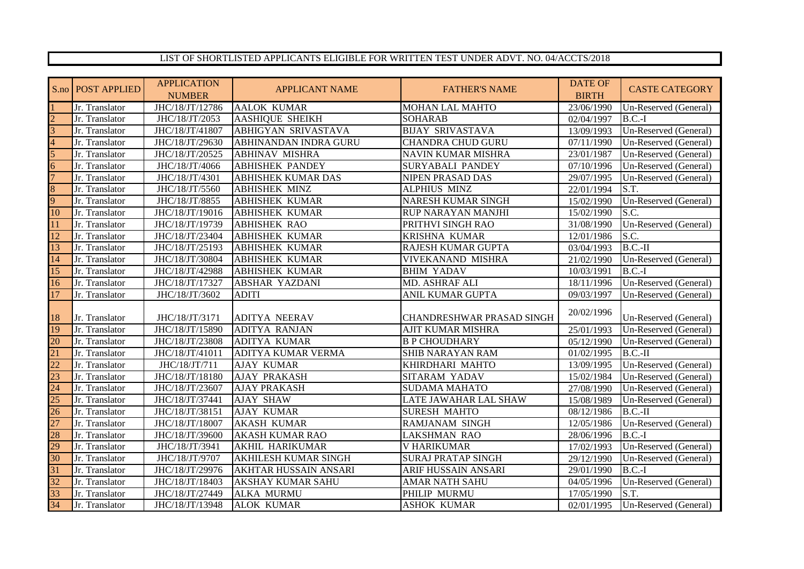## LIST OF SHORTLISTED APPLICANTS ELIGIBLE FOR WRITTEN TEST UNDER ADVT. NO. 04/ACCTS/2018

|                 | S.no   POST APPLIED | <b>APPLICATION</b> | <b>APPLICANT NAME</b>       | <b>FATHER'S NAME</b>             | DATE OF      | <b>CASTE CATEGORY</b> |
|-----------------|---------------------|--------------------|-----------------------------|----------------------------------|--------------|-----------------------|
|                 |                     | <b>NUMBER</b>      |                             |                                  | <b>BIRTH</b> |                       |
|                 | Jr. Translator      | JHC/18/JT/12786    | <b>AALOK KUMAR</b>          | <b>MOHAN LAL MAHTO</b>           | 23/06/1990   | Un-Reserved (General) |
| $\mathcal{D}$   | Jr. Translator      | JHC/18/JT/2053     | <b>AASHIQUE SHEIKH</b>      | <b>SOHARAB</b>                   | 02/04/1997   | $B.C.-I$              |
| $\overline{3}$  | Jr. Translator      | JHC/18/JT/41807    | ABHIGYAN SRIVASTAVA         | <b>BIJAY SRIVASTAVA</b>          | 13/09/1993   | Un-Reserved (General) |
| $\overline{A}$  | Jr. Translator      | JHC/18/JT/29630    | ABHINANDAN INDRA GURU       | <b>CHANDRA CHUD GURU</b>         | 07/11/1990   | Un-Reserved (General) |
| 5               | Jr. Translator      | JHC/18/JT/20525    | <b>ABHINAV MISHRA</b>       | <b>NAVIN KUMAR MISHRA</b>        | 23/01/1987   | Un-Reserved (General) |
| 6               | Jr. Translator      | JHC/18/JT/4066     | <b>ABHISHEK PANDEY</b>      | <b>SURYABALI PANDEY</b>          | 07/10/1996   | Un-Reserved (General) |
|                 | Jr. Translator      | JHC/18/JT/4301     | <b>ABHISHEK KUMAR DAS</b>   | NIPEN PRASAD DAS                 | 29/07/1995   | Un-Reserved (General) |
| 8               | Jr. Translator      | JHC/18/JT/5560     | <b>ABHISHEK MINZ</b>        | <b>ALPHIUS MINZ</b>              | 22/01/1994   | S.T.                  |
| 9               | Jr. Translator      | JHC/18/JT/8855     | <b>ABHISHEK KUMAR</b>       | <b>NARESH KUMAR SINGH</b>        | 15/02/1990   | Un-Reserved (General) |
| 10              | Jr. Translator      | JHC/18/JT/19016    | <b>ABHISHEK KUMAR</b>       | <b>RUP NARAYAN MANJHI</b>        | 15/02/1990   | S.C.                  |
| 11              | Jr. Translator      | JHC/18/JT/19739    | <b>ABHISHEK RAO</b>         | PRITHVI SINGH RAO                | 31/08/1990   | Un-Reserved (General) |
| 12              | Jr. Translator      | JHC/18/JT/23404    | <b>ABHISHEK KUMAR</b>       | KRISHNA KUMAR                    | 12/01/1986   | S.C.                  |
| 13              | Jr. Translator      | JHC/18/JT/25193    | <b>ABHISHEK KUMAR</b>       | RAJESH KUMAR GUPTA               | 03/04/1993   | $B.C.-II$             |
| 14              | Jr. Translator      | JHC/18/JT/30804    | <b>ABHISHEK KUMAR</b>       | VIVEKANAND MISHRA                | 21/02/1990   | Un-Reserved (General) |
| 15              | Jr. Translator      | JHC/18/JT/42988    | <b>ABHISHEK KUMAR</b>       | <b>BHIM YADAV</b>                | 10/03/1991   | $B.C.-I$              |
| 16              | Jr. Translator      | JHC/18/JT/17327    | <b>ABSHAR YAZDANI</b>       | MD. ASHRAF ALI                   | 18/11/1996   | Un-Reserved (General) |
| 17              | Jr. Translator      | JHC/18/JT/3602     | <b>ADITI</b>                | <b>ANIL KUMAR GUPTA</b>          | 09/03/1997   | Un-Reserved (General) |
|                 |                     |                    |                             |                                  | 20/02/1996   |                       |
| 18              | Jr. Translator      | JHC/18/JT/3171     | <b>ADITYA NEERAV</b>        | <b>CHANDRESHWAR PRASAD SINGH</b> |              | Un-Reserved (General) |
| 19              | Jr. Translator      | JHC/18/JT/15890    | <b>ADITYA RANJAN</b>        | <b>AJIT KUMAR MISHRA</b>         | 25/01/1993   | Un-Reserved (General) |
| 20              | Jr. Translator      | JHC/18/JT/23808    | <b>ADITYA KUMAR</b>         | <b>B P CHOUDHARY</b>             | 05/12/1990   | Un-Reserved (General) |
| 21              | Jr. Translator      | JHC/18/JT/41011    | ADITYA KUMAR VERMA          | <b>SHIB NARAYAN RAM</b>          | 01/02/1995   | $B.C.-II$             |
| $\overline{22}$ | Jr. Translator      | JHC/18/JT/711      | <b>AJAY KUMAR</b>           | KHIRDHARI MAHTO                  | 13/09/1995   | Un-Reserved (General) |
| 23              | Jr. Translator      | JHC/18/JT/18180    | <b>AJAY PRAKASH</b>         | SITARAM YADAV                    | 15/02/1984   | Un-Reserved (General) |
| $\overline{24}$ | Jr. Translator      | JHC/18/JT/23607    | <b>AJAY PRAKASH</b>         | <b>SUDAMA MAHATO</b>             | 27/08/1990   | Un-Reserved (General) |
| 25              | Jr. Translator      | JHC/18/JT/37441    | <b>AJAY SHAW</b>            | LATE JAWAHAR LAL SHAW            | 15/08/1989   | Un-Reserved (General) |
| $\overline{26}$ | Jr. Translator      | JHC/18/JT/38151    | <b>AJAY KUMAR</b>           | <b>SURESH MAHTO</b>              | 08/12/1986   | $B.C.-II$             |
| 27              | Jr. Translator      | JHC/18/JT/18007    | <b>AKASH KUMAR</b>          | <b>RAMJANAM SINGH</b>            | 12/05/1986   | Un-Reserved (General) |
| 28              | Jr. Translator      | JHC/18/JT/39600    | <b>AKASH KUMAR RAO</b>      | <b>LAKSHMAN RAO</b>              | 28/06/1996   | $B.C.-I$              |
| 29              | Jr. Translator      | JHC/18/JT/3941     | AKHIL HARIKUMAR             | <b>V HARIKUMAR</b>               | 17/02/1993   | Un-Reserved (General) |
| 30              | Jr. Translator      | JHC/18/JT/9707     | <b>AKHILESH KUMAR SINGH</b> | <b>SURAJ PRATAP SINGH</b>        | 29/12/1990   | Un-Reserved (General) |
| 31              | Jr. Translator      | JHC/18/JT/29976    | AKHTAR HUSSAIN ANSARI       | ARIF HUSSAIN ANSARI              | 29/01/1990   | $B.C.-I$              |
| 32              | Jr. Translator      | JHC/18/JT/18403    | <b>AKSHAY KUMAR SAHU</b>    | <b>AMAR NATH SAHU</b>            | 04/05/1996   | Un-Reserved (General) |
| 33              | Jr. Translator      | JHC/18/JT/27449    | <b>ALKA MURMU</b>           | PHILIP MURMU                     | 17/05/1990   | S.T.                  |
| 34              | Jr. Translator      | JHC/18/JT/13948    | <b>ALOK KUMAR</b>           | <b>ASHOK KUMAR</b>               | 02/01/1995   | Un-Reserved (General) |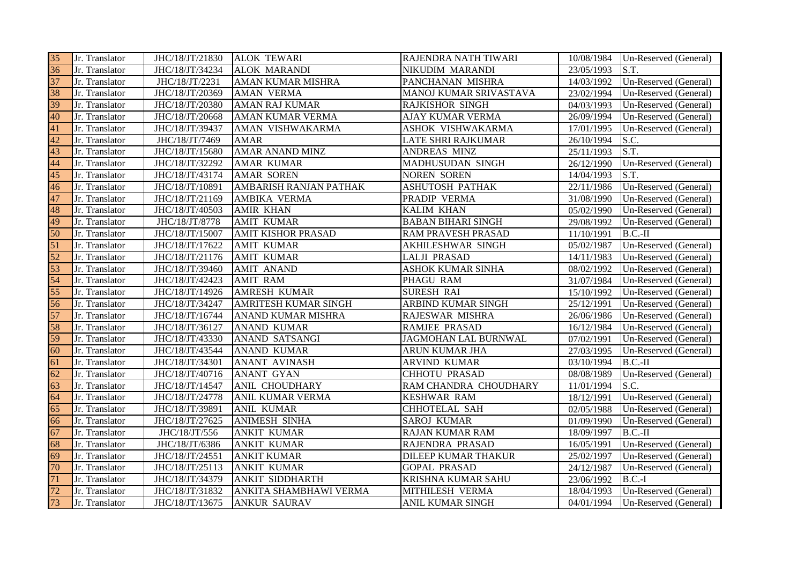| 35 | Jr. Translator | JHC/18/JT/21830 | <b>ALOK TEWARI</b>        | RAJENDRA NATH TIWARI      | 10/08/1984 | Un-Reserved (General) |
|----|----------------|-----------------|---------------------------|---------------------------|------------|-----------------------|
| 36 | Jr. Translator | JHC/18/JT/34234 | <b>ALOK MARANDI</b>       | <b>NIKUDIM MARANDI</b>    | 23/05/1993 | S.T.                  |
| 37 | Jr. Translator | JHC/18/JT/2231  | AMAN KUMAR MISHRA         | PANCHANAN MISHRA          | 14/03/1992 | Un-Reserved (General) |
| 38 | Jr. Translator | JHC/18/JT/20369 | <b>AMAN VERMA</b>         | MANOJ KUMAR SRIVASTAVA    | 23/02/1994 | Un-Reserved (General) |
| 39 | Jr. Translator | JHC/18/JT/20380 | <b>AMAN RAJ KUMAR</b>     | <b>RAJKISHOR SINGH</b>    | 04/03/1993 | Un-Reserved (General) |
| 40 | Jr. Translator | JHC/18/JT/20668 | AMAN KUMAR VERMA          | <b>AJAY KUMAR VERMA</b>   | 26/09/1994 | Un-Reserved (General) |
| 41 | Jr. Translator | JHC/18/JT/39437 | AMAN VISHWAKARMA          | ASHOK VISHWAKARMA         | 17/01/1995 | Un-Reserved (General) |
| 42 | Jr. Translator | JHC/18/JT/7469  | <b>AMAR</b>               | <b>LATE SHRI RAJKUMAR</b> | 26/10/1994 | S.C.                  |
| 43 | Jr. Translator | JHC/18/JT/15680 | AMAR ANAND MINZ           | ANDREAS MINZ              | 25/11/1993 | S.T.                  |
| 44 | Jr. Translator | JHC/18/JT/32292 | AMAR KUMAR                | MADHUSUDAN SINGH          | 26/12/1990 | Un-Reserved (General) |
| 45 | Jr. Translator | JHC/18/JT/43174 | <b>AMAR SOREN</b>         | <b>NOREN SOREN</b>        | 14/04/1993 | S.T.                  |
| 46 | Jr. Translator | JHC/18/JT/10891 | AMBARISH RANJAN PATHAK    | <b>ASHUTOSH PATHAK</b>    | 22/11/1986 | Un-Reserved (General) |
| 47 | Jr. Translator | JHC/18/JT/21169 | AMBIKA VERMA              | PRADIP VERMA              | 31/08/1990 | Un-Reserved (General) |
| 48 | Jr. Translator | JHC/18/JT/40503 | <b>AMIR KHAN</b>          | KALIM KHAN                | 05/02/1990 | Un-Reserved (General) |
| 49 | Jr. Translator | JHC/18/JT/8778  | <b>AMIT KUMAR</b>         | <b>BABAN BIHARI SINGH</b> | 29/08/1992 | Un-Reserved (General) |
| 50 | Jr. Translator | JHC/18/JT/15007 | <b>AMIT KISHOR PRASAD</b> | RAM PRAVESH PRASAD        | 11/10/1991 | $B.C.-II$             |
| 51 | Jr. Translator | JHC/18/JT/17622 | <b>AMIT KUMAR</b>         | AKHILESHWAR SINGH         | 05/02/1987 | Un-Reserved (General) |
| 52 | Jr. Translator | JHC/18/JT/21176 | <b>AMIT KUMAR</b>         | <b>LALJI PRASAD</b>       | 14/11/1983 | Un-Reserved (General) |
| 53 | Jr. Translator | JHC/18/JT/39460 | <b>AMIT ANAND</b>         | <b>ASHOK KUMAR SINHA</b>  | 08/02/1992 | Un-Reserved (General) |
| 54 | Jr. Translator | JHC/18/JT/42423 | <b>AMIT RAM</b>           | PHAGU RAM                 | 31/07/1984 | Un-Reserved (General) |
| 55 | Jr. Translator | JHC/18/JT/14926 | AMRESH KUMAR              | <b>SURESH RAI</b>         | 15/10/1992 | Un-Reserved (General) |
| 56 | Jr. Translator | JHC/18/JT/34247 | AMRITESH KUMAR SINGH      | ARBIND KUMAR SINGH        | 25/12/1991 | Un-Reserved (General) |
| 57 | Jr. Translator | JHC/18/JT/16744 | ANAND KUMAR MISHRA        | RAJESWAR MISHRA           | 26/06/1986 | Un-Reserved (General) |
| 58 | Jr. Translator | JHC/18/JT/36127 | <b>ANAND KUMAR</b>        | <b>RAMJEE PRASAD</b>      | 16/12/1984 | Un-Reserved (General) |
| 59 | Jr. Translator | JHC/18/JT/43330 | ANAND SATSANGI            | JAGMOHAN LAL BURNWAL      | 07/02/1991 | Un-Reserved (General) |
| 60 | Jr. Translator | JHC/18/JT/43544 | <b>ANAND KUMAR</b>        | ARUN KUMAR JHA            | 27/03/1995 | Un-Reserved (General) |
| 61 | Jr. Translator | JHC/18/JT/34301 | <b>ANANT AVINASH</b>      | ARVIND KUMAR              | 03/10/1994 | $B.C.-II$             |
| 62 | Jr. Translator | JHC/18/JT/40716 | <b>ANANT GYAN</b>         | <b>CHHOTU PRASAD</b>      | 08/08/1989 | Un-Reserved (General) |
| 63 | Jr. Translator | JHC/18/JT/14547 | ANIL CHOUDHARY            | RAM CHANDRA CHOUDHARY     | 11/01/1994 | S.C.                  |
| 64 | Jr. Translator | JHC/18/JT/24778 | ANIL KUMAR VERMA          | <b>KESHWAR RAM</b>        | 18/12/1991 | Un-Reserved (General) |
| 65 | Jr. Translator | JHC/18/JT/39891 | <b>ANIL KUMAR</b>         | CHHOTELAL SAH             | 02/05/1988 | Un-Reserved (General) |
| 66 | Jr. Translator | JHC/18/JT/27625 | <b>ANIMESH SINHA</b>      | <b>SAROJ KUMAR</b>        | 01/09/1990 | Un-Reserved (General) |
| 67 | Jr. Translator | JHC/18/JT/556   | <b>ANKIT KUMAR</b>        | <b>RAJAN KUMAR RAM</b>    | 18/09/1997 | $B.C.-II$             |
| 68 | Jr. Translator | JHC/18/JT/6386  | <b>ANKIT KUMAR</b>        | RAJENDRA PRASAD           | 16/05/1991 | Un-Reserved (General) |
| 69 | Jr. Translator | JHC/18/JT/24551 | <b>ANKIT KUMAR</b>        | DILEEP KUMAR THAKUR       | 25/02/1997 | Un-Reserved (General) |
| 70 | Jr. Translator | JHC/18/JT/25113 | <b>ANKIT KUMAR</b>        | <b>GOPAL PRASAD</b>       | 24/12/1987 | Un-Reserved (General) |
| 71 | Jr. Translator | JHC/18/JT/34379 | <b>ANKIT SIDDHARTH</b>    | KRISHNA KUMAR SAHU        | 23/06/1992 | $B.C.-I$              |
| 72 | Jr. Translator | JHC/18/JT/31832 | ANKITA SHAMBHAWI VERMA    | MITHILESH VERMA           | 18/04/1993 | Un-Reserved (General) |
| 73 | Jr. Translator | JHC/18/JT/13675 | <b>ANKUR SAURAV</b>       | <b>ANIL KUMAR SINGH</b>   | 04/01/1994 | Un-Reserved (General) |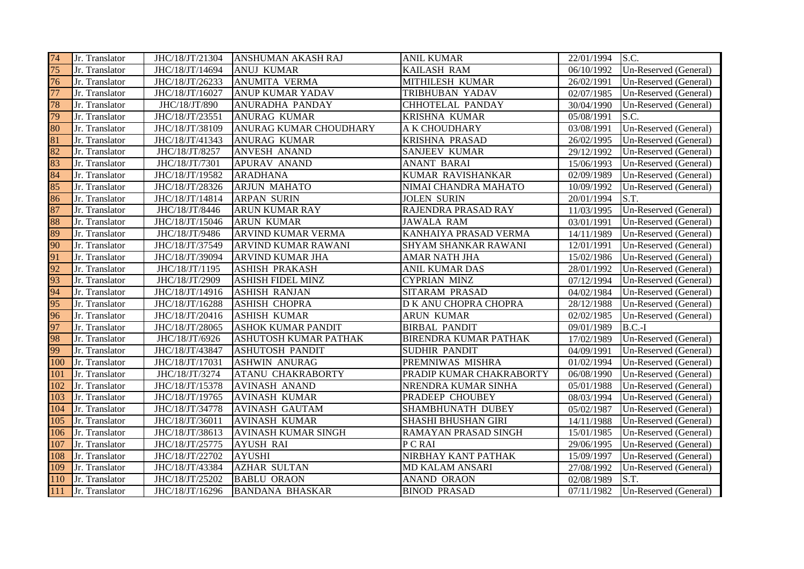| 74  | Jr. Translator | JHC/18/JT/21304 | <b>ANSHUMAN AKASH RAJ</b>  | <b>ANIL KUMAR</b>            | 22/01/1994 | S.C.                  |
|-----|----------------|-----------------|----------------------------|------------------------------|------------|-----------------------|
| 75  | Jr. Translator | JHC/18/JT/14694 | <b>ANUJ KUMAR</b>          | KAILASH RAM                  | 06/10/1992 | Un-Reserved (General) |
| 76  | Jr. Translator | JHC/18/JT/26233 | <b>ANUMITA VERMA</b>       | MITHILESH KUMAR              | 26/02/1991 | Un-Reserved (General) |
| 77  | Jr. Translator | JHC/18/JT/16027 | <b>ANUP KUMAR YADAV</b>    | TRIBHUBAN YADAV              | 02/07/1985 | Un-Reserved (General) |
| 78  | Jr. Translator | JHC/18/JT/890   | ANURADHA PANDAY            | CHHOTELAL PANDAY             | 30/04/1990 | Un-Reserved (General) |
| 79  | Jr. Translator | JHC/18/JT/23551 | <b>ANURAG KUMAR</b>        | KRISHNA KUMAR                | 05/08/1991 | S.C.                  |
| 80  | Jr. Translator | JHC/18/JT/38109 | ANURAG KUMAR CHOUDHARY     | A K CHOUDHARY                | 03/08/1991 | Un-Reserved (General) |
| 81  | Jr. Translator | JHC/18/JT/41343 | <b>ANURAG KUMAR</b>        | <b>KRISHNA PRASAD</b>        | 26/02/1995 | Un-Reserved (General) |
| 82  | Jr. Translator | JHC/18/JT/8257  | <b>ANVESH ANAND</b>        | <b>SANJEEV KUMAR</b>         | 29/12/1992 | Un-Reserved (General) |
| 83  | Jr. Translator | JHC/18/JT/7301  | <b>APURAV ANAND</b>        | <b>ANANT BARAI</b>           | 15/06/1993 | Un-Reserved (General) |
| 84  | Jr. Translator | JHC/18/JT/19582 | <b>ARADHANA</b>            | KUMAR RAVISHANKAR            | 02/09/1989 | Un-Reserved (General) |
| 85  | Jr. Translator | JHC/18/JT/28326 | <b>ARJUN MAHATO</b>        | NIMAI CHANDRA MAHATO         | 10/09/1992 | Un-Reserved (General) |
| 86  | Jr. Translator | JHC/18/JT/14814 | <b>ARPAN SURIN</b>         | <b>JOLEN SURIN</b>           | 20/01/1994 | S.T.                  |
| 87  | Jr. Translator | JHC/18/JT/8446  | <b>ARUN KUMAR RAY</b>      | RAJENDRA PRASAD RAY          | 11/03/1995 | Un-Reserved (General) |
| 88  | Jr. Translator | JHC/18/JT/15046 | <b>ARUN KUMAR</b>          | <b>JAWALA RAM</b>            | 03/01/1991 | Un-Reserved (General) |
| 89  | Jr. Translator | JHC/18/JT/9486  | ARVIND KUMAR VERMA         | KANHAIYA PRASAD VERMA        | 14/11/1989 | Un-Reserved (General) |
| 90  | Jr. Translator | JHC/18/JT/37549 | ARVIND KUMAR RAWANI        | SHYAM SHANKAR RAWANI         | 12/01/1991 | Un-Reserved (General) |
| 91  | Jr. Translator | JHC/18/JT/39094 | ARVIND KUMAR JHA           | <b>AMAR NATH JHA</b>         | 15/02/1986 | Un-Reserved (General) |
| 92  | Jr. Translator | JHC/18/JT/1195  | <b>ASHISH PRAKASH</b>      | <b>ANIL KUMAR DAS</b>        | 28/01/1992 | Un-Reserved (General) |
| 93  | Jr. Translator | JHC/18/JT/2909  | <b>ASHISH FIDEL MINZ</b>   | <b>CYPRIAN MINZ</b>          | 07/12/1994 | Un-Reserved (General) |
| 94  | Jr. Translator | JHC/18/JT/14916 | <b>ASHISH RANJAN</b>       | SITARAM PRASAD               | 04/02/1984 | Un-Reserved (General) |
| 95  | Jr. Translator | JHC/18/JT/16288 | <b>ASHISH CHOPRA</b>       | D K ANU CHOPRA CHOPRA        | 28/12/1988 | Un-Reserved (General) |
| 96  | Jr. Translator | JHC/18/JT/20416 | <b>ASHISH KUMAR</b>        | <b>ARUN KUMAR</b>            | 02/02/1985 | Un-Reserved (General) |
| 97  | Jr. Translator | JHC/18/JT/28065 | <b>ASHOK KUMAR PANDIT</b>  | <b>BIRBAL PANDIT</b>         | 09/01/1989 | $B.C.-I$              |
| 98  | Jr. Translator | JHC/18/JT/6926  | ASHUTOSH KUMAR PATHAK      | <b>BIRENDRA KUMAR PATHAK</b> | 17/02/1989 | Un-Reserved (General) |
| 99  | Jr. Translator | JHC/18/JT/43847 | <b>ASHUTOSH PANDIT</b>     | <b>SUDHIR PANDIT</b>         | 04/09/1991 | Un-Reserved (General) |
| 100 | Jr. Translator | JHC/18/JT/17031 | <b>ASHWIN ANURAG</b>       | PREMNIWAS MISHRA             | 01/02/1994 | Un-Reserved (General) |
| 101 | Jr. Translator | JHC/18/JT/3274  | <b>ATANU CHAKRABORTY</b>   | PRADIP KUMAR CHAKRABORTY     | 06/08/1990 | Un-Reserved (General) |
| 102 | Jr. Translator | JHC/18/JT/15378 | <b>AVINASH ANAND</b>       | NRENDRA KUMAR SINHA          | 05/01/1988 | Un-Reserved (General) |
| 103 | Jr. Translator | JHC/18/JT/19765 | <b>AVINASH KUMAR</b>       | PRADEEP CHOUBEY              | 08/03/1994 | Un-Reserved (General) |
| 104 | Jr. Translator | JHC/18/JT/34778 | <b>AVINASH GAUTAM</b>      | SHAMBHUNATH DUBEY            | 05/02/1987 | Un-Reserved (General) |
| 105 | Jr. Translator | JHC/18/JT/36011 | <b>AVINASH KUMAR</b>       | SHASHI BHUSHAN GIRI          | 14/11/1988 | Un-Reserved (General) |
| 106 | Jr. Translator | JHC/18/JT/38613 | <b>AVINASH KUMAR SINGH</b> | RAMAYAN PRASAD SINGH         | 15/01/1985 | Un-Reserved (General) |
| 107 | Jr. Translator | JHC/18/JT/25775 | <b>AYUSH RAI</b>           | P C RAI                      | 29/06/1995 | Un-Reserved (General) |
| 108 | Jr. Translator | JHC/18/JT/22702 | <b>AYUSHI</b>              | NIRBHAY KANT PATHAK          | 15/09/1997 | Un-Reserved (General) |
| 109 | Jr. Translator | JHC/18/JT/43384 | <b>AZHAR SULTAN</b>        | <b>MD KALAM ANSARI</b>       | 27/08/1992 | Un-Reserved (General) |
| 110 | Jr. Translator | JHC/18/JT/25202 | <b>BABLU ORAON</b>         | <b>ANAND ORAON</b>           | 02/08/1989 | S.T.                  |
| 111 | Jr. Translator | JHC/18/JT/16296 | <b>BANDANA BHASKAR</b>     | <b>BINOD PRASAD</b>          | 07/11/1982 | Un-Reserved (General) |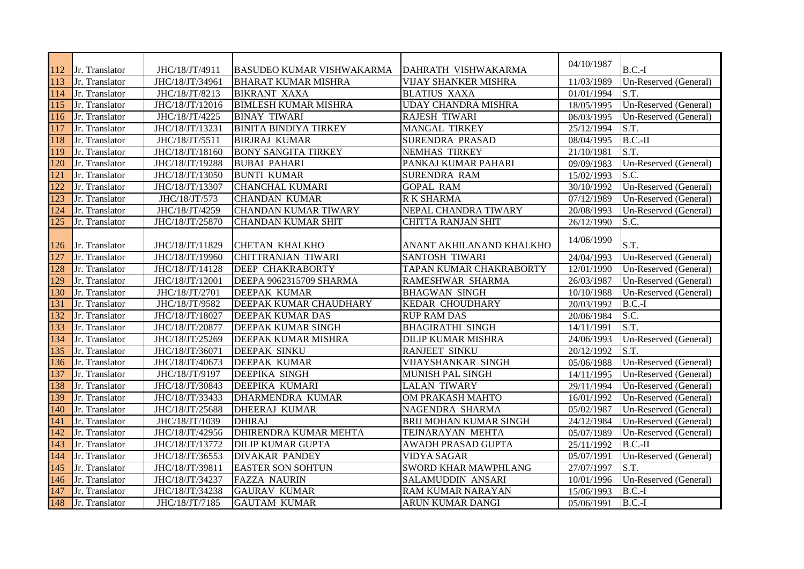| 112 | Jr. Translator | JHC/18/JT/4911  | BASUDEO KUMAR VISHWAKARMA    | DAHRATH VISHWAKARMA         | 04/10/1987 | $B.C.-I$              |
|-----|----------------|-----------------|------------------------------|-----------------------------|------------|-----------------------|
| 113 | Jr. Translator | JHC/18/JT/34961 | <b>BHARAT KUMAR MISHRA</b>   | <b>VIJAY SHANKER MISHRA</b> | 11/03/1989 | Un-Reserved (General) |
| 114 | Jr. Translator | JHC/18/JT/8213  | <b>BIKRANT XAXA</b>          | <b>BLATIUS XAXA</b>         | 01/01/1994 | S.T.                  |
| 115 | Jr. Translator | JHC/18/JT/12016 | <b>BIMLESH KUMAR MISHRA</b>  | UDAY CHANDRA MISHRA         | 18/05/1995 | Un-Reserved (General) |
| 116 | Jr. Translator | JHC/18/JT/4225  | <b>BINAY TIWARI</b>          | <b>RAJESH TIWARI</b>        | 06/03/1995 | Un-Reserved (General) |
| 117 | Jr. Translator | JHC/18/JT/13231 | <b>BINITA BINDIYA TIRKEY</b> | MANGAL TIRKEY               | 25/12/1994 | S.T.                  |
| 118 | Jr. Translator | JHC/18/JT/5511  | <b>BIRJRAJ KUMAR</b>         | SURENDRA PRASAD             | 08/04/1995 | $B.C.-II$             |
| 119 | Jr. Translator | JHC/18/JT/18160 | <b>BONY SANGITA TIRKEY</b>   | <b>NEMHAS TIRKEY</b>        | 21/10/1981 | S.T.                  |
| 120 | Jr. Translator | JHC/18/JT/19288 | <b>BUBAI PAHARI</b>          | PANKAJ KUMAR PAHARI         | 09/09/1983 | Un-Reserved (General) |
| 121 | Jr. Translator | JHC/18/JT/13050 | <b>BUNTI KUMAR</b>           | <b>SURENDRA RAM</b>         | 15/02/1993 | S.C.                  |
| 122 | Jr. Translator | JHC/18/JT/13307 | <b>CHANCHAL KUMARI</b>       | <b>GOPAL RAM</b>            | 30/10/1992 | Un-Reserved (General) |
| 123 | Jr. Translator | JHC/18/JT/573   | <b>CHANDAN KUMAR</b>         | <b>R K SHARMA</b>           | 07/12/1989 | Un-Reserved (General) |
| 124 | Jr. Translator | JHC/18/JT/4259  | <b>CHANDAN KUMAR TIWARY</b>  | NEPAL CHANDRA TIWARY        | 20/08/1993 | Un-Reserved (General) |
| 125 | Jr. Translator | JHC/18/JT/25870 | CHANDAN KUMAR SHIT           | <b>CHITTA RANJAN SHIT</b>   | 26/12/1990 | S.C.                  |
|     |                |                 |                              |                             |            |                       |
| 126 | Jr. Translator | JHC/18/JT/11829 | <b>CHETAN KHALKHO</b>        | ANANT AKHILANAND KHALKHO    | 14/06/1990 | S.T.                  |
| 127 | Jr. Translator | JHC/18/JT/19960 | <b>CHITTRANJAN TIWARI</b>    | SANTOSH TIWARI              | 24/04/1993 | Un-Reserved (General) |
| 128 | Jr. Translator | JHC/18/JT/14128 | <b>DEEP CHAKRABORTY</b>      | TAPAN KUMAR CHAKRABORTY     | 12/01/1990 | Un-Reserved (General) |
| 129 | Jr. Translator | JHC/18/JT/12001 | DEEPA 9062315709 SHARMA      | RAMESHWAR SHARMA            | 26/03/1987 | Un-Reserved (General) |
| 130 | Jr. Translator | JHC/18/JT/2701  | <b>DEEPAK KUMAR</b>          | <b>BHAGWAN SINGH</b>        | 10/10/1988 | Un-Reserved (General) |
| 131 | Jr. Translator | JHC/18/JT/9582  | DEEPAK KUMAR CHAUDHARY       | KEDAR CHOUDHARY             | 20/03/1992 | $B.C.-I$              |
| 132 | Jr. Translator | JHC/18/JT/18027 | DEEPAK KUMAR DAS             | <b>RUP RAM DAS</b>          | 20/06/1984 | S.C.                  |
| 133 | Jr. Translator | JHC/18/JT/20877 | DEEPAK KUMAR SINGH           | <b>BHAGIRATHI SINGH</b>     | 14/11/1991 | S.T.                  |
| 134 | Jr. Translator | JHC/18/JT/25269 | DEEPAK KUMAR MISHRA          | DILIP KUMAR MISHRA          | 24/06/1993 | Un-Reserved (General) |
| 135 | Jr. Translator | JHC/18/JT/36071 | <b>DEEPAK SINKU</b>          | RANJEET SINKU               | 20/12/1992 | S.T.                  |
| 136 | Jr. Translator | JHC/18/JT/40673 | DEEPAK KUMAR                 | VIJAYSHANKAR SINGH          | 05/06/1988 | Un-Reserved (General) |
| 137 | Jr. Translator | JHC/18/JT/9197  | <b>DEEPIKA SINGH</b>         | MUNISH PAL SINGH            | 14/11/1995 | Un-Reserved (General) |
| 138 | Jr. Translator | JHC/18/JT/30843 | DEEPIKA KUMARI               | <b>LALAN TIWARY</b>         | 29/11/1994 | Un-Reserved (General) |
| 139 | Jr. Translator | JHC/18/JT/33433 | DHARMENDRA KUMAR             | OM PRAKASH MAHTO            | 16/01/1992 | Un-Reserved (General) |
| 140 | Jr. Translator | JHC/18/JT/25688 | <b>DHEERAJ KUMAR</b>         | NAGENDRA SHARMA             | 05/02/1987 | Un-Reserved (General) |
| 141 | Jr. Translator | JHC/18/JT/1039  | <b>DHIRAJ</b>                | BRIJ MOHAN KUMAR SINGH      | 24/12/1984 | Un-Reserved (General) |
| 142 | Jr. Translator | JHC/18/JT/42956 | DHIRENDRA KUMAR MEHTA        | TEJNARAYAN MEHTA            | 05/07/1989 | Un-Reserved (General) |
| 143 | Jr. Translator | JHC/18/JT/13772 | <b>DILIP KUMAR GUPTA</b>     | AWADH PRASAD GUPTA          | 25/11/1992 | $B.C.-II$             |
| 144 | Jr. Translator | JHC/18/JT/36553 | <b>DIVAKAR PANDEY</b>        | <b>VIDYA SAGAR</b>          | 05/07/1991 | Un-Reserved (General) |
| 145 | Jr. Translator | JHC/18/JT/39811 | <b>EASTER SON SOHTUN</b>     | SWORD KHAR MAWPHLANG        | 27/07/1997 | S.T.                  |
| 146 | Jr. Translator | JHC/18/JT/34237 | <b>FAZZA NAURIN</b>          | SALAMUDDIN ANSARI           | 10/01/1996 | Un-Reserved (General) |
| 147 | Jr. Translator | JHC/18/JT/34238 | <b>GAURAV KUMAR</b>          | RAM KUMAR NARAYAN           | 15/06/1993 | $B.C.-I$              |
| 148 | Jr. Translator | JHC/18/JT/7185  | <b>GAUTAM KUMAR</b>          | ARUN KUMAR DANGI            | 05/06/1991 | $B.C.-I$              |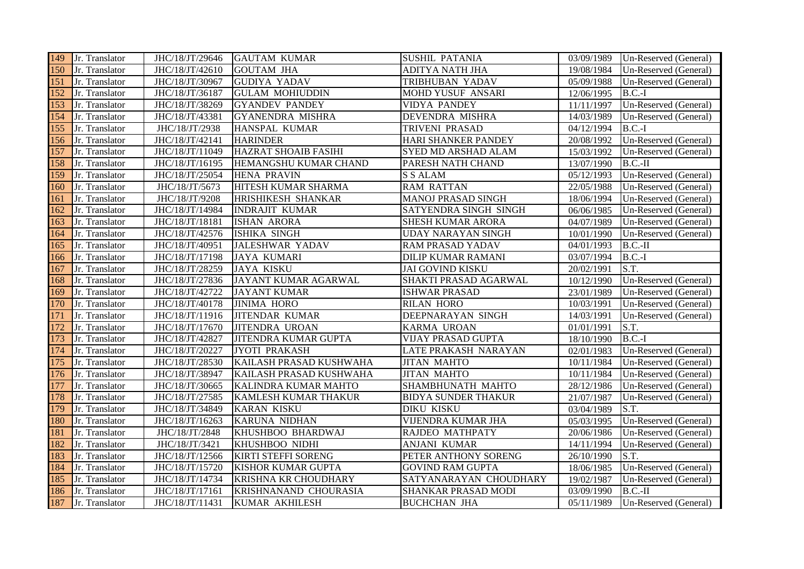| 149 | Jr. Translator | JHC/18/JT/29646 | <b>GAUTAM KUMAR</b>         | <b>SUSHIL PATANIA</b>      | 03/09/1989 | Un-Reserved (General) |
|-----|----------------|-----------------|-----------------------------|----------------------------|------------|-----------------------|
| 150 | Jr. Translator | JHC/18/JT/42610 | <b>GOUTAM JHA</b>           | <b>ADITYA NATH JHA</b>     | 19/08/1984 | Un-Reserved (General) |
| 151 | Jr. Translator | JHC/18/JT/30967 | <b>GUDIYA YADAV</b>         | TRIBHUBAN YADAV            | 05/09/1988 | Un-Reserved (General) |
| 152 | Jr. Translator | JHC/18/JT/36187 | <b>GULAM MOHIUDDIN</b>      | MOHD YUSUF ANSARI          | 12/06/1995 | $B.C.-I$              |
| 153 | Jr. Translator | JHC/18/JT/38269 | <b>GYANDEV PANDEY</b>       | <b>VIDYA PANDEY</b>        | 11/11/1997 | Un-Reserved (General) |
| 154 | Jr. Translator | JHC/18/JT/43381 | <b>GYANENDRA MISHRA</b>     | DEVENDRA MISHRA            | 14/03/1989 | Un-Reserved (General) |
| 155 | Jr. Translator | JHC/18/JT/2938  | HANSPAL KUMAR               | TRIVENI PRASAD             | 04/12/1994 | $B.C.-I$              |
| 156 | Jr. Translator | JHC/18/JT/42141 | <b>HARINDER</b>             | HARI SHANKER PANDEY        | 20/08/1992 | Un-Reserved (General) |
| 157 | Jr. Translator | JHC/18/JT/11049 | <b>HAZRAT SHOAIB FASIHI</b> | <b>SYED MD ARSHAD ALAM</b> | 15/03/1992 | Un-Reserved (General) |
| 158 | Jr. Translator | JHC/18/JT/16195 | HEMANGSHU KUMAR CHAND       | PARESH NATH CHAND          | 13/07/1990 | $B.C.-II$             |
| 159 | Jr. Translator | JHC/18/JT/25054 | <b>HENA PRAVIN</b>          | <b>S S ALAM</b>            | 05/12/1993 | Un-Reserved (General) |
| 160 | Jr. Translator | JHC/18/JT/5673  | HITESH KUMAR SHARMA         | <b>RAM RATTAN</b>          | 22/05/1988 | Un-Reserved (General) |
| 161 | Jr. Translator | JHC/18/JT/9208  | <b>HRISHIKESH SHANKAR</b>   | MANOJ PRASAD SINGH         | 18/06/1994 | Un-Reserved (General) |
| 162 | Jr. Translator | JHC/18/JT/14984 | <b>INDRAJIT KUMAR</b>       | SATYENDRA SINGH SINGH      | 06/06/1985 | Un-Reserved (General) |
| 163 | Jr. Translator | JHC/18/JT/18181 | <b>ISHAN ARORA</b>          | <b>SHESH KUMAR ARORA</b>   | 04/07/1989 | Un-Reserved (General) |
| 164 | Jr. Translator | JHC/18/JT/42576 | <b>ISHIKA SINGH</b>         | <b>UDAY NARAYAN SINGH</b>  | 10/01/1990 | Un-Reserved (General) |
| 165 | Jr. Translator | JHC/18/JT/40951 | <b>JALESHWAR YADAV</b>      | <b>RAM PRASAD YADAV</b>    | 04/01/1993 | $B.C.-II$             |
| 166 | Jr. Translator | JHC/18/JT/17198 | <b>JAYA KUMARI</b>          | <b>DILIP KUMAR RAMANI</b>  | 03/07/1994 | $B.C.-I$              |
| 167 | Jr. Translator | JHC/18/JT/28259 | <b>JAYA KISKU</b>           | <b>JAI GOVIND KISKU</b>    | 20/02/1991 | S.T.                  |
| 168 | Jr. Translator | JHC/18/JT/27836 | JAYANT KUMAR AGARWAL        | SHAKTI PRASAD AGARWAL      | 10/12/1990 | Un-Reserved (General) |
| 169 | Jr. Translator | JHC/18/JT/42722 | <b>JAYANT KUMAR</b>         | <b>ISHWAR PRASAD</b>       | 23/01/1989 | Un-Reserved (General) |
| 170 | Jr. Translator | JHC/18/JT/40178 | <b>JINIMA HORO</b>          | <b>RILAN HORO</b>          | 10/03/1991 | Un-Reserved (General) |
| 171 | Jr. Translator | JHC/18/JT/11916 | <b>JITENDAR KUMAR</b>       | DEEPNARAYAN SINGH          | 14/03/1991 | Un-Reserved (General) |
| 172 | Jr. Translator | JHC/18/JT/17670 | <b>JITENDRA UROAN</b>       | KARMA UROAN                | 01/01/1991 | S.T.                  |
| 173 | Jr. Translator | JHC/18/JT/42827 | JITENDRA KUMAR GUPTA        | VIJAY PRASAD GUPTA         | 18/10/1990 | $B.C.-I$              |
| 174 | Jr. Translator | JHC/18/JT/20227 | JYOTI PRAKASH               | LATE PRAKASH NARAYAN       | 02/01/1983 | Un-Reserved (General) |
| 175 | Jr. Translator | JHC/18/JT/28530 | KAILASH PRASAD KUSHWAHA     | <b>JITAN MAHTO</b>         | 10/11/1984 | Un-Reserved (General) |
| 176 | Jr. Translator | JHC/18/JT/38947 | KAILASH PRASAD KUSHWAHA     | <b>JITAN MAHTO</b>         | 10/11/1984 | Un-Reserved (General) |
| 177 | Jr. Translator | JHC/18/JT/30665 | <b>KALINDRA KUMAR MAHTO</b> | SHAMBHUNATH MAHTO          | 28/12/1986 | Un-Reserved (General) |
| 178 | Jr. Translator | JHC/18/JT/27585 | <b>KAMLESH KUMAR THAKUR</b> | <b>BIDYA SUNDER THAKUR</b> | 21/07/1987 | Un-Reserved (General) |
| 179 | Jr. Translator | JHC/18/JT/34849 | <b>KARAN KISKU</b>          | <b>DIKU KISKU</b>          | 03/04/1989 | S.T.                  |
| 180 | Jr. Translator | JHC/18/JT/16263 | <b>KARUNA NIDHAN</b>        | VIJENDRA KUMAR JHA         | 05/03/1995 | Un-Reserved (General) |
| 181 | Jr. Translator | JHC/18/JT/2848  | KHUSHBOO BHARDWAJ           | RAJDEO MATHPATY            | 20/06/1986 | Un-Reserved (General) |
| 182 | Jr. Translator | JHC/18/JT/3421  | KHUSHBOO NIDHI              | <b>ANJANI KUMAR</b>        | 14/11/1994 | Un-Reserved (General) |
| 183 | Jr. Translator | JHC/18/JT/12566 | <b>KIRTI STEFFI SORENG</b>  | PETER ANTHONY SORENG       | 26/10/1990 | S.T.                  |
| 184 | Jr. Translator | JHC/18/JT/15720 | KISHOR KUMAR GUPTA          | <b>GOVIND RAM GUPTA</b>    | 18/06/1985 | Un-Reserved (General) |
| 185 | Jr. Translator | JHC/18/JT/14734 | KRISHNA KR CHOUDHARY        | SATYANARAYAN CHOUDHARY     | 19/02/1987 | Un-Reserved (General) |
| 186 | Jr. Translator | JHC/18/JT/17161 | KRISHNANAND CHOURASIA       | SHANKAR PRASAD MODI        | 03/09/1990 | $B.C.-II$             |
| 187 | Jr. Translator | JHC/18/JT/11431 | KUMAR AKHILESH              | <b>BUCHCHAN JHA</b>        | 05/11/1989 | Un-Reserved (General) |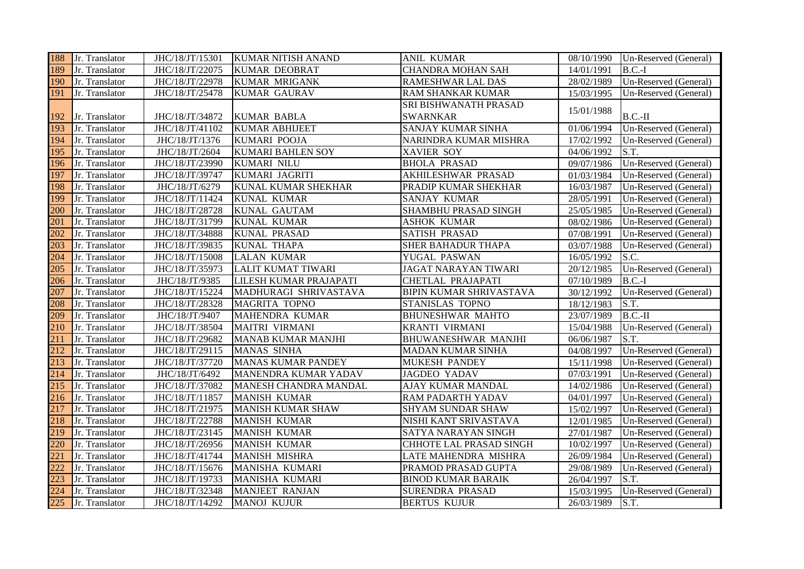| 188 | Jr. Translator | JHC/18/JT/15301 | <b>KUMAR NITISH ANAND</b> | <b>ANIL KUMAR</b>              |            | 08/10/1990   Un-Reserved (General) |
|-----|----------------|-----------------|---------------------------|--------------------------------|------------|------------------------------------|
| 189 | Jr. Translator | JHC/18/JT/22075 | <b>KUMAR DEOBRAT</b>      | <b>CHANDRA MOHAN SAH</b>       | 14/01/1991 | $B.C.-I$                           |
| 190 | Jr. Translator | JHC/18/JT/22978 | <b>KUMAR MRIGANK</b>      | <b>RAMESHWAR LAL DAS</b>       | 28/02/1989 | Un-Reserved (General)              |
| 191 | Jr. Translator | JHC/18/JT/25478 | <b>KUMAR GAURAV</b>       | <b>RAM SHANKAR KUMAR</b>       | 15/03/1995 | Un-Reserved (General)              |
|     |                |                 |                           | SRI BISHWANATH PRASAD          |            |                                    |
| 192 | Jr. Translator | JHC/18/JT/34872 | <b>KUMAR BABLA</b>        | <b>SWARNKAR</b>                | 15/01/1988 | $B.C.-II$                          |
| 193 | Jr. Translator | JHC/18/JT/41102 | <b>KUMAR ABHIJEET</b>     | SANJAY KUMAR SINHA             | 01/06/1994 | Un-Reserved (General)              |
| 194 | Jr. Translator | JHC/18/JT/1376  | <b>KUMARI POOJA</b>       | NARINDRA KUMAR MISHRA          | 17/02/1992 | Un-Reserved (General)              |
| 195 | Jr. Translator | JHC/18/JT/2604  | <b>KUMARI BAHLEN SOY</b>  | XAVIER SOY                     | 04/06/1992 | S.T.                               |
| 196 | Jr. Translator | JHC/18/JT/23990 | <b>KUMARI NILU</b>        | <b>BHOLA PRASAD</b>            | 09/07/1986 | Un-Reserved (General)              |
| 197 | Jr. Translator | JHC/18/JT/39747 | KUMARI JAGRITI            | AKHILESHWAR PRASAD             | 01/03/1984 | Un-Reserved (General)              |
| 198 | Jr. Translator | JHC/18/JT/6279  | KUNAL KUMAR SHEKHAR       | PRADIP KUMAR SHEKHAR           | 16/03/1987 | Un-Reserved (General)              |
| 199 | Jr. Translator | JHC/18/JT/11424 | <b>KUNAL KUMAR</b>        | SANJAY KUMAR                   | 28/05/1991 | Un-Reserved (General)              |
| 200 | Jr. Translator | JHC/18/JT/28728 | <b>KUNAL GAUTAM</b>       | SHAMBHU PRASAD SINGH           | 25/05/1985 | Un-Reserved (General)              |
| 201 | Jr. Translator | JHC/18/JT/31799 | <b>KUNAL KUMAR</b>        | <b>ASHOK KUMAR</b>             | 08/02/1986 | Un-Reserved (General)              |
| 202 | Jr. Translator | JHC/18/JT/34888 | <b>KUNAL PRASAD</b>       | <b>SATISH PRASAD</b>           | 07/08/1991 | Un-Reserved (General)              |
| 203 | Jr. Translator | JHC/18/JT/39835 | <b>KUNAL THAPA</b>        | <b>SHER BAHADUR THAPA</b>      | 03/07/1988 | Un-Reserved (General)              |
| 204 | Jr. Translator | JHC/18/JT/15008 | <b>LALAN KUMAR</b>        | YUGAL PASWAN                   | 16/05/1992 | S.C.                               |
| 205 | Jr. Translator | JHC/18/JT/35973 | <b>LALIT KUMAT TIWARI</b> | <b>JAGAT NARAYAN TIWARI</b>    | 20/12/1985 | Un-Reserved (General)              |
| 206 | Jr. Translator | JHC/18/JT/9385  | LILESH KUMAR PRAJAPATI    | CHETLAL PRAJAPATI              | 07/10/1989 | $B.C.-I$                           |
| 207 | Jr. Translator | JHC/18/JT/15224 | MADHURAGI SHRIVASTAVA     | BIPIN KUMAR SHRIVASTAVA        | 30/12/1992 | Un-Reserved (General)              |
| 208 | Jr. Translator | JHC/18/JT/28328 | <b>MAGRITA TOPNO</b>      | STANISLAS TOPNO                | 18/12/1983 | S.T.                               |
| 209 | Jr. Translator | JHC/18/JT/9407  | <b>MAHENDRA KUMAR</b>     | <b>BHUNESHWAR MAHTO</b>        | 23/07/1989 | $B.C.-II$                          |
| 210 | Jr. Translator | JHC/18/JT/38504 | <b>MAITRI VIRMANI</b>     | <b>KRANTI VIRMANI</b>          | 15/04/1988 | Un-Reserved (General)              |
| 211 | Jr. Translator | JHC/18/JT/29682 | <b>MANAB KUMAR MANJHI</b> | <b>BHUWANESHWAR MANJHI</b>     | 06/06/1987 | S.T.                               |
| 212 | Jr. Translator | JHC/18/JT/29115 | <b>MANAS SINHA</b>        | MADAN KUMAR SINHA              | 04/08/1997 | Un-Reserved (General)              |
| 213 | Jr. Translator | JHC/18/JT/37720 | <b>MANAS KUMAR PANDEY</b> | <b>MUKESH PANDEY</b>           | 15/11/1998 | Un-Reserved (General)              |
| 214 | Jr. Translator | JHC/18/JT/6492  | MANENDRA KUMAR YADAV      | <b>JAGDEO YADAV</b>            | 07/03/1991 | Un-Reserved (General)              |
| 215 | Jr. Translator | JHC/18/JT/37082 | MANESH CHANDRA MANDAL     | AJAY KUMAR MANDAL              | 14/02/1986 | Un-Reserved (General)              |
| 216 | Jr. Translator | JHC/18/JT/11857 | <b>MANISH KUMAR</b>       | <b>RAM PADARTH YADAV</b>       | 04/01/1997 | Un-Reserved (General)              |
| 217 | Jr. Translator | JHC/18/JT/21975 | <b>MANISH KUMAR SHAW</b>  | <b>SHYAM SUNDAR SHAW</b>       | 15/02/1997 | Un-Reserved (General)              |
| 218 | Jr. Translator | JHC/18/JT/22788 | <b>MANISH KUMAR</b>       | NISHI KANT SRIVASTAVA          | 12/01/1985 | Un-Reserved (General)              |
| 219 | Jr. Translator | JHC/18/JT/23145 | <b>MANISH KUMAR</b>       | SATYA NARAYAN SINGH            | 27/01/1987 | Un-Reserved (General)              |
| 220 | Jr. Translator | JHC/18/JT/26956 | <b>MANISH KUMAR</b>       | <b>CHHOTE LAL PRASAD SINGH</b> | 10/02/1997 | Un-Reserved (General)              |
| 221 | Jr. Translator | JHC/18/JT/41744 | <b>MANISH MISHRA</b>      | LATE MAHENDRA MISHRA           | 26/09/1984 | Un-Reserved (General)              |
| 222 | Jr. Translator | JHC/18/JT/15676 | MANISHA KUMARI            | PRAMOD PRASAD GUPTA            | 29/08/1989 | Un-Reserved (General)              |
| 223 | Jr. Translator | JHC/18/JT/19733 | MANISHA KUMARI            | <b>BINOD KUMAR BARAIK</b>      | 26/04/1997 | S.T.                               |
| 224 | Jr. Translator | JHC/18/JT/32348 | <b>MANJEET RANJAN</b>     | <b>SURENDRA PRASAD</b>         | 15/03/1995 | Un-Reserved (General)              |
| 225 | Jr. Translator | JHC/18/JT/14292 | <b>MANOJ KUJUR</b>        | <b>BERTUS KUJUR</b>            | 26/03/1989 | S.T.                               |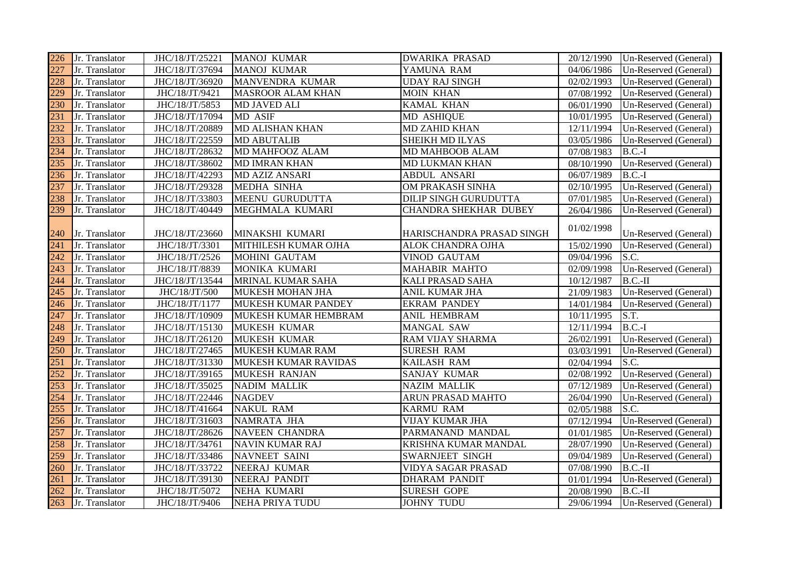| 226 | Jr. Translator | JHC/18/JT/25221 | MANOJ KUMAR              | <b>DWARIKA PRASAD</b>     | 20/12/1990 | Un-Reserved (General) |
|-----|----------------|-----------------|--------------------------|---------------------------|------------|-----------------------|
| 227 | Jr. Translator | JHC/18/JT/37694 | <b>MANOJ KUMAR</b>       | YAMUNA RAM                | 04/06/1986 | Un-Reserved (General) |
| 228 | Jr. Translator | JHC/18/JT/36920 | MANVENDRA KUMAR          | <b>UDAY RAJ SINGH</b>     | 02/02/1993 | Un-Reserved (General) |
| 229 | Jr. Translator | JHC/18/JT/9421  | <b>MASROOR ALAM KHAN</b> | <b>MOIN KHAN</b>          | 07/08/1992 | Un-Reserved (General) |
| 230 | Jr. Translator | JHC/18/JT/5853  | MD JAVED ALI             | KAMAL KHAN                | 06/01/1990 | Un-Reserved (General) |
| 231 | Jr. Translator | JHC/18/JT/17094 | MD ASIF                  | MD ASHIQUE                | 10/01/1995 | Un-Reserved (General) |
| 232 | Jr. Translator | JHC/18/JT/20889 | MD ALISHAN KHAN          | <b>MD ZAHID KHAN</b>      | 12/11/1994 | Un-Reserved (General) |
| 233 | Jr. Translator | JHC/18/JT/22559 | <b>MD ABUTALIB</b>       | SHEIKH MD ILYAS           | 03/05/1986 | Un-Reserved (General) |
| 234 | Jr. Translator | JHC/18/JT/28632 | MD MAHFOOZ ALAM          | MD MAHBOOB ALAM           | 07/08/1983 | $B.C.-I$              |
| 235 | Jr. Translator | JHC/18/JT/38602 | <b>MD IMRAN KHAN</b>     | MD LUKMAN KHAN            | 08/10/1990 | Un-Reserved (General) |
| 236 | Jr. Translator | JHC/18/JT/42293 | MD AZIZ ANSARI           | <b>ABDUL ANSARI</b>       | 06/07/1989 | $B.C.-I$              |
| 237 | Jr. Translator | JHC/18/JT/29328 | MEDHA SINHA              | OM PRAKASH SINHA          | 02/10/1995 | Un-Reserved (General) |
| 238 | Jr. Translator | JHC/18/JT/33803 | MEENU GURUDUTTA          | DILIP SINGH GURUDUTTA     | 07/01/1985 | Un-Reserved (General) |
| 239 | Jr. Translator | JHC/18/JT/40449 | MEGHMALA KUMARI          | CHANDRA SHEKHAR DUBEY     | 26/04/1986 | Un-Reserved (General) |
| 240 | Jr. Translator | JHC/18/JT/23660 | MINAKSHI KUMARI          | HARISCHANDRA PRASAD SINGH | 01/02/1998 | Un-Reserved (General) |
| 241 | Jr. Translator | JHC/18/JT/3301  | MITHILESH KUMAR OJHA     | ALOK CHANDRA OJHA         | 15/02/1990 | Un-Reserved (General) |
| 242 | Jr. Translator | JHC/18/JT/2526  | MOHINI GAUTAM            | VINOD GAUTAM              | 09/04/1996 | S.C.                  |
| 243 | Jr. Translator | JHC/18/JT/8839  | MONIKA KUMARI            | <b>MAHABIR MAHTO</b>      | 02/09/1998 | Un-Reserved (General) |
| 244 | Jr. Translator | JHC/18/JT/13544 | MRINAL KUMAR SAHA        | <b>KALI PRASAD SAHA</b>   | 10/12/1987 | $B.C.-II$             |
| 245 | Jr. Translator | JHC/18/JT/500   | MUKESH MOHAN JHA         | ANIL KUMAR JHA            | 21/09/1983 | Un-Reserved (General) |
| 246 | Jr. Translator | JHC/18/JT/1177  | MUKESH KUMAR PANDEY      | <b>EKRAM PANDEY</b>       | 14/01/1984 | Un-Reserved (General) |
| 247 | Jr. Translator | JHC/18/JT/10909 | MUKESH KUMAR HEMBRAM     | ANIL HEMBRAM              | 10/11/1995 | S.T.                  |
| 248 | Jr. Translator | JHC/18/JT/15130 | <b>MUKESH KUMAR</b>      | MANGAL SAW                | 12/11/1994 | $B.C.-I$              |
| 249 | Jr. Translator | JHC/18/JT/26120 | MUKESH KUMAR             | RAM VIJAY SHARMA          | 26/02/1991 | Un-Reserved (General) |
| 250 | Jr. Translator | JHC/18/JT/27465 | MUKESH KUMAR RAM         | <b>SURESH RAM</b>         | 03/03/1991 | Un-Reserved (General) |
| 251 | Jr. Translator | JHC/18/JT/31330 | MUKESH KUMAR RAVIDAS     | <b>KAILASH RAM</b>        | 02/04/1994 | S.C.                  |
| 252 | Jr. Translator | JHC/18/JT/39165 | <b>MUKESH RANJAN</b>     | <b>SANJAY KUMAR</b>       | 02/08/1992 | Un-Reserved (General) |
| 253 | Jr. Translator | JHC/18/JT/35025 | <b>NADIM MALLIK</b>      | <b>NAZIM MALLIK</b>       | 07/12/1989 | Un-Reserved (General) |
| 254 | Jr. Translator | JHC/18/JT/22446 | <b>NAGDEV</b>            | ARUN PRASAD MAHTO         | 26/04/1990 | Un-Reserved (General) |
| 255 | Jr. Translator | JHC/18/JT/41664 | <b>NAKUL RAM</b>         | <b>KARMU RAM</b>          | 02/05/1988 | S.C.                  |
| 256 | Jr. Translator | JHC/18/JT/31603 | NAMRATA JHA              | VIJAY KUMAR JHA           | 07/12/1994 | Un-Reserved (General) |
| 257 | Jr. Translator | JHC/18/JT/28626 | <b>NAVEEN CHANDRA</b>    | PARMANAND MANDAL          | 01/01/1985 | Un-Reserved (General) |
| 258 | Jr. Translator | JHC/18/JT/34761 | <b>NAVIN KUMAR RAJ</b>   | KRISHNA KUMAR MANDAL      | 28/07/1990 | Un-Reserved (General) |
| 259 | Jr. Translator | JHC/18/JT/33486 | NAVNEET SAINI            | SWARNJEET SINGH           | 09/04/1989 | Un-Reserved (General) |
| 260 | Jr. Translator | JHC/18/JT/33722 | NEERAJ KUMAR             | VIDYA SAGAR PRASAD        | 07/08/1990 | $B.C.-II$             |
| 261 | Jr. Translator | JHC/18/JT/39130 | NEERAJ PANDIT            | <b>DHARAM PANDIT</b>      | 01/01/1994 | Un-Reserved (General) |
| 262 | Jr. Translator | JHC/18/JT/5072  | NEHA KUMARI              | <b>SURESH GOPE</b>        | 20/08/1990 | $B.C.-II$             |
| 263 | Jr. Translator | JHC/18/JT/9406  | <b>NEHA PRIYA TUDU</b>   | <b>JOHNY TUDU</b>         | 29/06/1994 | Un-Reserved (General) |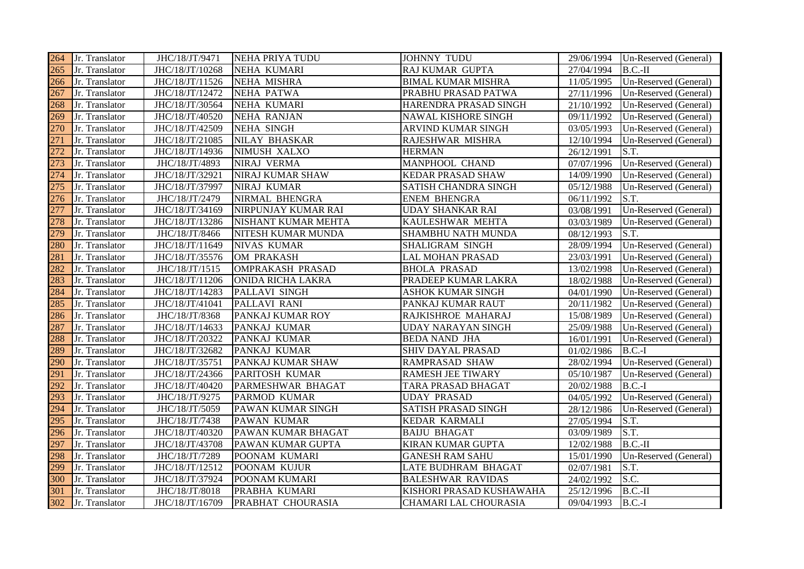| 264 | Jr. Translator | JHC/18/JT/9471  | <b>NEHA PRIYA TUDU</b> | <b>JOHNNY TUDU</b>           |            | 29/06/1994 Un-Reserved (General) |
|-----|----------------|-----------------|------------------------|------------------------------|------------|----------------------------------|
| 265 | Jr. Translator | JHC/18/JT/10268 | NEHA KUMARI            | RAJ KUMAR GUPTA              | 27/04/1994 | $B.C.-II$                        |
| 266 | Jr. Translator | JHC/18/JT/11526 | <b>NEHA MISHRA</b>     | <b>BIMAL KUMAR MISHRA</b>    | 11/05/1995 | Un-Reserved (General)            |
| 267 | Jr. Translator | JHC/18/JT/12472 | <b>NEHA PATWA</b>      | PRABHU PRASAD PATWA          | 27/11/1996 | Un-Reserved (General)            |
| 268 | Jr. Translator | JHC/18/JT/30564 | NEHA KUMARI            | HARENDRA PRASAD SINGH        | 21/10/1992 | Un-Reserved (General)            |
| 269 | Jr. Translator | JHC/18/JT/40520 | <b>NEHA RANJAN</b>     | NAWAL KISHORE SINGH          | 09/11/1992 | Un-Reserved (General)            |
| 270 | Jr. Translator | JHC/18/JT/42509 | <b>NEHA SINGH</b>      | ARVIND KUMAR SINGH           | 03/05/1993 | Un-Reserved (General)            |
| 271 | Jr. Translator | JHC/18/JT/21085 | NILAY BHASKAR          | RAJESHWAR MISHRA             | 12/10/1994 | Un-Reserved (General)            |
| 272 | Jr. Translator | JHC/18/JT/14936 | NIMUSH XALXO           | <b>HERMAN</b>                | 26/12/1991 | S.T.                             |
| 273 | Jr. Translator | JHC/18/JT/4893  | NIRAJ VERMA            | MANPHOOL CHAND               | 07/07/1996 | Un-Reserved (General)            |
| 274 | Jr. Translator | JHC/18/JT/32921 | NIRAJ KUMAR SHAW       | <b>KEDAR PRASAD SHAW</b>     | 14/09/1990 | Un-Reserved (General)            |
| 275 | Jr. Translator | JHC/18/JT/37997 | NIRAJ KUMAR            | SATISH CHANDRA SINGH         | 05/12/1988 | Un-Reserved (General)            |
| 276 | Jr. Translator | JHC/18/JT/2479  | NIRMAL BHENGRA         | <b>ENEM BHENGRA</b>          | 06/11/1992 | S.T.                             |
| 277 | Jr. Translator | JHC/18/JT/34169 | NIRPUNJAY KUMAR RAI    | <b>UDAY SHANKAR RAI</b>      | 03/08/1991 | Un-Reserved (General)            |
| 278 | Jr. Translator | JHC/18/JT/13286 | NISHANT KUMAR MEHTA    | KAULESHWAR MEHTA             | 03/03/1989 | Un-Reserved (General)            |
| 279 | Jr. Translator | JHC/18/JT/8466  | NITESH KUMAR MUNDA     | <b>SHAMBHU NATH MUNDA</b>    | 08/12/1993 | S.T.                             |
| 280 | Jr. Translator | JHC/18/JT/11649 | NIVAS KUMAR            | SHALIGRAM SINGH              | 28/09/1994 | Un-Reserved (General)            |
| 281 | Jr. Translator | JHC/18/JT/35576 | OM PRAKASH             | LAL MOHAN PRASAD             | 23/03/1991 | Un-Reserved (General)            |
| 282 | Jr. Translator | JHC/18/JT/1515  | OMPRAKASH PRASAD       | <b>BHOLA PRASAD</b>          | 13/02/1998 | Un-Reserved (General)            |
| 283 | Jr. Translator | JHC/18/JT/11206 | ONIDA RICHA LAKRA      | PRADEEP KUMAR LAKRA          | 18/02/1988 | Un-Reserved (General)            |
| 284 | Jr. Translator | JHC/18/JT/14283 | PALLAVI SINGH          | ASHOK KUMAR SINGH            | 04/01/1990 | Un-Reserved (General)            |
| 285 | Jr. Translator | JHC/18/JT/41041 | PALLAVI RANI           | PANKAJ KUMAR RAUT            | 20/11/1982 | Un-Reserved (General)            |
| 286 | Jr. Translator | JHC/18/JT/8368  | PANKAJ KUMAR ROY       | RAJKISHROE MAHARAJ           | 15/08/1989 | Un-Reserved (General)            |
| 287 | Jr. Translator | JHC/18/JT/14633 | PANKAJ KUMAR           | UDAY NARAYAN SINGH           | 25/09/1988 | Un-Reserved (General)            |
| 288 | Jr. Translator | JHC/18/JT/20322 | PANKAJ KUMAR           | <b>BEDA NAND JHA</b>         | 16/01/1991 | Un-Reserved (General)            |
| 289 | Jr. Translator | JHC/18/JT/32682 | PANKAJ KUMAR           | <b>SHIV DAYAL PRASAD</b>     | 01/02/1986 | $B.C.-I$                         |
| 290 | Jr. Translator | JHC/18/JT/35751 | PANKAJ KUMAR SHAW      | <b>RAMPRASAD SHAW</b>        | 28/02/1994 | Un-Reserved (General)            |
| 291 | Jr. Translator | JHC/18/JT/24366 | PARITOSH KUMAR         | <b>RAMESH JEE TIWARY</b>     | 05/10/1987 | Un-Reserved (General)            |
| 292 | Jr. Translator | JHC/18/JT/40420 | PARMESHWAR BHAGAT      | TARA PRASAD BHAGAT           | 20/02/1988 | $B.C.-I$                         |
| 293 | Jr. Translator | JHC/18/JT/9275  | PARMOD KUMAR           | <b>UDAY PRASAD</b>           | 04/05/1992 | Un-Reserved (General)            |
| 294 | Jr. Translator | JHC/18/JT/5059  | PAWAN KUMAR SINGH      | <b>SATISH PRASAD SINGH</b>   | 28/12/1986 | Un-Reserved (General)            |
| 295 | Jr. Translator | JHC/18/JT/7438  | PAWAN KUMAR            | <b>KEDAR KARMALI</b>         | 27/05/1994 | S.T.                             |
| 296 | Jr. Translator | JHC/18/JT/40320 | PAWAN KUMAR BHAGAT     | <b>BAIJU BHAGAT</b>          | 03/09/1989 | S.T.                             |
| 297 | Jr. Translator | JHC/18/JT/43708 | PAWAN KUMAR GUPTA      | <b>KIRAN KUMAR GUPTA</b>     | 12/02/1988 | $B.C.-II$                        |
| 298 | Jr. Translator | JHC/18/JT/7289  | POONAM KUMARI          | <b>GANESH RAM SAHU</b>       | 15/01/1990 | Un-Reserved (General)            |
| 299 | Jr. Translator | JHC/18/JT/12512 | POONAM KUJUR           | LATE BUDHRAM BHAGAT          | 02/07/1981 | S.T.                             |
| 300 | Jr. Translator | JHC/18/JT/37924 | POONAM KUMARI          | <b>BALESHWAR RAVIDAS</b>     | 24/02/1992 | S.C.                             |
| 301 | Jr. Translator | JHC/18/JT/8018  | PRABHA KUMARI          | KISHORI PRASAD KUSHAWAHA     | 25/12/1996 | $B.C.-II$                        |
| 302 | Jr. Translator | JHC/18/JT/16709 | PRABHAT CHOURASIA      | <b>CHAMARI LAL CHOURASIA</b> | 09/04/1993 | $B.C.-I$                         |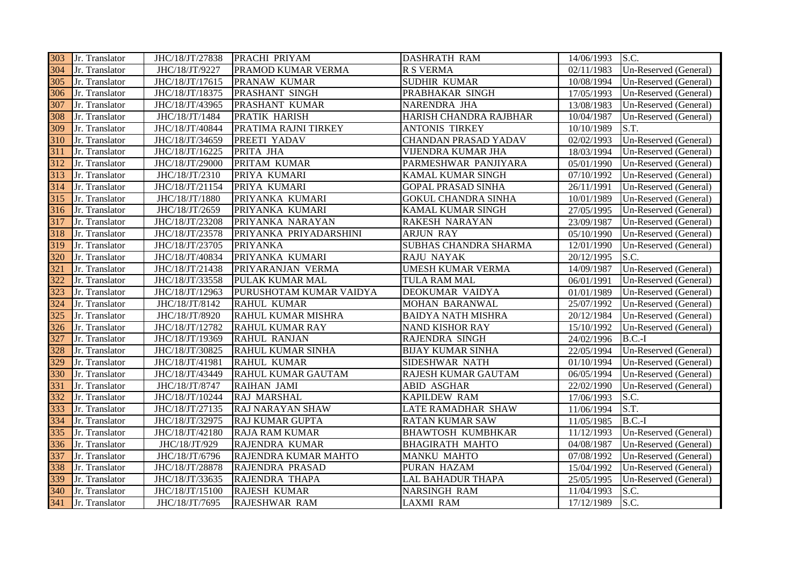| 303 | Jr. Translator | JHC/18/JT/27838 | <b>PRACHI PRIYAM</b>     | <b>DASHRATH RAM</b>         | 14/06/1993 | S.C.                  |
|-----|----------------|-----------------|--------------------------|-----------------------------|------------|-----------------------|
| 304 | Jr. Translator | JHC/18/JT/9227  | PRAMOD KUMAR VERMA       | <b>R S VERMA</b>            | 02/11/1983 | Un-Reserved (General) |
| 305 | Jr. Translator | JHC/18/JT/17615 | PRANAW KUMAR             | <b>SUDHIR KUMAR</b>         | 10/08/1994 | Un-Reserved (General) |
| 306 | Jr. Translator | JHC/18/JT/18375 | PRASHANT SINGH           | PRABHAKAR SINGH             | 17/05/1993 | Un-Reserved (General) |
| 307 | Jr. Translator | JHC/18/JT/43965 | PRASHANT KUMAR           | NARENDRA JHA                | 13/08/1983 | Un-Reserved (General) |
| 308 | Jr. Translator | JHC/18/JT/1484  | PRATIK HARISH            | HARISH CHANDRA RAJBHAR      | 10/04/1987 | Un-Reserved (General) |
| 309 | Jr. Translator | JHC/18/JT/40844 | PRATIMA RAJNI TIRKEY     | <b>ANTONIS TIRKEY</b>       | 10/10/1989 | S.T.                  |
| 310 | Jr. Translator | JHC/18/JT/34659 | PREETI YADAV             | <b>CHANDAN PRASAD YADAV</b> | 02/02/1993 | Un-Reserved (General) |
| 311 | Jr. Translator | JHC/18/JT/16225 | PRITA JHA                | VIJENDRA KUMAR JHA          | 18/03/1994 | Un-Reserved (General) |
| 312 | Jr. Translator | JHC/18/JT/29000 | PRITAM KUMAR             | PARMESHWAR PANJIYARA        | 05/01/1990 | Un-Reserved (General) |
| 313 | Jr. Translator | JHC/18/JT/2310  | PRIYA KUMARI             | KAMAL KUMAR SINGH           | 07/10/1992 | Un-Reserved (General) |
| 314 | Jr. Translator | JHC/18/JT/21154 | PRIYA KUMARI             | <b>GOPAL PRASAD SINHA</b>   | 26/11/1991 | Un-Reserved (General) |
| 315 | Jr. Translator | JHC/18/JT/1880  | PRIYANKA KUMARI          | <b>GOKUL CHANDRA SINHA</b>  | 10/01/1989 | Un-Reserved (General) |
| 316 | Jr. Translator | JHC/18/JT/2659  | PRIYANKA KUMARI          | KAMAL KUMAR SINGH           | 27/05/1995 | Un-Reserved (General) |
| 317 | Jr. Translator | JHC/18/JT/23208 | PRIYANKA NARAYAN         | RAKESH NARAYAN              | 23/09/1987 | Un-Reserved (General) |
| 318 | Jr. Translator | JHC/18/JT/23578 | PRIYANKA PRIYADARSHINI   | <b>ARJUN RAY</b>            | 05/10/1990 | Un-Reserved (General) |
| 319 | Jr. Translator | JHC/18/JT/23705 | <b>PRIYANKA</b>          | SUBHAS CHANDRA SHARMA       | 12/01/1990 | Un-Reserved (General) |
| 320 | Jr. Translator | JHC/18/JT/40834 | PRIYANKA KUMARI          | RAJU NAYAK                  | 20/12/1995 | S.C.                  |
| 321 | Jr. Translator | JHC/18/JT/21438 | PRIYARANJAN VERMA        | UMESH KUMAR VERMA           | 14/09/1987 | Un-Reserved (General) |
| 322 | Jr. Translator | JHC/18/JT/33558 | PULAK KUMAR MAL          | TULA RAM MAL                | 06/01/1991 | Un-Reserved (General) |
| 323 | Jr. Translator | JHC/18/JT/12963 | PURUSHOTAM KUMAR VAIDYA  | DEOKUMAR VAIDYA             | 01/01/1989 | Un-Reserved (General) |
| 324 | Jr. Translator | JHC/18/JT/8142  | <b>RAHUL KUMAR</b>       | MOHAN BARANWAL              | 25/07/1992 | Un-Reserved (General) |
| 325 | Jr. Translator | JHC/18/JT/8920  | RAHUL KUMAR MISHRA       | <b>BAIDYA NATH MISHRA</b>   | 20/12/1984 | Un-Reserved (General) |
| 326 | Jr. Translator | JHC/18/JT/12782 | RAHUL KUMAR RAY          | <b>NAND KISHOR RAY</b>      | 15/10/1992 | Un-Reserved (General) |
| 327 | Jr. Translator | JHC/18/JT/19369 | <b>RAHUL RANJAN</b>      | RAJENDRA SINGH              | 24/02/1996 | $B.C.-I$              |
| 328 | Jr. Translator | JHC/18/JT/30825 | <b>RAHUL KUMAR SINHA</b> | <b>BIJAY KUMAR SINHA</b>    | 22/05/1994 | Un-Reserved (General) |
| 329 | Jr. Translator | JHC/18/JT/41981 | <b>RAHUL KUMAR</b>       | SIDESHWAR NATH              | 01/10/1994 | Un-Reserved (General) |
| 330 | Jr. Translator | JHC/18/JT/43449 | RAHUL KUMAR GAUTAM       | RAJESH KUMAR GAUTAM         | 06/05/1994 | Un-Reserved (General) |
| 331 | Jr. Translator | JHC/18/JT/8747  | <b>RAIHAN JAMI</b>       | <b>ABID ASGHAR</b>          | 22/02/1990 | Un-Reserved (General) |
| 332 | Jr. Translator | JHC/18/JT/10244 | RAJ MARSHAL              | <b>KAPILDEW RAM</b>         | 17/06/1993 | S.C.                  |
| 333 | Jr. Translator | JHC/18/JT/27135 | <b>RAJ NARAYAN SHAW</b>  | LATE RAMADHAR SHAW          | 11/06/1994 | S.T.                  |
| 334 | Jr. Translator | JHC/18/JT/32975 | <b>RAJ KUMAR GUPTA</b>   | <b>RATAN KUMAR SAW</b>      | 11/05/1985 | $B.C.-I$              |
| 335 | Jr. Translator | JHC/18/JT/42180 | <b>RAJA RAM KUMAR</b>    | <b>BHAWTOSH KUMBHKAR</b>    | 11/12/1993 | Un-Reserved (General) |
| 336 | Jr. Translator | JHC/18/JT/929   | RAJENDRA KUMAR           | <b>BHAGIRATH MAHTO</b>      | 04/08/1987 | Un-Reserved (General) |
| 337 | Jr. Translator | JHC/18/JT/6796  | RAJENDRA KUMAR MAHTO     | <b>MANKU MAHTO</b>          | 07/08/1992 | Un-Reserved (General) |
| 338 | Jr. Translator | JHC/18/JT/28878 | RAJENDRA PRASAD          | PURAN HAZAM                 | 15/04/1992 | Un-Reserved (General) |
| 339 | Jr. Translator | JHC/18/JT/33635 | RAJENDRA THAPA           | LAL BAHADUR THAPA           | 25/05/1995 | Un-Reserved (General) |
| 340 | Jr. Translator | JHC/18/JT/15100 | <b>RAJESH KUMAR</b>      | <b>NARSINGH RAM</b>         | 11/04/1993 | S.C.                  |
| 341 | Jr. Translator | JHC/18/JT/7695  | <b>RAJESHWAR RAM</b>     | <b>LAXMI RAM</b>            | 17/12/1989 | S.C.                  |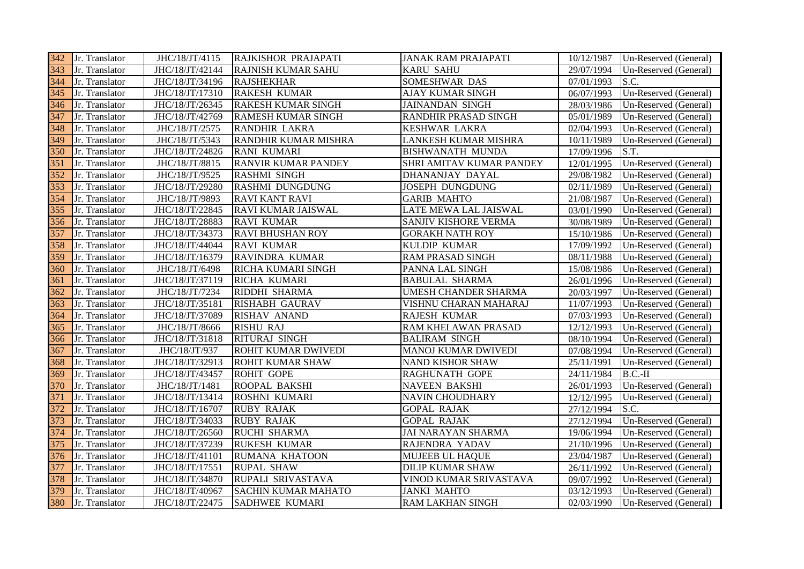|     | 342 Jr. Translator | JHC/18/JT/4115  | RAJKISHOR PRAJAPATI        | <b>JANAK RAM PRAJAPATI</b>  | 10/12/1987 | Un-Reserved (General) |
|-----|--------------------|-----------------|----------------------------|-----------------------------|------------|-----------------------|
| 343 | Jr. Translator     | JHC/18/JT/42144 | <b>RAJNISH KUMAR SAHU</b>  | <b>KARU SAHU</b>            | 29/07/1994 | Un-Reserved (General) |
| 344 | Jr. Translator     | JHC/18/JT/34196 | <b>RAJSHEKHAR</b>          | SOMESHWAR DAS               | 07/01/1993 | S.C.                  |
| 345 | Jr. Translator     | JHC/18/JT/17310 | <b>RAKESH KUMAR</b>        | <b>AJAY KUMAR SINGH</b>     | 06/07/1993 | Un-Reserved (General) |
| 346 | Jr. Translator     | JHC/18/JT/26345 | <b>RAKESH KUMAR SINGH</b>  | <b>JAINANDAN SINGH</b>      | 28/03/1986 | Un-Reserved (General) |
| 347 | Jr. Translator     | JHC/18/JT/42769 | RAMESH KUMAR SINGH         | <b>RANDHIR PRASAD SINGH</b> | 05/01/1989 | Un-Reserved (General) |
| 348 | Jr. Translator     | JHC/18/JT/2575  | <b>RANDHIR LAKRA</b>       | <b>KESHWAR LAKRA</b>        | 02/04/1993 | Un-Reserved (General) |
| 349 | Jr. Translator     | JHC/18/JT/5343  | RANDHIR KUMAR MISHRA       | LANKESH KUMAR MISHRA        | 10/11/1989 | Un-Reserved (General) |
| 350 | Jr. Translator     | JHC/18/JT/24826 | <b>RANI KUMARI</b>         | <b>BISHWANATH MUNDA</b>     | 17/09/1996 | S.T.                  |
| 351 | Jr. Translator     | JHC/18/JT/8815  | <b>RANVIR KUMAR PANDEY</b> | SHRI AMITAV KUMAR PANDEY    | 12/01/1995 | Un-Reserved (General) |
| 352 | Jr. Translator     | JHC/18/JT/9525  | <b>RASHMI SINGH</b>        | DHANANJAY DAYAL             | 29/08/1982 | Un-Reserved (General) |
| 353 | Jr. Translator     | JHC/18/JT/29280 | <b>RASHMI DUNGDUNG</b>     | <b>JOSEPH DUNGDUNG</b>      | 02/11/1989 | Un-Reserved (General) |
| 354 | Jr. Translator     | JHC/18/JT/9893  | <b>RAVI KANT RAVI</b>      | <b>GARIB MAHTO</b>          | 21/08/1987 | Un-Reserved (General) |
| 355 | Jr. Translator     | JHC/18/JT/22845 | RAVI KUMAR JAISWAL         | LATE MEWA LAL JAISWAL       | 03/01/1990 | Un-Reserved (General) |
| 356 | Jr. Translator     | JHC/18/JT/28883 | <b>RAVI KUMAR</b>          | SANJIV KISHORE VERMA        | 30/08/1989 | Un-Reserved (General) |
| 357 | Jr. Translator     | JHC/18/JT/34373 | <b>RAVI BHUSHAN ROY</b>    | <b>GORAKH NATH ROY</b>      | 15/10/1986 | Un-Reserved (General) |
| 358 | Jr. Translator     | JHC/18/JT/44044 | <b>RAVI KUMAR</b>          | <b>KULDIP KUMAR</b>         | 17/09/1992 | Un-Reserved (General) |
| 359 | Jr. Translator     | JHC/18/JT/16379 | RAVINDRA KUMAR             | <b>RAM PRASAD SINGH</b>     | 08/11/1988 | Un-Reserved (General) |
| 360 | Jr. Translator     | JHC/18/JT/6498  | <b>RICHA KUMARI SINGH</b>  | PANNA LAL SINGH             | 15/08/1986 | Un-Reserved (General) |
| 361 | Jr. Translator     | JHC/18/JT/37119 | RICHA KUMARI               | <b>BABULAL SHARMA</b>       | 26/01/1996 | Un-Reserved (General) |
| 362 | Jr. Translator     | JHC/18/JT/7234  | <b>RIDDHI SHARMA</b>       | UMESH CHANDER SHARMA        | 20/03/1997 | Un-Reserved (General) |
| 363 | Jr. Translator     | JHC/18/JT/35181 | <b>RISHABH GAURAV</b>      | VISHNU CHARAN MAHARAJ       | 11/07/1993 | Un-Reserved (General) |
| 364 | Jr. Translator     | JHC/18/JT/37089 | <b>RISHAV ANAND</b>        | <b>RAJESH KUMAR</b>         | 07/03/1993 | Un-Reserved (General) |
| 365 | Jr. Translator     | JHC/18/JT/8666  | <b>RISHU RAJ</b>           | RAM KHELAWAN PRASAD         | 12/12/1993 | Un-Reserved (General) |
| 366 | Jr. Translator     | JHC/18/JT/31818 | <b>RITURAJ SINGH</b>       | <b>BALIRAM SINGH</b>        | 08/10/1994 | Un-Reserved (General) |
| 367 | Jr. Translator     | JHC/18/JT/937   | <b>ROHIT KUMAR DWIVEDI</b> | <b>MANOJ KUMAR DWIVEDI</b>  | 07/08/1994 | Un-Reserved (General) |
| 368 | Jr. Translator     | JHC/18/JT/32913 | <b>ROHIT KUMAR SHAW</b>    | <b>NAND KISHOR SHAW</b>     | 25/11/1991 | Un-Reserved (General) |
| 369 | Jr. Translator     | JHC/18/JT/43457 | <b>ROHIT GOPE</b>          | <b>RAGHUNATH GOPE</b>       | 24/11/1984 | $B.C.-II$             |
| 370 | Jr. Translator     | JHC/18/JT/1481  | <b>ROOPAL BAKSHI</b>       | <b>NAVEEN BAKSHI</b>        | 26/01/1993 | Un-Reserved (General) |
| 371 | Jr. Translator     | JHC/18/JT/13414 | <b>ROSHNI KUMARI</b>       | <b>NAVIN CHOUDHARY</b>      | 12/12/1995 | Un-Reserved (General) |
| 372 | Jr. Translator     | JHC/18/JT/16707 | <b>RUBY RAJAK</b>          | <b>GOPAL RAJAK</b>          | 27/12/1994 | S.C.                  |
| 373 | Jr. Translator     | JHC/18/JT/34033 | <b>RUBY RAJAK</b>          | <b>GOPAL RAJAK</b>          | 27/12/1994 | Un-Reserved (General) |
| 374 | Jr. Translator     | JHC/18/JT/26560 | <b>RUCHI SHARMA</b>        | <b>JAI NARAYAN SHARMA</b>   | 19/06/1994 | Un-Reserved (General) |
| 375 | Jr. Translator     | JHC/18/JT/37239 | <b>RUKESH KUMAR</b>        | RAJENDRA YADAV              | 21/10/1996 | Un-Reserved (General) |
| 376 | Jr. Translator     | JHC/18/JT/41101 | RUMANA KHATOON             | <b>MUJEEB UL HAQUE</b>      | 23/04/1987 | Un-Reserved (General) |
| 377 | Jr. Translator     | JHC/18/JT/17551 | <b>RUPAL SHAW</b>          | <b>DILIP KUMAR SHAW</b>     | 26/11/1992 | Un-Reserved (General) |
| 378 | Jr. Translator     | JHC/18/JT/34870 | <b>RUPALI SRIVASTAVA</b>   | VINOD KUMAR SRIVASTAVA      | 09/07/1992 | Un-Reserved (General) |
| 379 | Jr. Translator     | JHC/18/JT/40967 | <b>SACHIN KUMAR MAHATO</b> | <b>JANKI MAHTO</b>          | 03/12/1993 | Un-Reserved (General) |
| 380 | Jr. Translator     | JHC/18/JT/22475 | <b>SADHWEE KUMARI</b>      | <b>RAM LAKHAN SINGH</b>     | 02/03/1990 | Un-Reserved (General) |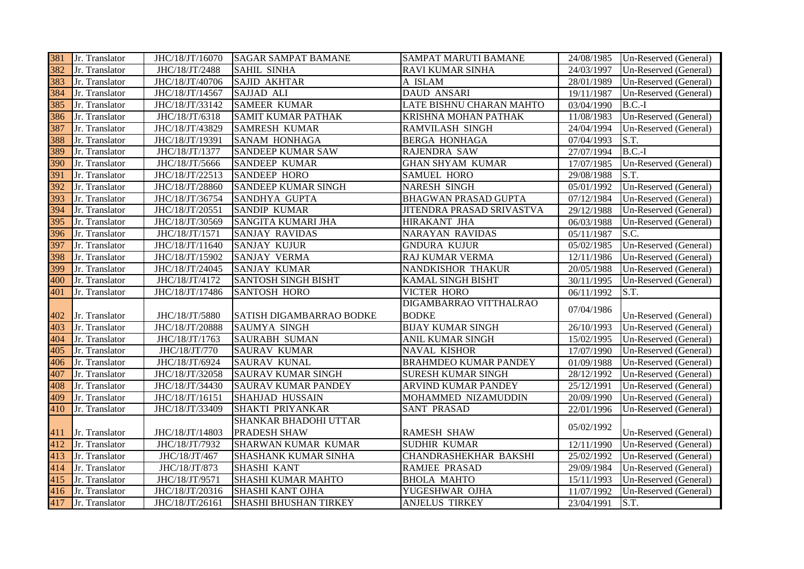| 381 | Jr. Translator | JHC/18/JT/16070 | <b>SAGAR SAMPAT BAMANE</b>   | SAMPAT MARUTI BAMANE         | 24/08/1985 | Un-Reserved (General) |
|-----|----------------|-----------------|------------------------------|------------------------------|------------|-----------------------|
| 382 | Jr. Translator | JHC/18/JT/2488  | <b>SAHIL SINHA</b>           | <b>RAVI KUMAR SINHA</b>      | 24/03/1997 | Un-Reserved (General) |
| 383 | Jr. Translator | JHC/18/JT/40706 | <b>SAJID AKHTAR</b>          | A ISLAM                      | 28/01/1989 | Un-Reserved (General) |
| 384 | Jr. Translator | JHC/18/JT/14567 | SAJJAD ALI                   | <b>DAUD ANSARI</b>           | 19/11/1987 | Un-Reserved (General) |
| 385 | Jr. Translator | JHC/18/JT/33142 | <b>SAMEER KUMAR</b>          | LATE BISHNU CHARAN MAHTO     | 03/04/1990 | $B.C.-I$              |
| 386 | Jr. Translator | JHC/18/JT/6318  | <b>SAMIT KUMAR PATHAK</b>    | KRISHNA MOHAN PATHAK         | 11/08/1983 | Un-Reserved (General) |
| 387 | Jr. Translator | JHC/18/JT/43829 | <b>SAMRESH KUMAR</b>         | <b>RAMVILASH SINGH</b>       | 24/04/1994 | Un-Reserved (General) |
| 388 | Jr. Translator | JHC/18/JT/19391 | SANAM HONHAGA                | <b>BERGA HONHAGA</b>         | 07/04/1993 | S.T.                  |
| 389 | Jr. Translator | JHC/18/JT/1377  | SANDEEP KUMAR SAW            | RAJENDRA SAW                 | 27/07/1994 | $B.C.-I$              |
| 390 | Jr. Translator | JHC/18/JT/5666  | SANDEEP KUMAR                | <b>GHAN SHYAM KUMAR</b>      | 17/07/1985 | Un-Reserved (General) |
| 391 | Jr. Translator | JHC/18/JT/22513 | <b>SANDEEP HORO</b>          | <b>SAMUEL HORO</b>           | 29/08/1988 | S.T.                  |
| 392 | Jr. Translator | JHC/18/JT/28860 | SANDEEP KUMAR SINGH          | <b>NARESH SINGH</b>          | 05/01/1992 | Un-Reserved (General) |
| 393 | Jr. Translator | JHC/18/JT/36754 | SANDHYA GUPTA                | <b>BHAGWAN PRASAD GUPTA</b>  | 07/12/1984 | Un-Reserved (General) |
| 394 | Jr. Translator | JHC/18/JT/20551 | <b>SANDIP KUMAR</b>          | JITENDRA PRASAD SRIVASTVA    | 29/12/1988 | Un-Reserved (General) |
| 395 | Jr. Translator | JHC/18/JT/30569 | SANGITA KUMARI JHA           | <b>HIRAKANT JHA</b>          | 06/03/1988 | Un-Reserved (General) |
| 396 | Jr. Translator | JHC/18/JT/1571  | <b>SANJAY RAVIDAS</b>        | <b>NARAYAN RAVIDAS</b>       | 05/11/1987 | S.C.                  |
| 397 | Jr. Translator | JHC/18/JT/11640 | <b>SANJAY KUJUR</b>          | <b>GNDURA KUJUR</b>          | 05/02/1985 | Un-Reserved (General) |
| 398 | Jr. Translator | JHC/18/JT/15902 | <b>SANJAY VERMA</b>          | RAJ KUMAR VERMA              | 12/11/1986 | Un-Reserved (General) |
| 399 | Jr. Translator | JHC/18/JT/24045 | <b>SANJAY KUMAR</b>          | NANDKISHOR THAKUR            | 20/05/1988 | Un-Reserved (General) |
| 400 | Jr. Translator | JHC/18/JT/4172  | <b>SANTOSH SINGH BISHT</b>   | <b>KAMAL SINGH BISHT</b>     | 30/11/1995 | Un-Reserved (General) |
| 401 | Jr. Translator | JHC/18/JT/17486 | <b>SANTOSH HORO</b>          | <b>VICTER HORO</b>           | 06/11/1992 | S.T.                  |
|     |                |                 |                              | DIGAMBARRAO VITTHALRAO       | 07/04/1986 |                       |
| 402 | Jr. Translator | JHC/18/JT/5880  | SATISH DIGAMBARRAO BODKE     | <b>BODKE</b>                 |            | Un-Reserved (General) |
| 403 | Jr. Translator | JHC/18/JT/20888 | <b>SAUMYA SINGH</b>          | <b>BIJAY KUMAR SINGH</b>     | 26/10/1993 | Un-Reserved (General) |
| 404 | Jr. Translator | JHC/18/JT/1763  | <b>SAURABH SUMAN</b>         | ANIL KUMAR SINGH             | 15/02/1995 | Un-Reserved (General) |
| 405 | Jr. Translator | JHC/18/JT/770   | <b>SAURAV KUMAR</b>          | <b>NAVAL KISHOR</b>          | 17/07/1990 | Un-Reserved (General) |
| 406 | Jr. Translator | JHC/18/JT/6924  | <b>SAURAV KUNAL</b>          | <b>BRAHMDEO KUMAR PANDEY</b> | 01/09/1988 | Un-Reserved (General) |
| 407 | Jr. Translator | JHC/18/JT/32058 | <b>SAURAV KUMAR SINGH</b>    | <b>SURESH KUMAR SINGH</b>    | 28/12/1992 | Un-Reserved (General) |
| 408 | Jr. Translator | JHC/18/JT/34430 | <b>SAURAV KUMAR PANDEY</b>   | ARVIND KUMAR PANDEY          | 25/12/1991 | Un-Reserved (General) |
| 409 | Jr. Translator | JHC/18/JT/16151 | SHAHJAD HUSSAIN              | MOHAMMED NIZAMUDDIN          | 20/09/1990 | Un-Reserved (General) |
| 410 | Jr. Translator | JHC/18/JT/33409 | SHAKTI PRIYANKAR             | <b>SANT PRASAD</b>           | 22/01/1996 | Un-Reserved (General) |
|     |                |                 | SHANKAR BHADOHI UTTAR        |                              | 05/02/1992 |                       |
| 411 | Jr. Translator | JHC/18/JT/14803 | PRADESH SHAW                 | <b>RAMESH SHAW</b>           |            | Un-Reserved (General) |
| 412 | Jr. Translator | JHC/18/JT/7932  | SHARWAN KUMAR KUMAR          | <b>SUDHIR KUMAR</b>          | 12/11/1990 | Un-Reserved (General) |
| 413 | Jr. Translator | JHC/18/JT/467   | <b>SHASHANK KUMAR SINHA</b>  | <b>CHANDRASHEKHAR BAKSHI</b> | 25/02/1992 | Un-Reserved (General) |
| 414 | Jr. Translator | JHC/18/JT/873   | SHASHI KANT                  | <b>RAMJEE PRASAD</b>         | 29/09/1984 | Un-Reserved (General) |
| 415 | Jr. Translator | JHC/18/JT/9571  | SHASHI KUMAR MAHTO           | <b>BHOLA MAHTO</b>           | 15/11/1993 | Un-Reserved (General) |
| 416 | Jr. Translator | JHC/18/JT/20316 | SHASHI KANT OJHA             | YUGESHWAR OJHA               | 11/07/1992 | Un-Reserved (General) |
| 417 | Jr. Translator | JHC/18/JT/26161 | <b>SHASHI BHUSHAN TIRKEY</b> | <b>ANJELUS TIRKEY</b>        | 23/04/1991 | S.T.                  |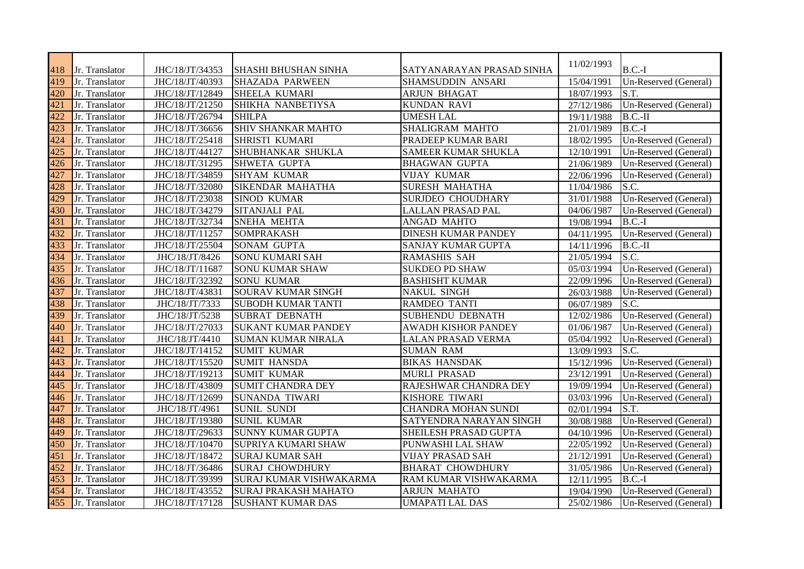| 418 | Jr. Translator | JHC/18/JT/34353 | <b>SHASHI BHUSHAN SINHA</b> | SATYANARAYAN PRASAD SINHA  | 11/02/1993 | $B.C.-I$              |
|-----|----------------|-----------------|-----------------------------|----------------------------|------------|-----------------------|
| 419 | Jr. Translator | JHC/18/JT/40393 | <b>SHAZADA PARWEEN</b>      | SHAMSUDDIN ANSARI          | 15/04/1991 | Un-Reserved (General) |
| 420 | Jr. Translator | JHC/18/JT/12849 | <b>SHEELA KUMARI</b>        | <b>ARJUN BHAGAT</b>        | 18/07/1993 | S.T.                  |
| 421 | Jr. Translator | JHC/18/JT/21250 | SHIKHA NANBETIYSA           | <b>KUNDAN RAVI</b>         | 27/12/1986 | Un-Reserved (General) |
| 422 | Jr. Translator | JHC/18/JT/26794 | <b>SHILPA</b>               | <b>UMESH LAL</b>           | 19/11/1988 | $B.C.-II$             |
| 423 | Jr. Translator | JHC/18/JT/36656 | <b>SHIV SHANKAR MAHTO</b>   | SHALIGRAM MAHTO            | 21/01/1989 | $B.C.-I$              |
| 424 | Jr. Translator | JHC/18/JT/25418 | <b>SHRISTI KUMARI</b>       | PRADEEP KUMAR BARI         | 18/02/1995 | Un-Reserved (General) |
| 425 | Jr. Translator | JHC/18/JT/44127 | SHUBHANKAR SHUKLA           | SAMEER KUMAR SHUKLA        | 12/10/1991 | Un-Reserved (General) |
| 426 | Jr. Translator | JHC/18/JT/31295 | <b>SHWETA GUPTA</b>         | <b>BHAGWAN GUPTA</b>       | 21/06/1989 | Un-Reserved (General) |
| 427 | Jr. Translator | JHC/18/JT/34859 | <b>SHYAM KUMAR</b>          | <b>VIJAY KUMAR</b>         | 22/06/1996 | Un-Reserved (General) |
| 428 | Jr. Translator | JHC/18/JT/32080 | SIKENDAR MAHATHA            | <b>SURESH MAHATHA</b>      | 11/04/1986 | S.C.                  |
| 429 | Jr. Translator | JHC/18/JT/23038 | <b>SINOD KUMAR</b>          | SURJDEO CHOUDHARY          | 31/01/1988 | Un-Reserved (General) |
| 430 | Jr. Translator | JHC/18/JT/34279 | SITANJALI PAL               | <b>LALLAN PRASAD PAL</b>   | 04/06/1987 | Un-Reserved (General) |
| 431 | Jr. Translator | JHC/18/JT/32734 | <b>SNEHA MEHTA</b>          | ANGAD MAHTO                | 19/08/1994 | $B.C.-I$              |
| 432 | Jr. Translator | JHC/18/JT/11257 | <b>SOMPRAKASH</b>           | <b>DINESH KUMAR PANDEY</b> | 04/11/1995 | Un-Reserved (General) |
| 433 | Jr. Translator | JHC/18/JT/25504 | <b>SONAM GUPTA</b>          | SANJAY KUMAR GUPTA         | 14/11/1996 | $B.C.-II$             |
| 434 | Jr. Translator | JHC/18/JT/8426  | <b>SONU KUMARI SAH</b>      | <b>RAMASHIS SAH</b>        | 21/05/1994 | S.C.                  |
| 435 | Jr. Translator | JHC/18/JT/11687 | <b>SONU KUMAR SHAW</b>      | <b>SUKDEO PD SHAW</b>      | 05/03/1994 | Un-Reserved (General) |
| 436 | Jr. Translator | JHC/18/JT/32392 | <b>SONU KUMAR</b>           | <b>BASHISHT KUMAR</b>      | 22/09/1996 | Un-Reserved (General) |
| 437 | Jr. Translator | JHC/18/JT/43831 | SOURAV KUMAR SINGH          | <b>NAKUL SINGH</b>         | 26/03/1988 | Un-Reserved (General) |
| 438 | Jr. Translator | JHC/18/JT/7333  | <b>SUBODH KUMAR TANTI</b>   | <b>RAMDEO TANTI</b>        | 06/07/1989 | S.C.                  |
| 439 | Jr. Translator | JHC/18/JT/5238  | <b>SUBRAT DEBNATH</b>       | SUBHENDU DEBNATH           | 12/02/1986 | Un-Reserved (General) |
| 440 | Jr. Translator | JHC/18/JT/27033 | <b>SUKANT KUMAR PANDEY</b>  | <b>AWADH KISHOR PANDEY</b> | 01/06/1987 | Un-Reserved (General) |
| 441 | Jr. Translator | JHC/18/JT/4410  | <b>SUMAN KUMAR NIRALA</b>   | LALAN PRASAD VERMA         | 05/04/1992 | Un-Reserved (General) |
| 442 | Jr. Translator | JHC/18/JT/14152 | <b>SUMIT KUMAR</b>          | <b>SUMAN RAM</b>           | 13/09/1993 | S.C.                  |
| 443 | Jr. Translator | JHC/18/JT/15520 | <b>SUMIT HANSDA</b>         | <b>BIKAS HANSDAK</b>       | 15/12/1996 | Un-Reserved (General) |
| 444 | Jr. Translator | JHC/18/JT/19213 | <b>SUMIT KUMAR</b>          | <b>MURLI PRASAD</b>        | 23/12/1991 | Un-Reserved (General) |
| 445 | Jr. Translator | JHC/18/JT/43809 | <b>SUMIT CHANDRA DEY</b>    | RAJESHWAR CHANDRA DEY      | 19/09/1994 | Un-Reserved (General) |
| 446 | Jr. Translator | JHC/18/JT/12699 | <b>SUNANDA TIWARI</b>       | KISHORE TIWARI             | 03/03/1996 | Un-Reserved (General) |
| 447 | Jr. Translator | JHC/18/JT/4961  | <b>SUNIL SUNDI</b>          | <b>CHANDRA MOHAN SUNDI</b> | 02/01/1994 | S.T.                  |
| 448 | Jr. Translator | JHC/18/JT/19380 | <b>SUNIL KUMAR</b>          | SATYENDRA NARAYAN SINGH    | 30/08/1988 | Un-Reserved (General) |
| 449 | Jr. Translator | JHC/18/JT/29633 | <b>SUNNY KUMAR GUPTA</b>    | SHEILESH PRASAD GUPTA      | 04/10/1996 | Un-Reserved (General) |
| 450 | Jr. Translator | JHC/18/JT/10470 | SUPRIYA KUMARI SHAW         | PUNWASHI LAL SHAW          | 22/05/1992 | Un-Reserved (General) |
| 451 | Jr. Translator | JHC/18/JT/18472 | <b>SURAJ KUMAR SAH</b>      | VIJAY PRASAD SAH           | 21/12/1991 | Un-Reserved (General) |
| 452 | Jr. Translator | JHC/18/JT/36486 | <b>SURAJ CHOWDHURY</b>      | <b>BHARAT CHOWDHURY</b>    | 31/05/1986 | Un-Reserved (General) |
| 453 | Jr. Translator | JHC/18/JT/39399 | SURAJ KUMAR VISHWAKARMA     | RAM KUMAR VISHWAKARMA      | 12/11/1995 | $B.C.-I$              |
| 454 | Jr. Translator | JHC/18/JT/43552 | <b>SURAJ PRAKASH MAHATO</b> | <b>ARJUN MAHATO</b>        | 19/04/1990 | Un-Reserved (General) |
| 455 | Jr. Translator | JHC/18/JT/17128 | <b>SUSHANT KUMAR DAS</b>    | <b>UMAPATI LAL DAS</b>     | 25/02/1986 | Un-Reserved (General) |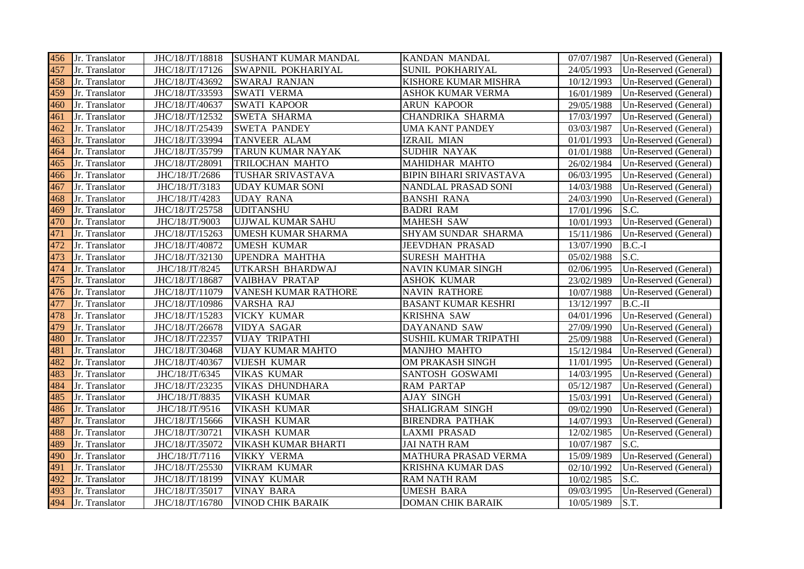|     | 456 Jr. Translator | JHC/18/JT/18818 | <b>SUSHANT KUMAR MANDAL</b> | <b>KANDAN MANDAL</b>           | 07/07/1987 | Un-Reserved (General) |
|-----|--------------------|-----------------|-----------------------------|--------------------------------|------------|-----------------------|
| 457 | Jr. Translator     | JHC/18/JT/17126 | SWAPNIL POKHARIYAL          | <b>SUNIL POKHARIYAL</b>        | 24/05/1993 | Un-Reserved (General) |
| 458 | Jr. Translator     | JHC/18/JT/43692 | <b>SWARAJ RANJAN</b>        | KISHORE KUMAR MISHRA           | 10/12/1993 | Un-Reserved (General) |
| 459 | Jr. Translator     | JHC/18/JT/33593 | <b>SWATI VERMA</b>          | <b>ASHOK KUMAR VERMA</b>       | 16/01/1989 | Un-Reserved (General) |
| 460 | Jr. Translator     | JHC/18/JT/40637 | <b>SWATI KAPOOR</b>         | <b>ARUN KAPOOR</b>             | 29/05/1988 | Un-Reserved (General) |
| 461 | Jr. Translator     | JHC/18/JT/12532 | <b>SWETA SHARMA</b>         | CHANDRIKA SHARMA               | 17/03/1997 | Un-Reserved (General) |
| 462 | Jr. Translator     | JHC/18/JT/25439 | <b>SWETA PANDEY</b>         | <b>UMA KANT PANDEY</b>         | 03/03/1987 | Un-Reserved (General) |
| 463 | Jr. Translator     | JHC/18/JT/33994 | TANVEER ALAM                | <b>IZRAIL MIAN</b>             | 01/01/1993 | Un-Reserved (General) |
| 464 | Jr. Translator     | JHC/18/JT/35799 | TARUN KUMAR NAYAK           | SUDHIR NAYAK                   | 01/01/1988 | Un-Reserved (General) |
| 465 | Jr. Translator     | JHC/18/JT/28091 | TRILOCHAN MAHTO             | MAHIDHAR MAHTO                 | 26/02/1984 | Un-Reserved (General) |
| 466 | Jr. Translator     | JHC/18/JT/2686  | TUSHAR SRIVASTAVA           | <b>BIPIN BIHARI SRIVASTAVA</b> | 06/03/1995 | Un-Reserved (General) |
| 467 | Jr. Translator     | JHC/18/JT/3183  | <b>UDAY KUMAR SONI</b>      | NANDLAL PRASAD SONI            | 14/03/1988 | Un-Reserved (General) |
| 468 | Jr. Translator     | JHC/18/JT/4283  | <b>UDAY RANA</b>            | <b>BANSHI RANA</b>             | 24/03/1990 | Un-Reserved (General) |
| 469 | Jr. Translator     | JHC/18/JT/25758 | <b>UDITANSHU</b>            | <b>BADRI RAM</b>               | 17/01/1996 | S.C.                  |
| 470 | Jr. Translator     | JHC/18/JT/9003  | <b>UJJWAL KUMAR SAHU</b>    | <b>MAHESH SAW</b>              | 10/01/1993 | Un-Reserved (General) |
| 471 | Jr. Translator     | JHC/18/JT/15263 | <b>UMESH KUMAR SHARMA</b>   | SHYAM SUNDAR SHARMA            | 15/11/1986 | Un-Reserved (General) |
| 472 | Jr. Translator     | JHC/18/JT/40872 | <b>UMESH KUMAR</b>          | <b>JEEVDHAN PRASAD</b>         | 13/07/1990 | $B.C.-I$              |
| 473 | Jr. Translator     | JHC/18/JT/32130 | <b>UPENDRA MAHTHA</b>       | <b>SURESH MAHTHA</b>           | 05/02/1988 | S.C.                  |
| 474 | Jr. Translator     | JHC/18/JT/8245  | UTKARSH BHARDWAJ            | <b>NAVIN KUMAR SINGH</b>       | 02/06/1995 | Un-Reserved (General) |
| 475 | Jr. Translator     | JHC/18/JT/18687 | <b>VAIBHAV PRATAP</b>       | <b>ASHOK KUMAR</b>             | 23/02/1989 | Un-Reserved (General) |
| 476 | Jr. Translator     | JHC/18/JT/11079 | VANESH KUMAR RATHORE        | <b>NAVIN RATHORE</b>           | 10/07/1988 | Un-Reserved (General) |
| 477 | Jr. Translator     | JHC/18/JT/10986 | VARSHA RAJ                  | <b>BASANT KUMAR KESHRI</b>     | 13/12/1997 | $B.C.-II$             |
| 478 | Jr. Translator     | JHC/18/JT/15283 | <b>VICKY KUMAR</b>          | <b>KRISHNA SAW</b>             | 04/01/1996 | Un-Reserved (General) |
| 479 | Jr. Translator     | JHC/18/JT/26678 | <b>VIDYA SAGAR</b>          | DAYANAND SAW                   | 27/09/1990 | Un-Reserved (General) |
| 480 | Jr. Translator     | JHC/18/JT/22357 | <b>VIJAY TRIPATHI</b>       | SUSHIL KUMAR TRIPATHI          | 25/09/1988 | Un-Reserved (General) |
| 481 | Jr. Translator     | JHC/18/JT/30468 | <b>VIJAY KUMAR MAHTO</b>    | MANJHO MAHTO                   | 15/12/1984 | Un-Reserved (General) |
| 482 | Jr. Translator     | JHC/18/JT/40367 | <b>VIJESH KUMAR</b>         | OM PRAKASH SINGH               | 11/01/1995 | Un-Reserved (General) |
| 483 | Jr. Translator     | JHC/18/JT/6345  | <b>VIKAS KUMAR</b>          | SANTOSH GOSWAMI                | 14/03/1995 | Un-Reserved (General) |
| 484 | Jr. Translator     | JHC/18/JT/23235 | <b>VIKAS DHUNDHARA</b>      | <b>RAM PARTAP</b>              | 05/12/1987 | Un-Reserved (General) |
| 485 | Jr. Translator     | JHC/18/JT/8835  | <b>VIKASH KUMAR</b>         | <b>AJAY SINGH</b>              | 15/03/1991 | Un-Reserved (General) |
| 486 | Jr. Translator     | JHC/18/JT/9516  | <b>VIKASH KUMAR</b>         | SHALIGRAM SINGH                | 09/02/1990 | Un-Reserved (General) |
| 487 | Jr. Translator     | JHC/18/JT/15666 | <b>VIKASH KUMAR</b>         | <b>BIRENDRA PATHAK</b>         | 14/07/1993 | Un-Reserved (General) |
| 488 | Jr. Translator     | JHC/18/JT/30721 | <b>VIKASH KUMAR</b>         | <b>LAXMI PRASAD</b>            | 12/02/1985 | Un-Reserved (General) |
| 489 | Jr. Translator     | JHC/18/JT/35072 | VIKASH KUMAR BHARTI         | <b>JAI NATH RAM</b>            | 10/07/1987 | S.C.                  |
| 490 | Jr. Translator     | JHC/18/JT/7116  | <b>VIKKY VERMA</b>          | <b>MATHURA PRASAD VERMA</b>    | 15/09/1989 | Un-Reserved (General) |
| 491 | Jr. Translator     | JHC/18/JT/25530 | <b>VIKRAM KUMAR</b>         | <b>KRISHNA KUMAR DAS</b>       | 02/10/1992 | Un-Reserved (General) |
| 492 | Jr. Translator     | JHC/18/JT/18199 | <b>VINAY KUMAR</b>          | <b>RAM NATH RAM</b>            | 10/02/1985 | S.C.                  |
| 493 | Jr. Translator     | JHC/18/JT/35017 | <b>VINAY BARA</b>           | <b>UMESH BARA</b>              | 09/03/1995 | Un-Reserved (General) |
|     | 494 Jr. Translator | JHC/18/JT/16780 | <b>VINOD CHIK BARAIK</b>    | <b>DOMAN CHIK BARAIK</b>       | 10/05/1989 | S.T.                  |